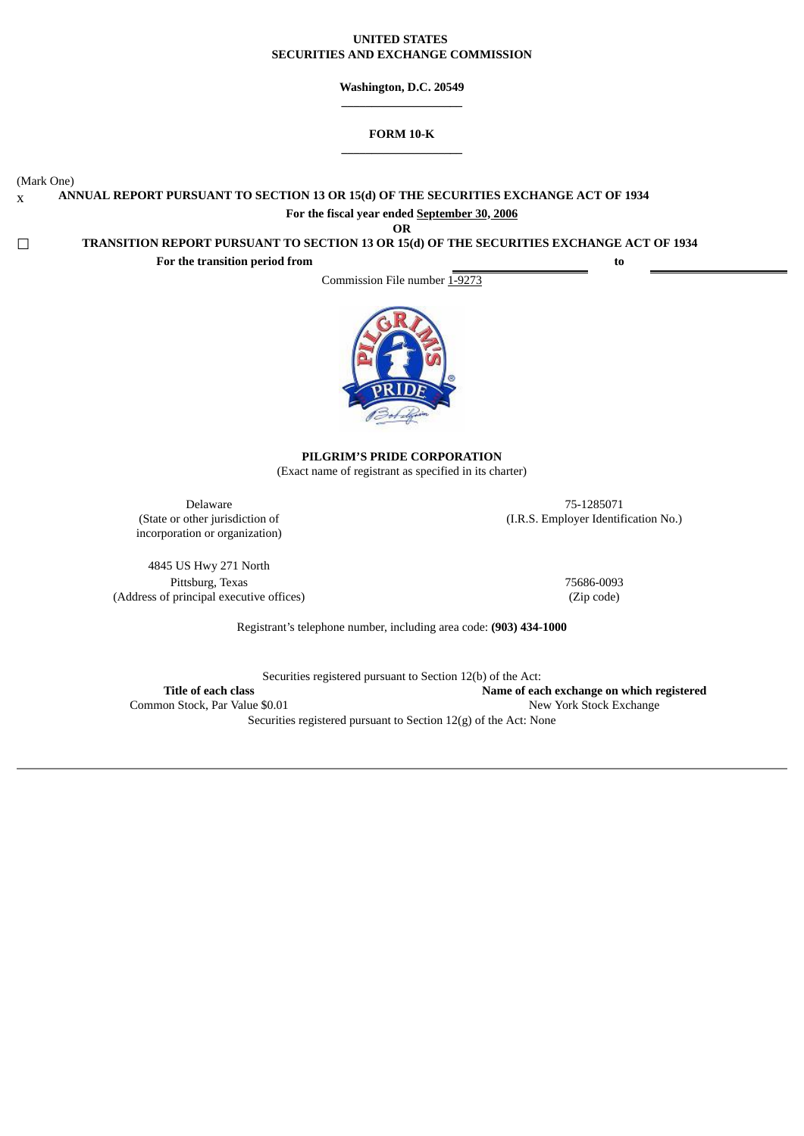#### **UNITED STATES SECURITIES AND EXCHANGE COMMISSION**

**Washington, D.C. 20549 \_\_\_\_\_\_\_\_\_\_\_\_\_\_\_\_\_\_\_\_**

#### **FORM 10-K \_\_\_\_\_\_\_\_\_\_\_\_\_\_\_\_\_\_\_\_**

(Mark One)

x **ANNUAL REPORT PURSUANT TO SECTION 13 OR 15(d) OF THE SECURITIES EXCHANGE ACT OF 1934 For the fiscal year ended September 30, 2006**

**OR**

☐ **TRANSITION REPORT PURSUANT TO SECTION 13 OR 15(d) OF THE SECURITIES EXCHANGE ACT OF 1934**

**For the transition period from to**

Commission File number 1-9273

**PILGRIM'S PRIDE CORPORATION** (Exact name of registrant as specified in its charter)

Delaware 75-1285071 (State or other jurisdiction of (I.R.S. Employer Identification No.) incorporation or organization)

4845 US Hwy 271 North Pittsburg, Texas 75686-0093 (Address of principal executive offices) (Zip code)

Registrant's telephone number, including area code: **(903) 434-1000**

Securities registered pursuant to Section 12(b) of the Act: **Title** of each class **Common Stock, Par Value \$0.01 Common Stock**, Par Value \$0.01 **Common Stock**, Par Value \$0.01 New York Stock Exchange Securities registered pursuant to Section 12(g) of the Act: None

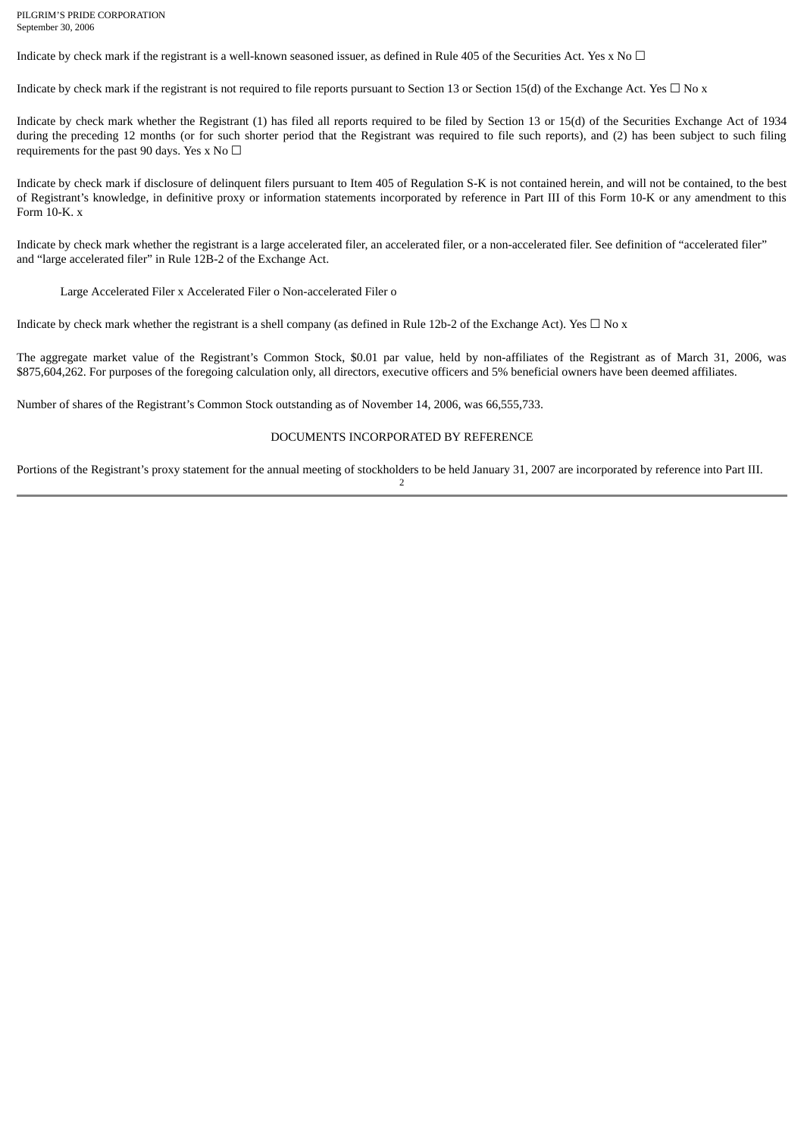PILGRIM'S PRIDE CORPORATION September 30, 2006

Indicate by check mark if the registrant is a well-known seasoned issuer, as defined in Rule 405 of the Securities Act. Yes x No  $\Box$ 

Indicate by check mark if the registrant is not required to file reports pursuant to Section 13 or Section 15(d) of the Exchange Act. Yes  $\Box$  No x

Indicate by check mark whether the Registrant (1) has filed all reports required to be filed by Section 13 or 15(d) of the Securities Exchange Act of 1934 during the preceding 12 months (or for such shorter period that the Registrant was required to file such reports), and (2) has been subject to such filing requirements for the past 90 days. Yes x No  $\Box$ 

Indicate by check mark if disclosure of delinquent filers pursuant to Item 405 of Regulation S-K is not contained herein, and will not be contained, to the best of Registrant's knowledge, in definitive proxy or information statements incorporated by reference in Part III of this Form 10-K or any amendment to this Form 10-K. x

Indicate by check mark whether the registrant is a large accelerated filer, an accelerated filer, or a non-accelerated filer. See definition of "accelerated filer" and "large accelerated filer" in Rule 12B-2 of the Exchange Act.

Large Accelerated Filer x Accelerated Filer o Non-accelerated Filer o

Indicate by check mark whether the registrant is a shell company (as defined in Rule 12b-2 of the Exchange Act). Yes  $\Box$  No x

The aggregate market value of the Registrant's Common Stock, \$0.01 par value, held by non-affiliates of the Registrant as of March 31, 2006, was \$875,604,262. For purposes of the foregoing calculation only, all directors, executive officers and 5% beneficial owners have been deemed affiliates.

Number of shares of the Registrant's Common Stock outstanding as of November 14, 2006, was 66,555,733.

#### DOCUMENTS INCORPORATED BY REFERENCE

Portions of the Registrant's proxy statement for the annual meeting of stockholders to be held January 31, 2007 are incorporated by reference into Part III.  $\overline{2}$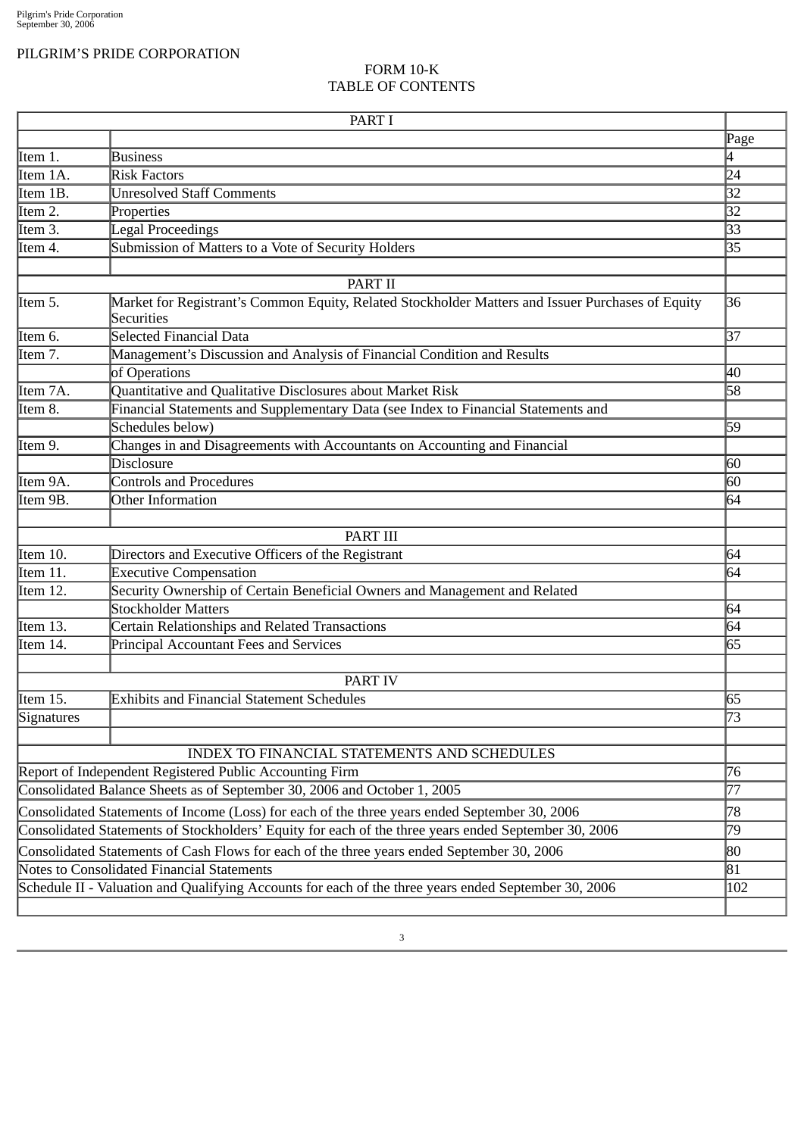# PILGRIM'S PRIDE CORPORATION

# FORM 10-K TABLE OF CONTENTS

|                                            | PART I                                                                                                          |                 |  |  |
|--------------------------------------------|-----------------------------------------------------------------------------------------------------------------|-----------------|--|--|
|                                            |                                                                                                                 | Page            |  |  |
| Item 1.                                    | Business                                                                                                        |                 |  |  |
| Item 1A.                                   | Risk Factors                                                                                                    | 24              |  |  |
| Item 1B.                                   | <b>Unresolved Staff Comments</b>                                                                                | 32              |  |  |
| Item 2.                                    | Properties                                                                                                      | 32              |  |  |
| Item 3.                                    | Legal Proceedings                                                                                               | 33              |  |  |
| Item 4.                                    | Submission of Matters to a Vote of Security Holders                                                             | 35              |  |  |
|                                            |                                                                                                                 |                 |  |  |
|                                            | PART II                                                                                                         |                 |  |  |
| Item 5.                                    | Market for Registrant's Common Equity, Related Stockholder Matters and Issuer Purchases of Equity<br>Securities | 36              |  |  |
| Item 6.                                    | <b>Selected Financial Data</b>                                                                                  | 37              |  |  |
| Item 7.                                    | Management's Discussion and Analysis of Financial Condition and Results                                         |                 |  |  |
|                                            | of Operations                                                                                                   | 40              |  |  |
| Item 7A.                                   | Quantitative and Qualitative Disclosures about Market Risk                                                      | 58              |  |  |
| Item 8.                                    | Financial Statements and Supplementary Data (see Index to Financial Statements and                              |                 |  |  |
|                                            | Schedules below)                                                                                                | 59              |  |  |
| Item 9.                                    | Changes in and Disagreements with Accountants on Accounting and Financial                                       |                 |  |  |
|                                            | Disclosure                                                                                                      | 160             |  |  |
| Item 9A.                                   | <b>Controls and Procedures</b>                                                                                  | 60              |  |  |
| lItem 9B.                                  | Other Information                                                                                               | 64              |  |  |
|                                            |                                                                                                                 |                 |  |  |
|                                            | PART III                                                                                                        |                 |  |  |
| Item 10.                                   | Directors and Executive Officers of the Registrant                                                              | 164             |  |  |
| Item 11.                                   | <b>Executive Compensation</b>                                                                                   | 164             |  |  |
| Item 12.                                   | Security Ownership of Certain Beneficial Owners and Management and Related                                      |                 |  |  |
|                                            | <b>Stockholder Matters</b>                                                                                      | 64              |  |  |
| Item 13.                                   | Certain Relationships and Related Transactions                                                                  | $\overline{64}$ |  |  |
| Item 14.                                   | Principal Accountant Fees and Services                                                                          | 65              |  |  |
|                                            |                                                                                                                 |                 |  |  |
|                                            | <b>PART IV</b>                                                                                                  |                 |  |  |
| Item 15.                                   | <b>Exhibits and Financial Statement Schedules</b>                                                               | 65              |  |  |
| Signatures                                 |                                                                                                                 | 73              |  |  |
|                                            |                                                                                                                 |                 |  |  |
|                                            | INDEX TO FINANCIAL STATEMENTS AND SCHEDULES                                                                     |                 |  |  |
|                                            | Report of Independent Registered Public Accounting Firm                                                         | 76              |  |  |
|                                            | Consolidated Balance Sheets as of September 30, 2006 and October 1, 2005                                        | 77              |  |  |
|                                            | Consolidated Statements of Income (Loss) for each of the three years ended September 30, 2006                   | 78              |  |  |
|                                            | Consolidated Statements of Stockholders' Equity for each of the three years ended September 30, 2006            | 79              |  |  |
|                                            | Consolidated Statements of Cash Flows for each of the three years ended September 30, 2006                      | 80              |  |  |
| Notes to Consolidated Financial Statements |                                                                                                                 |                 |  |  |
|                                            | Schedule II - Valuation and Qualifying Accounts for each of the three years ended September 30, 2006            | 102             |  |  |
|                                            |                                                                                                                 |                 |  |  |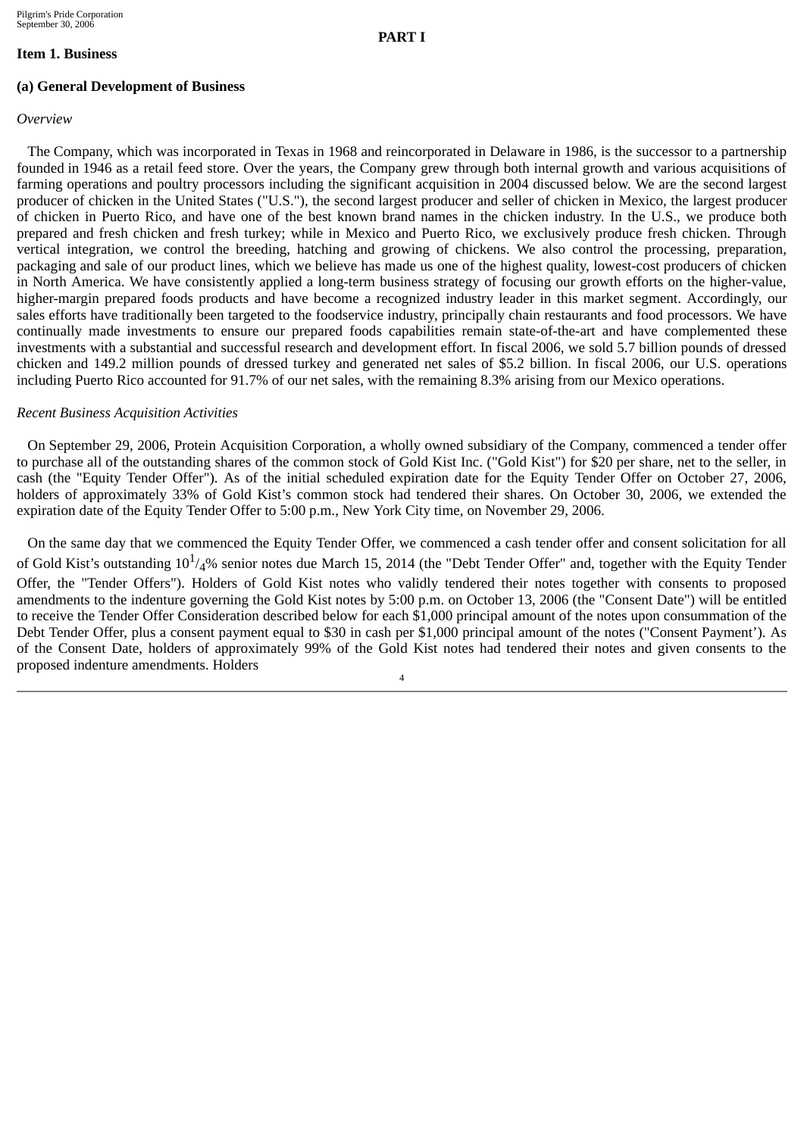**PART I**

# **Item 1. Business**

### **(a) General Development of Business**

#### *Overview*

The Company, which was incorporated in Texas in 1968 and reincorporated in Delaware in 1986, is the successor to a partnership founded in 1946 as a retail feed store. Over the years, the Company grew through both internal growth and various acquisitions of farming operations and poultry processors including the significant acquisition in 2004 discussed below. We are the second largest producer of chicken in the United States ("U.S."), the second largest producer and seller of chicken in Mexico, the largest producer of chicken in Puerto Rico, and have one of the best known brand names in the chicken industry. In the U.S., we produce both prepared and fresh chicken and fresh turkey; while in Mexico and Puerto Rico, we exclusively produce fresh chicken. Through vertical integration, we control the breeding, hatching and growing of chickens. We also control the processing, preparation, packaging and sale of our product lines, which we believe has made us one of the highest quality, lowest-cost producers of chicken in North America. We have consistently applied a long-term business strategy of focusing our growth efforts on the higher-value, higher-margin prepared foods products and have become a recognized industry leader in this market segment. Accordingly, our sales efforts have traditionally been targeted to the foodservice industry, principally chain restaurants and food processors. We have continually made investments to ensure our prepared foods capabilities remain state-of-the-art and have complemented these investments with a substantial and successful research and development effort. In fiscal 2006, we sold 5.7 billion pounds of dressed chicken and 149.2 million pounds of dressed turkey and generated net sales of \$5.2 billion. In fiscal 2006, our U.S. operations including Puerto Rico accounted for 91.7% of our net sales, with the remaining 8.3% arising from our Mexico operations.

#### *Recent Business Acquisition Activities*

On September 29, 2006, Protein Acquisition Corporation, a wholly owned subsidiary of the Company, commenced a tender offer to purchase all of the outstanding shares of the common stock of Gold Kist Inc. ("Gold Kist") for \$20 per share, net to the seller, in cash (the "Equity Tender Offer"). As of the initial scheduled expiration date for the Equity Tender Offer on October 27, 2006, holders of approximately 33% of Gold Kist's common stock had tendered their shares. On October 30, 2006, we extended the expiration date of the Equity Tender Offer to 5:00 p.m., New York City time, on November 29, 2006.

On the same day that we commenced the Equity Tender Offer, we commenced a cash tender offer and consent solicitation for all of Gold Kist's outstanding 10 $^{1/4}$ % senior notes due March 15, 2014 (the "Debt Tender Offer" and, together with the Equity Tender Offer, the "Tender Offers"). Holders of Gold Kist notes who validly tendered their notes together with consents to proposed amendments to the indenture governing the Gold Kist notes by 5:00 p.m. on October 13, 2006 (the "Consent Date") will be entitled to receive the Tender Offer Consideration described below for each \$1,000 principal amount of the notes upon consummation of the Debt Tender Offer, plus a consent payment equal to \$30 in cash per \$1,000 principal amount of the notes ("Consent Payment'). As of the Consent Date, holders of approximately 99% of the Gold Kist notes had tendered their notes and given consents to the proposed indenture amendments. Holders 4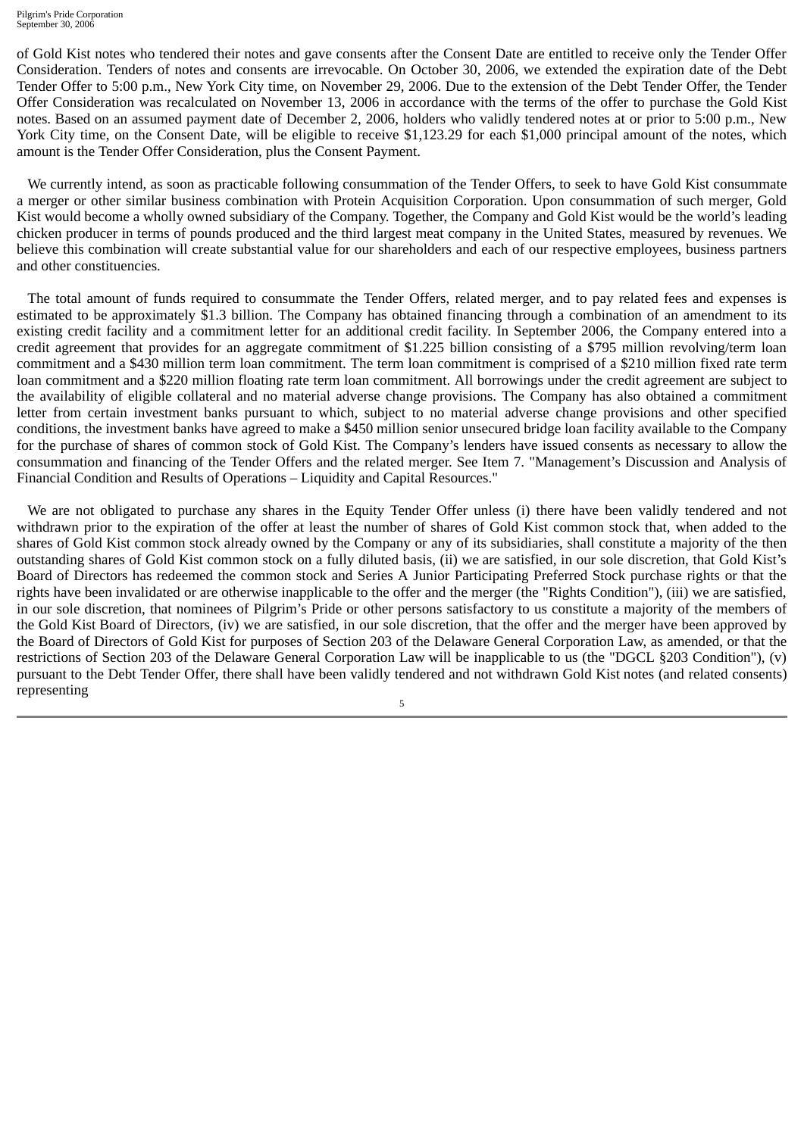of Gold Kist notes who tendered their notes and gave consents after the Consent Date are entitled to receive only the Tender Offer Consideration. Tenders of notes and consents are irrevocable. On October 30, 2006, we extended the expiration date of the Debt Tender Offer to 5:00 p.m., New York City time, on November 29, 2006. Due to the extension of the Debt Tender Offer, the Tender Offer Consideration was recalculated on November 13, 2006 in accordance with the terms of the offer to purchase the Gold Kist notes. Based on an assumed payment date of December 2, 2006, holders who validly tendered notes at or prior to 5:00 p.m., New York City time, on the Consent Date, will be eligible to receive \$1,123.29 for each \$1,000 principal amount of the notes, which amount is the Tender Offer Consideration, plus the Consent Payment.

We currently intend, as soon as practicable following consummation of the Tender Offers, to seek to have Gold Kist consummate a merger or other similar business combination with Protein Acquisition Corporation. Upon consummation of such merger, Gold Kist would become a wholly owned subsidiary of the Company. Together, the Company and Gold Kist would be the world's leading chicken producer in terms of pounds produced and the third largest meat company in the United States, measured by revenues. We believe this combination will create substantial value for our shareholders and each of our respective employees, business partners and other constituencies.

The total amount of funds required to consummate the Tender Offers, related merger, and to pay related fees and expenses is estimated to be approximately \$1.3 billion. The Company has obtained financing through a combination of an amendment to its existing credit facility and a commitment letter for an additional credit facility. In September 2006, the Company entered into a credit agreement that provides for an aggregate commitment of \$1.225 billion consisting of a \$795 million revolving/term loan commitment and a \$430 million term loan commitment. The term loan commitment is comprised of a \$210 million fixed rate term loan commitment and a \$220 million floating rate term loan commitment. All borrowings under the credit agreement are subject to the availability of eligible collateral and no material adverse change provisions. The Company has also obtained a commitment letter from certain investment banks pursuant to which, subject to no material adverse change provisions and other specified conditions, the investment banks have agreed to make a \$450 million senior unsecured bridge loan facility available to the Company for the purchase of shares of common stock of Gold Kist. The Company's lenders have issued consents as necessary to allow the consummation and financing of the Tender Offers and the related merger. See Item 7. "Management's Discussion and Analysis of Financial Condition and Results of Operations – Liquidity and Capital Resources."

We are not obligated to purchase any shares in the Equity Tender Offer unless (i) there have been validly tendered and not withdrawn prior to the expiration of the offer at least the number of shares of Gold Kist common stock that, when added to the shares of Gold Kist common stock already owned by the Company or any of its subsidiaries, shall constitute a majority of the then outstanding shares of Gold Kist common stock on a fully diluted basis, (ii) we are satisfied, in our sole discretion, that Gold Kist's Board of Directors has redeemed the common stock and Series A Junior Participating Preferred Stock purchase rights or that the rights have been invalidated or are otherwise inapplicable to the offer and the merger (the "Rights Condition"), (iii) we are satisfied, in our sole discretion, that nominees of Pilgrim's Pride or other persons satisfactory to us constitute a majority of the members of the Gold Kist Board of Directors, (iv) we are satisfied, in our sole discretion, that the offer and the merger have been approved by the Board of Directors of Gold Kist for purposes of Section 203 of the Delaware General Corporation Law, as amended, or that the restrictions of Section 203 of the Delaware General Corporation Law will be inapplicable to us (the "DGCL §203 Condition"), (v) pursuant to the Debt Tender Offer, there shall have been validly tendered and not withdrawn Gold Kist notes (and related consents) representing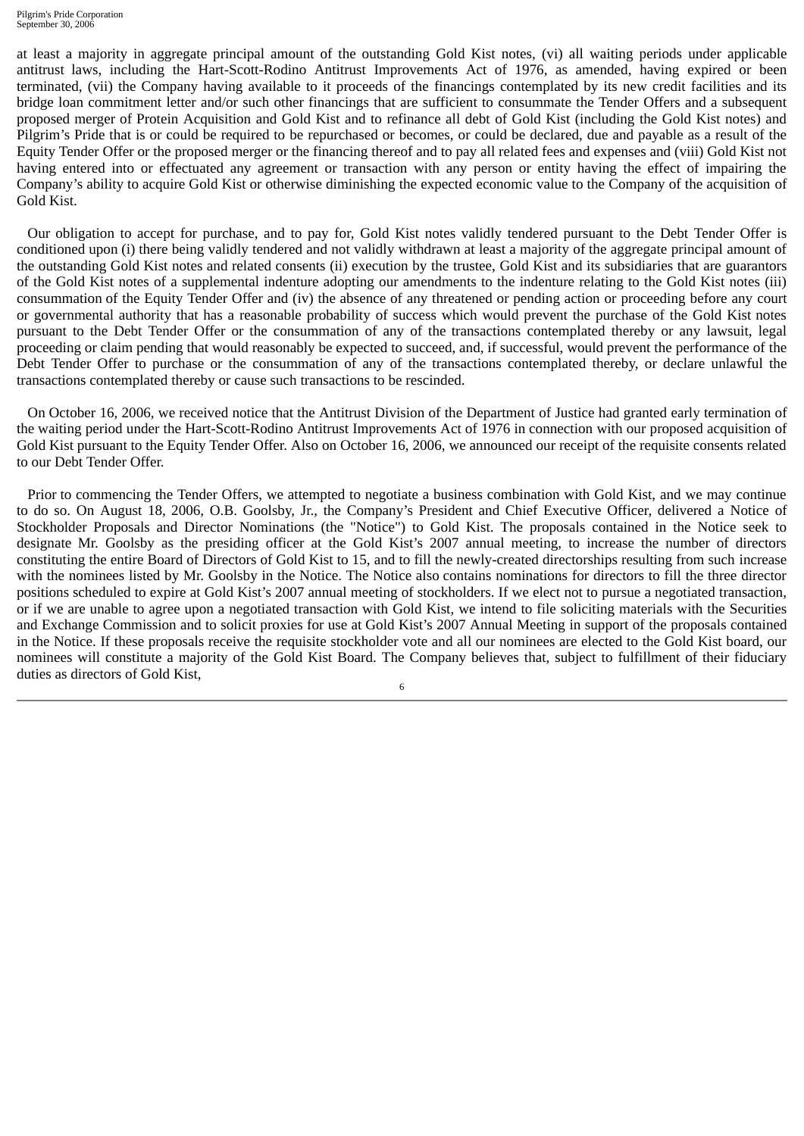at least a majority in aggregate principal amount of the outstanding Gold Kist notes, (vi) all waiting periods under applicable antitrust laws, including the Hart-Scott-Rodino Antitrust Improvements Act of 1976, as amended, having expired or been terminated, (vii) the Company having available to it proceeds of the financings contemplated by its new credit facilities and its bridge loan commitment letter and/or such other financings that are sufficient to consummate the Tender Offers and a subsequent proposed merger of Protein Acquisition and Gold Kist and to refinance all debt of Gold Kist (including the Gold Kist notes) and Pilgrim's Pride that is or could be required to be repurchased or becomes, or could be declared, due and payable as a result of the Equity Tender Offer or the proposed merger or the financing thereof and to pay all related fees and expenses and (viii) Gold Kist not having entered into or effectuated any agreement or transaction with any person or entity having the effect of impairing the Company's ability to acquire Gold Kist or otherwise diminishing the expected economic value to the Company of the acquisition of Gold Kist.

Our obligation to accept for purchase, and to pay for, Gold Kist notes validly tendered pursuant to the Debt Tender Offer is conditioned upon (i) there being validly tendered and not validly withdrawn at least a majority of the aggregate principal amount of the outstanding Gold Kist notes and related consents (ii) execution by the trustee, Gold Kist and its subsidiaries that are guarantors of the Gold Kist notes of a supplemental indenture adopting our amendments to the indenture relating to the Gold Kist notes (iii) consummation of the Equity Tender Offer and (iv) the absence of any threatened or pending action or proceeding before any court or governmental authority that has a reasonable probability of success which would prevent the purchase of the Gold Kist notes pursuant to the Debt Tender Offer or the consummation of any of the transactions contemplated thereby or any lawsuit, legal proceeding or claim pending that would reasonably be expected to succeed, and, if successful, would prevent the performance of the Debt Tender Offer to purchase or the consummation of any of the transactions contemplated thereby, or declare unlawful the transactions contemplated thereby or cause such transactions to be rescinded.

On October 16, 2006, we received notice that the Antitrust Division of the Department of Justice had granted early termination of the waiting period under the Hart-Scott-Rodino Antitrust Improvements Act of 1976 in connection with our proposed acquisition of Gold Kist pursuant to the Equity Tender Offer. Also on October 16, 2006, we announced our receipt of the requisite consents related to our Debt Tender Offer.

Prior to commencing the Tender Offers, we attempted to negotiate a business combination with Gold Kist, and we may continue to do so. On August 18, 2006, O.B. Goolsby, Jr., the Company's President and Chief Executive Officer, delivered a Notice of Stockholder Proposals and Director Nominations (the "Notice") to Gold Kist. The proposals contained in the Notice seek to designate Mr. Goolsby as the presiding officer at the Gold Kist's 2007 annual meeting, to increase the number of directors constituting the entire Board of Directors of Gold Kist to 15, and to fill the newly-created directorships resulting from such increase with the nominees listed by Mr. Goolsby in the Notice. The Notice also contains nominations for directors to fill the three director positions scheduled to expire at Gold Kist's 2007 annual meeting of stockholders. If we elect not to pursue a negotiated transaction, or if we are unable to agree upon a negotiated transaction with Gold Kist, we intend to file soliciting materials with the Securities and Exchange Commission and to solicit proxies for use at Gold Kist's 2007 Annual Meeting in support of the proposals contained in the Notice. If these proposals receive the requisite stockholder vote and all our nominees are elected to the Gold Kist board, our nominees will constitute a majority of the Gold Kist Board. The Company believes that, subject to fulfillment of their fiduciary duties as directors of Gold Kist,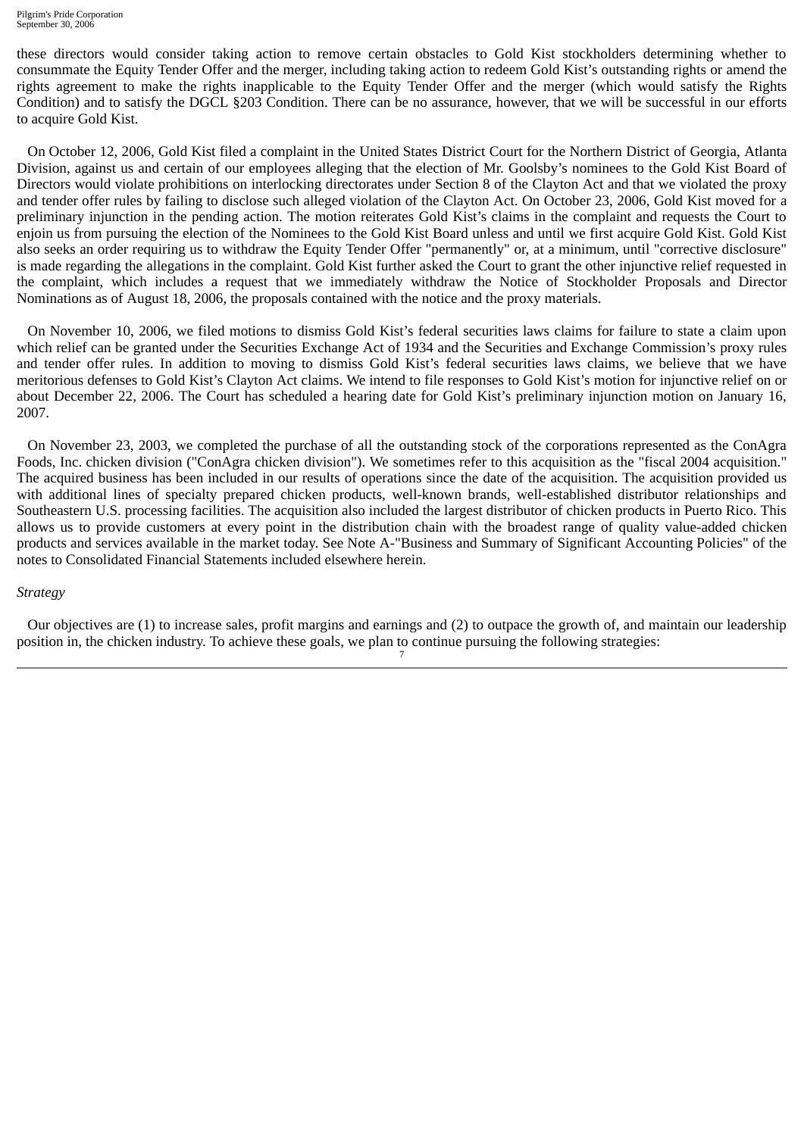these directors would consider taking action to remove certain obstacles to Gold Kist stockholders determining whether to consummate the Equity Tender Offer and the merger, including taking action to redeem Gold Kist's outstanding rights or amend the rights agreement to make the rights inapplicable to the Equity Tender Offer and the merger (which would satisfy the Rights Condition) and to satisfy the DGCL §203 Condition. There can be no assurance, however, that we will be successful in our efforts to acquire Gold Kist.

On October 12, 2006, Gold Kist filed a complaint in the United States District Court for the Northern District of Georgia, Atlanta Division, against us and certain of our employees alleging that the election of Mr. Goolsby's nominees to the Gold Kist Board of Directors would violate prohibitions on interlocking directorates under Section 8 of the Clayton Act and that we violated the proxy and tender offer rules by failing to disclose such alleged violation of the Clayton Act. On October 23, 2006, Gold Kist moved for a preliminary injunction in the pending action. The motion reiterates Gold Kist's claims in the complaint and requests the Court to enjoin us from pursuing the election of the Nominees to the Gold Kist Board unless and until we first acquire Gold Kist. Gold Kist also seeks an order requiring us to withdraw the Equity Tender Offer "permanently" or, at a minimum, until "corrective disclosure" is made regarding the allegations in the complaint. Gold Kist further asked the Court to grant the other injunctive relief requested in the complaint, which includes a request that we immediately withdraw the Notice of Stockholder Proposals and Director Nominations as of August 18, 2006, the proposals contained with the notice and the proxy materials.

On November 10, 2006, we filed motions to dismiss Gold Kist's federal securities laws claims for failure to state a claim upon which relief can be granted under the Securities Exchange Act of 1934 and the Securities and Exchange Commission's proxy rules and tender offer rules. In addition to moving to dismiss Gold Kist's federal securities laws claims, we believe that we have meritorious defenses to Gold Kist's Clayton Act claims. We intend to file responses to Gold Kist's motion for injunctive relief on or about December 22, 2006. The Court has scheduled a hearing date for Gold Kist's preliminary injunction motion on January 16, 2007.

On November 23, 2003, we completed the purchase of all the outstanding stock of the corporations represented as the ConAgra Foods, Inc. chicken division ("ConAgra chicken division"). We sometimes refer to this acquisition as the "fiscal 2004 acquisition." The acquired business has been included in our results of operations since the date of the acquisition. The acquisition provided us with additional lines of specialty prepared chicken products, well-known brands, well-established distributor relationships and Southeastern U.S. processing facilities. The acquisition also included the largest distributor of chicken products in Puerto Rico. This allows us to provide customers at every point in the distribution chain with the broadest range of quality value-added chicken products and services available in the market today. See Note A-"Business and Summary of Significant Accounting Policies" of the notes to Consolidated Financial Statements included elsewhere herein.

#### *Strategy*

Our objectives are (1) to increase sales, profit margins and earnings and (2) to outpace the growth of, and maintain our leadership position in, the chicken industry. To achieve these goals, we plan to continue pursuing the following strategies: 7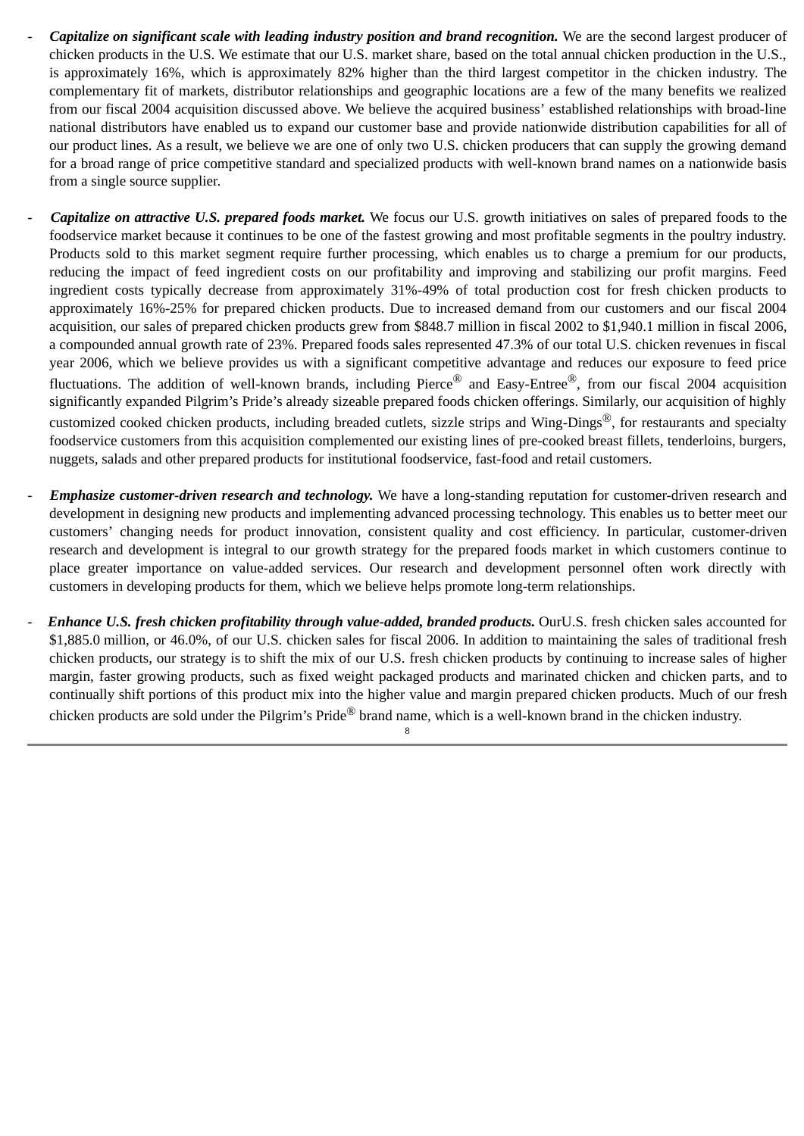- Capitalize on significant scale with leading industry position and brand recognition. We are the second largest producer of chicken products in the U.S. We estimate that our U.S. market share, based on the total annual chicken production in the U.S., is approximately 16%, which is approximately 82% higher than the third largest competitor in the chicken industry. The complementary fit of markets, distributor relationships and geographic locations are a few of the many benefits we realized from our fiscal 2004 acquisition discussed above. We believe the acquired business' established relationships with broad-line national distributors have enabled us to expand our customer base and provide nationwide distribution capabilities for all of our product lines. As a result, we believe we are one of only two U.S. chicken producers that can supply the growing demand for a broad range of price competitive standard and specialized products with well-known brand names on a nationwide basis from a single source supplier.
- *Capitalize on attractive U.S. prepared foods market.* We focus our U.S. growth initiatives on sales of prepared foods to the foodservice market because it continues to be one of the fastest growing and most profitable segments in the poultry industry. Products sold to this market segment require further processing, which enables us to charge a premium for our products, reducing the impact of feed ingredient costs on our profitability and improving and stabilizing our profit margins. Feed ingredient costs typically decrease from approximately 31%-49% of total production cost for fresh chicken products to approximately 16%-25% for prepared chicken products. Due to increased demand from our customers and our fiscal 2004 acquisition, our sales of prepared chicken products grew from \$848.7 million in fiscal 2002 to \$1,940.1 million in fiscal 2006, a compounded annual growth rate of 23%. Prepared foods sales represented 47.3% of our total U.S. chicken revenues in fiscal year 2006, which we believe provides us with a significant competitive advantage and reduces our exposure to feed price fluctuations. The addition of well-known brands, including Pierce<sup>®</sup> and Easy-Entree<sup>®</sup>, from our fiscal 2004 acquisition significantly expanded Pilgrim's Pride's already sizeable prepared foods chicken offerings. Similarly, our acquisition of highly customized cooked chicken products, including breaded cutlets, sizzle strips and Wing-Dings®, for restaurants and specialty foodservice customers from this acquisition complemented our existing lines of pre-cooked breast fillets, tenderloins, burgers, nuggets, salads and other prepared products for institutional foodservice, fast-food and retail customers.
- *Emphasize customer-driven research and technology.* We have a long-standing reputation for customer-driven research and development in designing new products and implementing advanced processing technology. This enables us to better meet our customers' changing needs for product innovation, consistent quality and cost efficiency. In particular, customer-driven research and development is integral to our growth strategy for the prepared foods market in which customers continue to place greater importance on value-added services. Our research and development personnel often work directly with customers in developing products for them, which we believe helps promote long-term relationships.
- Enhance U.S. fresh chicken profitability through value-added, branded products. OurU.S. fresh chicken sales accounted for \$1,885.0 million, or 46.0%, of our U.S. chicken sales for fiscal 2006. In addition to maintaining the sales of traditional fresh chicken products, our strategy is to shift the mix of our U.S. fresh chicken products by continuing to increase sales of higher margin, faster growing products, such as fixed weight packaged products and marinated chicken and chicken parts, and to continually shift portions of this product mix into the higher value and margin prepared chicken products. Much of our fresh chicken products are sold under the Pilgrim's Pride® brand name, which is a well-known brand in the chicken industry.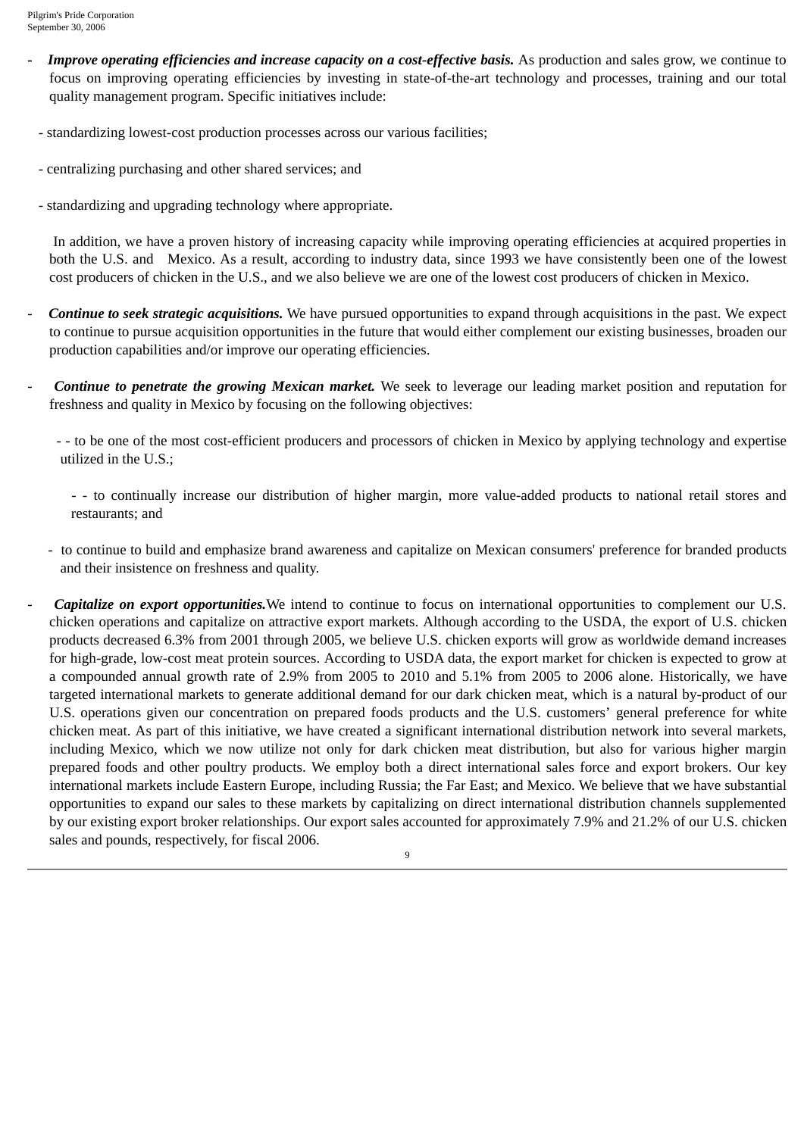- **Improve operating efficiencies and increase capacity on a cost-effective basis. As production and sales grow, we continue to** focus on improving operating efficiencies by investing in state-of-the-art technology and processes, training and our total quality management program. Specific initiatives include:
- standardizing lowest-cost production processes across our various facilities;
- centralizing purchasing and other shared services; and
- standardizing and upgrading technology where appropriate.

In addition, we have a proven history of increasing capacity while improving operating efficiencies at acquired properties in both the U.S. and Mexico. As a result, according to industry data, since 1993 we have consistently been one of the lowest cost producers of chicken in the U.S., and we also believe we are one of the lowest cost producers of chicken in Mexico.

- *Continue to seek strategic acquisitions.* We have pursued opportunities to expand through acquisitions in the past. We expect to continue to pursue acquisition opportunities in the future that would either complement our existing businesses, broaden our production capabilities and/or improve our operating efficiencies.
- *Continue to penetrate the growing Mexican market.* We seek to leverage our leading market position and reputation for freshness and quality in Mexico by focusing on the following objectives:

- - to be one of the most cost-efficient producers and processors of chicken in Mexico by applying technology and expertise utilized in the U.S.;

- - to continually increase our distribution of higher margin, more value-added products to national retail stores and restaurants; and
- to continue to build and emphasize brand awareness and capitalize on Mexican consumers' preference for branded products and their insistence on freshness and quality.

*- Capitalize on export opportunities.*We intend to continue to focus on international opportunities to complement our U.S. chicken operations and capitalize on attractive export markets. Although according to the USDA, the export of U.S. chicken products decreased 6.3% from 2001 through 2005, we believe U.S. chicken exports will grow as worldwide demand increases for high-grade, low-cost meat protein sources. According to USDA data, the export market for chicken is expected to grow at a compounded annual growth rate of 2.9% from 2005 to 2010 and 5.1% from 2005 to 2006 alone. Historically, we have targeted international markets to generate additional demand for our dark chicken meat, which is a natural by-product of our U.S. operations given our concentration on prepared foods products and the U.S. customers' general preference for white chicken meat. As part of this initiative, we have created a significant international distribution network into several markets, including Mexico, which we now utilize not only for dark chicken meat distribution, but also for various higher margin prepared foods and other poultry products. We employ both a direct international sales force and export brokers. Our key international markets include Eastern Europe, including Russia; the Far East; and Mexico. We believe that we have substantial opportunities to expand our sales to these markets by capitalizing on direct international distribution channels supplemented by our existing export broker relationships. Our export sales accounted for approximately 7.9% and 21.2% of our U.S. chicken sales and pounds, respectively, for fiscal 2006. 9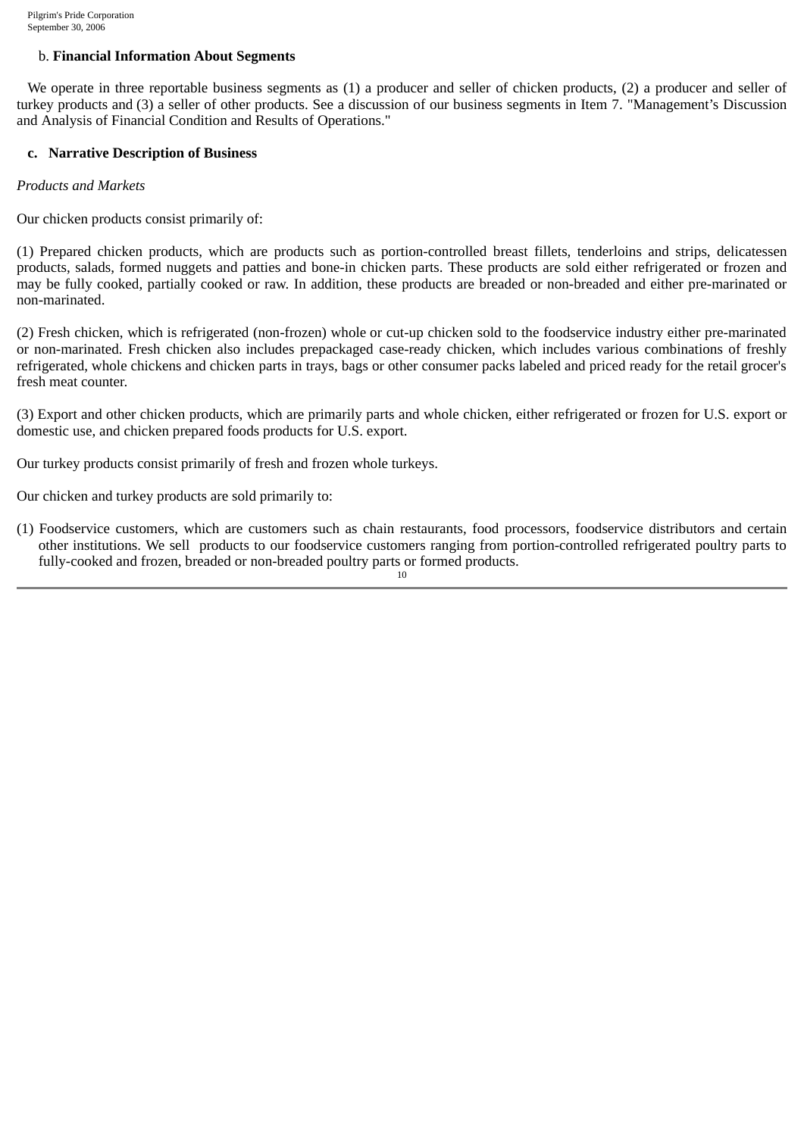### b. **Financial Information About Segments**

We operate in three reportable business segments as (1) a producer and seller of chicken products, (2) a producer and seller of turkey products and (3) a seller of other products. See a discussion of our business segments in Item 7. "Management's Discussion and Analysis of Financial Condition and Results of Operations."

### **c. Narrative Description of Business**

#### *Products and Markets*

Our chicken products consist primarily of:

(1) Prepared chicken products, which are products such as portion-controlled breast fillets, tenderloins and strips, delicatessen products, salads, formed nuggets and patties and bone-in chicken parts. These products are sold either refrigerated or frozen and may be fully cooked, partially cooked or raw. In addition, these products are breaded or non-breaded and either pre-marinated or non-marinated.

(2) Fresh chicken, which is refrigerated (non-frozen) whole or cut-up chicken sold to the foodservice industry either pre-marinated or non-marinated. Fresh chicken also includes prepackaged case-ready chicken, which includes various combinations of freshly refrigerated, whole chickens and chicken parts in trays, bags or other consumer packs labeled and priced ready for the retail grocer's fresh meat counter.

(3) Export and other chicken products, which are primarily parts and whole chicken, either refrigerated or frozen for U.S. export or domestic use, and chicken prepared foods products for U.S. export.

Our turkey products consist primarily of fresh and frozen whole turkeys.

Our chicken and turkey products are sold primarily to:

(1) Foodservice customers, which are customers such as chain restaurants, food processors, foodservice distributors and certain other institutions. We sell products to our foodservice customers ranging from portion-controlled refrigerated poultry parts to fully-cooked and frozen, breaded or non-breaded poultry parts or formed products.  $1<sub>0</sub>$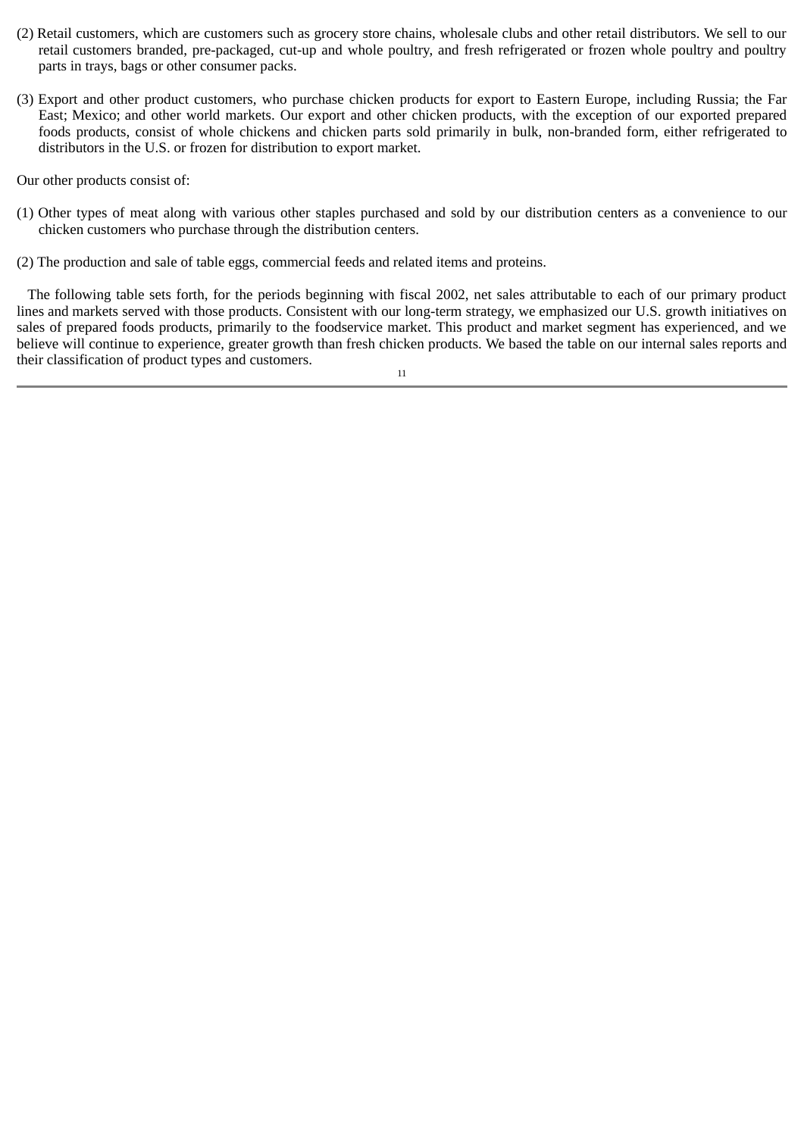- (2) Retail customers, which are customers such as grocery store chains, wholesale clubs and other retail distributors. We sell to our retail customers branded, pre-packaged, cut-up and whole poultry, and fresh refrigerated or frozen whole poultry and poultry parts in trays, bags or other consumer packs.
- (3) Export and other product customers, who purchase chicken products for export to Eastern Europe, including Russia; the Far East; Mexico; and other world markets. Our export and other chicken products, with the exception of our exported prepared foods products, consist of whole chickens and chicken parts sold primarily in bulk, non-branded form, either refrigerated to distributors in the U.S. or frozen for distribution to export market.

Our other products consist of:

- (1) Other types of meat along with various other staples purchased and sold by our distribution centers as a convenience to our chicken customers who purchase through the distribution centers.
- (2) The production and sale of table eggs, commercial feeds and related items and proteins.

The following table sets forth, for the periods beginning with fiscal 2002, net sales attributable to each of our primary product lines and markets served with those products. Consistent with our long-term strategy, we emphasized our U.S. growth initiatives on sales of prepared foods products, primarily to the foodservice market. This product and market segment has experienced, and we believe will continue to experience, greater growth than fresh chicken products. We based the table on our internal sales reports and their classification of product types and customers. 11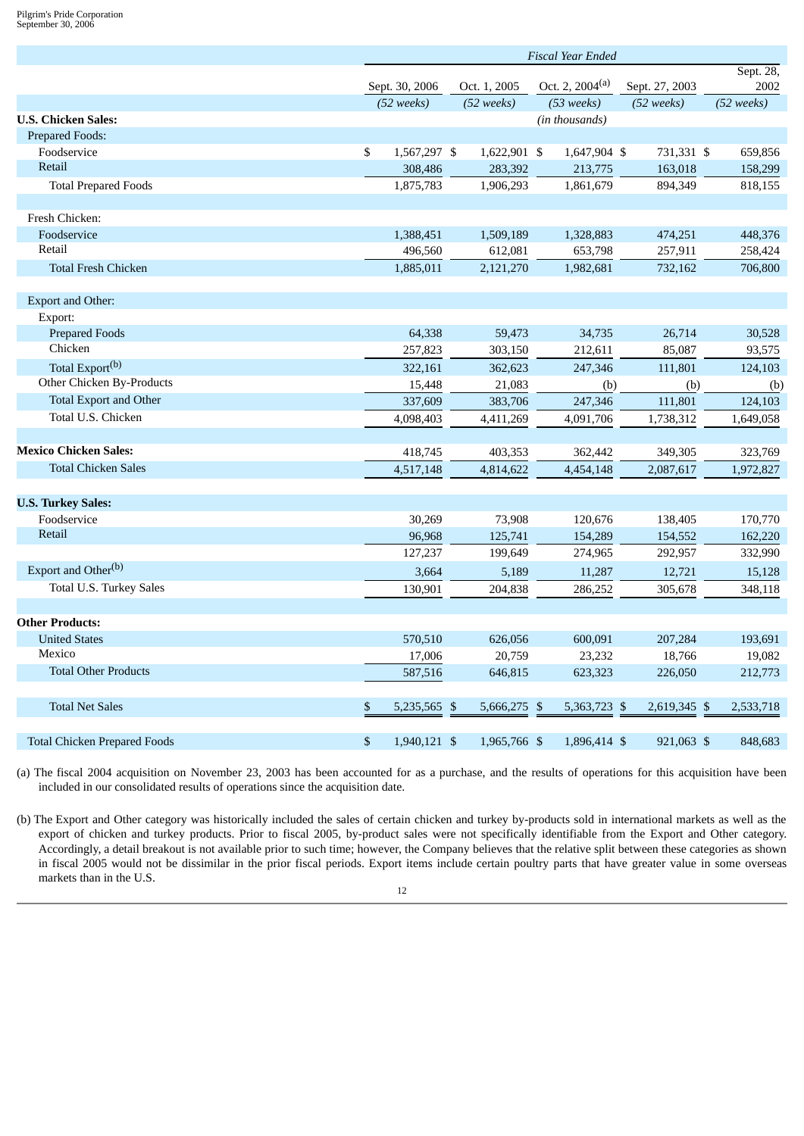|                                     | <b>Fiscal Year Ended</b> |  |                      |                             |                      |                      |
|-------------------------------------|--------------------------|--|----------------------|-----------------------------|----------------------|----------------------|
|                                     | Sept. 30, 2006           |  | Oct. 1, 2005         | Oct. 2, 2004 <sup>(a)</sup> | Sept. 27, 2003       | Sept. 28,<br>2002    |
|                                     | $(52 \text{ weeks})$     |  | $(52 \text{ weeks})$ | $(53 \text{ weeks})$        | $(52 \text{ weeks})$ | $(52 \text{ weeks})$ |
| <b>U.S. Chicken Sales:</b>          |                          |  |                      | (in thousands)              |                      |                      |
| <b>Prepared Foods:</b>              |                          |  |                      |                             |                      |                      |
| Foodservice                         | \$<br>1,567,297 \$       |  | 1,622,901 \$         | 1,647,904 \$                | 731,331 \$           | 659,856              |
| Retail                              | 308,486                  |  | 283,392              | 213,775                     | 163,018              | 158,299              |
| <b>Total Prepared Foods</b>         | 1,875,783                |  | 1,906,293            | 1,861,679                   | 894,349              | 818,155              |
| Fresh Chicken:                      |                          |  |                      |                             |                      |                      |
| Foodservice                         | 1,388,451                |  | 1,509,189            | 1,328,883                   | 474,251              | 448,376              |
| Retail                              | 496,560                  |  | 612,081              | 653,798                     | 257,911              | 258,424              |
| <b>Total Fresh Chicken</b>          | 1,885,011                |  | 2,121,270            | 1,982,681                   | 732,162              | 706,800              |
| <b>Export and Other:</b>            |                          |  |                      |                             |                      |                      |
| Export:                             |                          |  |                      |                             |                      |                      |
| <b>Prepared Foods</b>               | 64,338                   |  | 59,473               | 34,735                      | 26,714               | 30,528               |
| Chicken                             | 257,823                  |  | 303,150              | 212,611                     | 85,087               | 93,575               |
| Total Export <sup>(b)</sup>         | 322,161                  |  | 362,623              | 247,346                     | 111,801              | 124,103              |
| Other Chicken By-Products           | 15,448                   |  | 21,083               | (b)                         | (b)                  | (b)                  |
| <b>Total Export and Other</b>       | 337,609                  |  | 383,706              | 247,346                     | 111,801              | 124,103              |
| Total U.S. Chicken                  | 4,098,403                |  | 4,411,269            | 4,091,706                   | 1,738,312            | 1,649,058            |
| <b>Mexico Chicken Sales:</b>        | 418,745                  |  | 403,353              | 362,442                     | 349,305              | 323,769              |
| <b>Total Chicken Sales</b>          | 4,517,148                |  | 4,814,622            | 4,454,148                   | 2,087,617            | 1,972,827            |
| <b>U.S. Turkey Sales:</b>           |                          |  |                      |                             |                      |                      |
| Foodservice                         | 30,269                   |  | 73,908               | 120,676                     | 138,405              | 170,770              |
| Retail                              | 96,968                   |  | 125,741              | 154,289                     | 154,552              | 162,220              |
|                                     | 127,237                  |  | 199,649              | 274,965                     | 292,957              | 332,990              |
| Export and Other <sup>(b)</sup>     | 3,664                    |  | 5,189                | 11,287                      | 12,721               | 15,128               |
| Total U.S. Turkey Sales             | 130,901                  |  | 204,838              | 286,252                     | 305,678              | 348,118              |
| <b>Other Products:</b>              |                          |  |                      |                             |                      |                      |
| <b>United States</b>                | 570,510                  |  | 626,056              | 600,091                     | 207,284              | 193,691              |
| Mexico                              | 17,006                   |  | 20,759               | 23,232                      | 18,766               | 19,082               |
| <b>Total Other Products</b>         | 587,516                  |  | 646.815              | 623,323                     | 226,050              | 212,773              |
| <b>Total Net Sales</b>              | \$<br>5,235,565 \$       |  | 5,666,275 \$         | 5,363,723 \$                | 2,619,345 \$         | 2,533,718            |
| <b>Total Chicken Prepared Foods</b> | \$<br>1,940,121 \$       |  | 1,965,766 \$         | 1,896,414 \$                | 921,063 \$           | 848,683              |

(a) The fiscal 2004 acquisition on November 23, 2003 has been accounted for as a purchase, and the results of operations for this acquisition have been included in our consolidated results of operations since the acquisition date.

(b) The Export and Other category was historically included the sales of certain chicken and turkey by-products sold in international markets as well as the export of chicken and turkey products. Prior to fiscal 2005, by-product sales were not specifically identifiable from the Export and Other category. Accordingly, a detail breakout is not available prior to such time; however, the Company believes that the relative split between these categories as shown in fiscal 2005 would not be dissimilar in the prior fiscal periods. Export items include certain poultry parts that have greater value in some overseas markets than in the U.S.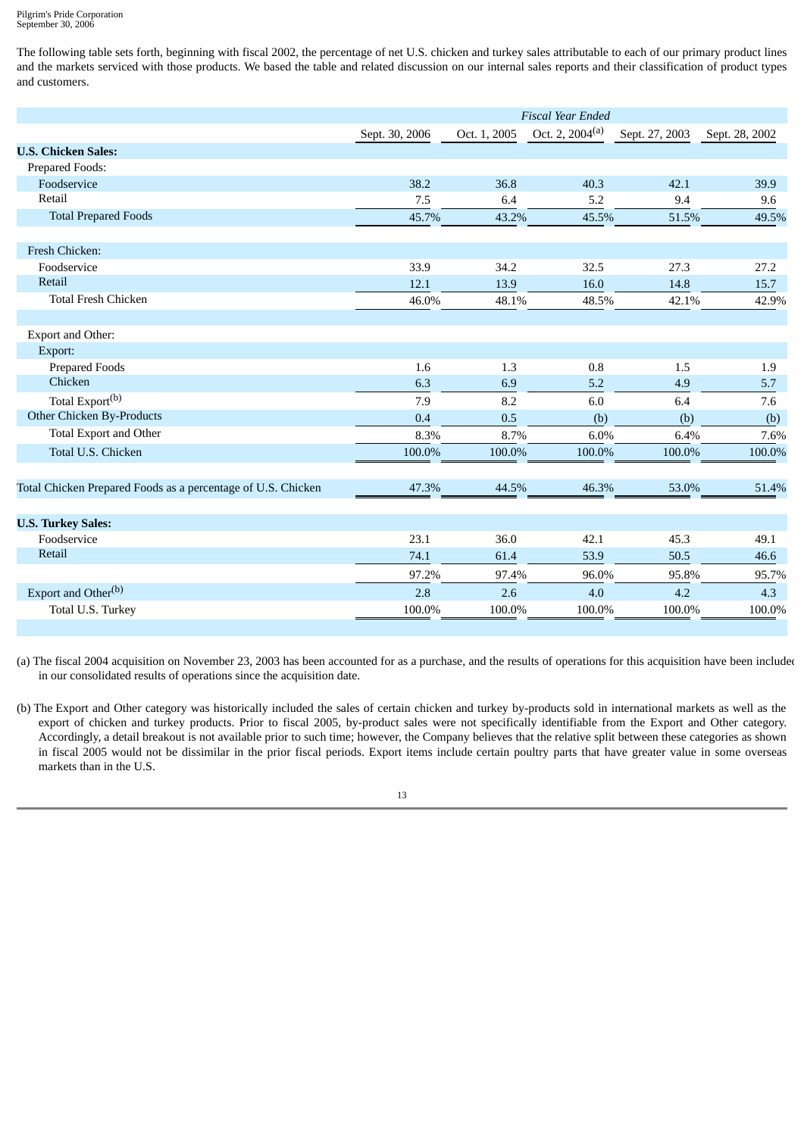The following table sets forth, beginning with fiscal 2002, the percentage of net U.S. chicken and turkey sales attributable to each of our primary product lines and the markets serviced with those products. We based the table and related discussion on our internal sales reports and their classification of product types and customers.

|                                                              |                |              | <b>Fiscal Year Ended</b> |                |                |
|--------------------------------------------------------------|----------------|--------------|--------------------------|----------------|----------------|
|                                                              | Sept. 30, 2006 | Oct. 1, 2005 | Oct. 2, $2004^{(a)}$     | Sept. 27, 2003 | Sept. 28, 2002 |
| <b>U.S. Chicken Sales:</b>                                   |                |              |                          |                |                |
| Prepared Foods:                                              |                |              |                          |                |                |
| Foodservice                                                  | 38.2           | 36.8         | 40.3                     | 42.1           | 39.9           |
| Retail                                                       | 7.5            | 6.4          | 5.2                      | 9.4            | 9.6            |
| <b>Total Prepared Foods</b>                                  | 45.7%          | 43.2%        | 45.5%                    | 51.5%          | 49.5%          |
| Fresh Chicken:                                               |                |              |                          |                |                |
| Foodservice                                                  | 33.9           | 34.2         | 32.5                     | 27.3           | 27.2           |
| Retail                                                       | 12.1           | 13.9         | 16.0                     | 14.8           | 15.7           |
| <b>Total Fresh Chicken</b>                                   | 46.0%          | 48.1%        | 48.5%                    | 42.1%          | 42.9%          |
| Export and Other:                                            |                |              |                          |                |                |
| Export:                                                      |                |              |                          |                |                |
| <b>Prepared Foods</b>                                        | 1.6            | 1.3          | 0.8                      | 1.5            | 1.9            |
| Chicken                                                      | 6.3            | 6.9          | 5.2                      | 4.9            | 5.7            |
| Total Export <sup>(b)</sup>                                  | 7.9            | 8.2          | 6.0                      | 6.4            | 7.6            |
| Other Chicken By-Products                                    | 0.4            | 0.5          | (b)                      | (b)            | (b)            |
| <b>Total Export and Other</b>                                | 8.3%           | 8.7%         | 6.0%                     | 6.4%           | 7.6%           |
| Total U.S. Chicken                                           | 100.0%         | 100.0%       | 100.0%                   | 100.0%         | 100.0%         |
| Total Chicken Prepared Foods as a percentage of U.S. Chicken | 47.3%          | 44.5%        | 46.3%                    | 53.0%          | 51.4%          |
| <b>U.S. Turkey Sales:</b>                                    |                |              |                          |                |                |
| Foodservice                                                  | 23.1           | 36.0         | 42.1                     | 45.3           | 49.1           |
| Retail                                                       | 74.1           | 61.4         | 53.9                     | 50.5           | 46.6           |
|                                                              | 97.2%          | 97.4%        | 96.0%                    | 95.8%          | 95.7%          |
| Export and Other <sup>(b)</sup>                              | 2.8            | 2.6          | 4.0                      | 4.2            | 4.3            |
| Total U.S. Turkey                                            | 100.0%         | 100.0%       | 100.0%                   | 100.0%         | 100.0%         |

(a) The fiscal 2004 acquisition on November 23, 2003 has been accounted for as a purchase, and the results of operations for this acquisition have been included in our consolidated results of operations since the acquisition date.

(b) The Export and Other category was historically included the sales of certain chicken and turkey by-products sold in international markets as well as the export of chicken and turkey products. Prior to fiscal 2005, by-product sales were not specifically identifiable from the Export and Other category. Accordingly, a detail breakout is not available prior to such time; however, the Company believes that the relative split between these categories as shown in fiscal 2005 would not be dissimilar in the prior fiscal periods. Export items include certain poultry parts that have greater value in some overseas markets than in the U.S.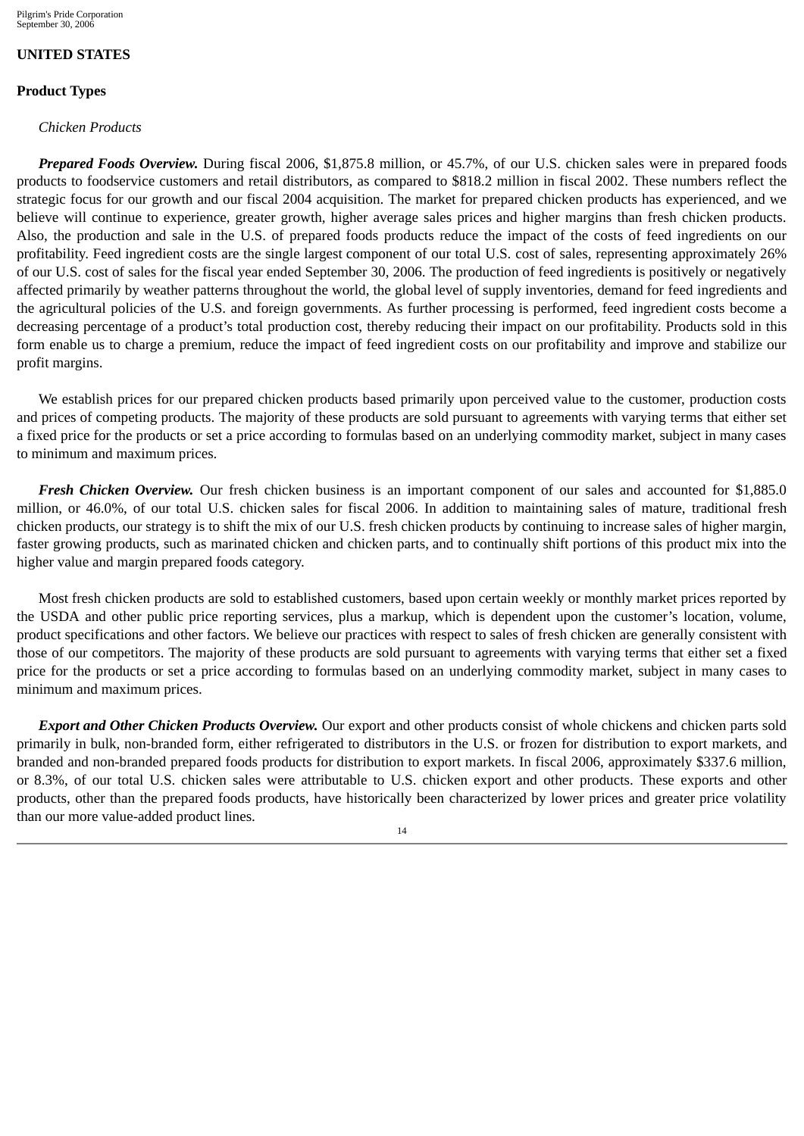# **UNITED STATES**

# **Product Types**

#### *Chicken Products*

*Prepared Foods Overview.* During fiscal 2006, \$1,875.8 million, or 45.7%, of our U.S. chicken sales were in prepared foods products to foodservice customers and retail distributors, as compared to \$818.2 million in fiscal 2002. These numbers reflect the strategic focus for our growth and our fiscal 2004 acquisition. The market for prepared chicken products has experienced, and we believe will continue to experience, greater growth, higher average sales prices and higher margins than fresh chicken products. Also, the production and sale in the U.S. of prepared foods products reduce the impact of the costs of feed ingredients on our profitability. Feed ingredient costs are the single largest component of our total U.S. cost of sales, representing approximately 26% of our U.S. cost of sales for the fiscal year ended September 30, 2006. The production of feed ingredients is positively or negatively affected primarily by weather patterns throughout the world, the global level of supply inventories, demand for feed ingredients and the agricultural policies of the U.S. and foreign governments. As further processing is performed, feed ingredient costs become a decreasing percentage of a product's total production cost, thereby reducing their impact on our profitability. Products sold in this form enable us to charge a premium, reduce the impact of feed ingredient costs on our profitability and improve and stabilize our profit margins.

We establish prices for our prepared chicken products based primarily upon perceived value to the customer, production costs and prices of competing products. The majority of these products are sold pursuant to agreements with varying terms that either set a fixed price for the products or set a price according to formulas based on an underlying commodity market, subject in many cases to minimum and maximum prices.

*Fresh Chicken Overview.* Our fresh chicken business is an important component of our sales and accounted for \$1,885.0 million, or 46.0%, of our total U.S. chicken sales for fiscal 2006. In addition to maintaining sales of mature, traditional fresh chicken products, our strategy is to shift the mix of our U.S. fresh chicken products by continuing to increase sales of higher margin, faster growing products, such as marinated chicken and chicken parts, and to continually shift portions of this product mix into the higher value and margin prepared foods category.

Most fresh chicken products are sold to established customers, based upon certain weekly or monthly market prices reported by the USDA and other public price reporting services, plus a markup, which is dependent upon the customer's location, volume, product specifications and other factors. We believe our practices with respect to sales of fresh chicken are generally consistent with those of our competitors. The majority of these products are sold pursuant to agreements with varying terms that either set a fixed price for the products or set a price according to formulas based on an underlying commodity market, subject in many cases to minimum and maximum prices.

*Export and Other Chicken Products Overview.* Our export and other products consist of whole chickens and chicken parts sold primarily in bulk, non-branded form, either refrigerated to distributors in the U.S. or frozen for distribution to export markets, and branded and non-branded prepared foods products for distribution to export markets. In fiscal 2006, approximately \$337.6 million, or 8.3%, of our total U.S. chicken sales were attributable to U.S. chicken export and other products. These exports and other products, other than the prepared foods products, have historically been characterized by lower prices and greater price volatility than our more value-added product lines.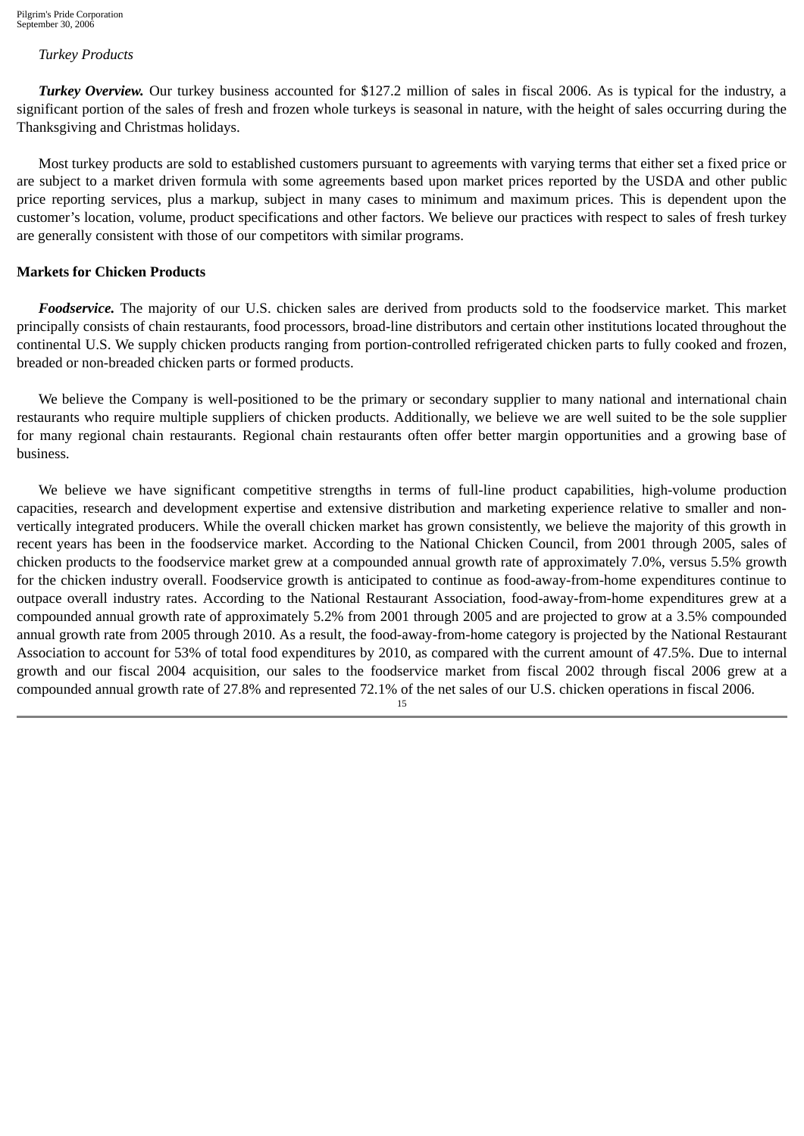#### *Turkey Products*

*Turkey Overview.* Our turkey business accounted for \$127.2 million of sales in fiscal 2006. As is typical for the industry, a significant portion of the sales of fresh and frozen whole turkeys is seasonal in nature, with the height of sales occurring during the Thanksgiving and Christmas holidays.

Most turkey products are sold to established customers pursuant to agreements with varying terms that either set a fixed price or are subject to a market driven formula with some agreements based upon market prices reported by the USDA and other public price reporting services, plus a markup, subject in many cases to minimum and maximum prices. This is dependent upon the customer's location, volume, product specifications and other factors. We believe our practices with respect to sales of fresh turkey are generally consistent with those of our competitors with similar programs.

### **Markets for Chicken Products**

*Foodservice.* The majority of our U.S. chicken sales are derived from products sold to the foodservice market. This market principally consists of chain restaurants, food processors, broad-line distributors and certain other institutions located throughout the continental U.S. We supply chicken products ranging from portion-controlled refrigerated chicken parts to fully cooked and frozen, breaded or non-breaded chicken parts or formed products.

We believe the Company is well-positioned to be the primary or secondary supplier to many national and international chain restaurants who require multiple suppliers of chicken products. Additionally, we believe we are well suited to be the sole supplier for many regional chain restaurants. Regional chain restaurants often offer better margin opportunities and a growing base of business.

We believe we have significant competitive strengths in terms of full-line product capabilities, high-volume production capacities, research and development expertise and extensive distribution and marketing experience relative to smaller and nonvertically integrated producers. While the overall chicken market has grown consistently, we believe the majority of this growth in recent years has been in the foodservice market. According to the National Chicken Council, from 2001 through 2005, sales of chicken products to the foodservice market grew at a compounded annual growth rate of approximately 7.0%, versus 5.5% growth for the chicken industry overall. Foodservice growth is anticipated to continue as food-away-from-home expenditures continue to outpace overall industry rates. According to the National Restaurant Association, food-away-from-home expenditures grew at a compounded annual growth rate of approximately 5.2% from 2001 through 2005 and are projected to grow at a 3.5% compounded annual growth rate from 2005 through 2010. As a result, the food-away-from-home category is projected by the National Restaurant Association to account for 53% of total food expenditures by 2010, as compared with the current amount of 47.5%. Due to internal growth and our fiscal 2004 acquisition, our sales to the foodservice market from fiscal 2002 through fiscal 2006 grew at a compounded annual growth rate of 27.8% and represented 72.1% of the net sales of our U.S. chicken operations in fiscal 2006.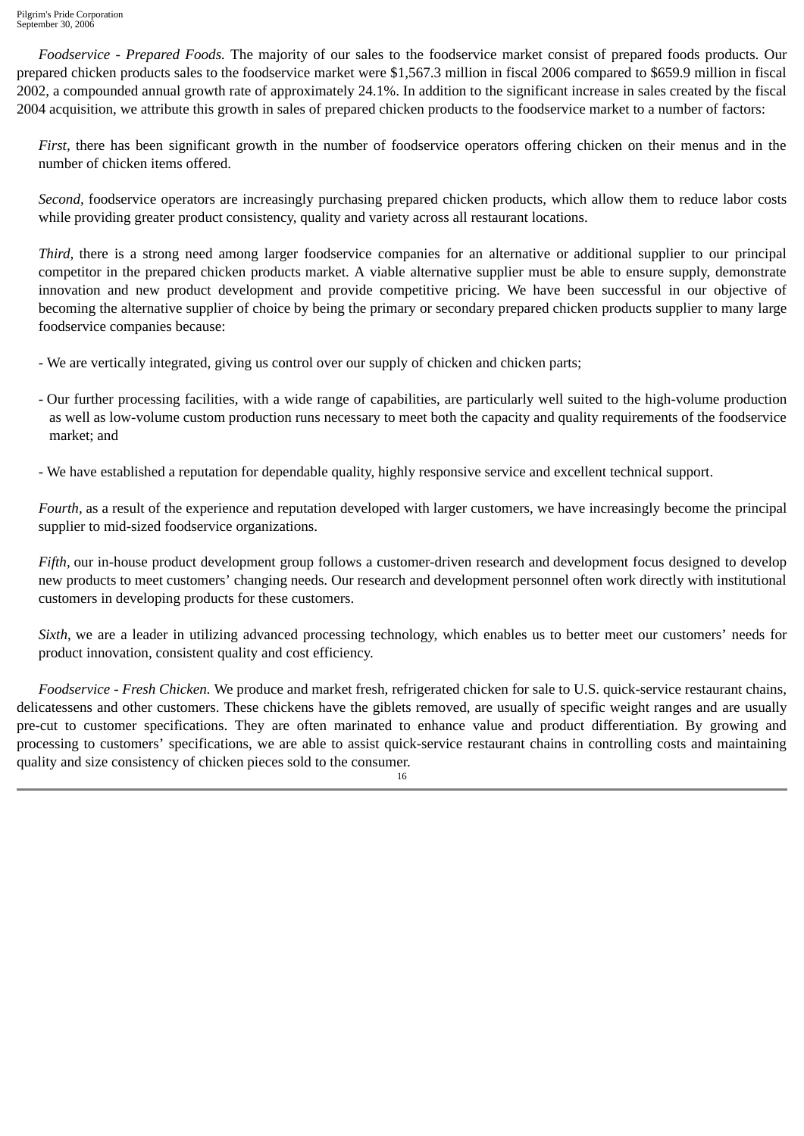*Foodservice - Prepared Foods.* The majority of our sales to the foodservice market consist of prepared foods products. Our prepared chicken products sales to the foodservice market were \$1,567.3 million in fiscal 2006 compared to \$659.9 million in fiscal 2002, a compounded annual growth rate of approximately 24.1%. In addition to the significant increase in sales created by the fiscal 2004 acquisition, we attribute this growth in sales of prepared chicken products to the foodservice market to a number of factors:

*First,* there has been significant growth in the number of foodservice operators offering chicken on their menus and in the number of chicken items offered.

*Second,* foodservice operators are increasingly purchasing prepared chicken products, which allow them to reduce labor costs while providing greater product consistency, quality and variety across all restaurant locations.

*Third,* there is a strong need among larger foodservice companies for an alternative or additional supplier to our principal competitor in the prepared chicken products market. A viable alternative supplier must be able to ensure supply, demonstrate innovation and new product development and provide competitive pricing. We have been successful in our objective of becoming the alternative supplier of choice by being the primary or secondary prepared chicken products supplier to many large foodservice companies because:

- We are vertically integrated, giving us control over our supply of chicken and chicken parts;
- Our further processing facilities, with a wide range of capabilities, are particularly well suited to the high-volume production as well as low-volume custom production runs necessary to meet both the capacity and quality requirements of the foodservice market; and

- We have established a reputation for dependable quality, highly responsive service and excellent technical support.

*Fourth,* as a result of the experience and reputation developed with larger customers, we have increasingly become the principal supplier to mid-sized foodservice organizations.

*Fifth,* our in-house product development group follows a customer-driven research and development focus designed to develop new products to meet customers' changing needs. Our research and development personnel often work directly with institutional customers in developing products for these customers.

*Sixth*, we are a leader in utilizing advanced processing technology, which enables us to better meet our customers' needs for product innovation, consistent quality and cost efficiency.

*Foodservice - Fresh Chicken.* We produce and market fresh, refrigerated chicken for sale to U.S. quick-service restaurant chains, delicatessens and other customers. These chickens have the giblets removed, are usually of specific weight ranges and are usually pre-cut to customer specifications. They are often marinated to enhance value and product differentiation. By growing and processing to customers' specifications, we are able to assist quick-service restaurant chains in controlling costs and maintaining quality and size consistency of chicken pieces sold to the consumer. 16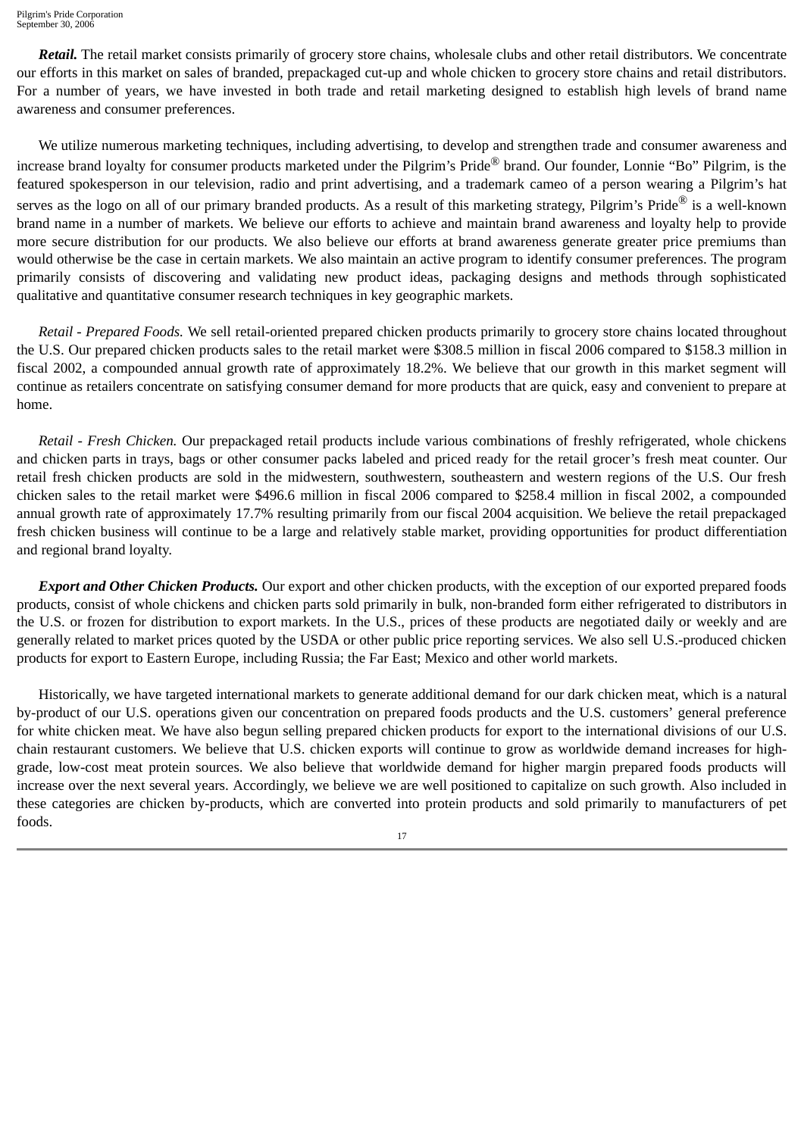*Retail.* The retail market consists primarily of grocery store chains, wholesale clubs and other retail distributors. We concentrate our efforts in this market on sales of branded, prepackaged cut-up and whole chicken to grocery store chains and retail distributors. For a number of years, we have invested in both trade and retail marketing designed to establish high levels of brand name awareness and consumer preferences.

We utilize numerous marketing techniques, including advertising, to develop and strengthen trade and consumer awareness and increase brand loyalty for consumer products marketed under the Pilgrim's Pride® brand. Our founder, Lonnie "Bo" Pilgrim, is the featured spokesperson in our television, radio and print advertising, and a trademark cameo of a person wearing a Pilgrim's hat serves as the logo on all of our primary branded products. As a result of this marketing strategy, Pilgrim's Pride® is a well-known brand name in a number of markets. We believe our efforts to achieve and maintain brand awareness and loyalty help to provide more secure distribution for our products. We also believe our efforts at brand awareness generate greater price premiums than would otherwise be the case in certain markets. We also maintain an active program to identify consumer preferences. The program primarily consists of discovering and validating new product ideas, packaging designs and methods through sophisticated qualitative and quantitative consumer research techniques in key geographic markets.

*Retail - Prepared Foods.* We sell retail-oriented prepared chicken products primarily to grocery store chains located throughout the U.S. Our prepared chicken products sales to the retail market were \$308.5 million in fiscal 2006 compared to \$158.3 million in fiscal 2002, a compounded annual growth rate of approximately 18.2%. We believe that our growth in this market segment will continue as retailers concentrate on satisfying consumer demand for more products that are quick, easy and convenient to prepare at home.

*Retail - Fresh Chicken.* Our prepackaged retail products include various combinations of freshly refrigerated, whole chickens and chicken parts in trays, bags or other consumer packs labeled and priced ready for the retail grocer's fresh meat counter. Our retail fresh chicken products are sold in the midwestern, southwestern, southeastern and western regions of the U.S. Our fresh chicken sales to the retail market were \$496.6 million in fiscal 2006 compared to \$258.4 million in fiscal 2002, a compounded annual growth rate of approximately 17.7% resulting primarily from our fiscal 2004 acquisition. We believe the retail prepackaged fresh chicken business will continue to be a large and relatively stable market, providing opportunities for product differentiation and regional brand loyalty.

*Export and Other Chicken Products.* Our export and other chicken products, with the exception of our exported prepared foods products, consist of whole chickens and chicken parts sold primarily in bulk, non-branded form either refrigerated to distributors in the U.S. or frozen for distribution to export markets. In the U.S., prices of these products are negotiated daily or weekly and are generally related to market prices quoted by the USDA or other public price reporting services. We also sell U.S.-produced chicken products for export to Eastern Europe, including Russia; the Far East; Mexico and other world markets.

Historically, we have targeted international markets to generate additional demand for our dark chicken meat, which is a natural by-product of our U.S. operations given our concentration on prepared foods products and the U.S. customers' general preference for white chicken meat. We have also begun selling prepared chicken products for export to the international divisions of our U.S. chain restaurant customers. We believe that U.S. chicken exports will continue to grow as worldwide demand increases for highgrade, low-cost meat protein sources. We also believe that worldwide demand for higher margin prepared foods products will increase over the next several years. Accordingly, we believe we are well positioned to capitalize on such growth. Also included in these categories are chicken by-products, which are converted into protein products and sold primarily to manufacturers of pet foods.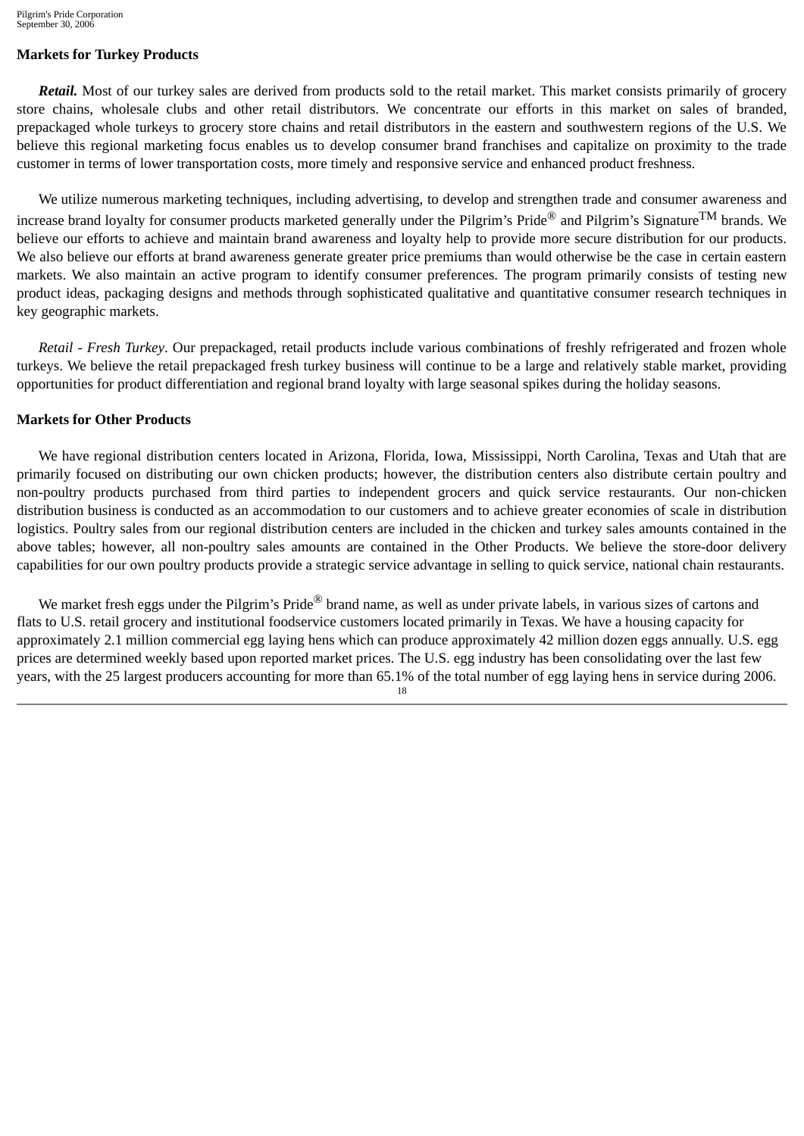# **Markets for Turkey Products**

*Retail.* Most of our turkey sales are derived from products sold to the retail market. This market consists primarily of grocery store chains, wholesale clubs and other retail distributors. We concentrate our efforts in this market on sales of branded, prepackaged whole turkeys to grocery store chains and retail distributors in the eastern and southwestern regions of the U.S. We believe this regional marketing focus enables us to develop consumer brand franchises and capitalize on proximity to the trade customer in terms of lower transportation costs, more timely and responsive service and enhanced product freshness.

We utilize numerous marketing techniques, including advertising, to develop and strengthen trade and consumer awareness and increase brand loyalty for consumer products marketed generally under the Pilgrim's Pride® and Pilgrim's Signature<sup>TM</sup> brands. We believe our efforts to achieve and maintain brand awareness and loyalty help to provide more secure distribution for our products. We also believe our efforts at brand awareness generate greater price premiums than would otherwise be the case in certain eastern markets. We also maintain an active program to identify consumer preferences. The program primarily consists of testing new product ideas, packaging designs and methods through sophisticated qualitative and quantitative consumer research techniques in key geographic markets.

*Retail - Fresh Turkey*. Our prepackaged, retail products include various combinations of freshly refrigerated and frozen whole turkeys. We believe the retail prepackaged fresh turkey business will continue to be a large and relatively stable market, providing opportunities for product differentiation and regional brand loyalty with large seasonal spikes during the holiday seasons.

#### **Markets for Other Products**

We have regional distribution centers located in Arizona, Florida, Iowa, Mississippi, North Carolina, Texas and Utah that are primarily focused on distributing our own chicken products; however, the distribution centers also distribute certain poultry and non-poultry products purchased from third parties to independent grocers and quick service restaurants. Our non-chicken distribution business is conducted as an accommodation to our customers and to achieve greater economies of scale in distribution logistics. Poultry sales from our regional distribution centers are included in the chicken and turkey sales amounts contained in the above tables; however, all non-poultry sales amounts are contained in the Other Products. We believe the store-door delivery capabilities for our own poultry products provide a strategic service advantage in selling to quick service, national chain restaurants.

We market fresh eggs under the Pilgrim's Pride® brand name, as well as under private labels, in various sizes of cartons and flats to U.S. retail grocery and institutional foodservice customers located primarily in Texas. We have a housing capacity for approximately 2.1 million commercial egg laying hens which can produce approximately 42 million dozen eggs annually. U.S. egg prices are determined weekly based upon reported market prices. The U.S. egg industry has been consolidating over the last few years, with the 25 largest producers accounting for more than 65.1% of the total number of egg laying hens in service during 2006.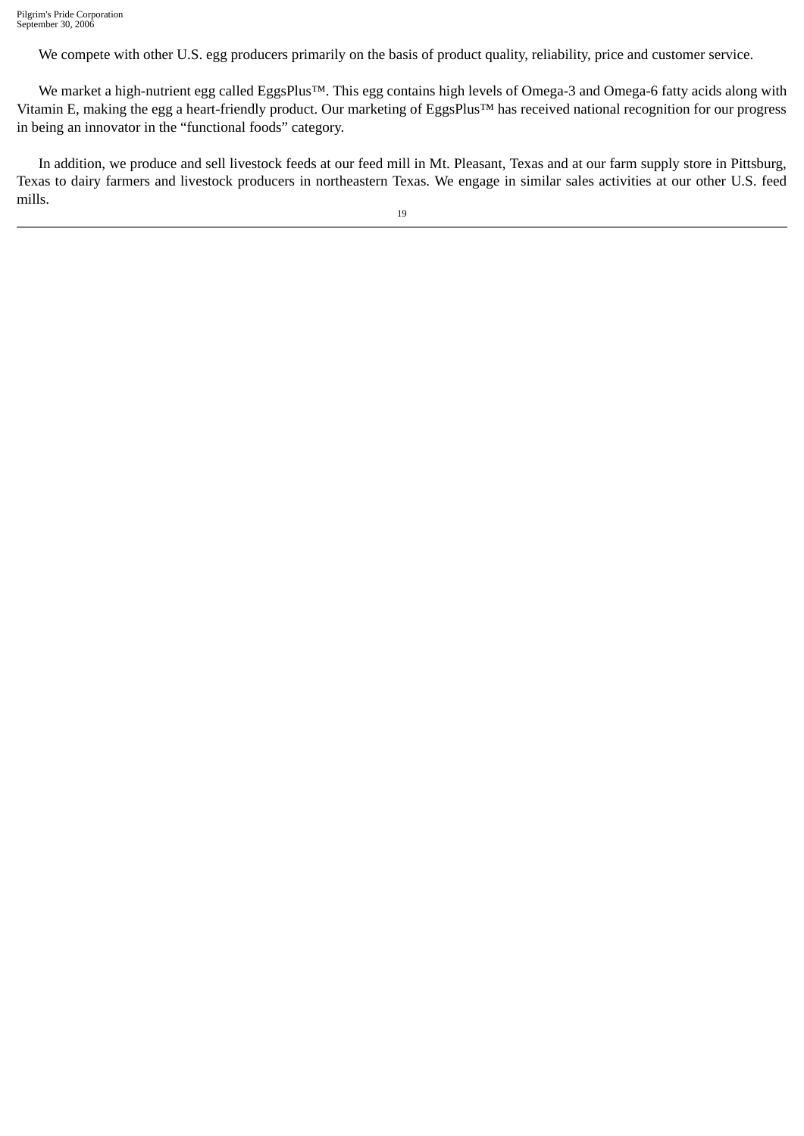We compete with other U.S. egg producers primarily on the basis of product quality, reliability, price and customer service.

We market a high-nutrient egg called EggsPlus™. This egg contains high levels of Omega-3 and Omega-6 fatty acids along with Vitamin E, making the egg a heart-friendly product. Our marketing of EggsPlus™ has received national recognition for our progress in being an innovator in the "functional foods" category.

In addition, we produce and sell livestock feeds at our feed mill in Mt. Pleasant, Texas and at our farm supply store in Pittsburg, Texas to dairy farmers and livestock producers in northeastern Texas. We engage in similar sales activities at our other U.S. feed mills.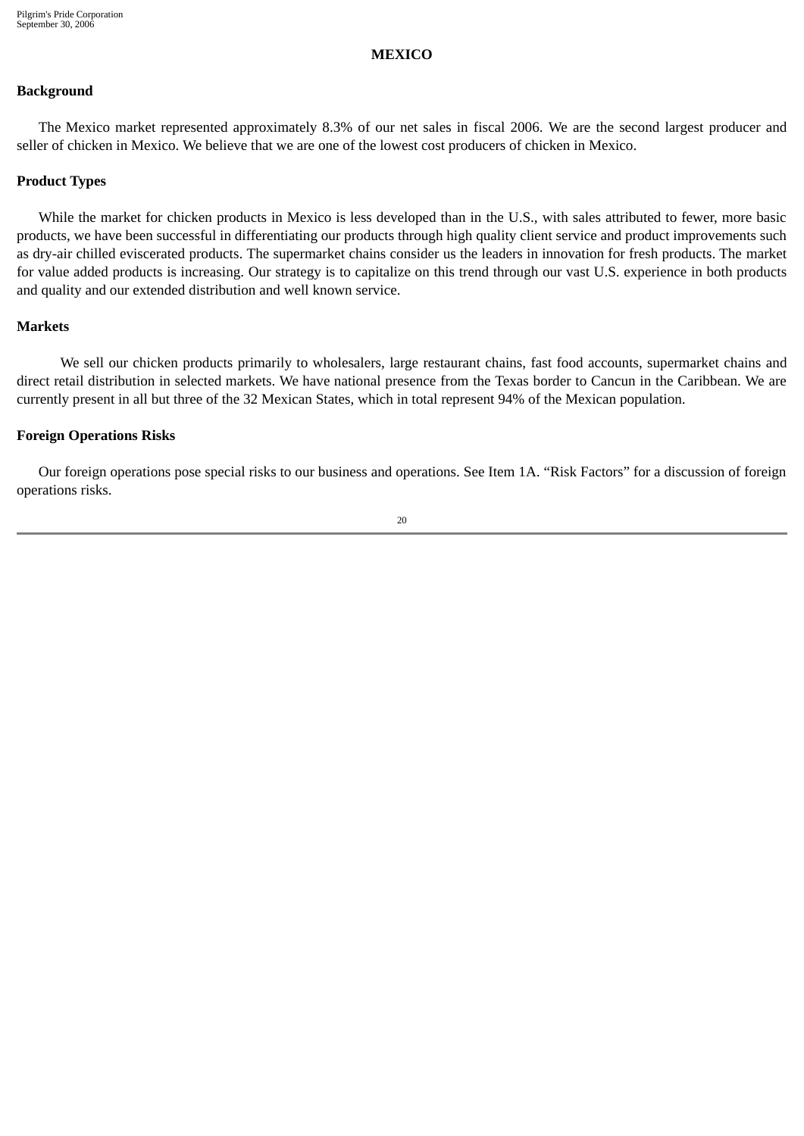# **MEXICO**

# **Background**

The Mexico market represented approximately 8.3% of our net sales in fiscal 2006. We are the second largest producer and seller of chicken in Mexico. We believe that we are one of the lowest cost producers of chicken in Mexico.

### **Product Types**

While the market for chicken products in Mexico is less developed than in the U.S., with sales attributed to fewer, more basic products, we have been successful in differentiating our products through high quality client service and product improvements such as dry-air chilled eviscerated products. The supermarket chains consider us the leaders in innovation for fresh products. The market for value added products is increasing. Our strategy is to capitalize on this trend through our vast U.S. experience in both products and quality and our extended distribution and well known service.

#### **Markets**

We sell our chicken products primarily to wholesalers, large restaurant chains, fast food accounts, supermarket chains and direct retail distribution in selected markets. We have national presence from the Texas border to Cancun in the Caribbean. We are currently present in all but three of the 32 Mexican States, which in total represent 94% of the Mexican population.

#### **Foreign Operations Risks**

Our foreign operations pose special risks to our business and operations. See Item 1A. "Risk Factors" for a discussion of foreign operations risks.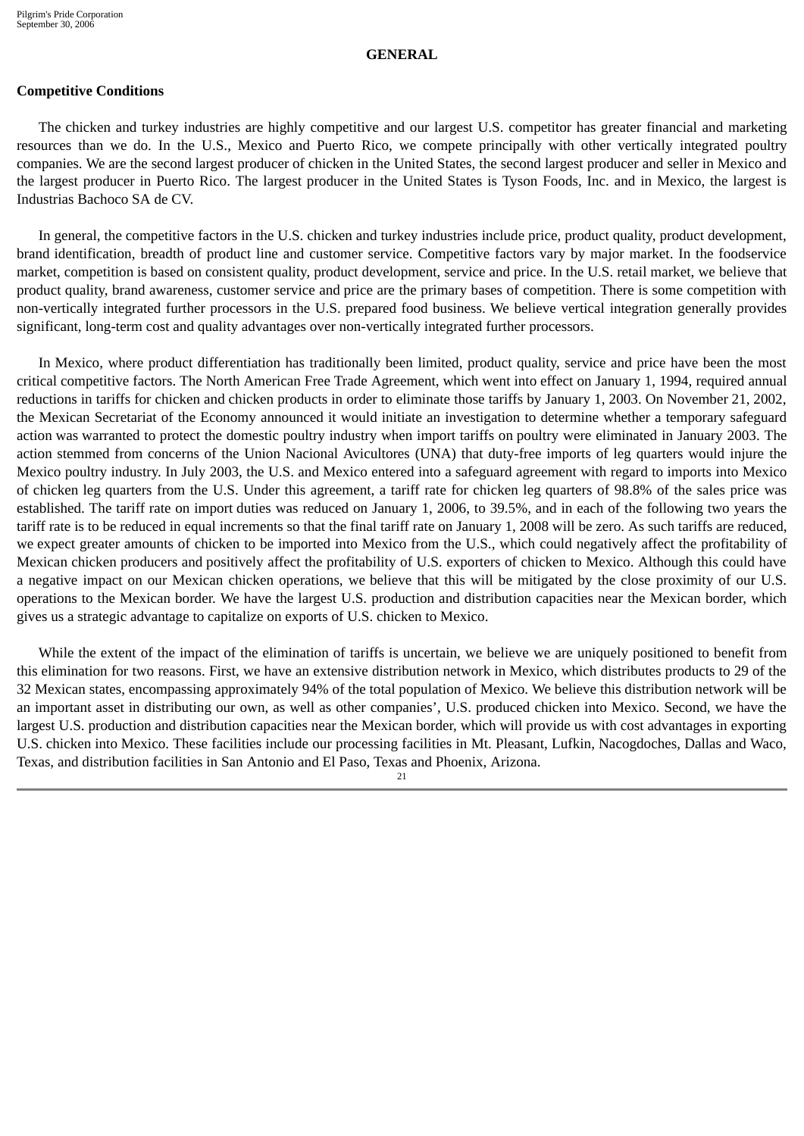# **GENERAL**

# **Competitive Conditions**

The chicken and turkey industries are highly competitive and our largest U.S. competitor has greater financial and marketing resources than we do. In the U.S., Mexico and Puerto Rico, we compete principally with other vertically integrated poultry companies. We are the second largest producer of chicken in the United States, the second largest producer and seller in Mexico and the largest producer in Puerto Rico. The largest producer in the United States is Tyson Foods, Inc. and in Mexico, the largest is Industrias Bachoco SA de CV.

In general, the competitive factors in the U.S. chicken and turkey industries include price, product quality, product development, brand identification, breadth of product line and customer service. Competitive factors vary by major market. In the foodservice market, competition is based on consistent quality, product development, service and price. In the U.S. retail market, we believe that product quality, brand awareness, customer service and price are the primary bases of competition. There is some competition with non-vertically integrated further processors in the U.S. prepared food business. We believe vertical integration generally provides significant, long-term cost and quality advantages over non-vertically integrated further processors.

In Mexico, where product differentiation has traditionally been limited, product quality, service and price have been the most critical competitive factors. The North American Free Trade Agreement, which went into effect on January 1, 1994, required annual reductions in tariffs for chicken and chicken products in order to eliminate those tariffs by January 1, 2003. On November 21, 2002, the Mexican Secretariat of the Economy announced it would initiate an investigation to determine whether a temporary safeguard action was warranted to protect the domestic poultry industry when import tariffs on poultry were eliminated in January 2003. The action stemmed from concerns of the Union Nacional Avicultores (UNA) that duty-free imports of leg quarters would injure the Mexico poultry industry. In July 2003, the U.S. and Mexico entered into a safeguard agreement with regard to imports into Mexico of chicken leg quarters from the U.S. Under this agreement, a tariff rate for chicken leg quarters of 98.8% of the sales price was established. The tariff rate on import duties was reduced on January 1, 2006, to 39.5%, and in each of the following two years the tariff rate is to be reduced in equal increments so that the final tariff rate on January 1, 2008 will be zero. As such tariffs are reduced, we expect greater amounts of chicken to be imported into Mexico from the U.S., which could negatively affect the profitability of Mexican chicken producers and positively affect the profitability of U.S. exporters of chicken to Mexico. Although this could have a negative impact on our Mexican chicken operations, we believe that this will be mitigated by the close proximity of our U.S. operations to the Mexican border. We have the largest U.S. production and distribution capacities near the Mexican border, which gives us a strategic advantage to capitalize on exports of U.S. chicken to Mexico.

While the extent of the impact of the elimination of tariffs is uncertain, we believe we are uniquely positioned to benefit from this elimination for two reasons. First, we have an extensive distribution network in Mexico, which distributes products to 29 of the 32 Mexican states, encompassing approximately 94% of the total population of Mexico. We believe this distribution network will be an important asset in distributing our own, as well as other companies', U.S. produced chicken into Mexico. Second, we have the largest U.S. production and distribution capacities near the Mexican border, which will provide us with cost advantages in exporting U.S. chicken into Mexico. These facilities include our processing facilities in Mt. Pleasant, Lufkin, Nacogdoches, Dallas and Waco, Texas, and distribution facilities in San Antonio and El Paso, Texas and Phoenix, Arizona.

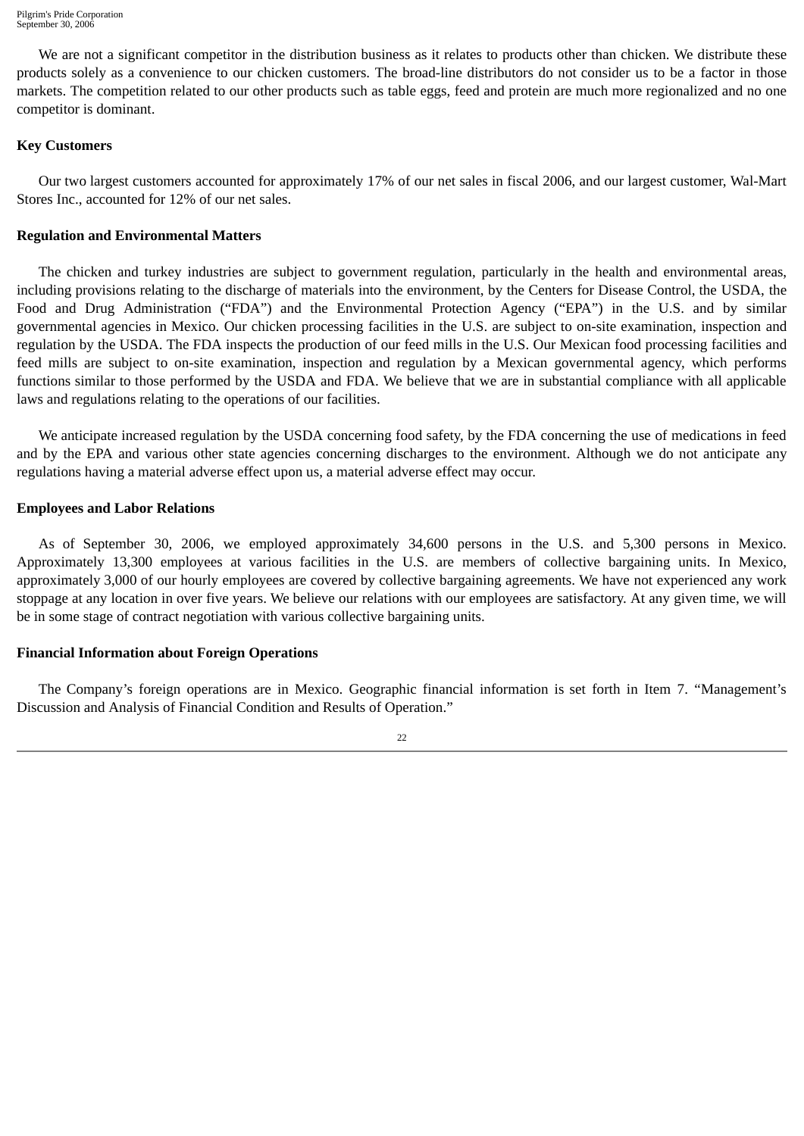We are not a significant competitor in the distribution business as it relates to products other than chicken. We distribute these products solely as a convenience to our chicken customers. The broad-line distributors do not consider us to be a factor in those markets. The competition related to our other products such as table eggs, feed and protein are much more regionalized and no one competitor is dominant.

# **Key Customers**

Our two largest customers accounted for approximately 17% of our net sales in fiscal 2006, and our largest customer, Wal-Mart Stores Inc., accounted for 12% of our net sales.

## **Regulation and Environmental Matters**

The chicken and turkey industries are subject to government regulation, particularly in the health and environmental areas, including provisions relating to the discharge of materials into the environment, by the Centers for Disease Control, the USDA, the Food and Drug Administration ("FDA") and the Environmental Protection Agency ("EPA") in the U.S. and by similar governmental agencies in Mexico. Our chicken processing facilities in the U.S. are subject to on-site examination, inspection and regulation by the USDA. The FDA inspects the production of our feed mills in the U.S. Our Mexican food processing facilities and feed mills are subject to on-site examination, inspection and regulation by a Mexican governmental agency, which performs functions similar to those performed by the USDA and FDA. We believe that we are in substantial compliance with all applicable laws and regulations relating to the operations of our facilities.

We anticipate increased regulation by the USDA concerning food safety, by the FDA concerning the use of medications in feed and by the EPA and various other state agencies concerning discharges to the environment. Although we do not anticipate any regulations having a material adverse effect upon us, a material adverse effect may occur.

## **Employees and Labor Relations**

As of September 30, 2006, we employed approximately 34,600 persons in the U.S. and 5,300 persons in Mexico. Approximately 13,300 employees at various facilities in the U.S. are members of collective bargaining units. In Mexico, approximately 3,000 of our hourly employees are covered by collective bargaining agreements. We have not experienced any work stoppage at any location in over five years. We believe our relations with our employees are satisfactory. At any given time, we will be in some stage of contract negotiation with various collective bargaining units.

# **Financial Information about Foreign Operations**

The Company's foreign operations are in Mexico. Geographic financial information is set forth in Item 7. "Management's Discussion and Analysis of Financial Condition and Results of Operation."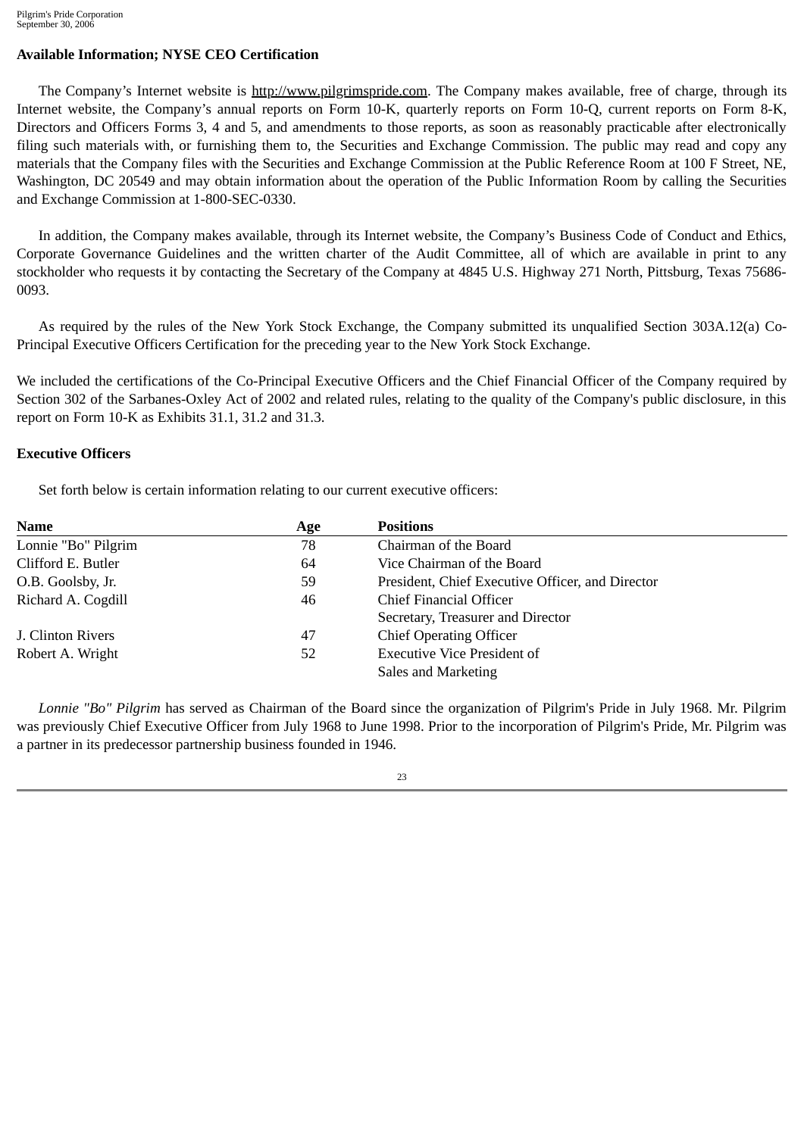# **Available Information; NYSE CEO Certification**

The Company's Internet website is http://www.pilgrimspride.com. The Company makes available, free of charge, through its Internet website, the Company's annual reports on Form 10-K, quarterly reports on Form 10-Q, current reports on Form 8-K, Directors and Officers Forms 3, 4 and 5, and amendments to those reports, as soon as reasonably practicable after electronically filing such materials with, or furnishing them to, the Securities and Exchange Commission. The public may read and copy any materials that the Company files with the Securities and Exchange Commission at the Public Reference Room at 100 F Street, NE, Washington, DC 20549 and may obtain information about the operation of the Public Information Room by calling the Securities and Exchange Commission at 1-800-SEC-0330.

In addition, the Company makes available, through its Internet website, the Company's Business Code of Conduct and Ethics, Corporate Governance Guidelines and the written charter of the Audit Committee, all of which are available in print to any stockholder who requests it by contacting the Secretary of the Company at 4845 U.S. Highway 271 North, Pittsburg, Texas 75686- 0093.

As required by the rules of the New York Stock Exchange, the Company submitted its unqualified Section 303A.12(a) Co-Principal Executive Officers Certification for the preceding year to the New York Stock Exchange.

We included the certifications of the Co-Principal Executive Officers and the Chief Financial Officer of the Company required by Section 302 of the Sarbanes-Oxley Act of 2002 and related rules, relating to the quality of the Company's public disclosure, in this report on Form 10-K as Exhibits 31.1, 31.2 and 31.3.

# **Executive Officers**

Set forth below is certain information relating to our current executive officers:

| <b>Name</b>         | Age | <b>Positions</b>                                 |  |
|---------------------|-----|--------------------------------------------------|--|
| Lonnie "Bo" Pilgrim | 78  | Chairman of the Board                            |  |
| Clifford E. Butler  | 64  | Vice Chairman of the Board                       |  |
| O.B. Goolsby, Jr.   | 59  | President, Chief Executive Officer, and Director |  |
| Richard A. Cogdill  | 46  | <b>Chief Financial Officer</b>                   |  |
|                     |     | Secretary, Treasurer and Director                |  |
| J. Clinton Rivers   | 47  | <b>Chief Operating Officer</b>                   |  |
| Robert A. Wright    | 52  | <b>Executive Vice President of</b>               |  |
|                     |     | Sales and Marketing                              |  |

*Lonnie "Bo" Pilgrim* has served as Chairman of the Board since the organization of Pilgrim's Pride in July 1968. Mr. Pilgrim was previously Chief Executive Officer from July 1968 to June 1998. Prior to the incorporation of Pilgrim's Pride, Mr. Pilgrim was a partner in its predecessor partnership business founded in 1946.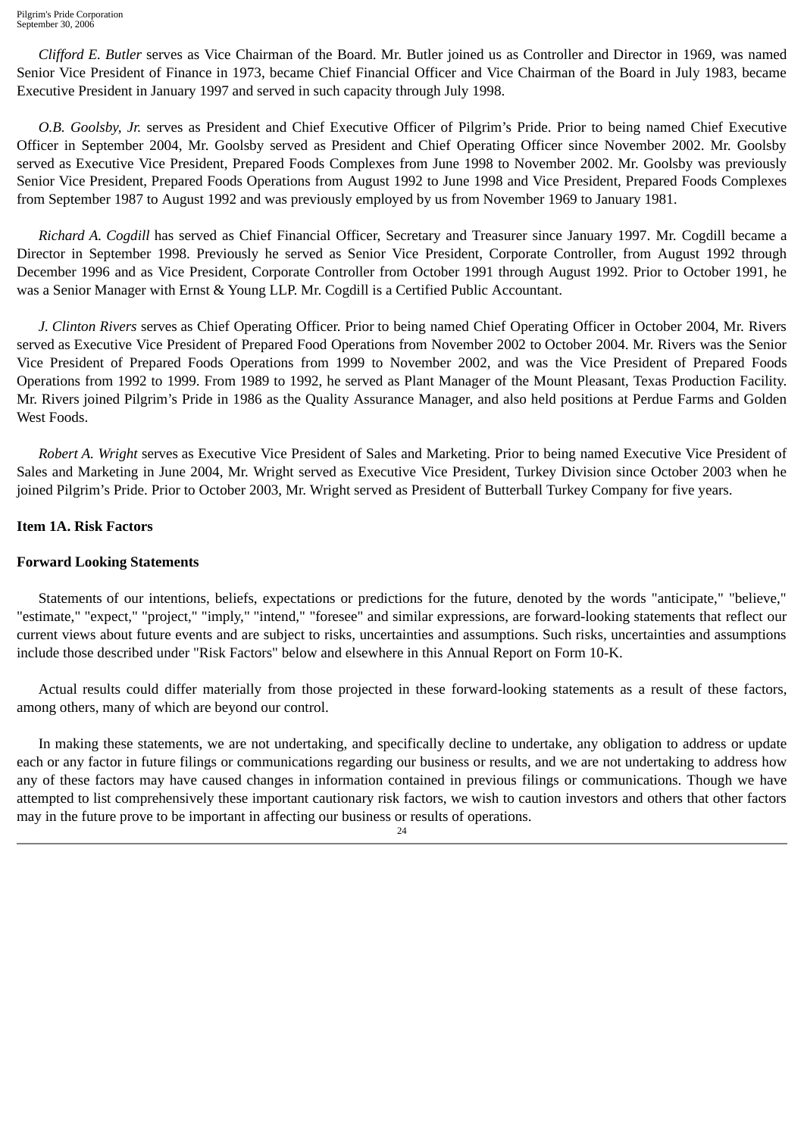*Clifford E. Butler* serves as Vice Chairman of the Board. Mr. Butler joined us as Controller and Director in 1969, was named Senior Vice President of Finance in 1973, became Chief Financial Officer and Vice Chairman of the Board in July 1983, became Executive President in January 1997 and served in such capacity through July 1998.

*O.B. Goolsby, Jr.* serves as President and Chief Executive Officer of Pilgrim's Pride. Prior to being named Chief Executive Officer in September 2004, Mr. Goolsby served as President and Chief Operating Officer since November 2002. Mr. Goolsby served as Executive Vice President, Prepared Foods Complexes from June 1998 to November 2002. Mr. Goolsby was previously Senior Vice President, Prepared Foods Operations from August 1992 to June 1998 and Vice President, Prepared Foods Complexes from September 1987 to August 1992 and was previously employed by us from November 1969 to January 1981.

*Richard A. Cogdill* has served as Chief Financial Officer, Secretary and Treasurer since January 1997. Mr. Cogdill became a Director in September 1998. Previously he served as Senior Vice President, Corporate Controller, from August 1992 through December 1996 and as Vice President, Corporate Controller from October 1991 through August 1992. Prior to October 1991, he was a Senior Manager with Ernst & Young LLP. Mr. Cogdill is a Certified Public Accountant.

*J. Clinton Rivers* serves as Chief Operating Officer. Prior to being named Chief Operating Officer in October 2004, Mr. Rivers served as Executive Vice President of Prepared Food Operations from November 2002 to October 2004. Mr. Rivers was the Senior Vice President of Prepared Foods Operations from 1999 to November 2002, and was the Vice President of Prepared Foods Operations from 1992 to 1999. From 1989 to 1992, he served as Plant Manager of the Mount Pleasant, Texas Production Facility. Mr. Rivers joined Pilgrim's Pride in 1986 as the Quality Assurance Manager, and also held positions at Perdue Farms and Golden West Foods.

*Robert A. Wright* serves as Executive Vice President of Sales and Marketing. Prior to being named Executive Vice President of Sales and Marketing in June 2004, Mr. Wright served as Executive Vice President, Turkey Division since October 2003 when he joined Pilgrim's Pride. Prior to October 2003, Mr. Wright served as President of Butterball Turkey Company for five years.

#### **Item 1A. Risk Factors**

### **Forward Looking Statements**

Statements of our intentions, beliefs, expectations or predictions for the future, denoted by the words "anticipate," "believe," "estimate," "expect," "project," "imply," "intend," "foresee" and similar expressions, are forward-looking statements that reflect our current views about future events and are subject to risks, uncertainties and assumptions. Such risks, uncertainties and assumptions include those described under "Risk Factors" below and elsewhere in this Annual Report on Form 10-K.

Actual results could differ materially from those projected in these forward-looking statements as a result of these factors, among others, many of which are beyond our control.

In making these statements, we are not undertaking, and specifically decline to undertake, any obligation to address or update each or any factor in future filings or communications regarding our business or results, and we are not undertaking to address how any of these factors may have caused changes in information contained in previous filings or communications. Though we have attempted to list comprehensively these important cautionary risk factors, we wish to caution investors and others that other factors may in the future prove to be important in affecting our business or results of operations.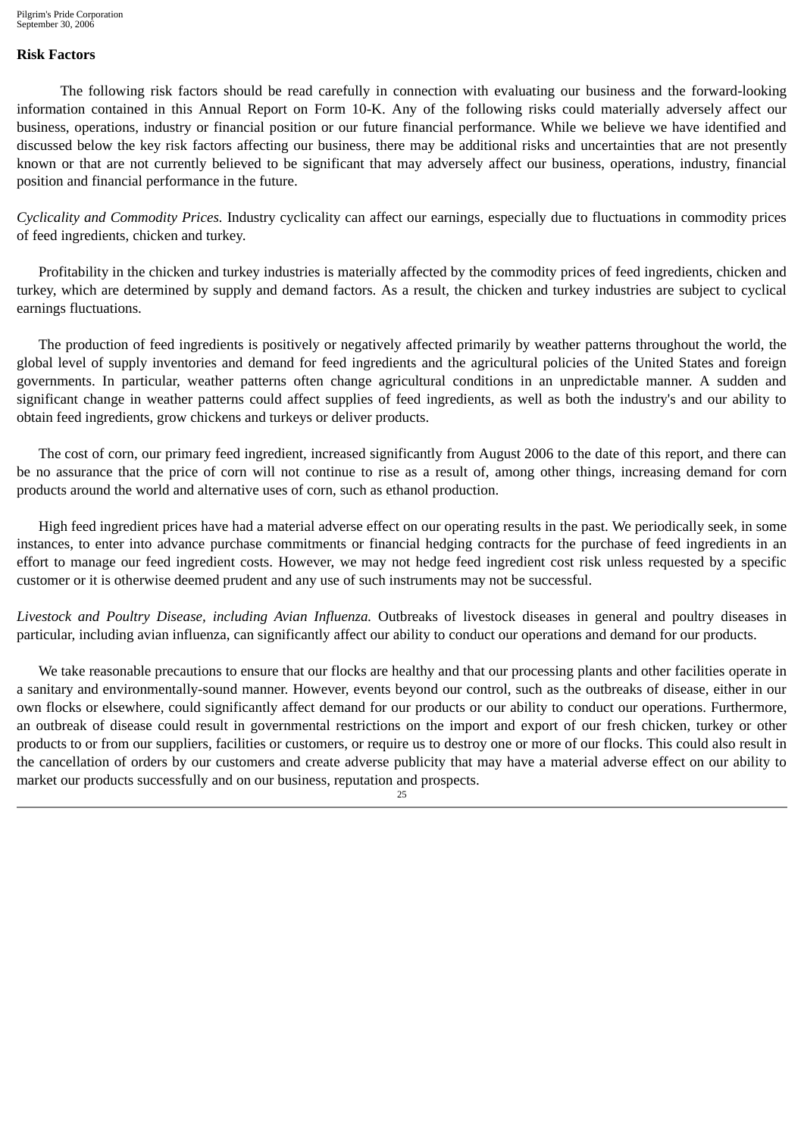### **Risk Factors**

The following risk factors should be read carefully in connection with evaluating our business and the forward-looking information contained in this Annual Report on Form 10-K. Any of the following risks could materially adversely affect our business, operations, industry or financial position or our future financial performance. While we believe we have identified and discussed below the key risk factors affecting our business, there may be additional risks and uncertainties that are not presently known or that are not currently believed to be significant that may adversely affect our business, operations, industry, financial position and financial performance in the future.

*Cyclicality and Commodity Prices.* Industry cyclicality can affect our earnings, especially due to fluctuations in commodity prices of feed ingredients, chicken and turkey.

Profitability in the chicken and turkey industries is materially affected by the commodity prices of feed ingredients, chicken and turkey, which are determined by supply and demand factors. As a result, the chicken and turkey industries are subject to cyclical earnings fluctuations.

The production of feed ingredients is positively or negatively affected primarily by weather patterns throughout the world, the global level of supply inventories and demand for feed ingredients and the agricultural policies of the United States and foreign governments. In particular, weather patterns often change agricultural conditions in an unpredictable manner. A sudden and significant change in weather patterns could affect supplies of feed ingredients, as well as both the industry's and our ability to obtain feed ingredients, grow chickens and turkeys or deliver products.

The cost of corn, our primary feed ingredient, increased significantly from August 2006 to the date of this report, and there can be no assurance that the price of corn will not continue to rise as a result of, among other things, increasing demand for corn products around the world and alternative uses of corn, such as ethanol production.

High feed ingredient prices have had a material adverse effect on our operating results in the past. We periodically seek, in some instances, to enter into advance purchase commitments or financial hedging contracts for the purchase of feed ingredients in an effort to manage our feed ingredient costs. However, we may not hedge feed ingredient cost risk unless requested by a specific customer or it is otherwise deemed prudent and any use of such instruments may not be successful.

*Livestock and Poultry Disease, including Avian Influenza.* Outbreaks of livestock diseases in general and poultry diseases in particular, including avian influenza, can significantly affect our ability to conduct our operations and demand for our products.

We take reasonable precautions to ensure that our flocks are healthy and that our processing plants and other facilities operate in a sanitary and environmentally-sound manner. However, events beyond our control, such as the outbreaks of disease, either in our own flocks or elsewhere, could significantly affect demand for our products or our ability to conduct our operations. Furthermore, an outbreak of disease could result in governmental restrictions on the import and export of our fresh chicken, turkey or other products to or from our suppliers, facilities or customers, or require us to destroy one or more of our flocks. This could also result in the cancellation of orders by our customers and create adverse publicity that may have a material adverse effect on our ability to market our products successfully and on our business, reputation and prospects.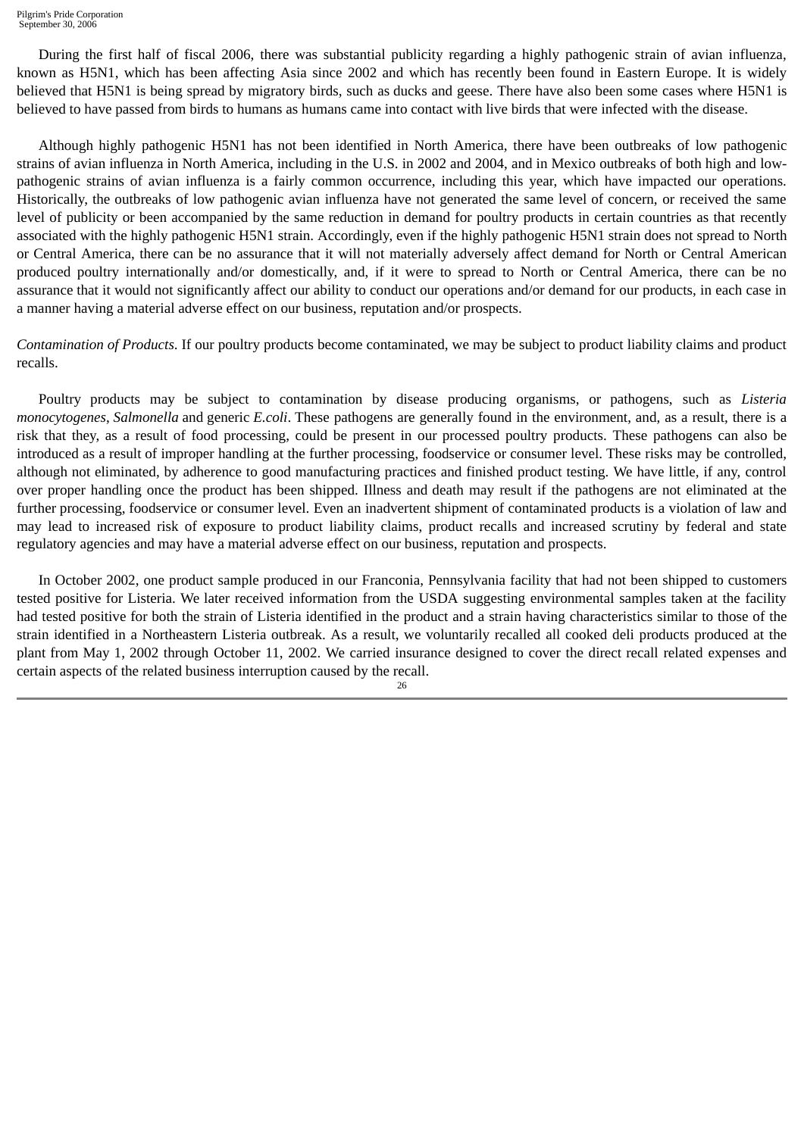During the first half of fiscal 2006, there was substantial publicity regarding a highly pathogenic strain of avian influenza, known as H5N1, which has been affecting Asia since 2002 and which has recently been found in Eastern Europe. It is widely believed that H5N1 is being spread by migratory birds, such as ducks and geese. There have also been some cases where H5N1 is believed to have passed from birds to humans as humans came into contact with live birds that were infected with the disease.

Although highly pathogenic H5N1 has not been identified in North America, there have been outbreaks of low pathogenic strains of avian influenza in North America, including in the U.S. in 2002 and 2004, and in Mexico outbreaks of both high and lowpathogenic strains of avian influenza is a fairly common occurrence, including this year, which have impacted our operations. Historically, the outbreaks of low pathogenic avian influenza have not generated the same level of concern, or received the same level of publicity or been accompanied by the same reduction in demand for poultry products in certain countries as that recently associated with the highly pathogenic H5N1 strain. Accordingly, even if the highly pathogenic H5N1 strain does not spread to North or Central America, there can be no assurance that it will not materially adversely affect demand for North or Central American produced poultry internationally and/or domestically, and, if it were to spread to North or Central America, there can be no assurance that it would not significantly affect our ability to conduct our operations and/or demand for our products, in each case in a manner having a material adverse effect on our business, reputation and/or prospects.

*Contamination of Products*. If our poultry products become contaminated, we may be subject to product liability claims and product recalls.

Poultry products may be subject to contamination by disease producing organisms, or pathogens, such as *Listeria monocytogenes*, *Salmonella* and generic *E.coli*. These pathogens are generally found in the environment, and, as a result, there is a risk that they, as a result of food processing, could be present in our processed poultry products. These pathogens can also be introduced as a result of improper handling at the further processing, foodservice or consumer level. These risks may be controlled, although not eliminated, by adherence to good manufacturing practices and finished product testing. We have little, if any, control over proper handling once the product has been shipped. Illness and death may result if the pathogens are not eliminated at the further processing, foodservice or consumer level. Even an inadvertent shipment of contaminated products is a violation of law and may lead to increased risk of exposure to product liability claims, product recalls and increased scrutiny by federal and state regulatory agencies and may have a material adverse effect on our business, reputation and prospects.

In October 2002, one product sample produced in our Franconia, Pennsylvania facility that had not been shipped to customers tested positive for Listeria. We later received information from the USDA suggesting environmental samples taken at the facility had tested positive for both the strain of Listeria identified in the product and a strain having characteristics similar to those of the strain identified in a Northeastern Listeria outbreak. As a result, we voluntarily recalled all cooked deli products produced at the plant from May 1, 2002 through October 11, 2002. We carried insurance designed to cover the direct recall related expenses and certain aspects of the related business interruption caused by the recall.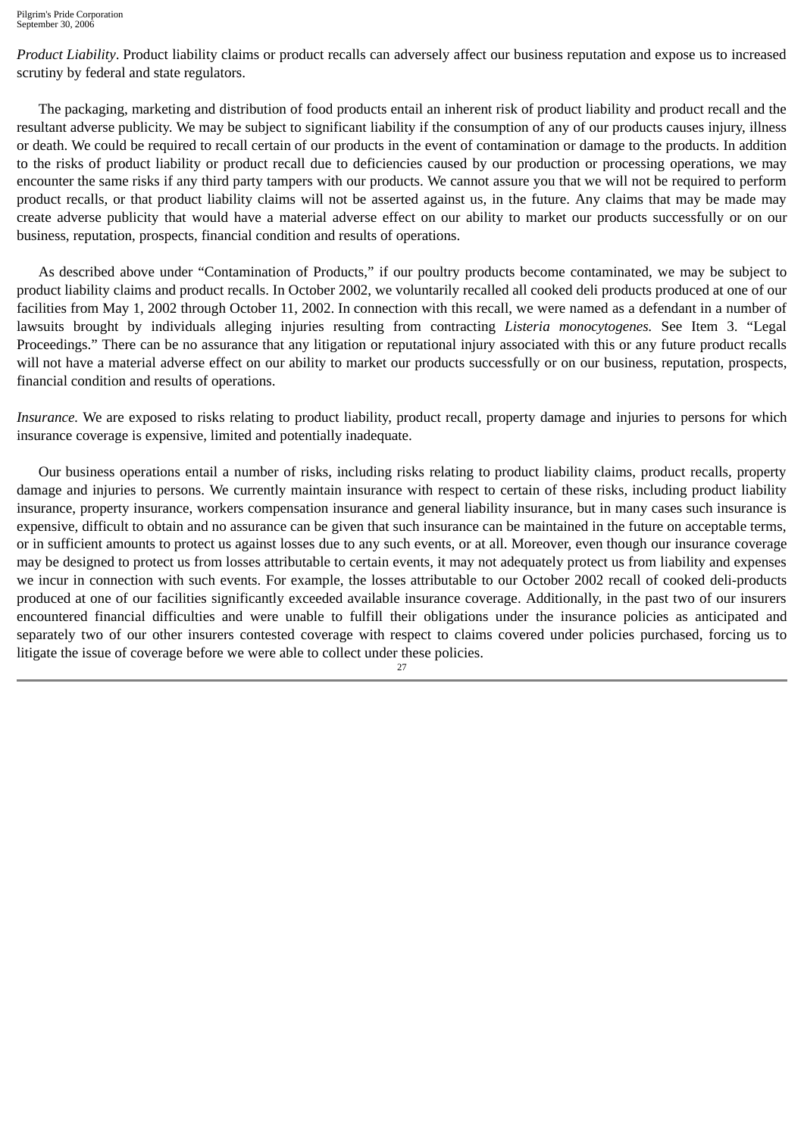*Product Liability*. Product liability claims or product recalls can adversely affect our business reputation and expose us to increased scrutiny by federal and state regulators.

The packaging, marketing and distribution of food products entail an inherent risk of product liability and product recall and the resultant adverse publicity. We may be subject to significant liability if the consumption of any of our products causes injury, illness or death. We could be required to recall certain of our products in the event of contamination or damage to the products. In addition to the risks of product liability or product recall due to deficiencies caused by our production or processing operations, we may encounter the same risks if any third party tampers with our products. We cannot assure you that we will not be required to perform product recalls, or that product liability claims will not be asserted against us, in the future. Any claims that may be made may create adverse publicity that would have a material adverse effect on our ability to market our products successfully or on our business, reputation, prospects, financial condition and results of operations.

As described above under "Contamination of Products," if our poultry products become contaminated, we may be subject to product liability claims and product recalls. In October 2002, we voluntarily recalled all cooked deli products produced at one of our facilities from May 1, 2002 through October 11, 2002. In connection with this recall, we were named as a defendant in a number of lawsuits brought by individuals alleging injuries resulting from contracting *Listeria monocytogenes.* See Item 3. "Legal Proceedings." There can be no assurance that any litigation or reputational injury associated with this or any future product recalls will not have a material adverse effect on our ability to market our products successfully or on our business, reputation, prospects, financial condition and results of operations.

*Insurance.* We are exposed to risks relating to product liability, product recall, property damage and injuries to persons for which insurance coverage is expensive, limited and potentially inadequate.

Our business operations entail a number of risks, including risks relating to product liability claims, product recalls, property damage and injuries to persons. We currently maintain insurance with respect to certain of these risks, including product liability insurance, property insurance, workers compensation insurance and general liability insurance, but in many cases such insurance is expensive, difficult to obtain and no assurance can be given that such insurance can be maintained in the future on acceptable terms, or in sufficient amounts to protect us against losses due to any such events, or at all. Moreover, even though our insurance coverage may be designed to protect us from losses attributable to certain events, it may not adequately protect us from liability and expenses we incur in connection with such events. For example, the losses attributable to our October 2002 recall of cooked deli-products produced at one of our facilities significantly exceeded available insurance coverage. Additionally, in the past two of our insurers encountered financial difficulties and were unable to fulfill their obligations under the insurance policies as anticipated and separately two of our other insurers contested coverage with respect to claims covered under policies purchased, forcing us to litigate the issue of coverage before we were able to collect under these policies.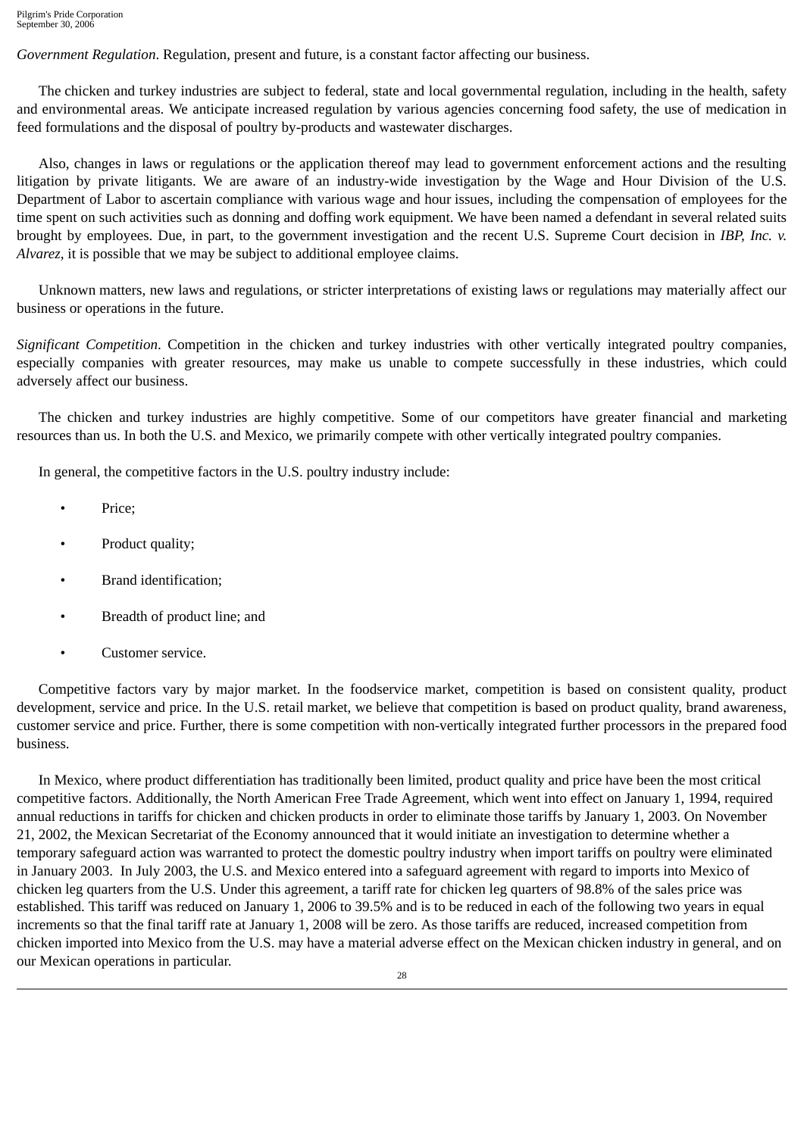*Government Regulation*. Regulation, present and future, is a constant factor affecting our business.

The chicken and turkey industries are subject to federal, state and local governmental regulation, including in the health, safety and environmental areas. We anticipate increased regulation by various agencies concerning food safety, the use of medication in feed formulations and the disposal of poultry by-products and wastewater discharges.

Also, changes in laws or regulations or the application thereof may lead to government enforcement actions and the resulting litigation by private litigants. We are aware of an industry-wide investigation by the Wage and Hour Division of the U.S. Department of Labor to ascertain compliance with various wage and hour issues, including the compensation of employees for the time spent on such activities such as donning and doffing work equipment. We have been named a defendant in several related suits brought by employees. Due, in part, to the government investigation and the recent U.S. Supreme Court decision in *IBP, Inc. v. Alvarez*, it is possible that we may be subject to additional employee claims.

Unknown matters, new laws and regulations, or stricter interpretations of existing laws or regulations may materially affect our business or operations in the future.

*Significant Competition*. Competition in the chicken and turkey industries with other vertically integrated poultry companies, especially companies with greater resources, may make us unable to compete successfully in these industries, which could adversely affect our business.

The chicken and turkey industries are highly competitive. Some of our competitors have greater financial and marketing resources than us. In both the U.S. and Mexico, we primarily compete with other vertically integrated poultry companies.

In general, the competitive factors in the U.S. poultry industry include:

- Price;
- Product quality;
- Brand identification;
- Breadth of product line; and
- Customer service.

Competitive factors vary by major market. In the foodservice market, competition is based on consistent quality, product development, service and price. In the U.S. retail market, we believe that competition is based on product quality, brand awareness, customer service and price. Further, there is some competition with non-vertically integrated further processors in the prepared food business.

In Mexico, where product differentiation has traditionally been limited, product quality and price have been the most critical competitive factors. Additionally, the North American Free Trade Agreement, which went into effect on January 1, 1994, required annual reductions in tariffs for chicken and chicken products in order to eliminate those tariffs by January 1, 2003. On November 21, 2002, the Mexican Secretariat of the Economy announced that it would initiate an investigation to determine whether a temporary safeguard action was warranted to protect the domestic poultry industry when import tariffs on poultry were eliminated in January 2003. In July 2003, the U.S. and Mexico entered into a safeguard agreement with regard to imports into Mexico of chicken leg quarters from the U.S. Under this agreement, a tariff rate for chicken leg quarters of 98.8% of the sales price was established. This tariff was reduced on January 1, 2006 to 39.5% and is to be reduced in each of the following two years in equal increments so that the final tariff rate at January 1, 2008 will be zero. As those tariffs are reduced, increased competition from chicken imported into Mexico from the U.S. may have a material adverse effect on the Mexican chicken industry in general, and on our Mexican operations in particular.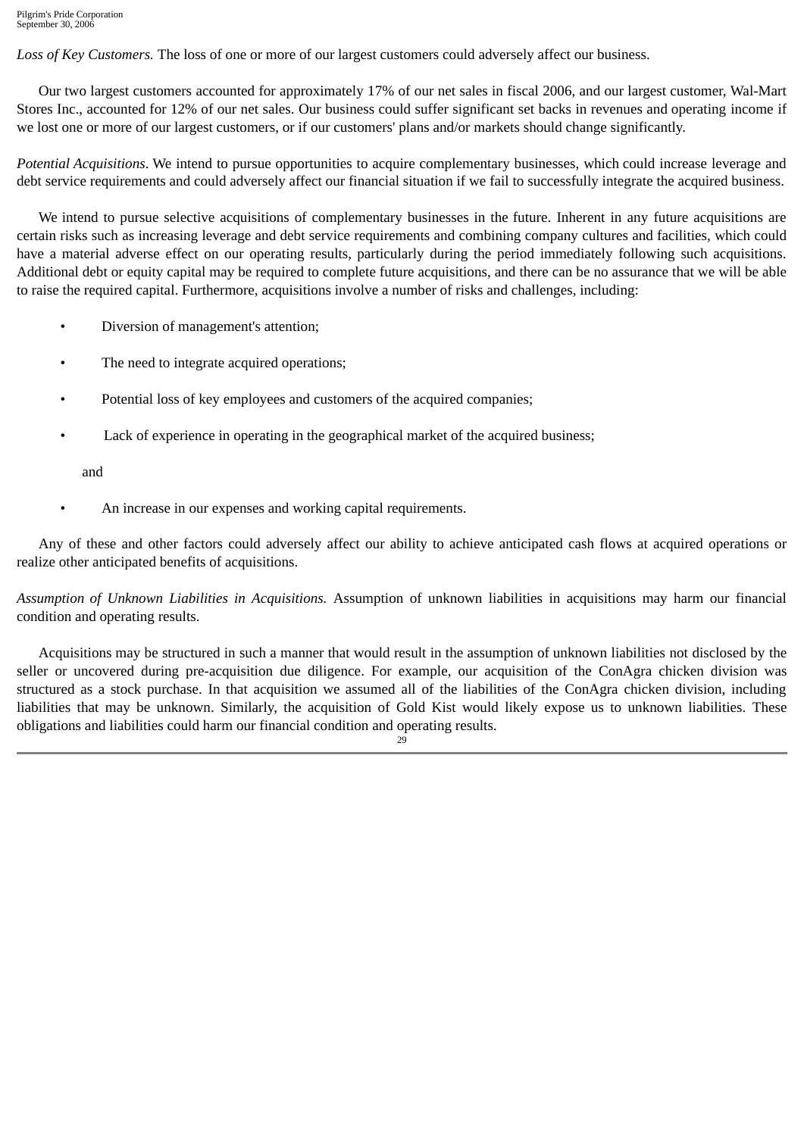*Loss of Key Customers.* The loss of one or more of our largest customers could adversely affect our business.

Our two largest customers accounted for approximately 17% of our net sales in fiscal 2006, and our largest customer, Wal-Mart Stores Inc., accounted for 12% of our net sales. Our business could suffer significant set backs in revenues and operating income if we lost one or more of our largest customers, or if our customers' plans and/or markets should change significantly.

*Potential Acquisitions*. We intend to pursue opportunities to acquire complementary businesses, which could increase leverage and debt service requirements and could adversely affect our financial situation if we fail to successfully integrate the acquired business.

We intend to pursue selective acquisitions of complementary businesses in the future. Inherent in any future acquisitions are certain risks such as increasing leverage and debt service requirements and combining company cultures and facilities, which could have a material adverse effect on our operating results, particularly during the period immediately following such acquisitions. Additional debt or equity capital may be required to complete future acquisitions, and there can be no assurance that we will be able to raise the required capital. Furthermore, acquisitions involve a number of risks and challenges, including:

- Diversion of management's attention;
- The need to integrate acquired operations;
- Potential loss of key employees and customers of the acquired companies;
- Lack of experience in operating in the geographical market of the acquired business;

and

• An increase in our expenses and working capital requirements.

Any of these and other factors could adversely affect our ability to achieve anticipated cash flows at acquired operations or realize other anticipated benefits of acquisitions.

*Assumption of Unknown Liabilities in Acquisitions.* Assumption of unknown liabilities in acquisitions may harm our financial condition and operating results.

Acquisitions may be structured in such a manner that would result in the assumption of unknown liabilities not disclosed by the seller or uncovered during pre-acquisition due diligence. For example, our acquisition of the ConAgra chicken division was structured as a stock purchase. In that acquisition we assumed all of the liabilities of the ConAgra chicken division, including liabilities that may be unknown. Similarly, the acquisition of Gold Kist would likely expose us to unknown liabilities. These obligations and liabilities could harm our financial condition and operating results.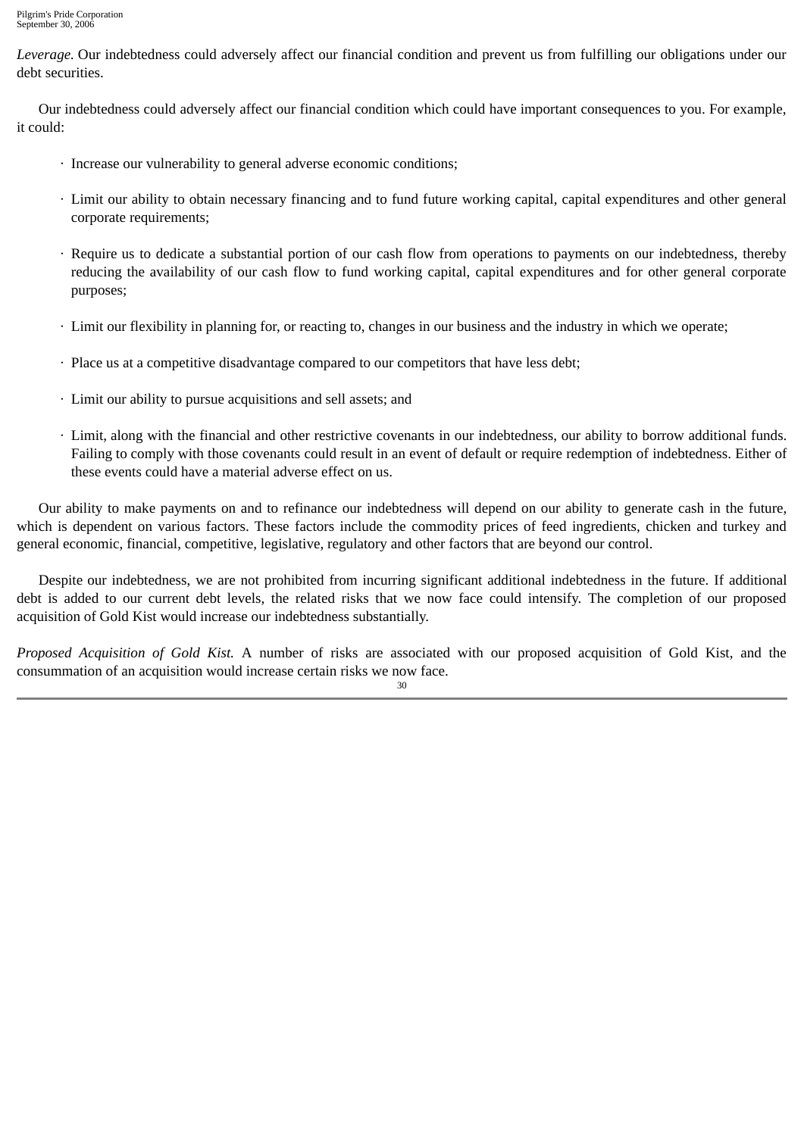*Leverage.* Our indebtedness could adversely affect our financial condition and prevent us from fulfilling our obligations under our debt securities.

Our indebtedness could adversely affect our financial condition which could have important consequences to you. For example, it could:

- · Increase our vulnerability to general adverse economic conditions;
- · Limit our ability to obtain necessary financing and to fund future working capital, capital expenditures and other general corporate requirements;
- · Require us to dedicate a substantial portion of our cash flow from operations to payments on our indebtedness, thereby reducing the availability of our cash flow to fund working capital, capital expenditures and for other general corporate purposes;
- · Limit our flexibility in planning for, or reacting to, changes in our business and the industry in which we operate;
- · Place us at a competitive disadvantage compared to our competitors that have less debt;
- · Limit our ability to pursue acquisitions and sell assets; and
- · Limit, along with the financial and other restrictive covenants in our indebtedness, our ability to borrow additional funds. Failing to comply with those covenants could result in an event of default or require redemption of indebtedness. Either of these events could have a material adverse effect on us.

Our ability to make payments on and to refinance our indebtedness will depend on our ability to generate cash in the future, which is dependent on various factors. These factors include the commodity prices of feed ingredients, chicken and turkey and general economic, financial, competitive, legislative, regulatory and other factors that are beyond our control.

Despite our indebtedness, we are not prohibited from incurring significant additional indebtedness in the future. If additional debt is added to our current debt levels, the related risks that we now face could intensify. The completion of our proposed acquisition of Gold Kist would increase our indebtedness substantially.

*Proposed Acquisition of Gold Kist.* A number of risks are associated with our proposed acquisition of Gold Kist, and the consummation of an acquisition would increase certain risks we now face.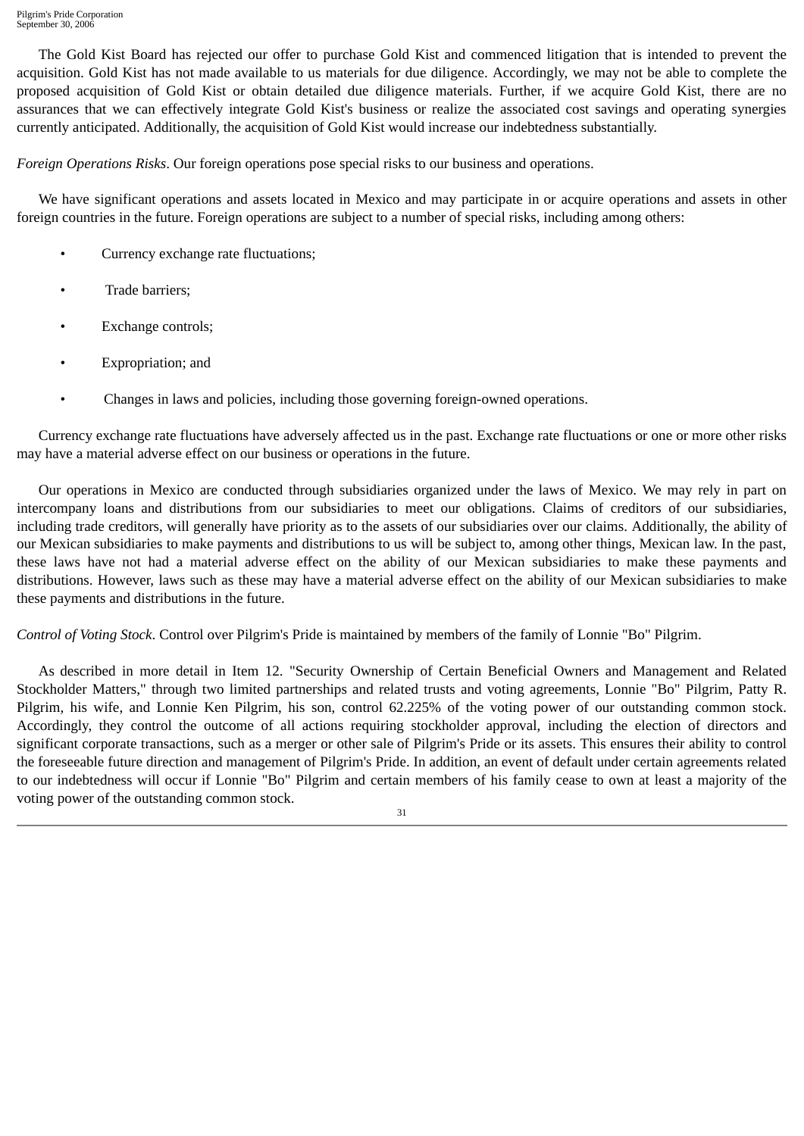The Gold Kist Board has rejected our offer to purchase Gold Kist and commenced litigation that is intended to prevent the acquisition. Gold Kist has not made available to us materials for due diligence. Accordingly, we may not be able to complete the proposed acquisition of Gold Kist or obtain detailed due diligence materials. Further, if we acquire Gold Kist, there are no assurances that we can effectively integrate Gold Kist's business or realize the associated cost savings and operating synergies currently anticipated. Additionally, the acquisition of Gold Kist would increase our indebtedness substantially.

*Foreign Operations Risks*. Our foreign operations pose special risks to our business and operations.

We have significant operations and assets located in Mexico and may participate in or acquire operations and assets in other foreign countries in the future. Foreign operations are subject to a number of special risks, including among others:

- Currency exchange rate fluctuations;
- Trade barriers;
- Exchange controls;
- Expropriation; and
- Changes in laws and policies, including those governing foreign-owned operations.

Currency exchange rate fluctuations have adversely affected us in the past. Exchange rate fluctuations or one or more other risks may have a material adverse effect on our business or operations in the future.

Our operations in Mexico are conducted through subsidiaries organized under the laws of Mexico. We may rely in part on intercompany loans and distributions from our subsidiaries to meet our obligations. Claims of creditors of our subsidiaries, including trade creditors, will generally have priority as to the assets of our subsidiaries over our claims. Additionally, the ability of our Mexican subsidiaries to make payments and distributions to us will be subject to, among other things, Mexican law. In the past, these laws have not had a material adverse effect on the ability of our Mexican subsidiaries to make these payments and distributions. However, laws such as these may have a material adverse effect on the ability of our Mexican subsidiaries to make these payments and distributions in the future.

*Control of Voting Stock*. Control over Pilgrim's Pride is maintained by members of the family of Lonnie "Bo" Pilgrim.

As described in more detail in Item 12. "Security Ownership of Certain Beneficial Owners and Management and Related Stockholder Matters," through two limited partnerships and related trusts and voting agreements, Lonnie "Bo" Pilgrim, Patty R. Pilgrim, his wife, and Lonnie Ken Pilgrim, his son, control 62.225% of the voting power of our outstanding common stock. Accordingly, they control the outcome of all actions requiring stockholder approval, including the election of directors and significant corporate transactions, such as a merger or other sale of Pilgrim's Pride or its assets. This ensures their ability to control the foreseeable future direction and management of Pilgrim's Pride. In addition, an event of default under certain agreements related to our indebtedness will occur if Lonnie "Bo" Pilgrim and certain members of his family cease to own at least a majority of the voting power of the outstanding common stock.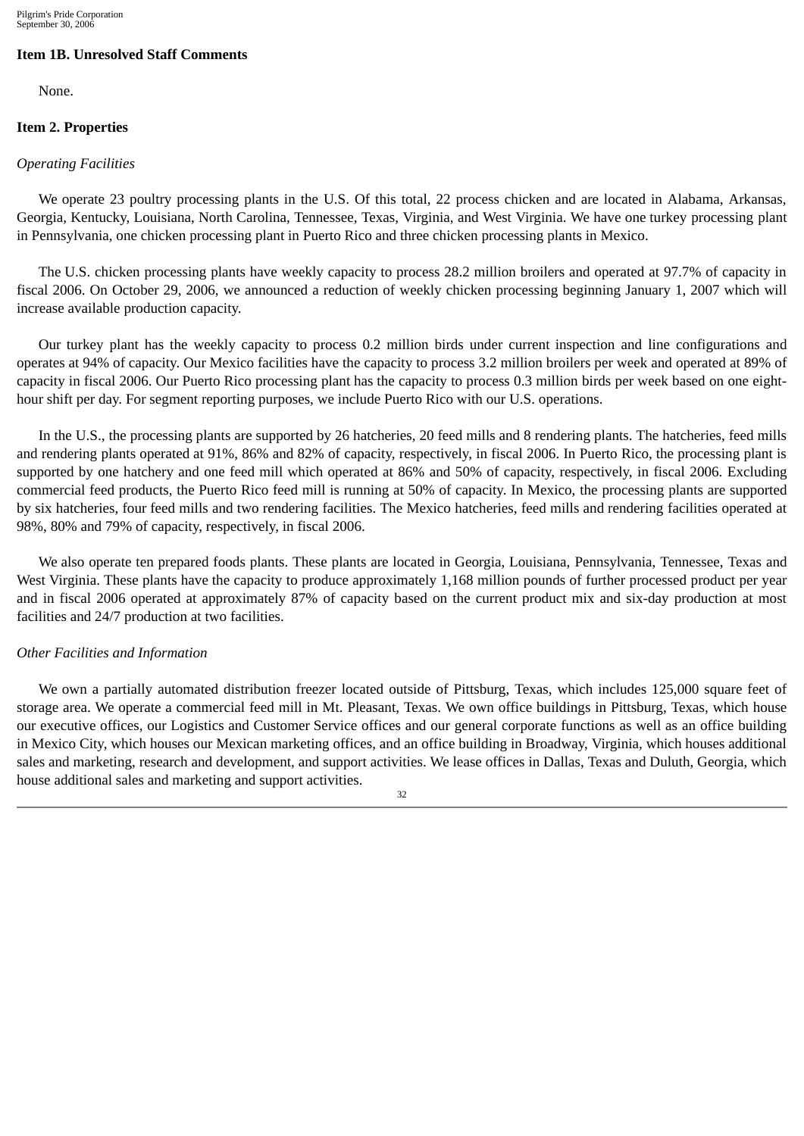### **Item 1B. Unresolved Staff Comments**

None.

#### **Item 2. Properties**

#### *Operating Facilities*

We operate 23 poultry processing plants in the U.S. Of this total, 22 process chicken and are located in Alabama, Arkansas, Georgia, Kentucky, Louisiana, North Carolina, Tennessee, Texas, Virginia, and West Virginia. We have one turkey processing plant in Pennsylvania, one chicken processing plant in Puerto Rico and three chicken processing plants in Mexico.

The U.S. chicken processing plants have weekly capacity to process 28.2 million broilers and operated at 97.7% of capacity in fiscal 2006. On October 29, 2006, we announced a reduction of weekly chicken processing beginning January 1, 2007 which will increase available production capacity.

Our turkey plant has the weekly capacity to process 0.2 million birds under current inspection and line configurations and operates at 94% of capacity. Our Mexico facilities have the capacity to process 3.2 million broilers per week and operated at 89% of capacity in fiscal 2006. Our Puerto Rico processing plant has the capacity to process 0.3 million birds per week based on one eighthour shift per day. For segment reporting purposes, we include Puerto Rico with our U.S. operations.

In the U.S., the processing plants are supported by 26 hatcheries, 20 feed mills and 8 rendering plants. The hatcheries, feed mills and rendering plants operated at 91%, 86% and 82% of capacity, respectively, in fiscal 2006. In Puerto Rico, the processing plant is supported by one hatchery and one feed mill which operated at 86% and 50% of capacity, respectively, in fiscal 2006. Excluding commercial feed products, the Puerto Rico feed mill is running at 50% of capacity. In Mexico, the processing plants are supported by six hatcheries, four feed mills and two rendering facilities. The Mexico hatcheries, feed mills and rendering facilities operated at 98%, 80% and 79% of capacity, respectively, in fiscal 2006.

We also operate ten prepared foods plants. These plants are located in Georgia, Louisiana, Pennsylvania, Tennessee, Texas and West Virginia. These plants have the capacity to produce approximately 1,168 million pounds of further processed product per year and in fiscal 2006 operated at approximately 87% of capacity based on the current product mix and six-day production at most facilities and 24/7 production at two facilities.

## *Other Facilities and Information*

We own a partially automated distribution freezer located outside of Pittsburg, Texas, which includes 125,000 square feet of storage area. We operate a commercial feed mill in Mt. Pleasant, Texas. We own office buildings in Pittsburg, Texas, which house our executive offices, our Logistics and Customer Service offices and our general corporate functions as well as an office building in Mexico City, which houses our Mexican marketing offices, and an office building in Broadway, Virginia, which houses additional sales and marketing, research and development, and support activities. We lease offices in Dallas, Texas and Duluth, Georgia, which house additional sales and marketing and support activities.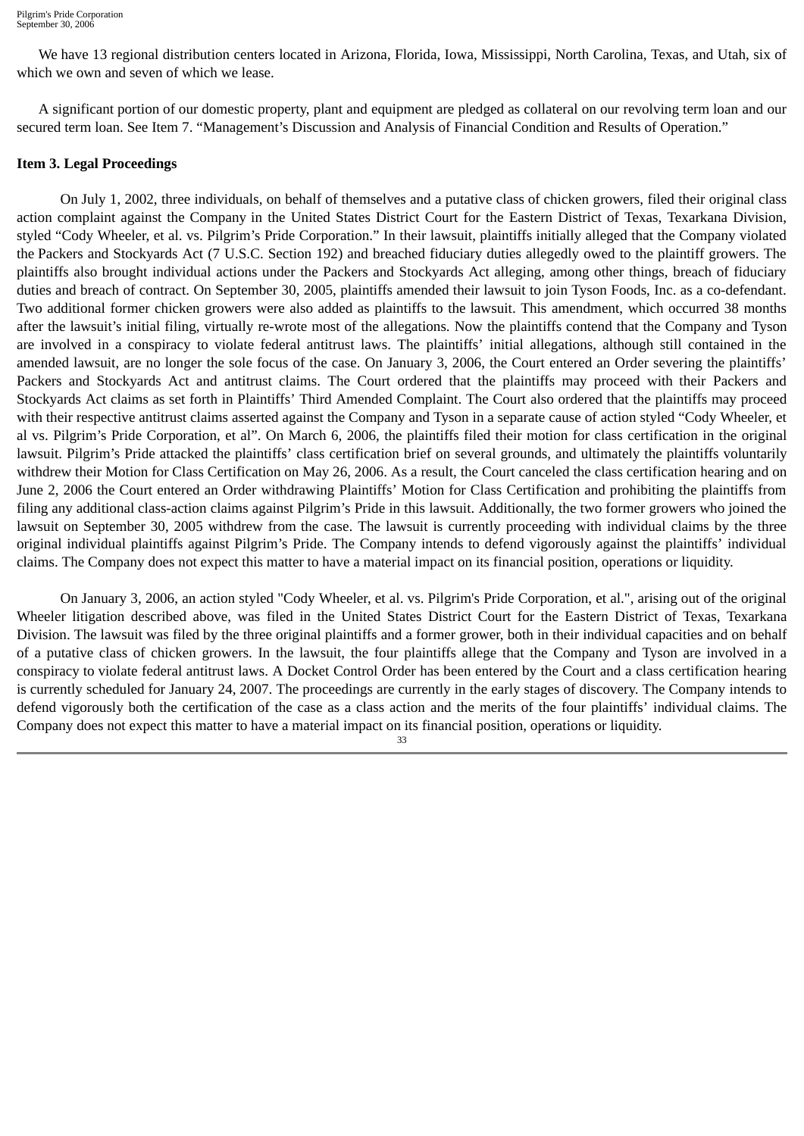We have 13 regional distribution centers located in Arizona, Florida, Iowa, Mississippi, North Carolina, Texas, and Utah, six of which we own and seven of which we lease.

A significant portion of our domestic property, plant and equipment are pledged as collateral on our revolving term loan and our secured term loan. See Item 7. "Management's Discussion and Analysis of Financial Condition and Results of Operation."

# **Item 3. Legal Proceedings**

On July 1, 2002, three individuals, on behalf of themselves and a putative class of chicken growers, filed their original class action complaint against the Company in the United States District Court for the Eastern District of Texas, Texarkana Division, styled "Cody Wheeler, et al. vs. Pilgrim's Pride Corporation." In their lawsuit, plaintiffs initially alleged that the Company violated the Packers and Stockyards Act (7 U.S.C. Section 192) and breached fiduciary duties allegedly owed to the plaintiff growers. The plaintiffs also brought individual actions under the Packers and Stockyards Act alleging, among other things, breach of fiduciary duties and breach of contract. On September 30, 2005, plaintiffs amended their lawsuit to join Tyson Foods, Inc. as a co-defendant. Two additional former chicken growers were also added as plaintiffs to the lawsuit. This amendment, which occurred 38 months after the lawsuit's initial filing, virtually re-wrote most of the allegations. Now the plaintiffs contend that the Company and Tyson are involved in a conspiracy to violate federal antitrust laws. The plaintiffs' initial allegations, although still contained in the amended lawsuit, are no longer the sole focus of the case. On January 3, 2006, the Court entered an Order severing the plaintiffs' Packers and Stockyards Act and antitrust claims. The Court ordered that the plaintiffs may proceed with their Packers and Stockyards Act claims as set forth in Plaintiffs' Third Amended Complaint. The Court also ordered that the plaintiffs may proceed with their respective antitrust claims asserted against the Company and Tyson in a separate cause of action styled "Cody Wheeler, et al vs. Pilgrim's Pride Corporation, et al". On March 6, 2006, the plaintiffs filed their motion for class certification in the original lawsuit. Pilgrim's Pride attacked the plaintiffs' class certification brief on several grounds, and ultimately the plaintiffs voluntarily withdrew their Motion for Class Certification on May 26, 2006. As a result, the Court canceled the class certification hearing and on June 2, 2006 the Court entered an Order withdrawing Plaintiffs' Motion for Class Certification and prohibiting the plaintiffs from filing any additional class-action claims against Pilgrim's Pride in this lawsuit. Additionally, the two former growers who joined the lawsuit on September 30, 2005 withdrew from the case. The lawsuit is currently proceeding with individual claims by the three original individual plaintiffs against Pilgrim's Pride. The Company intends to defend vigorously against the plaintiffs' individual claims. The Company does not expect this matter to have a material impact on its financial position, operations or liquidity.

On January 3, 2006, an action styled "Cody Wheeler, et al. vs. Pilgrim's Pride Corporation, et al.", arising out of the original Wheeler litigation described above, was filed in the United States District Court for the Eastern District of Texas, Texarkana Division. The lawsuit was filed by the three original plaintiffs and a former grower, both in their individual capacities and on behalf of a putative class of chicken growers. In the lawsuit, the four plaintiffs allege that the Company and Tyson are involved in a conspiracy to violate federal antitrust laws. A Docket Control Order has been entered by the Court and a class certification hearing is currently scheduled for January 24, 2007. The proceedings are currently in the early stages of discovery. The Company intends to defend vigorously both the certification of the case as a class action and the merits of the four plaintiffs' individual claims. The Company does not expect this matter to have a material impact on its financial position, operations or liquidity.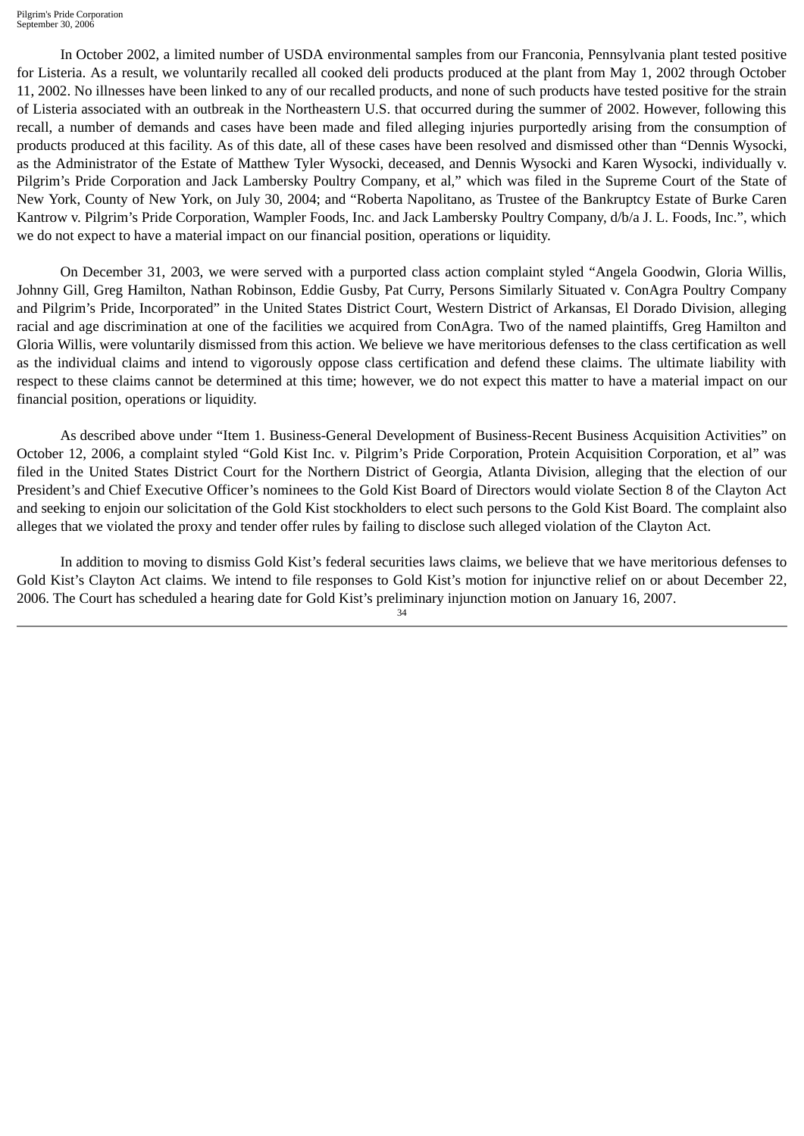In October 2002, a limited number of USDA environmental samples from our Franconia, Pennsylvania plant tested positive for Listeria. As a result, we voluntarily recalled all cooked deli products produced at the plant from May 1, 2002 through October 11, 2002. No illnesses have been linked to any of our recalled products, and none of such products have tested positive for the strain of Listeria associated with an outbreak in the Northeastern U.S. that occurred during the summer of 2002. However, following this recall, a number of demands and cases have been made and filed alleging injuries purportedly arising from the consumption of products produced at this facility. As of this date, all of these cases have been resolved and dismissed other than "Dennis Wysocki, as the Administrator of the Estate of Matthew Tyler Wysocki, deceased, and Dennis Wysocki and Karen Wysocki, individually v. Pilgrim's Pride Corporation and Jack Lambersky Poultry Company, et al," which was filed in the Supreme Court of the State of New York, County of New York, on July 30, 2004; and "Roberta Napolitano, as Trustee of the Bankruptcy Estate of Burke Caren Kantrow v. Pilgrim's Pride Corporation, Wampler Foods, Inc. and Jack Lambersky Poultry Company, d/b/a J. L. Foods, Inc.", which we do not expect to have a material impact on our financial position, operations or liquidity.

On December 31, 2003, we were served with a purported class action complaint styled "Angela Goodwin, Gloria Willis, Johnny Gill, Greg Hamilton, Nathan Robinson, Eddie Gusby, Pat Curry, Persons Similarly Situated v. ConAgra Poultry Company and Pilgrim's Pride, Incorporated" in the United States District Court, Western District of Arkansas, El Dorado Division, alleging racial and age discrimination at one of the facilities we acquired from ConAgra. Two of the named plaintiffs, Greg Hamilton and Gloria Willis, were voluntarily dismissed from this action. We believe we have meritorious defenses to the class certification as well as the individual claims and intend to vigorously oppose class certification and defend these claims. The ultimate liability with respect to these claims cannot be determined at this time; however, we do not expect this matter to have a material impact on our financial position, operations or liquidity.

As described above under "Item 1. Business-General Development of Business-Recent Business Acquisition Activities" on October 12, 2006, a complaint styled "Gold Kist Inc. v. Pilgrim's Pride Corporation, Protein Acquisition Corporation, et al" was filed in the United States District Court for the Northern District of Georgia, Atlanta Division, alleging that the election of our President's and Chief Executive Officer's nominees to the Gold Kist Board of Directors would violate Section 8 of the Clayton Act and seeking to enjoin our solicitation of the Gold Kist stockholders to elect such persons to the Gold Kist Board. The complaint also alleges that we violated the proxy and tender offer rules by failing to disclose such alleged violation of the Clayton Act.

In addition to moving to dismiss Gold Kist's federal securities laws claims, we believe that we have meritorious defenses to Gold Kist's Clayton Act claims. We intend to file responses to Gold Kist's motion for injunctive relief on or about December 22, 2006. The Court has scheduled a hearing date for Gold Kist's preliminary injunction motion on January 16, 2007.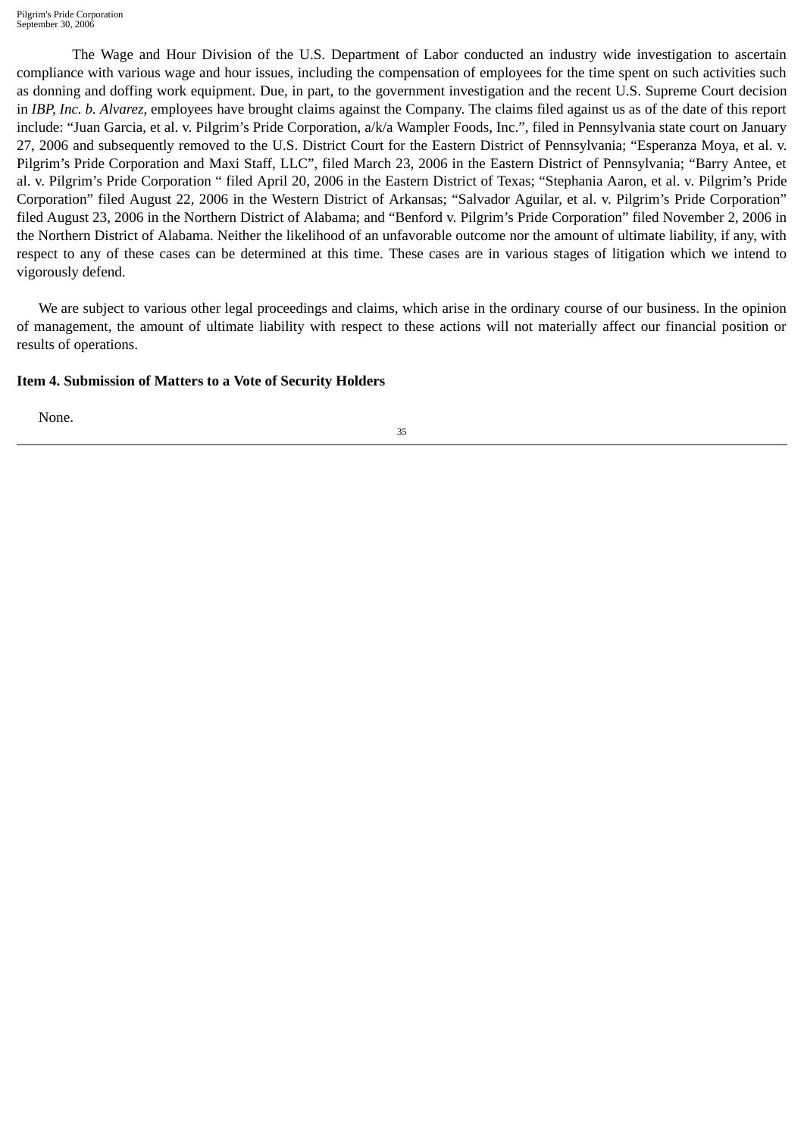The Wage and Hour Division of the U.S. Department of Labor conducted an industry wide investigation to ascertain compliance with various wage and hour issues, including the compensation of employees for the time spent on such activities such as donning and doffing work equipment. Due, in part, to the government investigation and the recent U.S. Supreme Court decision in *IBP, Inc. b. Alvarez*, employees have brought claims against the Company. The claims filed against us as of the date of this report include: "Juan Garcia, et al. v. Pilgrim's Pride Corporation, a/k/a Wampler Foods, Inc.", filed in Pennsylvania state court on January 27, 2006 and subsequently removed to the U.S. District Court for the Eastern District of Pennsylvania; "Esperanza Moya, et al. v. Pilgrim's Pride Corporation and Maxi Staff, LLC", filed March 23, 2006 in the Eastern District of Pennsylvania; "Barry Antee, et al. v. Pilgrim's Pride Corporation " filed April 20, 2006 in the Eastern District of Texas; "Stephania Aaron, et al. v. Pilgrim's Pride Corporation" filed August 22, 2006 in the Western District of Arkansas; "Salvador Aguilar, et al. v. Pilgrim's Pride Corporation" filed August 23, 2006 in the Northern District of Alabama; and "Benford v. Pilgrim's Pride Corporation" filed November 2, 2006 in the Northern District of Alabama. Neither the likelihood of an unfavorable outcome nor the amount of ultimate liability, if any, with respect to any of these cases can be determined at this time. These cases are in various stages of litigation which we intend to vigorously defend.

We are subject to various other legal proceedings and claims, which arise in the ordinary course of our business. In the opinion of management, the amount of ultimate liability with respect to these actions will not materially affect our financial position or results of operations.

## **Item 4. Submission of Matters to a Vote of Security Holders**

None.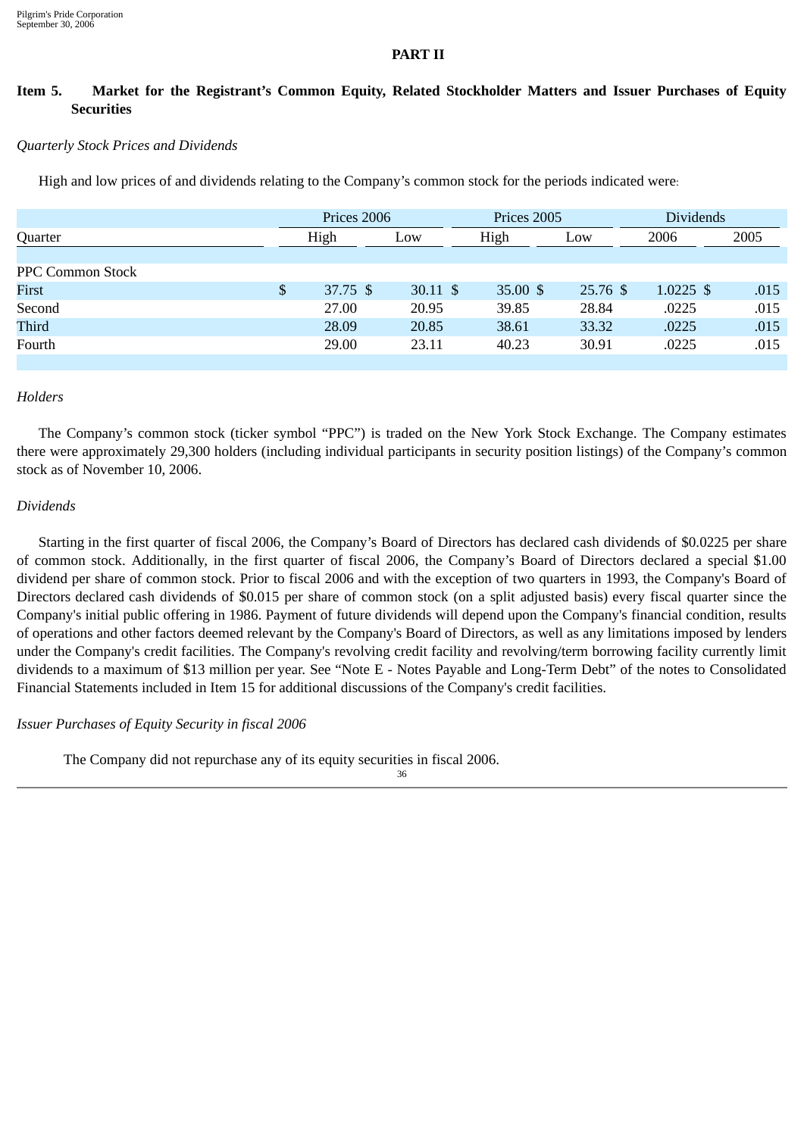## **PART II**

# **Item 5. Market for the Registrant's Common Equity, Related Stockholder Matters and Issuer Purchases of Equity Securities**

# *Quarterly Stock Prices and Dividends*

High and low prices of and dividends relating to the Company's common stock for the periods indicated were:

|                         | Prices 2006 |          | Prices 2005         |  |           | <b>Dividends</b> |             |      |
|-------------------------|-------------|----------|---------------------|--|-----------|------------------|-------------|------|
| Quarter                 |             | High     | Low                 |  | High      | Low              | 2006        | 2005 |
|                         |             |          |                     |  |           |                  |             |      |
| <b>PPC Common Stock</b> |             |          |                     |  |           |                  |             |      |
| First                   | \$          | 37.75 \$ | $30.11 \text{ }$ \$ |  | 35.00 $$$ | 25.76 \$         | $1.0225$ \$ | .015 |
| Second                  |             | 27.00    | 20.95               |  | 39.85     | 28.84            | .0225       | .015 |
| Third                   |             | 28.09    | 20.85               |  | 38.61     | 33.32            | .0225       | .015 |
| Fourth                  |             | 29.00    | 23.11               |  | 40.23     | 30.91            | .0225       | .015 |
|                         |             |          |                     |  |           |                  |             |      |

# *Holders*

The Company's common stock (ticker symbol "PPC") is traded on the New York Stock Exchange. The Company estimates there were approximately 29,300 holders (including individual participants in security position listings) of the Company's common stock as of November 10, 2006.

# *Dividends*

Starting in the first quarter of fiscal 2006, the Company's Board of Directors has declared cash dividends of \$0.0225 per share of common stock. Additionally, in the first quarter of fiscal 2006, the Company's Board of Directors declared a special \$1.00 dividend per share of common stock. Prior to fiscal 2006 and with the exception of two quarters in 1993, the Company's Board of Directors declared cash dividends of \$0.015 per share of common stock (on a split adjusted basis) every fiscal quarter since the Company's initial public offering in 1986. Payment of future dividends will depend upon the Company's financial condition, results of operations and other factors deemed relevant by the Company's Board of Directors, as well as any limitations imposed by lenders under the Company's credit facilities. The Company's revolving credit facility and revolving/term borrowing facility currently limit dividends to a maximum of \$13 million per year. See "Note E - Notes Payable and Long-Term Debt" of the notes to Consolidated Financial Statements included in Item 15 for additional discussions of the Company's credit facilities.

*Issuer Purchases of Equity Security in fiscal 2006*

The Company did not repurchase any of its equity securities in fiscal 2006.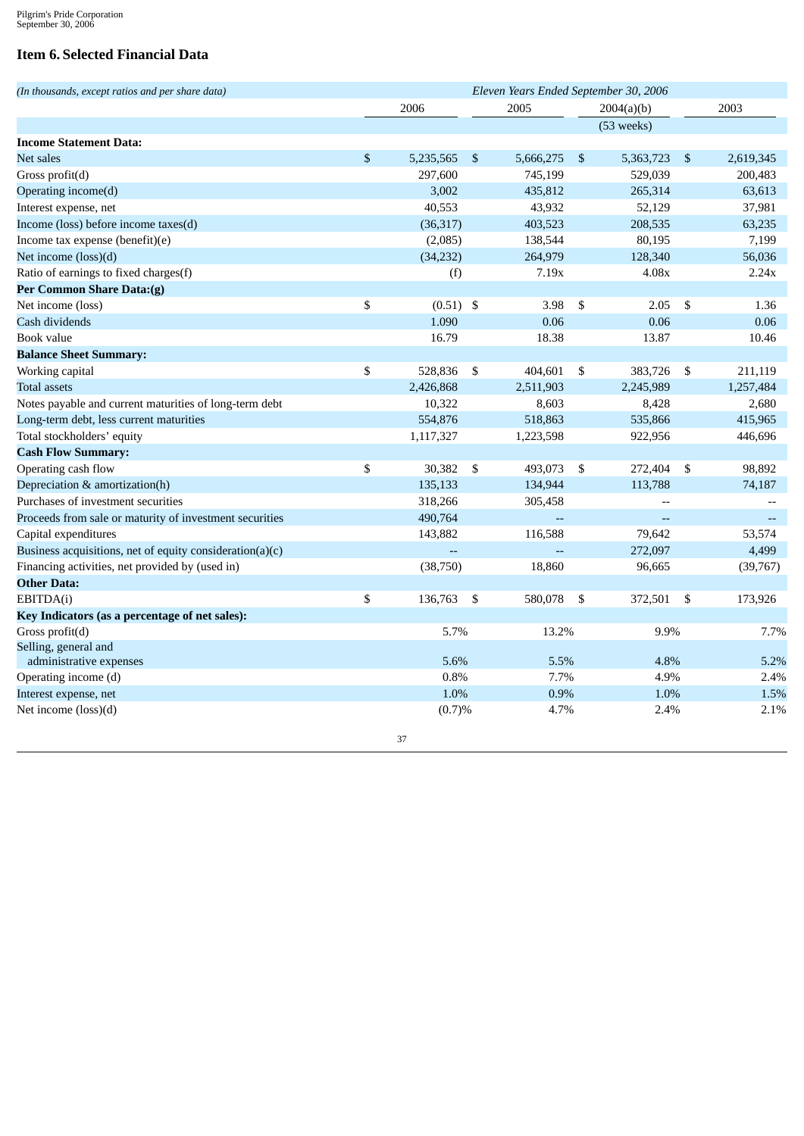## **Item 6. Selected Financial Data**

| (In thousands, except ratios and per share data)         |                   |                | Eleven Years Ended September 30, 2006 |      |                          |                |                          |
|----------------------------------------------------------|-------------------|----------------|---------------------------------------|------|--------------------------|----------------|--------------------------|
|                                                          | 2006              |                | 2005                                  |      | 2004(a)(b)               |                | 2003                     |
|                                                          |                   |                |                                       |      | (53 weeks)               |                |                          |
| <b>Income Statement Data:</b>                            |                   |                |                                       |      |                          |                |                          |
| Net sales                                                | \$<br>5,235,565   | $\mathfrak{s}$ | 5,666,275                             | \$   | 5,363,723                | $\mathfrak{F}$ | 2,619,345                |
| Gross profit(d)                                          | 297,600           |                | 745,199                               |      | 529,039                  |                | 200,483                  |
| Operating income(d)                                      | 3,002             |                | 435,812                               |      | 265,314                  |                | 63,613                   |
| Interest expense, net                                    | 40,553            |                | 43,932                                |      | 52,129                   |                | 37,981                   |
| Income (loss) before income taxes(d)                     | (36, 317)         |                | 403,523                               |      | 208,535                  |                | 63,235                   |
| Income tax expense (benefit)(e)                          | (2,085)           |                | 138,544                               |      | 80,195                   |                | 7,199                    |
| Net income (loss)(d)                                     | (34,232)          |                | 264,979                               |      | 128,340                  |                | 56,036                   |
| Ratio of earnings to fixed charges(f)                    | (f)               |                | 7.19x                                 |      | 4.08x                    |                | 2.24x                    |
| <b>Per Common Share Data:(g)</b>                         |                   |                |                                       |      |                          |                |                          |
| Net income (loss)                                        | \$<br>$(0.51)$ \$ |                | 3.98                                  | \$   | 2.05                     | \$             | 1.36                     |
| Cash dividends                                           | 1.090             |                | 0.06                                  |      | 0.06                     |                | 0.06                     |
| Book value                                               | 16.79             |                | 18.38                                 |      | 13.87                    |                | 10.46                    |
| <b>Balance Sheet Summary:</b>                            |                   |                |                                       |      |                          |                |                          |
| Working capital                                          | \$<br>528,836     | \$             | 404,601                               | \$   | 383,726                  | - \$           | 211,119                  |
| <b>Total assets</b>                                      | 2,426,868         |                | 2,511,903                             |      | 2,245,989                |                | 1,257,484                |
| Notes payable and current maturities of long-term debt   | 10,322            |                | 8,603                                 |      | 8,428                    |                | 2,680                    |
| Long-term debt, less current maturities                  | 554,876           |                | 518,863                               |      | 535,866                  |                | 415,965                  |
| Total stockholders' equity                               | 1,117,327         |                | 1,223,598                             |      | 922,956                  |                | 446,696                  |
| <b>Cash Flow Summary:</b>                                |                   |                |                                       |      |                          |                |                          |
| Operating cash flow                                      | \$<br>30,382      | \$             | 493,073                               | - \$ | 272,404                  | \$             | 98,892                   |
| Depreciation & amortization(h)                           | 135,133           |                | 134,944                               |      | 113,788                  |                | 74,187                   |
| Purchases of investment securities                       | 318,266           |                | 305,458                               |      | $\overline{\phantom{a}}$ |                |                          |
| Proceeds from sale or maturity of investment securities  | 490,764           |                | $\overline{a}$                        |      | $\overline{a}$           |                | $\overline{\phantom{a}}$ |
| Capital expenditures                                     | 143,882           |                | 116,588                               |      | 79,642                   |                | 53,574                   |
| Business acquisitions, net of equity consideration(a)(c) | $\overline{a}$    |                | Ξ.                                    |      | 272,097                  |                | 4,499                    |
| Financing activities, net provided by (used in)          | (38,750)          |                | 18,860                                |      | 96,665                   |                | (39,767)                 |
| <b>Other Data:</b>                                       |                   |                |                                       |      |                          |                |                          |
| EBITDA(i)                                                | \$<br>136,763     | -\$            | 580,078                               | -\$  | 372,501                  | - \$           | 173,926                  |
| Key Indicators (as a percentage of net sales):           |                   |                |                                       |      |                          |                |                          |
| Gross profit(d)                                          | 5.7%              |                | 13.2%                                 |      | 9.9%                     |                | 7.7%                     |
| Selling, general and                                     |                   |                |                                       |      |                          |                |                          |
| administrative expenses                                  | 5.6%              |                | 5.5%                                  |      | 4.8%                     |                | 5.2%                     |
| Operating income (d)                                     | 0.8%              |                | 7.7%                                  |      | 4.9%                     |                | 2.4%                     |
| Interest expense, net                                    | 1.0%              |                | 0.9%                                  |      | 1.0%                     |                | 1.5%                     |
| Net income (loss)(d)                                     | (0.7)%            |                | 4.7%                                  |      | 2.4%                     |                | 2.1%                     |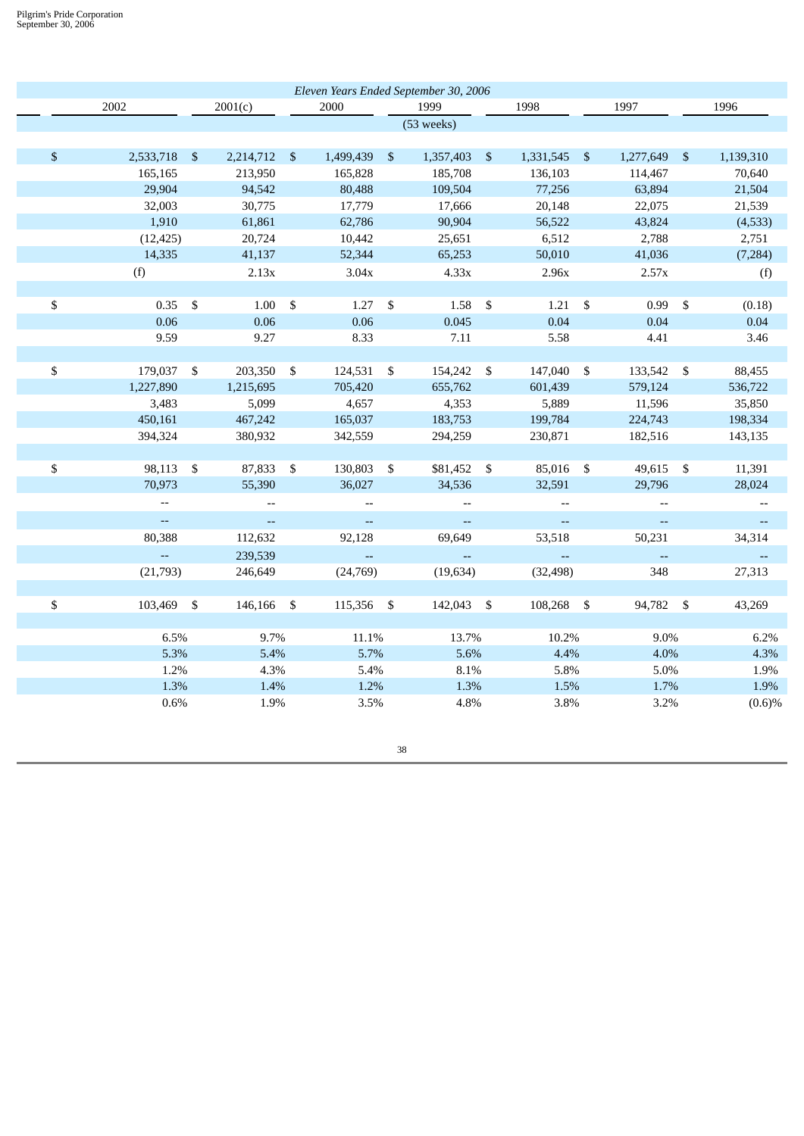|              |                          |                |                          |                          |                | Eleven Years Ended September 30, 2006 |                          |                |                          |              |                   |
|--------------|--------------------------|----------------|--------------------------|--------------------------|----------------|---------------------------------------|--------------------------|----------------|--------------------------|--------------|-------------------|
|              | 2002                     |                | 2001(c)                  | 2000                     |                | 1999                                  | 1998                     |                | 1997                     |              | 1996              |
|              |                          |                |                          |                          |                | (53 weeks)                            |                          |                |                          |              |                   |
|              |                          |                |                          |                          |                |                                       |                          |                |                          |              |                   |
| $\mathbb{S}$ | 2,533,718                | $\mathbb{S}$   | 2,214,712 \$             | 1,499,439                | $\mathfrak{S}$ | 1,357,403 \$                          | 1,331,545                | $\mathbb{S}$   | 1,277,649                | $\mathbb{S}$ | 1,139,310         |
|              | 165,165                  |                | 213,950                  | 165,828                  |                | 185,708                               | 136,103                  |                | 114,467                  |              | 70,640            |
|              | 29,904                   |                | 94,542                   | 80,488                   |                | 109,504                               | 77,256                   |                | 63,894                   |              | 21,504            |
|              | 32,003                   |                | 30,775                   | 17,779                   |                | 17,666                                | 20,148                   |                | 22,075                   |              | 21,539            |
|              | 1,910                    |                | 61,861                   | 62,786                   |                | 90,904                                | 56,522                   |                | 43,824                   |              | (4,533)           |
|              | (12, 425)                |                | 20,724                   | 10,442                   |                | 25,651                                | 6,512                    |                | 2,788                    |              | 2,751             |
|              | 14,335                   |                | 41,137                   | 52,344                   |                | 65,253                                | 50,010                   |                | 41,036                   |              | (7, 284)          |
|              | (f)                      |                | 2.13x                    | 3.04x                    |                | 4.33x                                 | 2.96x                    |                | 2.57x                    |              | (f)               |
|              |                          |                |                          |                          |                |                                       |                          |                |                          |              |                   |
| \$           | 0.35                     | $\mathfrak{S}$ | $1.00\ 5$                | 1.27S                    |                | $1.58$ \$                             | 1.21                     | $\mathfrak s$  | 0.99                     | \$           | (0.18)            |
|              | 0.06                     |                | 0.06                     | 0.06                     |                | 0.045                                 | 0.04                     |                | 0.04                     |              | 0.04              |
|              | 9.59                     |                | 9.27                     | 8.33                     |                | 7.11                                  | 5.58                     |                | 4.41                     |              | 3.46              |
|              |                          |                |                          |                          |                |                                       |                          |                |                          |              |                   |
| \$           | 179,037                  | \$             | 203,350 \$               | 124,531                  | \$             | 154,242 \$                            | 147,040                  | $\mathfrak{S}$ | 133,542 \$               |              | 88,455            |
|              | 1,227,890                |                | 1,215,695                | 705,420                  |                | 655,762                               | 601,439                  |                | 579,124                  |              | 536,722           |
|              | 3,483<br>450,161         |                | 5,099<br>467,242         | 4,657<br>165,037         |                | 4,353<br>183,753                      | 5,889<br>199,784         |                | 11,596<br>224,743        |              | 35,850<br>198,334 |
|              | 394,324                  |                | 380,932                  | 342,559                  |                | 294,259                               | 230,871                  |                | 182,516                  |              | 143,135           |
|              |                          |                |                          |                          |                |                                       |                          |                |                          |              |                   |
| \$           | 98,113                   | \$             | 87,833 \$                | 130,803 \$               |                | $$81,452$ \$                          | 85,016                   | \$             | 49,615 \$                |              | 11,391            |
|              | 70,973                   |                | 55,390                   | 36,027                   |                | 34,536                                | 32,591                   |                | 29,796                   |              | 28,024            |
|              | $\overline{\phantom{m}}$ |                | $\overline{\phantom{a}}$ | $\overline{\phantom{a}}$ |                |                                       | $\overline{\phantom{m}}$ |                | $\overline{\phantom{a}}$ |              |                   |
|              | $\rightarrow$            |                | $\mathbb{L} \mathbb{L}$  | $\mathbb{L} \mathbb{L}$  |                |                                       | $\mathbb{L} \mathbb{L}$  |                | $\mathbb{L}^2$           |              |                   |
|              | 80,388                   |                | 112,632                  | 92,128                   |                | 69,649                                | 53,518                   |                | 50,231                   |              | 34,314            |
|              | $\sim$                   |                | 239,539                  |                          |                |                                       | цL,                      |                | $\mathbb{L}^2$           |              |                   |
|              | (21,793)                 |                | 246,649                  | (24,769)                 |                | (19, 634)                             | (32, 498)                |                | 348                      |              | 27,313            |
|              |                          |                |                          |                          |                |                                       |                          |                |                          |              |                   |
| \$           | 103,469 \$               |                | 146,166 \$               | 115,356 \$               |                | 142,043 \$                            | 108,268 \$               |                | 94,782 \$                |              | 43,269            |
|              |                          |                |                          |                          |                |                                       |                          |                |                          |              |                   |
|              | 6.5%                     |                | 9.7%                     | 11.1%                    |                | 13.7%                                 | 10.2%                    |                | $9.0\%$                  |              | 6.2%              |
|              | 5.3%                     |                | 5.4%                     | 5.7%                     |                | 5.6%                                  | 4.4%                     |                | 4.0%                     |              | 4.3%              |
|              | 1.2%                     |                | 4.3%                     | 5.4%                     |                | 8.1%                                  | 5.8%                     |                | 5.0%                     |              | 1.9%              |
|              | $1.3\%$                  |                | 1.4%                     | 1.2%                     |                | 1.3%                                  | 1.5%                     |                | 1.7%                     |              | 1.9%              |
|              | 0.6%                     |                | 1.9%                     | 3.5%                     |                | 4.8%                                  | 3.8%                     |                | 3.2%                     |              | (0.6)%            |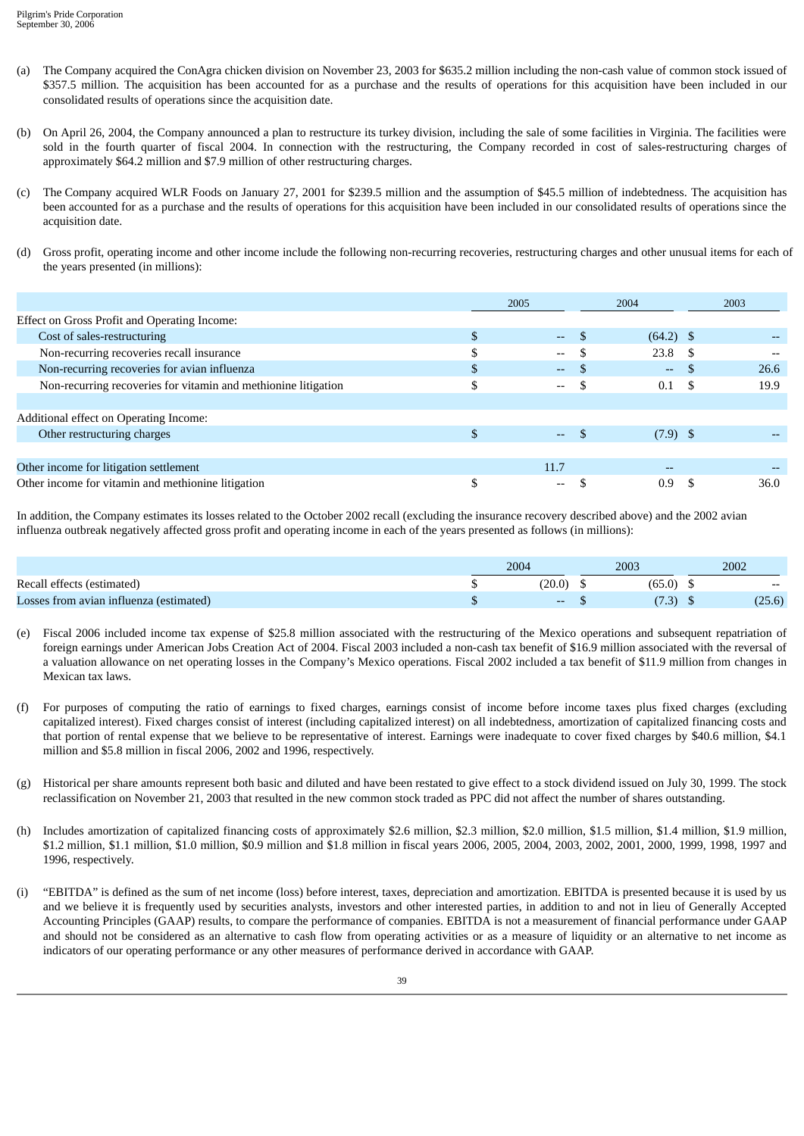- (a) The Company acquired the ConAgra chicken division on November 23, 2003 for \$635.2 million including the non-cash value of common stock issued of \$357.5 million. The acquisition has been accounted for as a purchase and the results of operations for this acquisition have been included in our consolidated results of operations since the acquisition date.
- (b) On April 26, 2004, the Company announced a plan to restructure its turkey division, including the sale of some facilities in Virginia. The facilities were sold in the fourth quarter of fiscal 2004. In connection with the restructuring, the Company recorded in cost of sales-restructuring charges of approximately \$64.2 million and \$7.9 million of other restructuring charges.
- (c) The Company acquired WLR Foods on January 27, 2001 for \$239.5 million and the assumption of \$45.5 million of indebtedness. The acquisition has been accounted for as a purchase and the results of operations for this acquisition have been included in our consolidated results of operations since the acquisition date.
- (d) Gross profit, operating income and other income include the following non-recurring recoveries, restructuring charges and other unusual items for each of the years presented (in millions):

|                                                                | 2005 |                          | 2004                     | 2003  |
|----------------------------------------------------------------|------|--------------------------|--------------------------|-------|
| Effect on Gross Profit and Operating Income:                   |      |                          |                          |       |
| Cost of sales-restructuring                                    |      | $\qquad \qquad -$        | $(64.2)$ \$              |       |
| Non-recurring recoveries recall insurance                      |      | $\overline{\phantom{m}}$ | 23.8                     |       |
| Non-recurring recoveries for avian influenza                   |      | $- -$ .                  | $\overline{\phantom{a}}$ | 26.6  |
| Non-recurring recoveries for vitamin and methionine litigation |      | $--$                     | 0.1                      | 19.9  |
|                                                                |      |                          |                          |       |
| Additional effect on Operating Income:                         |      |                          |                          |       |
| Other restructuring charges                                    |      | $  \,$                   | $(7.9)$ \$               | $-$   |
|                                                                |      |                          |                          |       |
| Other income for litigation settlement                         |      | 11.7                     | $\overline{\phantom{m}}$ | $- -$ |
| Other income for vitamin and methionine litigation             |      | $\qquad \qquad -$        | 0.9                      | 36.0  |

In addition, the Company estimates its losses related to the October 2002 recall (excluding the insurance recovery described above) and the 2002 avian influenza outbreak negatively affected gross profit and operating income in each of the years presented as follows (in millions):

|                                         | 2004   | 2003   | 2002   |
|-----------------------------------------|--------|--------|--------|
| Recall effects (estimated)              | (20.0) | (65.0) | $- -$  |
| Losses from avian influenza (estimated) | $-$    | (7.3)  | (25.6) |

- (e) Fiscal 2006 included income tax expense of \$25.8 million associated with the restructuring of the Mexico operations and subsequent repatriation of foreign earnings under American Jobs Creation Act of 2004. Fiscal 2003 included a non-cash tax benefit of \$16.9 million associated with the reversal of a valuation allowance on net operating losses in the Company's Mexico operations. Fiscal 2002 included a tax benefit of \$11.9 million from changes in Mexican tax laws.
- (f) For purposes of computing the ratio of earnings to fixed charges, earnings consist of income before income taxes plus fixed charges (excluding capitalized interest). Fixed charges consist of interest (including capitalized interest) on all indebtedness, amortization of capitalized financing costs and that portion of rental expense that we believe to be representative of interest. Earnings were inadequate to cover fixed charges by \$40.6 million, \$4.1 million and \$5.8 million in fiscal 2006, 2002 and 1996, respectively.
- (g) Historical per share amounts represent both basic and diluted and have been restated to give effect to a stock dividend issued on July 30, 1999. The stock reclassification on November 21, 2003 that resulted in the new common stock traded as PPC did not affect the number of shares outstanding.
- (h) Includes amortization of capitalized financing costs of approximately \$2.6 million, \$2.3 million, \$2.0 million, \$1.5 million, \$1.4 million, \$1.9 million, \$1.2 million, \$1.1 million, \$1.0 million, \$0.9 million and \$1.8 million in fiscal years 2006, 2005, 2004, 2003, 2002, 2001, 2000, 1999, 1998, 1997 and 1996, respectively.
- (i) "EBITDA" is defined as the sum of net income (loss) before interest, taxes, depreciation and amortization. EBITDA is presented because it is used by us and we believe it is frequently used by securities analysts, investors and other interested parties, in addition to and not in lieu of Generally Accepted Accounting Principles (GAAP) results, to compare the performance of companies. EBITDA is not a measurement of financial performance under GAAP and should not be considered as an alternative to cash flow from operating activities or as a measure of liquidity or an alternative to net income as indicators of our operating performance or any other measures of performance derived in accordance with GAAP.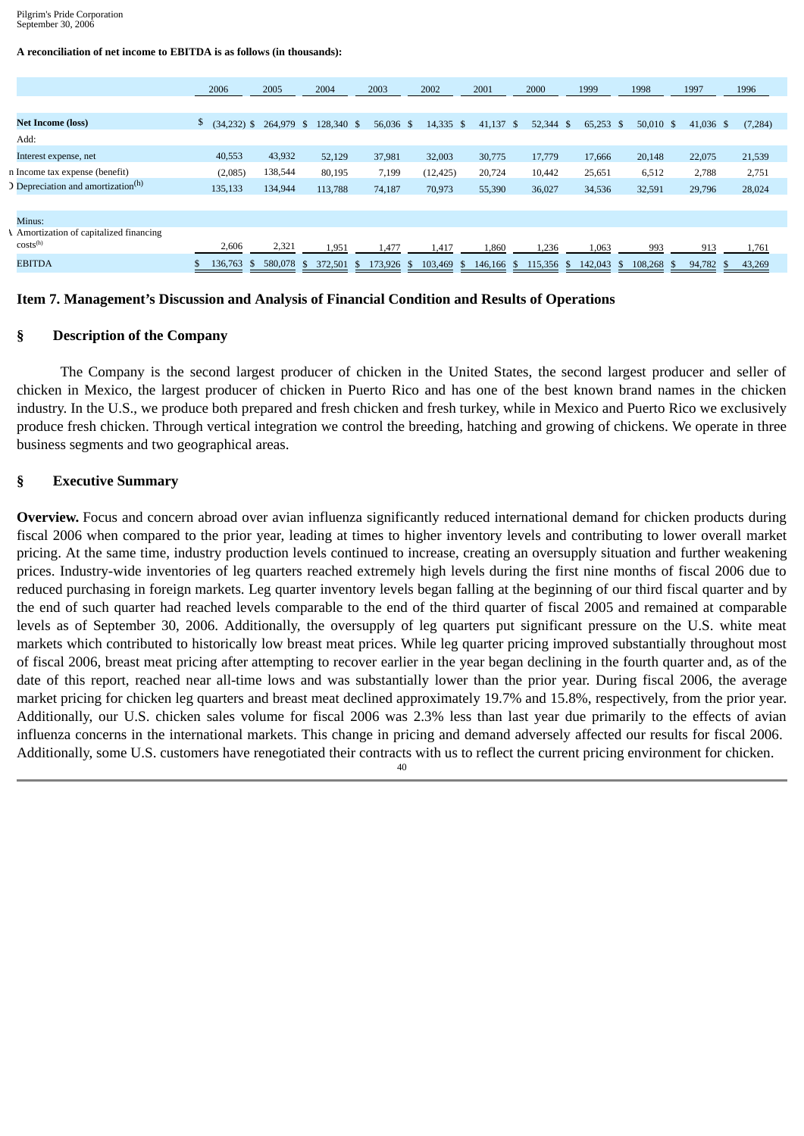#### **A reconciliation of net income to EBITDA is as follows (in thousands):**

|                                                               | 2006                | 2005       | 2004                             | 2003           | 2002          | 2001        | 2000                   | 1999          | 1998         | 1997           | 1996     |
|---------------------------------------------------------------|---------------------|------------|----------------------------------|----------------|---------------|-------------|------------------------|---------------|--------------|----------------|----------|
|                                                               |                     |            |                                  |                |               |             |                        |               |              |                |          |
| <b>Net Income (loss)</b>                                      | \$<br>$(34.232)$ \$ | 264,979 \$ | 128,340 \$                       | 56,036 \$      | 14,335 \$     | $41,137$ \$ | 52,344 \$              | 65,253 \$     | $50.010$ \$  | $41.036$ \$    | (7, 284) |
| Add:                                                          |                     |            |                                  |                |               |             |                        |               |              |                |          |
| Interest expense, net                                         | 40,553              | 43,932     | 52,129                           | 37,981         | 32,003        | 30,775      | 17,779                 | 17,666        | 20,148       | 22,075         | 21,539   |
| n Income tax expense (benefit)                                | (2,085)             | 138,544    | 80,195                           | 7,199          | (12, 425)     | 20,724      | 10,442                 | 25,651        | 6,512        | 2,788          | 2,751    |
| D Depreciation and amortization <sup>(h)</sup>                | 135,133             | 134,944    | 113,788                          | 74,187         | 70,973        | 55,390      | 36,027                 | 34,536        | 32,591       | 29,796         | 28,024   |
|                                                               |                     |            |                                  |                |               |             |                        |               |              |                |          |
| Minus:                                                        |                     |            |                                  |                |               |             |                        |               |              |                |          |
| Amortization of capitalized financing<br>costs <sup>(h)</sup> | 2,606               | 2,321      | 1,951                            | 1,477          | 1,417         | 1,860       | 1,236                  | 1,063         | 993          | 913            | 1,761    |
| <b>EBITDA</b>                                                 | 136,763 \$          | 580,078    | 372,501<br><sup>\$</sup><br>- \$ | 173,926<br>-\$ | 103,469<br>-S | 146,166     | 115,356<br>-\$<br>- \$ | 142,043<br>\$ | 108,268<br>S | 94,782<br>- \$ | 43,269   |

#### **Item 7. Management's Discussion and Analysis of Financial Condition and Results of Operations**

#### **§ Description of the Company**

The Company is the second largest producer of chicken in the United States, the second largest producer and seller of chicken in Mexico, the largest producer of chicken in Puerto Rico and has one of the best known brand names in the chicken industry. In the U.S., we produce both prepared and fresh chicken and fresh turkey, while in Mexico and Puerto Rico we exclusively produce fresh chicken. Through vertical integration we control the breeding, hatching and growing of chickens. We operate in three business segments and two geographical areas.

#### **§ Executive Summary**

**Overview.** Focus and concern abroad over avian influenza significantly reduced international demand for chicken products during fiscal 2006 when compared to the prior year, leading at times to higher inventory levels and contributing to lower overall market pricing. At the same time, industry production levels continued to increase, creating an oversupply situation and further weakening prices. Industry-wide inventories of leg quarters reached extremely high levels during the first nine months of fiscal 2006 due to reduced purchasing in foreign markets. Leg quarter inventory levels began falling at the beginning of our third fiscal quarter and by the end of such quarter had reached levels comparable to the end of the third quarter of fiscal 2005 and remained at comparable levels as of September 30, 2006. Additionally, the oversupply of leg quarters put significant pressure on the U.S. white meat markets which contributed to historically low breast meat prices. While leg quarter pricing improved substantially throughout most of fiscal 2006, breast meat pricing after attempting to recover earlier in the year began declining in the fourth quarter and, as of the date of this report, reached near all-time lows and was substantially lower than the prior year. During fiscal 2006, the average market pricing for chicken leg quarters and breast meat declined approximately 19.7% and 15.8%, respectively, from the prior year. Additionally, our U.S. chicken sales volume for fiscal 2006 was 2.3% less than last year due primarily to the effects of avian influenza concerns in the international markets. This change in pricing and demand adversely affected our results for fiscal 2006. Additionally, some U.S. customers have renegotiated their contracts with us to reflect the current pricing environment for chicken.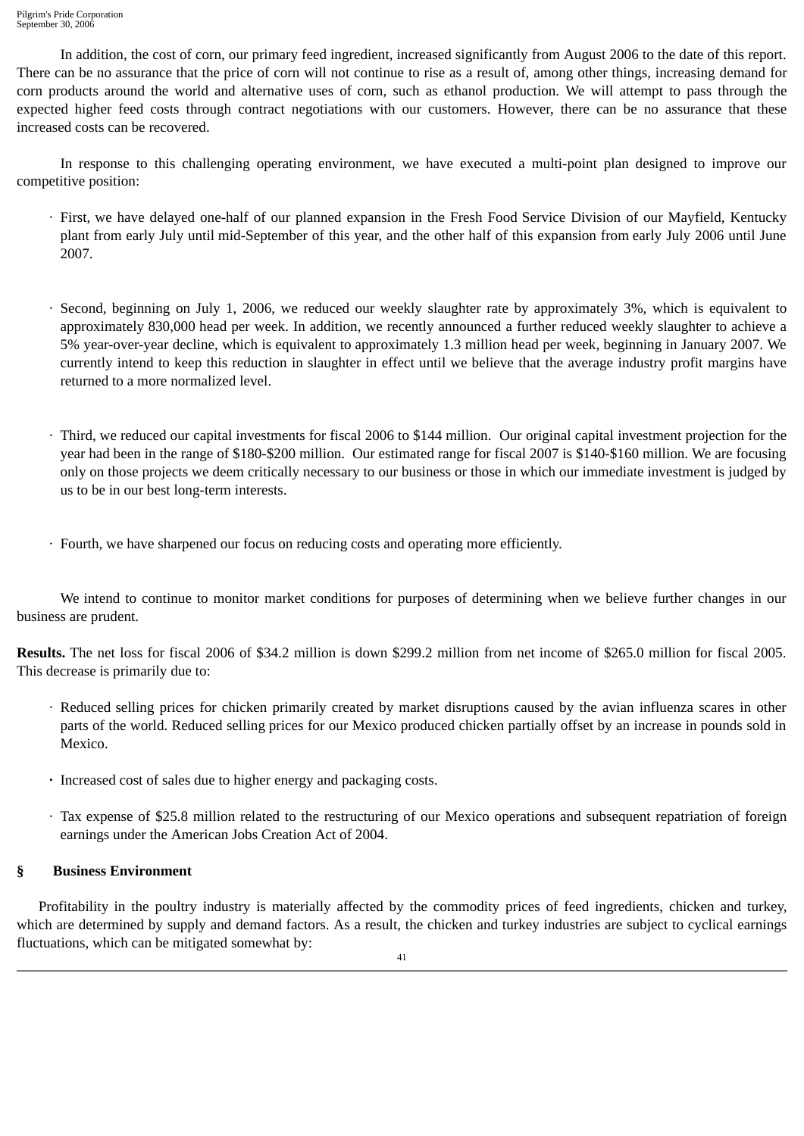In addition, the cost of corn, our primary feed ingredient, increased significantly from August 2006 to the date of this report. There can be no assurance that the price of corn will not continue to rise as a result of, among other things, increasing demand for corn products around the world and alternative uses of corn, such as ethanol production. We will attempt to pass through the expected higher feed costs through contract negotiations with our customers. However, there can be no assurance that these increased costs can be recovered.

In response to this challenging operating environment, we have executed a multi-point plan designed to improve our competitive position:

- · First, we have delayed one-half of our planned expansion in the Fresh Food Service Division of our Mayfield, Kentucky plant from early July until mid-September of this year, and the other half of this expansion from early July 2006 until June 2007.
- · Second, beginning on July 1, 2006, we reduced our weekly slaughter rate by approximately 3%, which is equivalent to approximately 830,000 head per week. In addition, we recently announced a further reduced weekly slaughter to achieve a 5% year-over-year decline, which is equivalent to approximately 1.3 million head per week, beginning in January 2007. We currently intend to keep this reduction in slaughter in effect until we believe that the average industry profit margins have returned to a more normalized level.
- · Third, we reduced our capital investments for fiscal 2006 to \$144 million. Our original capital investment projection for the year had been in the range of \$180-\$200 million. Our estimated range for fiscal 2007 is \$140-\$160 million. We are focusing only on those projects we deem critically necessary to our business or those in which our immediate investment is judged by us to be in our best long-term interests.
- · Fourth, we have sharpened our focus on reducing costs and operating more efficiently.

We intend to continue to monitor market conditions for purposes of determining when we believe further changes in our business are prudent.

**Results.** The net loss for fiscal 2006 of \$34.2 million is down \$299.2 million from net income of \$265.0 million for fiscal 2005. This decrease is primarily due to:

- · Reduced selling prices for chicken primarily created by market disruptions caused by the avian influenza scares in other parts of the world. Reduced selling prices for our Mexico produced chicken partially offset by an increase in pounds sold in Mexico.
- **·** Increased cost of sales due to higher energy and packaging costs.
- · Tax expense of \$25.8 million related to the restructuring of our Mexico operations and subsequent repatriation of foreign earnings under the American Jobs Creation Act of 2004.

### **§ Business Environment**

Profitability in the poultry industry is materially affected by the commodity prices of feed ingredients, chicken and turkey, which are determined by supply and demand factors. As a result, the chicken and turkey industries are subject to cyclical earnings fluctuations, which can be mitigated somewhat by: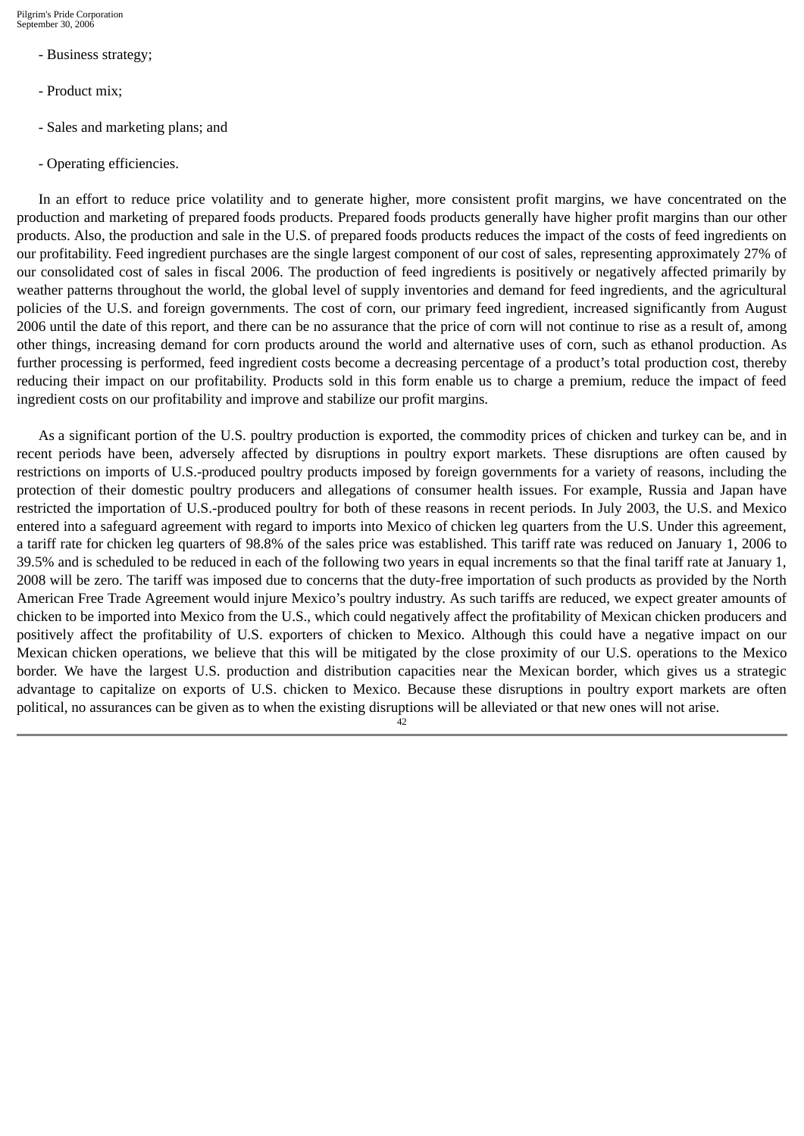- Business strategy;
- Product mix;
- Sales and marketing plans; and
- Operating efficiencies.

In an effort to reduce price volatility and to generate higher, more consistent profit margins, we have concentrated on the production and marketing of prepared foods products. Prepared foods products generally have higher profit margins than our other products. Also, the production and sale in the U.S. of prepared foods products reduces the impact of the costs of feed ingredients on our profitability. Feed ingredient purchases are the single largest component of our cost of sales, representing approximately 27% of our consolidated cost of sales in fiscal 2006. The production of feed ingredients is positively or negatively affected primarily by weather patterns throughout the world, the global level of supply inventories and demand for feed ingredients, and the agricultural policies of the U.S. and foreign governments. The cost of corn, our primary feed ingredient, increased significantly from August 2006 until the date of this report, and there can be no assurance that the price of corn will not continue to rise as a result of, among other things, increasing demand for corn products around the world and alternative uses of corn, such as ethanol production. As further processing is performed, feed ingredient costs become a decreasing percentage of a product's total production cost, thereby reducing their impact on our profitability. Products sold in this form enable us to charge a premium, reduce the impact of feed ingredient costs on our profitability and improve and stabilize our profit margins.

As a significant portion of the U.S. poultry production is exported, the commodity prices of chicken and turkey can be, and in recent periods have been, adversely affected by disruptions in poultry export markets. These disruptions are often caused by restrictions on imports of U.S.-produced poultry products imposed by foreign governments for a variety of reasons, including the protection of their domestic poultry producers and allegations of consumer health issues. For example, Russia and Japan have restricted the importation of U.S.-produced poultry for both of these reasons in recent periods. In July 2003, the U.S. and Mexico entered into a safeguard agreement with regard to imports into Mexico of chicken leg quarters from the U.S. Under this agreement, a tariff rate for chicken leg quarters of 98.8% of the sales price was established. This tariff rate was reduced on January 1, 2006 to 39.5% and is scheduled to be reduced in each of the following two years in equal increments so that the final tariff rate at January 1, 2008 will be zero. The tariff was imposed due to concerns that the duty-free importation of such products as provided by the North American Free Trade Agreement would injure Mexico's poultry industry. As such tariffs are reduced, we expect greater amounts of chicken to be imported into Mexico from the U.S., which could negatively affect the profitability of Mexican chicken producers and positively affect the profitability of U.S. exporters of chicken to Mexico. Although this could have a negative impact on our Mexican chicken operations, we believe that this will be mitigated by the close proximity of our U.S. operations to the Mexico border. We have the largest U.S. production and distribution capacities near the Mexican border, which gives us a strategic advantage to capitalize on exports of U.S. chicken to Mexico. Because these disruptions in poultry export markets are often political, no assurances can be given as to when the existing disruptions will be alleviated or that new ones will not arise. 42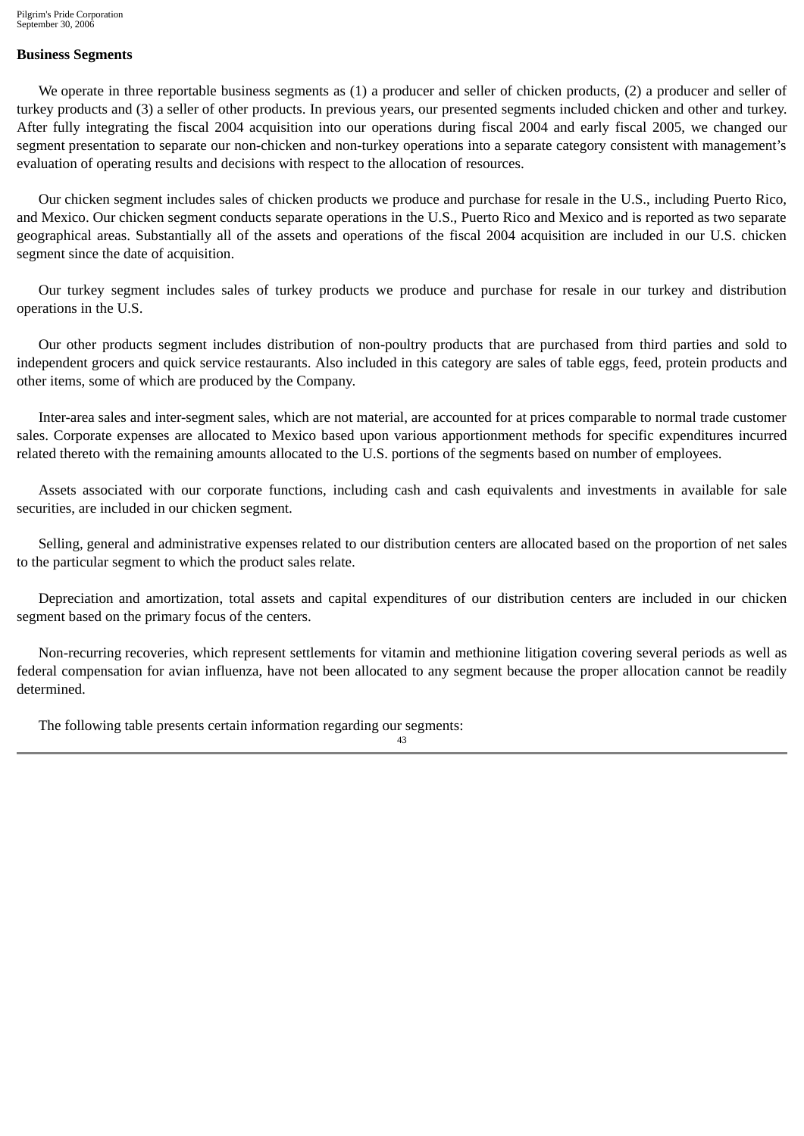## **Business Segments**

We operate in three reportable business segments as (1) a producer and seller of chicken products, (2) a producer and seller of turkey products and (3) a seller of other products. In previous years, our presented segments included chicken and other and turkey. After fully integrating the fiscal 2004 acquisition into our operations during fiscal 2004 and early fiscal 2005, we changed our segment presentation to separate our non-chicken and non-turkey operations into a separate category consistent with management's evaluation of operating results and decisions with respect to the allocation of resources.

Our chicken segment includes sales of chicken products we produce and purchase for resale in the U.S., including Puerto Rico, and Mexico. Our chicken segment conducts separate operations in the U.S., Puerto Rico and Mexico and is reported as two separate geographical areas. Substantially all of the assets and operations of the fiscal 2004 acquisition are included in our U.S. chicken segment since the date of acquisition.

Our turkey segment includes sales of turkey products we produce and purchase for resale in our turkey and distribution operations in the U.S.

Our other products segment includes distribution of non-poultry products that are purchased from third parties and sold to independent grocers and quick service restaurants. Also included in this category are sales of table eggs, feed, protein products and other items, some of which are produced by the Company.

Inter-area sales and inter-segment sales, which are not material, are accounted for at prices comparable to normal trade customer sales. Corporate expenses are allocated to Mexico based upon various apportionment methods for specific expenditures incurred related thereto with the remaining amounts allocated to the U.S. portions of the segments based on number of employees.

Assets associated with our corporate functions, including cash and cash equivalents and investments in available for sale securities, are included in our chicken segment.

Selling, general and administrative expenses related to our distribution centers are allocated based on the proportion of net sales to the particular segment to which the product sales relate.

Depreciation and amortization, total assets and capital expenditures of our distribution centers are included in our chicken segment based on the primary focus of the centers.

Non-recurring recoveries, which represent settlements for vitamin and methionine litigation covering several periods as well as federal compensation for avian influenza, have not been allocated to any segment because the proper allocation cannot be readily determined.

The following table presents certain information regarding our segments: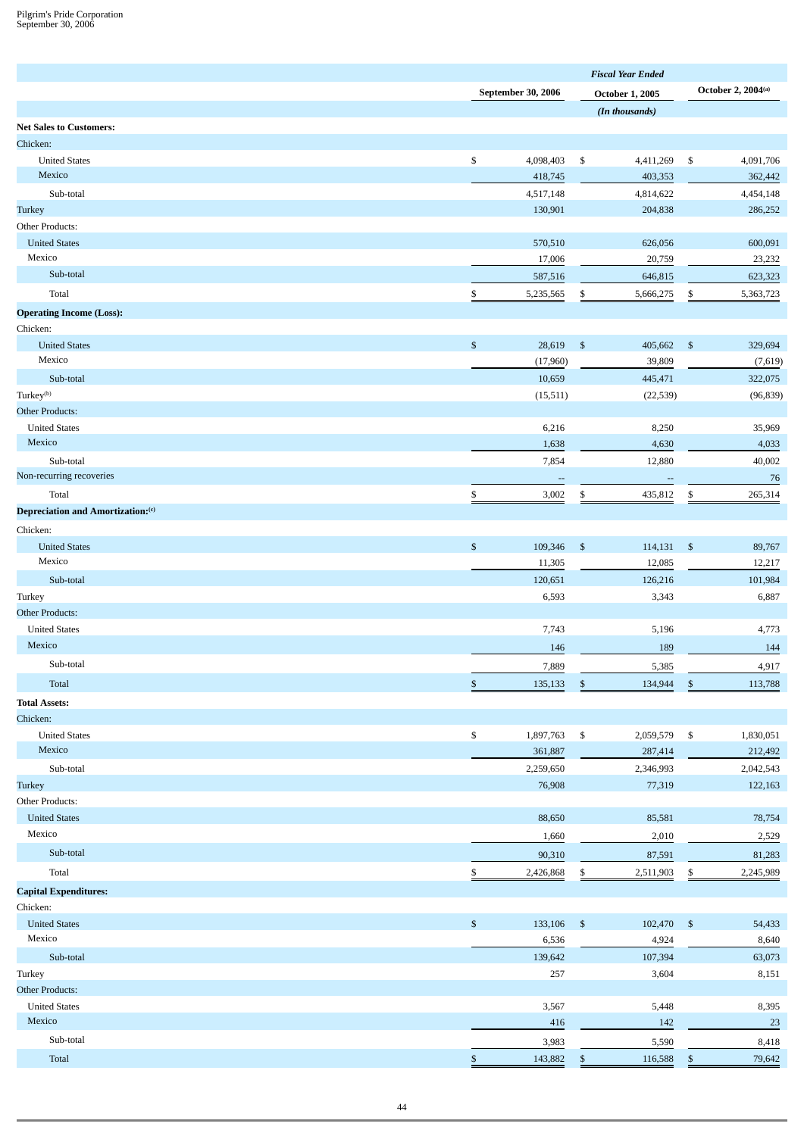|                                   |                          | <b>Fiscal Year Ended</b> |                          |
|-----------------------------------|--------------------------|--------------------------|--------------------------|
|                                   | September 30, 2006       | <b>October 1, 2005</b>   | October 2, 2004(a)       |
|                                   |                          | (In thousands)           |                          |
| <b>Net Sales to Customers:</b>    |                          |                          |                          |
| Chicken:                          |                          |                          |                          |
| <b>United States</b>              | \$<br>4,098,403          | \$<br>4,411,269          | \$<br>4,091,706          |
| Mexico                            | 418,745                  | 403,353                  | 362,442                  |
| Sub-total                         | 4,517,148                | 4,814,622                | 4,454,148                |
| <b>Turkey</b>                     | 130,901                  | 204,838                  | 286,252                  |
| Other Products:                   |                          |                          |                          |
| <b>United States</b>              | 570,510                  | 626,056                  | 600,091                  |
| Mexico                            | 17,006                   | 20,759                   | 23,232                   |
| Sub-total                         | 587,516                  | 646,815                  | 623,323                  |
| Total                             | 5,235,565<br>\$          | \$<br>5,666,275          | \$<br>5,363,723          |
| <b>Operating Income (Loss):</b>   |                          |                          |                          |
| Chicken:                          |                          |                          |                          |
| <b>United States</b>              | $\$$<br>28,619           | $\mathbb{S}$<br>405,662  | $\mathfrak s$<br>329,694 |
| Mexico                            | (17,960)                 | 39,809                   | (7,619)                  |
| Sub-total                         | 10,659                   | 445,471                  | 322,075                  |
| Turkey <sup>(b)</sup>             | (15, 511)                | (22, 539)                | (96, 839)                |
| <b>Other Products:</b>            |                          |                          |                          |
| <b>United States</b>              | 6,216                    | 8,250                    | 35,969                   |
| Mexico                            | 1,638                    | 4,630                    | 4,033                    |
| Sub-total                         | 7,854                    | 12,880                   | 40,002                   |
| Non-recurring recoveries          |                          |                          |                          |
|                                   | $\overline{\phantom{a}}$ |                          | 76                       |
| Total                             | 3,002<br>\$              | 435,812<br>\$            | 265,314<br>\$            |
| Depreciation and Amortization:(c) |                          |                          |                          |
| Chicken:                          |                          |                          |                          |
| <b>United States</b>              | \$<br>109,346            | $\mathbb{S}$<br>114,131  | $\mathfrak{s}$<br>89,767 |
| Mexico                            | 11,305                   | 12,085                   | 12,217                   |
| Sub-total                         | 120,651                  | 126,216                  | 101,984                  |
| Turkey                            | 6,593                    | 3,343                    | 6,887                    |
| <b>Other Products:</b>            |                          |                          |                          |
| <b>United States</b>              | 7,743                    | 5,196                    | 4,773                    |
| Mexico                            | 146                      | 189                      | 144                      |
| Sub-total                         | 7,889                    | 5,385                    | 4,917                    |
| Total                             | \$<br>135,133            | $\mathbb{S}$<br>134,944  | $\mathbb{S}$<br>113,788  |
| <b>Total Assets:</b>              |                          |                          |                          |
| Chicken:                          |                          |                          |                          |
| <b>United States</b>              | \$<br>1,897,763          | \$<br>2,059,579          | \$<br>1,830,051          |
| Mexico                            | 361,887                  | 287,414                  | 212,492                  |
| Sub-total                         | 2,259,650                | 2,346,993                | 2,042,543                |
| <b>Turkey</b>                     | 76,908                   | 77,319                   | 122,163                  |
| Other Products:                   |                          |                          |                          |
| <b>United States</b>              | 88,650                   | 85,581                   | 78,754                   |
| Mexico                            | 1,660                    | 2,010                    | 2,529                    |
| Sub-total                         | 90,310                   | 87,591                   | 81,283                   |
| Total                             | \$                       | \$<br>2,511,903          | \$<br>2,245,989          |
|                                   | 2,426,868                |                          |                          |
| <b>Capital Expenditures:</b>      |                          |                          |                          |
| Chicken:                          |                          |                          |                          |
| <b>United States</b><br>Mexico    | $\$$<br>133,106          | $\mathbb S$<br>102,470   | $\mathfrak{s}$<br>54,433 |
|                                   | 6,536                    | 4,924                    | 8,640                    |
| Sub-total                         | 139,642                  | 107,394                  | 63,073                   |
| Turkey                            | 257                      | 3,604                    | 8,151                    |
| <b>Other Products:</b>            |                          |                          |                          |
| <b>United States</b><br>Mexico    | 3,567                    | 5,448                    | 8,395                    |
|                                   | 416                      | 142                      | 23                       |
| Sub-total                         | 3,983                    | 5,590                    | 8,418                    |
| Total                             | $\mathbb S$<br>143,882   | 116,588<br>$\mathbb{S}$  | $\mathfrak{s}$<br>79,642 |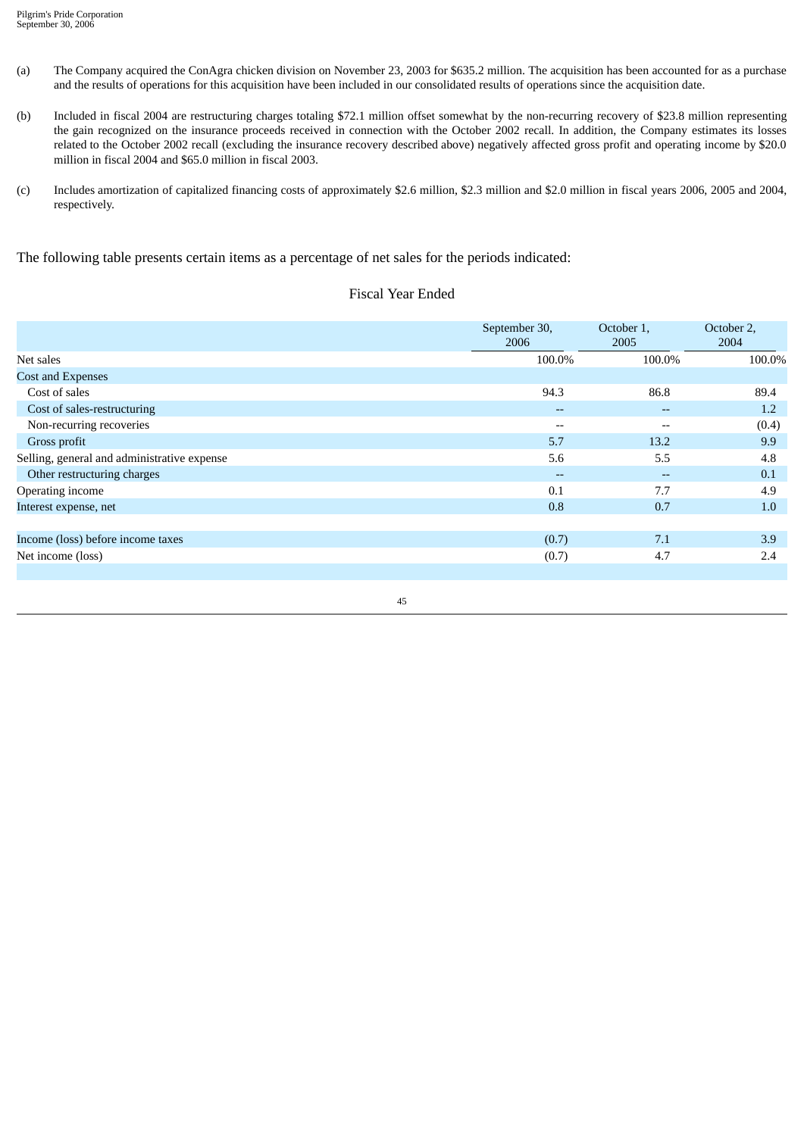- (a) The Company acquired the ConAgra chicken division on November 23, 2003 for \$635.2 million. The acquisition has been accounted for as a purchase and the results of operations for this acquisition have been included in our consolidated results of operations since the acquisition date.
- (b) Included in fiscal 2004 are restructuring charges totaling \$72.1 million offset somewhat by the non-recurring recovery of \$23.8 million representing the gain recognized on the insurance proceeds received in connection with the October 2002 recall. In addition, the Company estimates its losses related to the October 2002 recall (excluding the insurance recovery described above) negatively affected gross profit and operating income by \$20.0 million in fiscal 2004 and \$65.0 million in fiscal 2003.
- (c) Includes amortization of capitalized financing costs of approximately \$2.6 million, \$2.3 million and \$2.0 million in fiscal years 2006, 2005 and 2004, respectively.

The following table presents certain items as a percentage of net sales for the periods indicated:

## Fiscal Year Ended

|                                             | September 30,<br>2006    | October 1,<br>2005 | October 2,<br>2004 |
|---------------------------------------------|--------------------------|--------------------|--------------------|
| Net sales                                   | 100.0%                   | 100.0%             | 100.0%             |
| Cost and Expenses                           |                          |                    |                    |
| Cost of sales                               | 94.3                     | 86.8               | 89.4               |
| Cost of sales-restructuring                 | $\overline{\phantom{m}}$ | $- -$              | 1.2                |
| Non-recurring recoveries                    | $-$                      | $- -$              | (0.4)              |
| Gross profit                                | 5.7                      | 13.2               | 9.9                |
| Selling, general and administrative expense | 5.6                      | 5.5                | 4.8                |
| Other restructuring charges                 | $\overline{\phantom{m}}$ | $- -$              | 0.1                |
| Operating income                            | 0.1                      | 7.7                | 4.9                |
| Interest expense, net                       | 0.8                      | 0.7                | 1.0                |
|                                             |                          |                    |                    |
| Income (loss) before income taxes           | (0.7)                    | 7.1                | 3.9                |
| Net income (loss)                           | (0.7)                    | 4.7                | 2.4                |
|                                             |                          |                    |                    |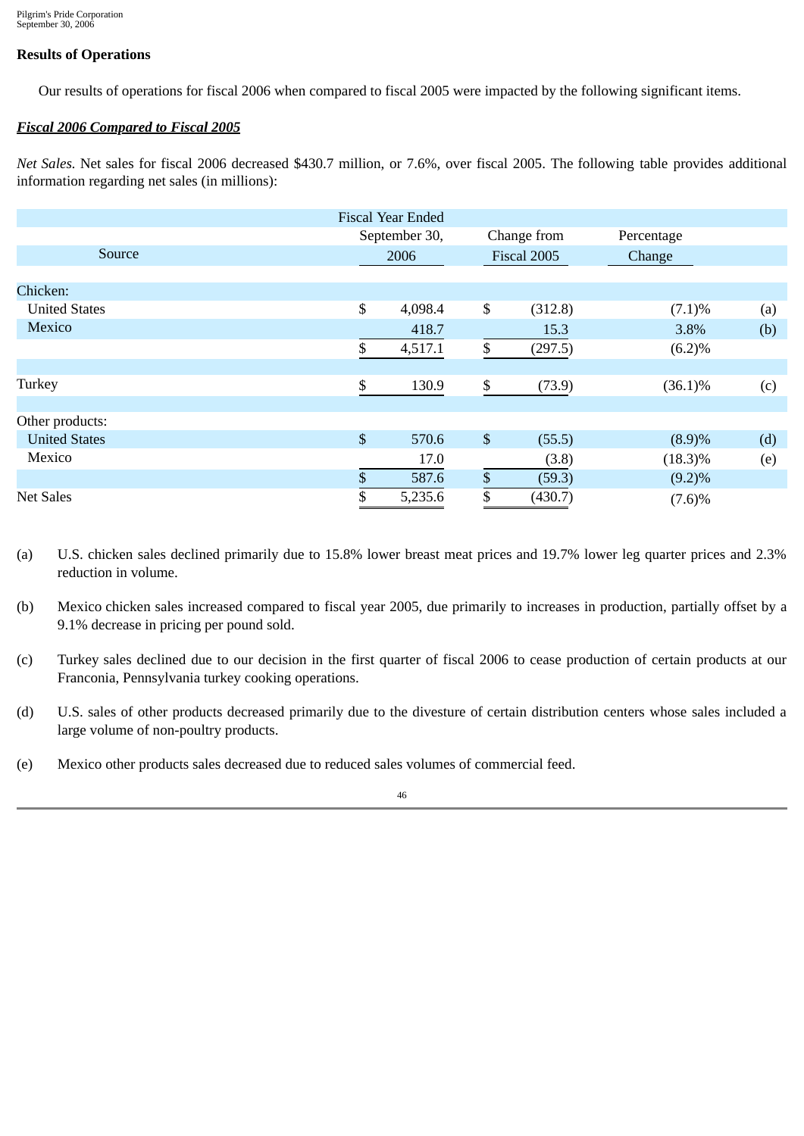## **Results of Operations**

Our results of operations for fiscal 2006 when compared to fiscal 2005 were impacted by the following significant items.

### *Fiscal 2006 Compared to Fiscal 2005*

*Net Sales.* Net sales for fiscal 2006 decreased \$430.7 million, or 7.6%, over fiscal 2005. The following table provides additional information regarding net sales (in millions):

|                      |    | <b>Fiscal Year Ended</b> |                           |             |            |     |
|----------------------|----|--------------------------|---------------------------|-------------|------------|-----|
|                      |    | September 30,            |                           | Change from | Percentage |     |
| Source               |    | 2006                     |                           | Fiscal 2005 | Change     |     |
|                      |    |                          |                           |             |            |     |
| Chicken:             |    |                          |                           |             |            |     |
| <b>United States</b> | \$ | 4,098.4                  | \$                        | (312.8)     | $(7.1)\%$  | (a) |
| Mexico               |    | 418.7                    |                           | 15.3        | 3.8%       | (b) |
|                      | \$ | 4,517.1                  | \$                        | (297.5)     | (6.2)%     |     |
|                      |    |                          |                           |             |            |     |
| Turkey               | \$ | 130.9                    | $\mathbb S$               | (73.9)      | $(36.1)\%$ | (c) |
|                      |    |                          |                           |             |            |     |
| Other products:      |    |                          |                           |             |            |     |
| <b>United States</b> | \$ | 570.6                    | $\mathbb{S}$              | (55.5)      | (8.9)%     | (d) |
| Mexico               |    | 17.0                     |                           | (3.8)       | $(18.3)\%$ | (e) |
|                      | \$ | 587.6                    | $\boldsymbol{\mathsf{S}}$ | (59.3)      | $(9.2)\%$  |     |
| <b>Net Sales</b>     | D  | 5,235.6                  | \$                        | (430.7)     | (7.6)%     |     |

- (a) U.S. chicken sales declined primarily due to 15.8% lower breast meat prices and 19.7% lower leg quarter prices and 2.3% reduction in volume.
- (b) Mexico chicken sales increased compared to fiscal year 2005, due primarily to increases in production, partially offset by a 9.1% decrease in pricing per pound sold.
- (c) Turkey sales declined due to our decision in the first quarter of fiscal 2006 to cease production of certain products at our Franconia, Pennsylvania turkey cooking operations.
- (d) U.S. sales of other products decreased primarily due to the divesture of certain distribution centers whose sales included a large volume of non-poultry products.
- (e) Mexico other products sales decreased due to reduced sales volumes of commercial feed.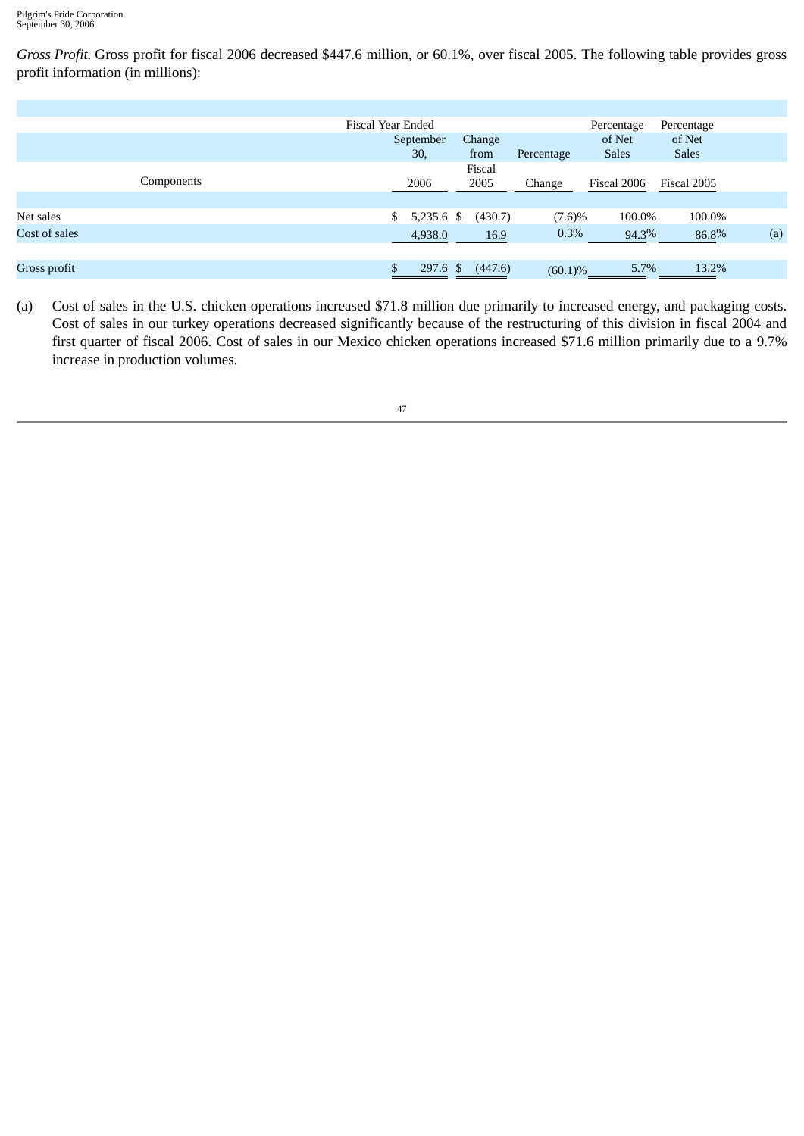*Gross Profit.* Gross profit for fiscal 2006 decreased \$447.6 million, or 60.1%, over fiscal 2005. The following table provides gross profit information (in millions):

|               | Fiscal Year Ended |              |                |            | Percentage   | Percentage   |     |
|---------------|-------------------|--------------|----------------|------------|--------------|--------------|-----|
|               |                   | September    | Change         |            | of Net       | of Net       |     |
|               |                   | 30,          | from           | Percentage | <b>Sales</b> | <b>Sales</b> |     |
| Components    |                   | 2006         | Fiscal<br>2005 | Change     | Fiscal 2006  | Fiscal 2005  |     |
| Net sales     | \$                | $5,235.6$ \$ | (430.7)        | $(7.6)\%$  | 100.0%       | 100.0%       |     |
| Cost of sales |                   | 4,938.0      | 16.9           | 0.3%       | 94.3%        | 86.8%        | (a) |
|               |                   |              |                |            |              |              |     |
| Gross profit  | \$                | $297.6$ \$   | (447.6)        | $(60.1)\%$ | 5.7%         | 13.2%        |     |

(a) Cost of sales in the U.S. chicken operations increased \$71.8 million due primarily to increased energy, and packaging costs. Cost of sales in our turkey operations decreased significantly because of the restructuring of this division in fiscal 2004 and first quarter of fiscal 2006. Cost of sales in our Mexico chicken operations increased \$71.6 million primarily due to a 9.7% increase in production volumes.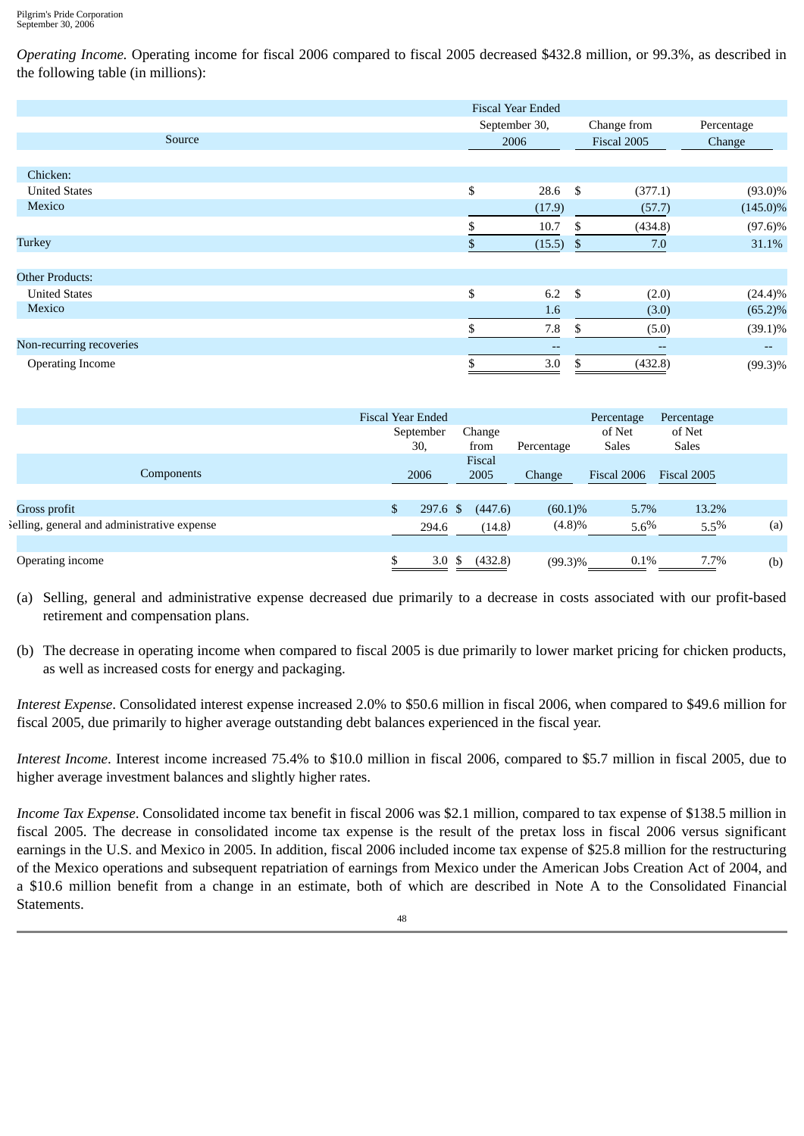*Operating Income.* Operating income for fiscal 2006 compared to fiscal 2005 decreased \$432.8 million, or 99.3%, as described in the following table (in millions):

|                          | <b>Fiscal Year Ended</b> |             |                        |                                                                                                   |
|--------------------------|--------------------------|-------------|------------------------|---------------------------------------------------------------------------------------------------|
|                          | September 30,            |             | Change from            | Percentage                                                                                        |
| Source                   | 2006                     | Fiscal 2005 |                        | Change                                                                                            |
|                          |                          |             |                        |                                                                                                   |
| Chicken:                 |                          |             |                        |                                                                                                   |
| <b>United States</b>     | \$<br>$28.6$ \$          |             | (377.1)                | $(93.0)\%$                                                                                        |
| Mexico                   | (17.9)                   |             | (57.7)                 | $(145.0)\%$                                                                                       |
|                          | \$<br>10.7               | \$          | (434.8)                | $(97.6)\%$                                                                                        |
| <b>Turkey</b>            | \$<br>$(15.5)$ \$        |             | 7.0                    | 31.1%                                                                                             |
|                          |                          |             |                        |                                                                                                   |
| <b>Other Products:</b>   |                          |             |                        |                                                                                                   |
| <b>United States</b>     | \$<br>6.2 $$$            |             | (2.0)                  | $(24.4)\%$                                                                                        |
| Mexico                   | 1.6                      |             | (3.0)                  | $(65.2)\%$                                                                                        |
|                          | \$<br>7.8                | \$          | (5.0)                  | $(39.1)\%$                                                                                        |
| Non-recurring recoveries | --                       |             | $\qquad \qquad \cdots$ | $\hspace{0.05cm} \hspace{0.02cm} \hspace{0.02cm} \hspace{0.02cm} \hspace{0.02cm} \hspace{0.02cm}$ |
| <b>Operating Income</b>  | \$<br>3.0                | \$          | (432.8)                | $(99.3)\%$                                                                                        |

|                                             | Fiscal Year Ended |            |                |            | Percentage   | Percentage   |     |
|---------------------------------------------|-------------------|------------|----------------|------------|--------------|--------------|-----|
|                                             |                   | September  | Change         |            | of Net       | of Net       |     |
|                                             |                   | 30,        | from           | Percentage | <b>Sales</b> | <b>Sales</b> |     |
| Components                                  |                   | 2006       | Fiscal<br>2005 | Change     | Fiscal 2006  | Fiscal 2005  |     |
|                                             |                   |            |                |            |              |              |     |
| Gross profit                                |                   | $297.6$ \$ | (447.6)        | $(60.1)\%$ | 5.7%         | 13.2%        |     |
| selling, general and administrative expense |                   | 294.6      | (14.8)         | (4.8)%     | $5.6\%$      | 5.5%         | (a) |
|                                             |                   |            |                |            |              |              |     |
| Operating income                            |                   | 3.0        | (432.8)<br>\$  | $(99.3)\%$ | 0.1%         | 7.7%         | (b) |

- (a) Selling, general and administrative expense decreased due primarily to a decrease in costs associated with our profit-based retirement and compensation plans.
- (b) The decrease in operating income when compared to fiscal 2005 is due primarily to lower market pricing for chicken products, as well as increased costs for energy and packaging.

*Interest Expense*. Consolidated interest expense increased 2.0% to \$50.6 million in fiscal 2006, when compared to \$49.6 million for fiscal 2005, due primarily to higher average outstanding debt balances experienced in the fiscal year.

*Interest Income*. Interest income increased 75.4% to \$10.0 million in fiscal 2006, compared to \$5.7 million in fiscal 2005, due to higher average investment balances and slightly higher rates.

*Income Tax Expense*. Consolidated income tax benefit in fiscal 2006 was \$2.1 million, compared to tax expense of \$138.5 million in fiscal 2005. The decrease in consolidated income tax expense is the result of the pretax loss in fiscal 2006 versus significant earnings in the U.S. and Mexico in 2005. In addition, fiscal 2006 included income tax expense of \$25.8 million for the restructuring of the Mexico operations and subsequent repatriation of earnings from Mexico under the American Jobs Creation Act of 2004, and a \$10.6 million benefit from a change in an estimate, both of which are described in Note A to the Consolidated Financial Statements.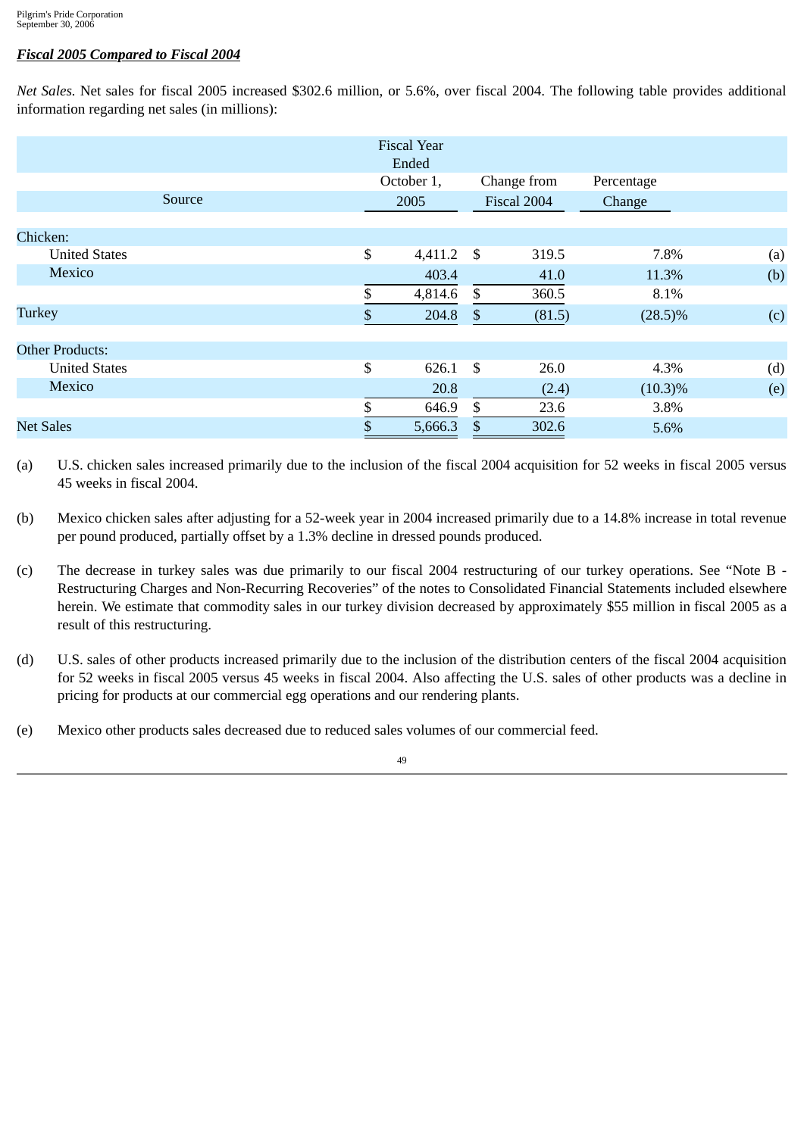### *Fiscal 2005 Compared to Fiscal 2004*

*Net Sales.* Net sales for fiscal 2005 increased \$302.6 million, or 5.6%, over fiscal 2004. The following table provides additional information regarding net sales (in millions):

|                        |        | <b>Fiscal Year</b><br>Ended |              |             |            |     |
|------------------------|--------|-----------------------------|--------------|-------------|------------|-----|
|                        |        | October 1,                  |              | Change from | Percentage |     |
|                        | Source | 2005                        |              | Fiscal 2004 | Change     |     |
|                        |        |                             |              |             |            |     |
| Chicken:               |        |                             |              |             |            |     |
| <b>United States</b>   |        | \$<br>4,411.2               | -\$          | 319.5       | 7.8%       | (a) |
| Mexico                 |        | 403.4                       |              | 41.0        | 11.3%      | (b) |
|                        |        | \$<br>4,814.6               | \$           | 360.5       | 8.1%       |     |
| <b>Turkey</b>          |        | \$<br>204.8                 | \$           | (81.5)      | $(28.5)\%$ | (c) |
|                        |        |                             |              |             |            |     |
| <b>Other Products:</b> |        |                             |              |             |            |     |
| <b>United States</b>   |        | \$<br>626.1                 | \$           | 26.0        | 4.3%       | (d) |
| Mexico                 |        | 20.8                        |              | (2.4)       | $(10.3)\%$ | (e) |
|                        |        | \$<br>646.9                 | $\mathbb{S}$ | 23.6        | 3.8%       |     |
| <b>Net Sales</b>       |        | \$<br>5,666.3               | \$           | 302.6       | 5.6%       |     |

(a) U.S. chicken sales increased primarily due to the inclusion of the fiscal 2004 acquisition for 52 weeks in fiscal 2005 versus 45 weeks in fiscal 2004.

- (b) Mexico chicken sales after adjusting for a 52-week year in 2004 increased primarily due to a 14.8% increase in total revenue per pound produced, partially offset by a 1.3% decline in dressed pounds produced.
- (c) The decrease in turkey sales was due primarily to our fiscal 2004 restructuring of our turkey operations. See "Note B Restructuring Charges and Non-Recurring Recoveries" of the notes to Consolidated Financial Statements included elsewhere herein. We estimate that commodity sales in our turkey division decreased by approximately \$55 million in fiscal 2005 as a result of this restructuring.
- (d) U.S. sales of other products increased primarily due to the inclusion of the distribution centers of the fiscal 2004 acquisition for 52 weeks in fiscal 2005 versus 45 weeks in fiscal 2004. Also affecting the U.S. sales of other products was a decline in pricing for products at our commercial egg operations and our rendering plants.
- (e) Mexico other products sales decreased due to reduced sales volumes of our commercial feed.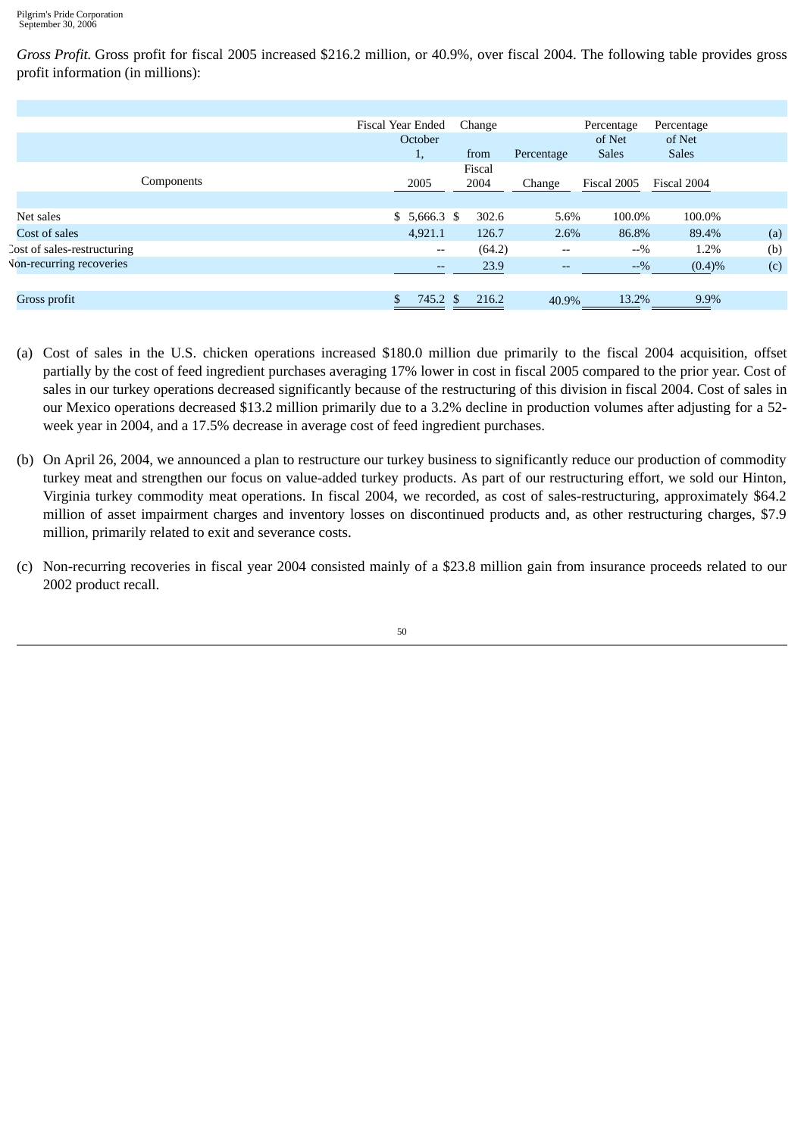*Gross Profit.* Gross profit for fiscal 2005 increased \$216.2 million, or 40.9%, over fiscal 2004. The following table provides gross profit information (in millions):

|                             | Fiscal Year Ended                     | Change |            | Percentage   | Percentage   |     |
|-----------------------------|---------------------------------------|--------|------------|--------------|--------------|-----|
|                             | October                               |        |            | of Net       | of Net       |     |
|                             | I,                                    | from   | Percentage | <b>Sales</b> | <b>Sales</b> |     |
|                             |                                       | Fiscal |            |              |              |     |
| Components                  | 2005                                  | 2004   | Change     | Fiscal 2005  | Fiscal 2004  |     |
|                             |                                       |        |            |              |              |     |
| Net sales                   | $$5,666.3$ \$                         | 302.6  | 5.6%       | 100.0%       | 100.0%       |     |
| Cost of sales               | 4,921.1                               | 126.7  | 2.6%       | 86.8%        | 89.4%        | (a) |
| Cost of sales-restructuring | $\hspace{0.05cm}$ – $\hspace{0.05cm}$ | (64.2) | $- -$      | $-9/6$       | 1.2%         | (b) |
| Von-recurring recoveries    | $\overline{\phantom{m}}$              | 23.9   | $- -$      | $-9/6$       | (0.4)%       | (c) |
|                             |                                       |        |            |              |              |     |
| Gross profit                | \$<br>745.2 \$                        | 216.2  | 40.9%      | 13.2%        | 9.9%         |     |

- (a) Cost of sales in the U.S. chicken operations increased \$180.0 million due primarily to the fiscal 2004 acquisition, offset partially by the cost of feed ingredient purchases averaging 17% lower in cost in fiscal 2005 compared to the prior year. Cost of sales in our turkey operations decreased significantly because of the restructuring of this division in fiscal 2004. Cost of sales in our Mexico operations decreased \$13.2 million primarily due to a 3.2% decline in production volumes after adjusting for a 52 week year in 2004, and a 17.5% decrease in average cost of feed ingredient purchases.
- (b) On April 26, 2004, we announced a plan to restructure our turkey business to significantly reduce our production of commodity turkey meat and strengthen our focus on value-added turkey products. As part of our restructuring effort, we sold our Hinton, Virginia turkey commodity meat operations. In fiscal 2004, we recorded, as cost of sales-restructuring, approximately \$64.2 million of asset impairment charges and inventory losses on discontinued products and, as other restructuring charges, \$7.9 million, primarily related to exit and severance costs.
- (c) Non-recurring recoveries in fiscal year 2004 consisted mainly of a \$23.8 million gain from insurance proceeds related to our 2002 product recall.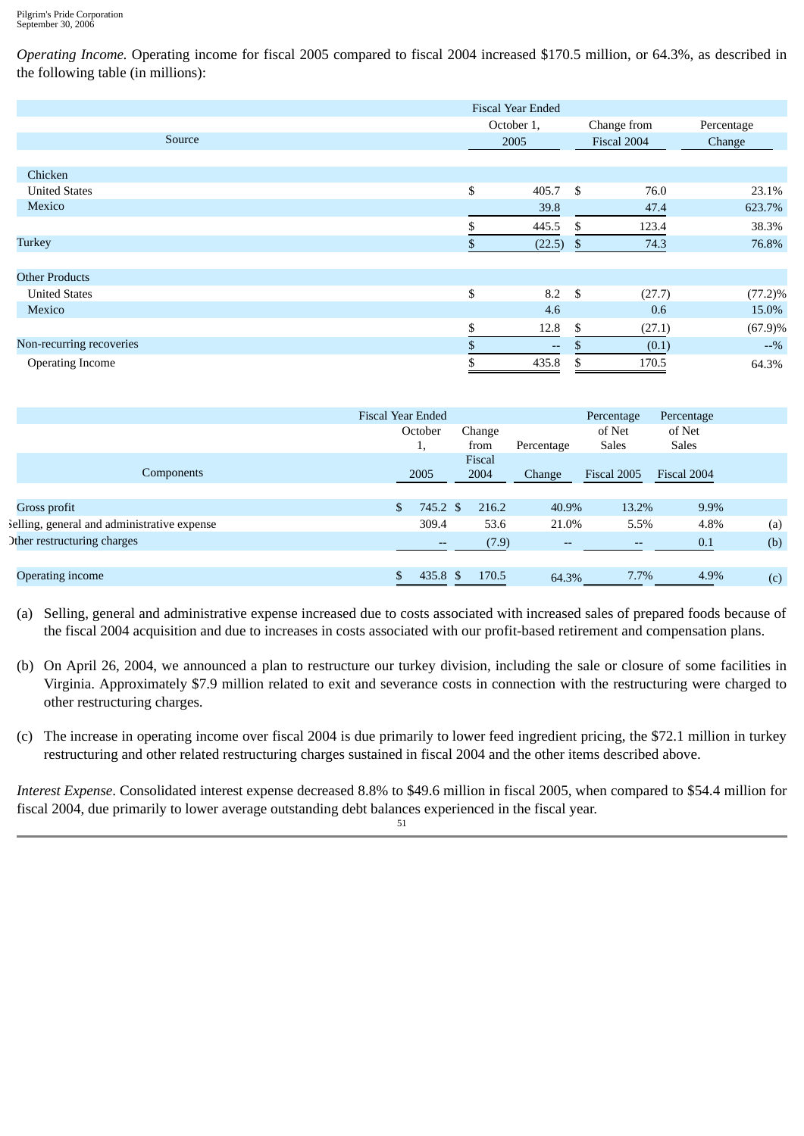*Operating Income.* Operating income for fiscal 2005 compared to fiscal 2004 increased \$170.5 million, or 64.3%, as described in the following table (in millions):

|                          | <b>Fiscal Year Ended</b>     |     |             |            |  |
|--------------------------|------------------------------|-----|-------------|------------|--|
|                          | October 1,                   |     | Change from | Percentage |  |
| Source                   | 2005                         |     | Fiscal 2004 | Change     |  |
|                          |                              |     |             |            |  |
| Chicken                  |                              |     |             |            |  |
| <b>United States</b>     | \$<br>405.7                  | \$  | 76.0        | 23.1%      |  |
| Mexico                   | 39.8                         |     | 47.4        | 623.7%     |  |
|                          | \$<br>445.5                  | \$  | 123.4       | 38.3%      |  |
| Turkey                   | \$<br>(22.5)                 | -\$ | 74.3        | 76.8%      |  |
| <b>Other Products</b>    |                              |     |             |            |  |
| <b>United States</b>     | \$<br>$8.2$ \$               |     | (27.7)      | $(77.2)\%$ |  |
| Mexico                   | 4.6                          |     | 0.6         | 15.0%      |  |
|                          | \$<br>12.8                   | \$  | (27.1)      | (67.9)%    |  |
| Non-recurring recoveries | \$<br>$\qquad \qquad \cdots$ | S   | (0.1)       | $-9/6$     |  |
| <b>Operating Income</b>  | \$<br>435.8                  | \$  | 170.5       | 64.3%      |  |

|                                             | <b>Fiscal Year Ended</b> |          |        |            | Percentage   | Percentage   |     |
|---------------------------------------------|--------------------------|----------|--------|------------|--------------|--------------|-----|
|                                             |                          | October  | Change |            | of Net       | of Net       |     |
|                                             |                          | ı,       | from   | Percentage | <b>Sales</b> | <b>Sales</b> |     |
|                                             |                          |          | Fiscal |            |              |              |     |
| Components                                  |                          | 2005     | 2004   | Change     | Fiscal 2005  | Fiscal 2004  |     |
|                                             |                          |          |        |            |              |              |     |
| Gross profit                                | \$                       | 745.2 \$ | 216.2  | 40.9%      | 13.2%        | 9.9%         |     |
| selling, general and administrative expense |                          | 309.4    | 53.6   | 21.0%      | 5.5%         | 4.8%         | (a) |
| Other restructuring charges                 |                          | $- -$    | (7.9)  | $-$        | $- -$        | 0.1          | (b) |
|                                             |                          |          |        |            |              |              |     |
| Operating income                            | \$                       | 435.8 \$ | 170.5  | 64.3%      | 7.7%         | 4.9%         | (c) |

- (a) Selling, general and administrative expense increased due to costs associated with increased sales of prepared foods because of the fiscal 2004 acquisition and due to increases in costs associated with our profit-based retirement and compensation plans.
- (b) On April 26, 2004, we announced a plan to restructure our turkey division, including the sale or closure of some facilities in Virginia. Approximately \$7.9 million related to exit and severance costs in connection with the restructuring were charged to other restructuring charges.
- (c) The increase in operating income over fiscal 2004 is due primarily to lower feed ingredient pricing, the \$72.1 million in turkey restructuring and other related restructuring charges sustained in fiscal 2004 and the other items described above.

*Interest Expense*. Consolidated interest expense decreased 8.8% to \$49.6 million in fiscal 2005, when compared to \$54.4 million for fiscal 2004, due primarily to lower average outstanding debt balances experienced in the fiscal year.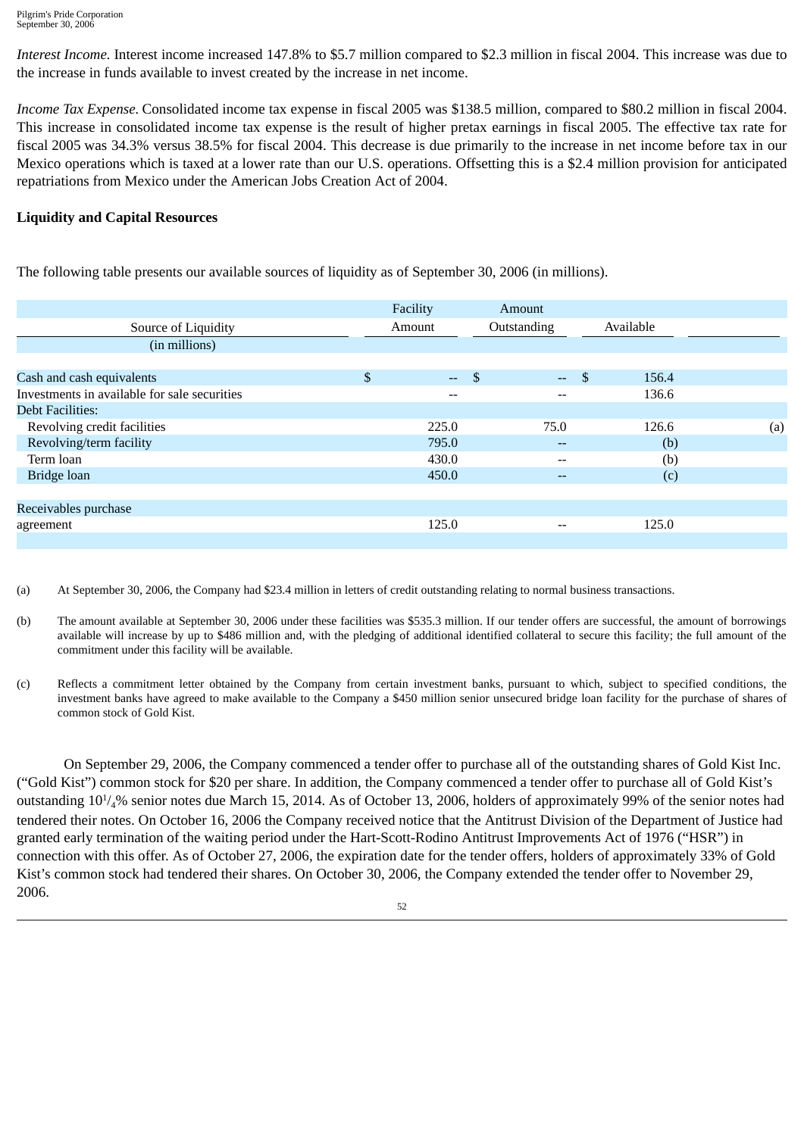*Interest Income.* Interest income increased 147.8% to \$5.7 million compared to \$2.3 million in fiscal 2004. This increase was due to the increase in funds available to invest created by the increase in net income.

*Income Tax Expense.* Consolidated income tax expense in fiscal 2005 was \$138.5 million, compared to \$80.2 million in fiscal 2004. This increase in consolidated income tax expense is the result of higher pretax earnings in fiscal 2005. The effective tax rate for fiscal 2005 was 34.3% versus 38.5% for fiscal 2004. This decrease is due primarily to the increase in net income before tax in our Mexico operations which is taxed at a lower rate than our U.S. operations. Offsetting this is a \$2.4 million provision for anticipated repatriations from Mexico under the American Jobs Creation Act of 2004.

### **Liquidity and Capital Resources**

The following table presents our available sources of liquidity as of September 30, 2006 (in millions).

|                                              | Facility                   |      | Amount                                         |             |     |
|----------------------------------------------|----------------------------|------|------------------------------------------------|-------------|-----|
| Source of Liquidity                          | Amount                     |      | Outstanding                                    | Available   |     |
| (in millions)                                |                            |      |                                                |             |     |
|                                              |                            |      |                                                |             |     |
| Cash and cash equivalents                    | \$<br>$\Delta \Delta \phi$ | - \$ | $\Delta \Delta \phi$                           | \$<br>156.4 |     |
| Investments in available for sale securities | $- -$                      |      | --                                             | 136.6       |     |
| <b>Debt Facilities:</b>                      |                            |      |                                                |             |     |
| Revolving credit facilities                  | 225.0                      |      | 75.0                                           | 126.6       | (a) |
| Revolving/term facility                      | 795.0                      |      | $\sim$ $\sim$                                  | (b)         |     |
| Term loan                                    | 430.0                      |      | $\hspace{0.1mm}-\hspace{0.1mm}-\hspace{0.1mm}$ | (b)         |     |
| Bridge loan                                  | 450.0                      |      | $\sim$ $\sim$                                  | (c)         |     |
|                                              |                            |      |                                                |             |     |
| Receivables purchase                         |                            |      |                                                |             |     |
| agreement                                    | 125.0                      |      | --                                             | 125.0       |     |
|                                              |                            |      |                                                |             |     |

(a) At September 30, 2006, the Company had \$23.4 million in letters of credit outstanding relating to normal business transactions.

- (b) The amount available at September 30, 2006 under these facilities was \$535.3 million. If our tender offers are successful, the amount of borrowings available will increase by up to \$486 million and, with the pledging of additional identified collateral to secure this facility; the full amount of the commitment under this facility will be available.
- (c) Reflects a commitment letter obtained by the Company from certain investment banks, pursuant to which, subject to specified conditions, the investment banks have agreed to make available to the Company a \$450 million senior unsecured bridge loan facility for the purchase of shares of common stock of Gold Kist.

 On September 29, 2006, the Company commenced a tender offer to purchase all of the outstanding shares of Gold Kist Inc. ("Gold Kist") common stock for \$20 per share. In addition, the Company commenced a tender offer to purchase all of Gold Kist's outstanding 10<sup>1/</sup>4% senior notes due March 15, 2014. As of October 13, 2006, holders of approximately 99% of the senior notes had tendered their notes. On October 16, 2006 the Company received notice that the Antitrust Division of the Department of Justice had granted early termination of the waiting period under the Hart-Scott-Rodino Antitrust Improvements Act of 1976 ("HSR") in connection with this offer. As of October 27, 2006, the expiration date for the tender offers, holders of approximately 33% of Gold Kist's common stock had tendered their shares. On October 30, 2006, the Company extended the tender offer to November 29, 2006.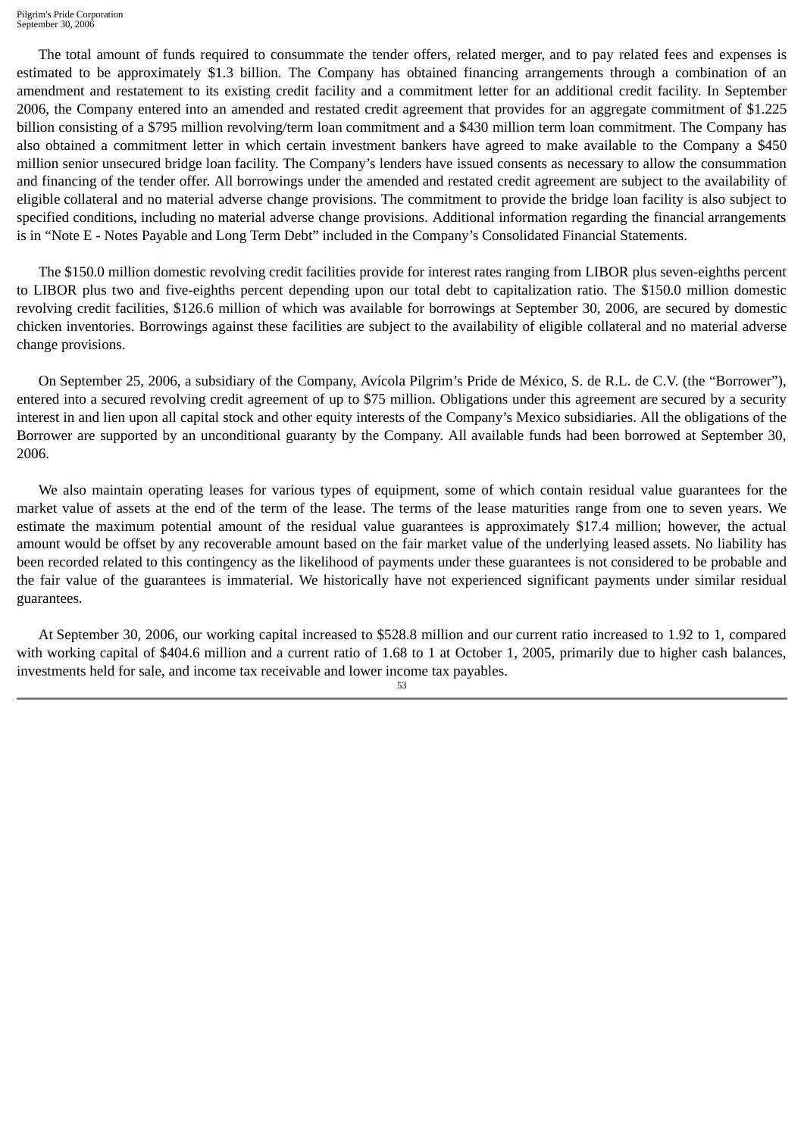The total amount of funds required to consummate the tender offers, related merger, and to pay related fees and expenses is estimated to be approximately \$1.3 billion. The Company has obtained financing arrangements through a combination of an amendment and restatement to its existing credit facility and a commitment letter for an additional credit facility. In September 2006, the Company entered into an amended and restated credit agreement that provides for an aggregate commitment of \$1.225 billion consisting of a \$795 million revolving/term loan commitment and a \$430 million term loan commitment. The Company has also obtained a commitment letter in which certain investment bankers have agreed to make available to the Company a \$450 million senior unsecured bridge loan facility. The Company's lenders have issued consents as necessary to allow the consummation and financing of the tender offer. All borrowings under the amended and restated credit agreement are subject to the availability of eligible collateral and no material adverse change provisions. The commitment to provide the bridge loan facility is also subject to specified conditions, including no material adverse change provisions. Additional information regarding the financial arrangements is in "Note E - Notes Payable and Long Term Debt" included in the Company's Consolidated Financial Statements.

The \$150.0 million domestic revolving credit facilities provide for interest rates ranging from LIBOR plus seven-eighths percent to LIBOR plus two and five-eighths percent depending upon our total debt to capitalization ratio. The \$150.0 million domestic revolving credit facilities, \$126.6 million of which was available for borrowings at September 30, 2006, are secured by domestic chicken inventories. Borrowings against these facilities are subject to the availability of eligible collateral and no material adverse change provisions.

On September 25, 2006, a subsidiary of the Company, Avícola Pilgrim's Pride de México, S. de R.L. de C.V. (the "Borrower"), entered into a secured revolving credit agreement of up to \$75 million. Obligations under this agreement are secured by a security interest in and lien upon all capital stock and other equity interests of the Company's Mexico subsidiaries. All the obligations of the Borrower are supported by an unconditional guaranty by the Company. All available funds had been borrowed at September 30, 2006.

We also maintain operating leases for various types of equipment, some of which contain residual value guarantees for the market value of assets at the end of the term of the lease. The terms of the lease maturities range from one to seven years. We estimate the maximum potential amount of the residual value guarantees is approximately \$17.4 million; however, the actual amount would be offset by any recoverable amount based on the fair market value of the underlying leased assets. No liability has been recorded related to this contingency as the likelihood of payments under these guarantees is not considered to be probable and the fair value of the guarantees is immaterial. We historically have not experienced significant payments under similar residual guarantees.

At September 30, 2006, our working capital increased to \$528.8 million and our current ratio increased to 1.92 to 1, compared with working capital of \$404.6 million and a current ratio of 1.68 to 1 at October 1, 2005, primarily due to higher cash balances, investments held for sale, and income tax receivable and lower income tax payables.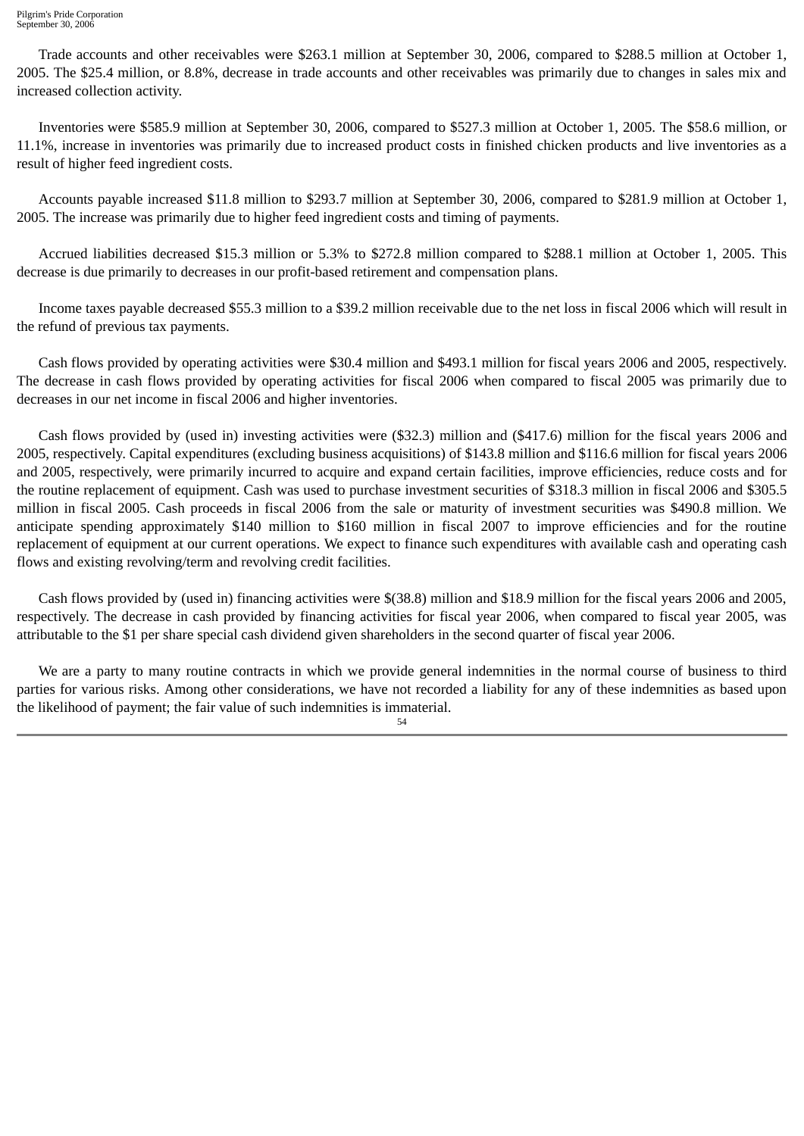Trade accounts and other receivables were \$263.1 million at September 30, 2006, compared to \$288.5 million at October 1, 2005. The \$25.4 million, or 8.8%, decrease in trade accounts and other receivables was primarily due to changes in sales mix and increased collection activity.

Inventories were \$585.9 million at September 30, 2006, compared to \$527.3 million at October 1, 2005. The \$58.6 million, or 11.1%, increase in inventories was primarily due to increased product costs in finished chicken products and live inventories as a result of higher feed ingredient costs.

Accounts payable increased \$11.8 million to \$293.7 million at September 30, 2006, compared to \$281.9 million at October 1, 2005. The increase was primarily due to higher feed ingredient costs and timing of payments.

Accrued liabilities decreased \$15.3 million or 5.3% to \$272.8 million compared to \$288.1 million at October 1, 2005. This decrease is due primarily to decreases in our profit-based retirement and compensation plans.

Income taxes payable decreased \$55.3 million to a \$39.2 million receivable due to the net loss in fiscal 2006 which will result in the refund of previous tax payments.

Cash flows provided by operating activities were \$30.4 million and \$493.1 million for fiscal years 2006 and 2005, respectively. The decrease in cash flows provided by operating activities for fiscal 2006 when compared to fiscal 2005 was primarily due to decreases in our net income in fiscal 2006 and higher inventories.

Cash flows provided by (used in) investing activities were (\$32.3) million and (\$417.6) million for the fiscal years 2006 and 2005, respectively. Capital expenditures (excluding business acquisitions) of \$143.8 million and \$116.6 million for fiscal years 2006 and 2005, respectively, were primarily incurred to acquire and expand certain facilities, improve efficiencies, reduce costs and for the routine replacement of equipment. Cash was used to purchase investment securities of \$318.3 million in fiscal 2006 and \$305.5 million in fiscal 2005. Cash proceeds in fiscal 2006 from the sale or maturity of investment securities was \$490.8 million. We anticipate spending approximately \$140 million to \$160 million in fiscal 2007 to improve efficiencies and for the routine replacement of equipment at our current operations. We expect to finance such expenditures with available cash and operating cash flows and existing revolving/term and revolving credit facilities.

Cash flows provided by (used in) financing activities were \$(38.8) million and \$18.9 million for the fiscal years 2006 and 2005, respectively. The decrease in cash provided by financing activities for fiscal year 2006, when compared to fiscal year 2005, was attributable to the \$1 per share special cash dividend given shareholders in the second quarter of fiscal year 2006.

We are a party to many routine contracts in which we provide general indemnities in the normal course of business to third parties for various risks. Among other considerations, we have not recorded a liability for any of these indemnities as based upon the likelihood of payment; the fair value of such indemnities is immaterial.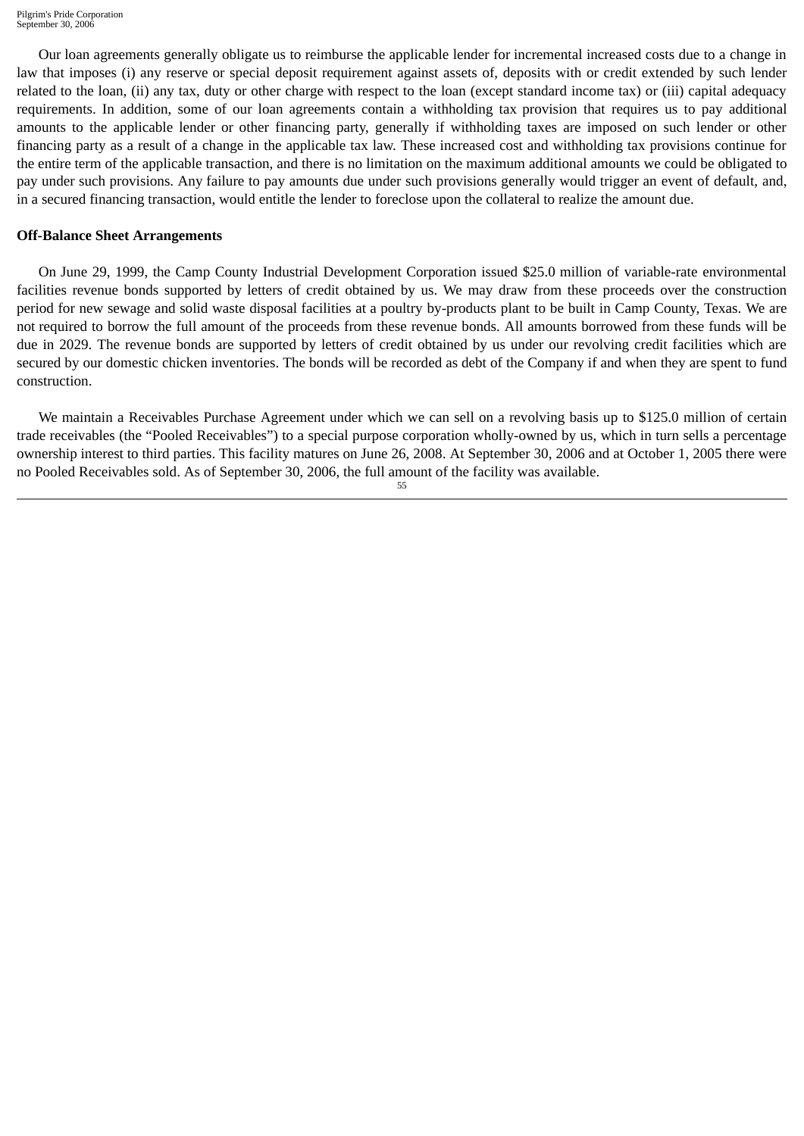Our loan agreements generally obligate us to reimburse the applicable lender for incremental increased costs due to a change in law that imposes (i) any reserve or special deposit requirement against assets of, deposits with or credit extended by such lender related to the loan, (ii) any tax, duty or other charge with respect to the loan (except standard income tax) or (iii) capital adequacy requirements. In addition, some of our loan agreements contain a withholding tax provision that requires us to pay additional amounts to the applicable lender or other financing party, generally if withholding taxes are imposed on such lender or other financing party as a result of a change in the applicable tax law. These increased cost and withholding tax provisions continue for the entire term of the applicable transaction, and there is no limitation on the maximum additional amounts we could be obligated to pay under such provisions. Any failure to pay amounts due under such provisions generally would trigger an event of default, and, in a secured financing transaction, would entitle the lender to foreclose upon the collateral to realize the amount due.

### **Off-Balance Sheet Arrangements**

On June 29, 1999, the Camp County Industrial Development Corporation issued \$25.0 million of variable-rate environmental facilities revenue bonds supported by letters of credit obtained by us. We may draw from these proceeds over the construction period for new sewage and solid waste disposal facilities at a poultry by-products plant to be built in Camp County, Texas. We are not required to borrow the full amount of the proceeds from these revenue bonds. All amounts borrowed from these funds will be due in 2029. The revenue bonds are supported by letters of credit obtained by us under our revolving credit facilities which are secured by our domestic chicken inventories. The bonds will be recorded as debt of the Company if and when they are spent to fund construction.

We maintain a Receivables Purchase Agreement under which we can sell on a revolving basis up to \$125.0 million of certain trade receivables (the "Pooled Receivables") to a special purpose corporation wholly-owned by us, which in turn sells a percentage ownership interest to third parties. This facility matures on June 26, 2008. At September 30, 2006 and at October 1, 2005 there were no Pooled Receivables sold. As of September 30, 2006, the full amount of the facility was available.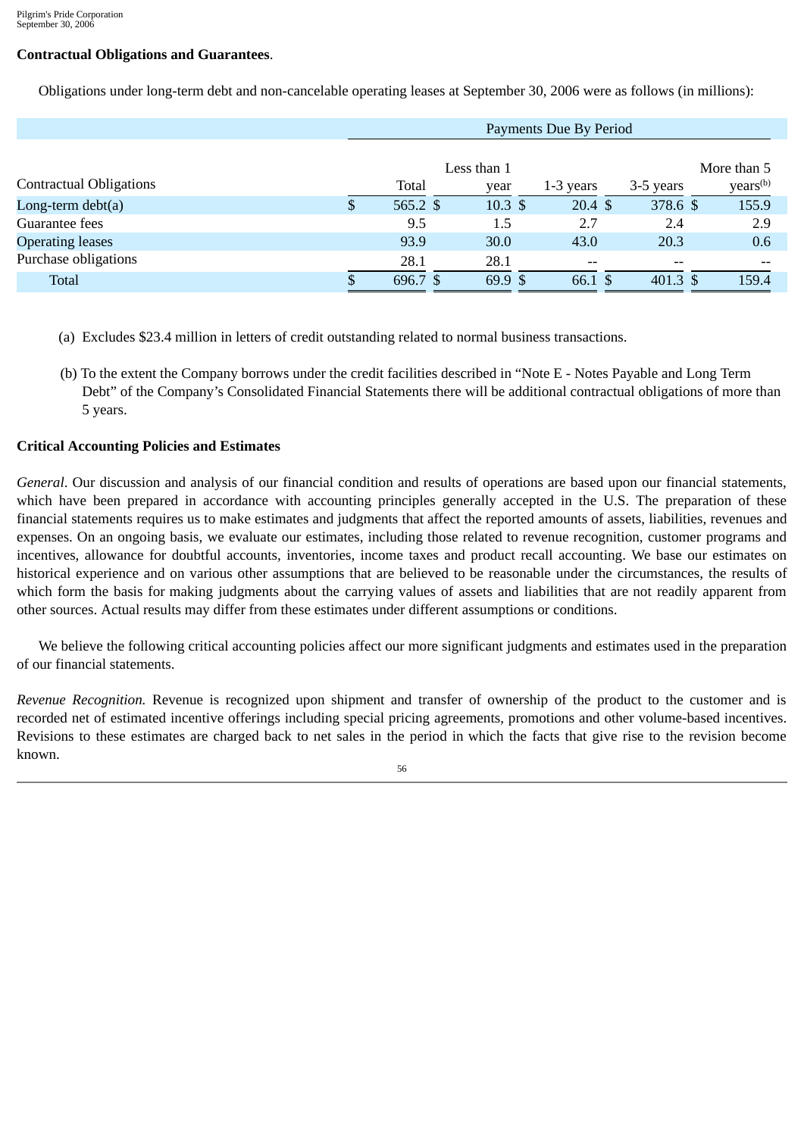### **Contractual Obligations and Guarantees**.

Obligations under long-term debt and non-cancelable operating leases at September 30, 2006 were as follows (in millions):

|                                |     | Payments Due By Period |             |                |                     |                      |  |
|--------------------------------|-----|------------------------|-------------|----------------|---------------------|----------------------|--|
|                                |     |                        | Less than 1 |                |                     | More than 5          |  |
| <b>Contractual Obligations</b> |     | Total                  | year        | 1-3 years      | 3-5 years           | years <sup>(b)</sup> |  |
| Long-term $deb$ t(a)           | \$  | 565.2 $$$              | 10.3~\$     | $20.4~{\rm s}$ | 378.6 \$            | 155.9                |  |
| Guarantee fees                 |     | 9.5                    | 1.5         | 2.7            | 2.4                 | 2.9                  |  |
| <b>Operating leases</b>        |     | 93.9                   | 30.0        | 43.0           | 20.3                | 0.6                  |  |
| Purchase obligations           |     | 28.1                   | 28.1        | --             | $- -$               | --                   |  |
| <b>Total</b>                   | \$. | 696.7 \$               | 69.9 \$     | 66.1 \$        | 401.3 $\frac{1}{2}$ | 159.4                |  |

- (a) Excludes \$23.4 million in letters of credit outstanding related to normal business transactions.
- (b) To the extent the Company borrows under the credit facilities described in "Note E Notes Payable and Long Term Debt" of the Company's Consolidated Financial Statements there will be additional contractual obligations of more than 5 years.

#### **Critical Accounting Policies and Estimates**

*General*. Our discussion and analysis of our financial condition and results of operations are based upon our financial statements, which have been prepared in accordance with accounting principles generally accepted in the U.S. The preparation of these financial statements requires us to make estimates and judgments that affect the reported amounts of assets, liabilities, revenues and expenses. On an ongoing basis, we evaluate our estimates, including those related to revenue recognition, customer programs and incentives, allowance for doubtful accounts, inventories, income taxes and product recall accounting. We base our estimates on historical experience and on various other assumptions that are believed to be reasonable under the circumstances, the results of which form the basis for making judgments about the carrying values of assets and liabilities that are not readily apparent from other sources. Actual results may differ from these estimates under different assumptions or conditions.

We believe the following critical accounting policies affect our more significant judgments and estimates used in the preparation of our financial statements.

*Revenue Recognition.* Revenue is recognized upon shipment and transfer of ownership of the product to the customer and is recorded net of estimated incentive offerings including special pricing agreements, promotions and other volume-based incentives. Revisions to these estimates are charged back to net sales in the period in which the facts that give rise to the revision become known.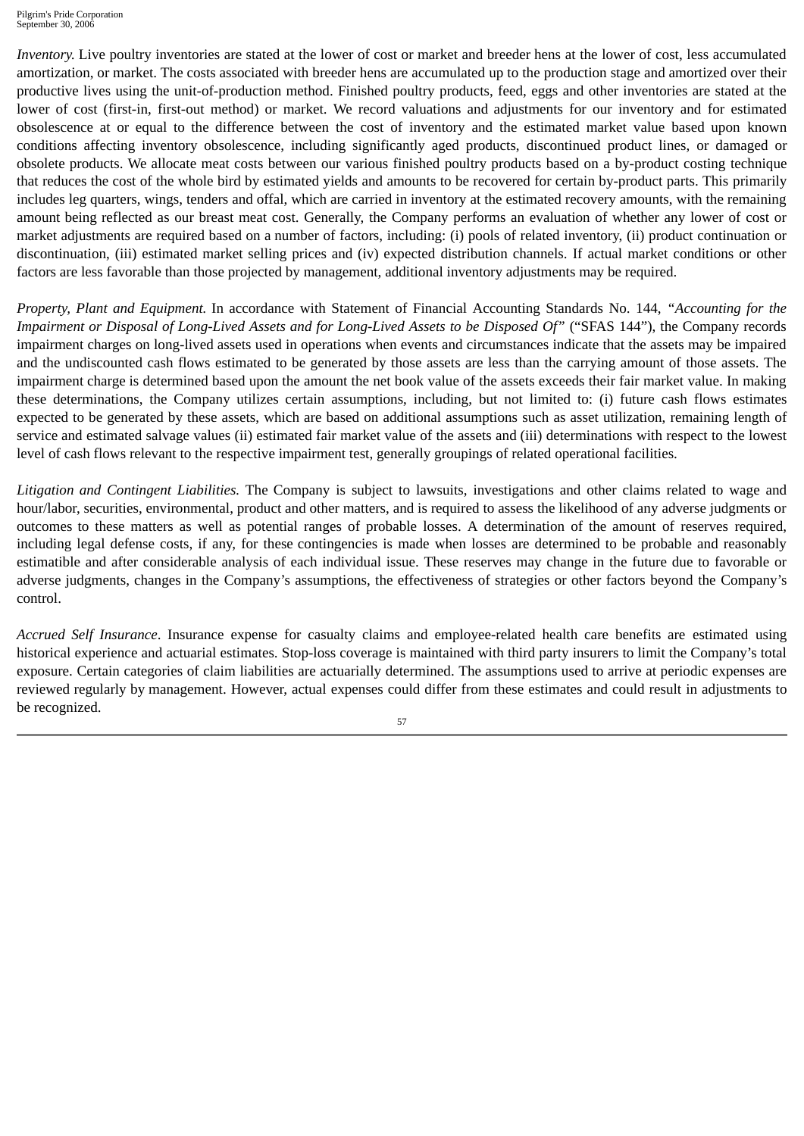*Inventory.* Live poultry inventories are stated at the lower of cost or market and breeder hens at the lower of cost, less accumulated amortization, or market. The costs associated with breeder hens are accumulated up to the production stage and amortized over their productive lives using the unit-of-production method. Finished poultry products, feed, eggs and other inventories are stated at the lower of cost (first-in, first-out method) or market. We record valuations and adjustments for our inventory and for estimated obsolescence at or equal to the difference between the cost of inventory and the estimated market value based upon known conditions affecting inventory obsolescence, including significantly aged products, discontinued product lines, or damaged or obsolete products. We allocate meat costs between our various finished poultry products based on a by-product costing technique that reduces the cost of the whole bird by estimated yields and amounts to be recovered for certain by-product parts. This primarily includes leg quarters, wings, tenders and offal, which are carried in inventory at the estimated recovery amounts, with the remaining amount being reflected as our breast meat cost. Generally, the Company performs an evaluation of whether any lower of cost or market adjustments are required based on a number of factors, including: (i) pools of related inventory, (ii) product continuation or discontinuation, (iii) estimated market selling prices and (iv) expected distribution channels. If actual market conditions or other factors are less favorable than those projected by management, additional inventory adjustments may be required.

*Property, Plant and Equipment.* In accordance with Statement of Financial Accounting Standards No. 144, *"Accounting for the Impairment or Disposal of Long-Lived Assets and for Long-Lived Assets to be Disposed Of"* ("SFAS 144"), the Company records impairment charges on long-lived assets used in operations when events and circumstances indicate that the assets may be impaired and the undiscounted cash flows estimated to be generated by those assets are less than the carrying amount of those assets. The impairment charge is determined based upon the amount the net book value of the assets exceeds their fair market value. In making these determinations, the Company utilizes certain assumptions, including, but not limited to: (i) future cash flows estimates expected to be generated by these assets, which are based on additional assumptions such as asset utilization, remaining length of service and estimated salvage values (ii) estimated fair market value of the assets and (iii) determinations with respect to the lowest level of cash flows relevant to the respective impairment test, generally groupings of related operational facilities.

*Litigation and Contingent Liabilities.* The Company is subject to lawsuits, investigations and other claims related to wage and hour/labor, securities, environmental, product and other matters, and is required to assess the likelihood of any adverse judgments or outcomes to these matters as well as potential ranges of probable losses. A determination of the amount of reserves required, including legal defense costs, if any, for these contingencies is made when losses are determined to be probable and reasonably estimatible and after considerable analysis of each individual issue. These reserves may change in the future due to favorable or adverse judgments, changes in the Company's assumptions, the effectiveness of strategies or other factors beyond the Company's control.

*Accrued Self Insurance*. Insurance expense for casualty claims and employee-related health care benefits are estimated using historical experience and actuarial estimates. Stop-loss coverage is maintained with third party insurers to limit the Company's total exposure. Certain categories of claim liabilities are actuarially determined. The assumptions used to arrive at periodic expenses are reviewed regularly by management. However, actual expenses could differ from these estimates and could result in adjustments to be recognized.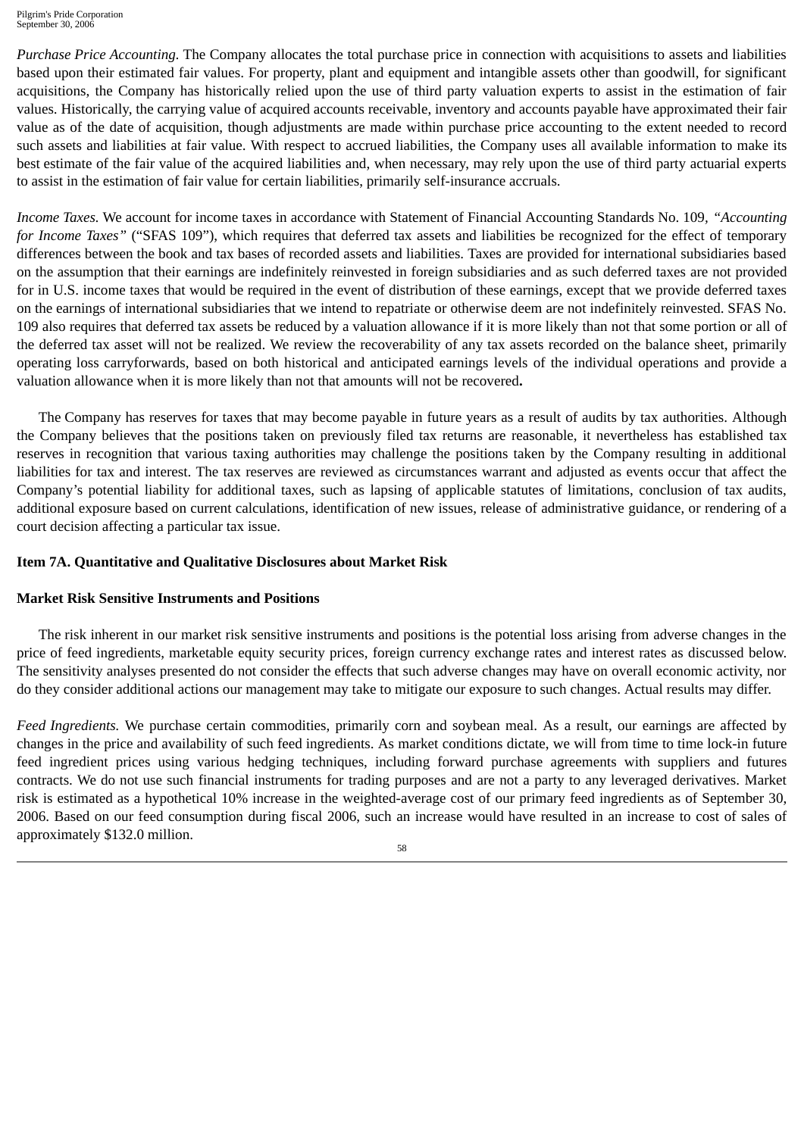*Purchase Price Accounting.* The Company allocates the total purchase price in connection with acquisitions to assets and liabilities based upon their estimated fair values. For property, plant and equipment and intangible assets other than goodwill, for significant acquisitions, the Company has historically relied upon the use of third party valuation experts to assist in the estimation of fair values. Historically, the carrying value of acquired accounts receivable, inventory and accounts payable have approximated their fair value as of the date of acquisition, though adjustments are made within purchase price accounting to the extent needed to record such assets and liabilities at fair value. With respect to accrued liabilities, the Company uses all available information to make its best estimate of the fair value of the acquired liabilities and, when necessary, may rely upon the use of third party actuarial experts to assist in the estimation of fair value for certain liabilities, primarily self-insurance accruals.

*Income Taxes.* We account for income taxes in accordance with Statement of Financial Accounting Standards No. 109*, "Accounting for Income Taxes"* ("SFAS 109"), which requires that deferred tax assets and liabilities be recognized for the effect of temporary differences between the book and tax bases of recorded assets and liabilities. Taxes are provided for international subsidiaries based on the assumption that their earnings are indefinitely reinvested in foreign subsidiaries and as such deferred taxes are not provided for in U.S. income taxes that would be required in the event of distribution of these earnings, except that we provide deferred taxes on the earnings of international subsidiaries that we intend to repatriate or otherwise deem are not indefinitely reinvested. SFAS No. 109 also requires that deferred tax assets be reduced by a valuation allowance if it is more likely than not that some portion or all of the deferred tax asset will not be realized. We review the recoverability of any tax assets recorded on the balance sheet, primarily operating loss carryforwards, based on both historical and anticipated earnings levels of the individual operations and provide a valuation allowance when it is more likely than not that amounts will not be recovered**.**

The Company has reserves for taxes that may become payable in future years as a result of audits by tax authorities. Although the Company believes that the positions taken on previously filed tax returns are reasonable, it nevertheless has established tax reserves in recognition that various taxing authorities may challenge the positions taken by the Company resulting in additional liabilities for tax and interest. The tax reserves are reviewed as circumstances warrant and adjusted as events occur that affect the Company's potential liability for additional taxes, such as lapsing of applicable statutes of limitations, conclusion of tax audits, additional exposure based on current calculations, identification of new issues, release of administrative guidance, or rendering of a court decision affecting a particular tax issue.

### **Item 7A. Quantitative and Qualitative Disclosures about Market Risk**

## **Market Risk Sensitive Instruments and Positions**

The risk inherent in our market risk sensitive instruments and positions is the potential loss arising from adverse changes in the price of feed ingredients, marketable equity security prices, foreign currency exchange rates and interest rates as discussed below. The sensitivity analyses presented do not consider the effects that such adverse changes may have on overall economic activity, nor do they consider additional actions our management may take to mitigate our exposure to such changes. Actual results may differ.

*Feed Ingredients.* We purchase certain commodities, primarily corn and soybean meal. As a result, our earnings are affected by changes in the price and availability of such feed ingredients. As market conditions dictate, we will from time to time lock-in future feed ingredient prices using various hedging techniques, including forward purchase agreements with suppliers and futures contracts. We do not use such financial instruments for trading purposes and are not a party to any leveraged derivatives. Market risk is estimated as a hypothetical 10% increase in the weighted-average cost of our primary feed ingredients as of September 30, 2006. Based on our feed consumption during fiscal 2006, such an increase would have resulted in an increase to cost of sales of approximately \$132.0 million.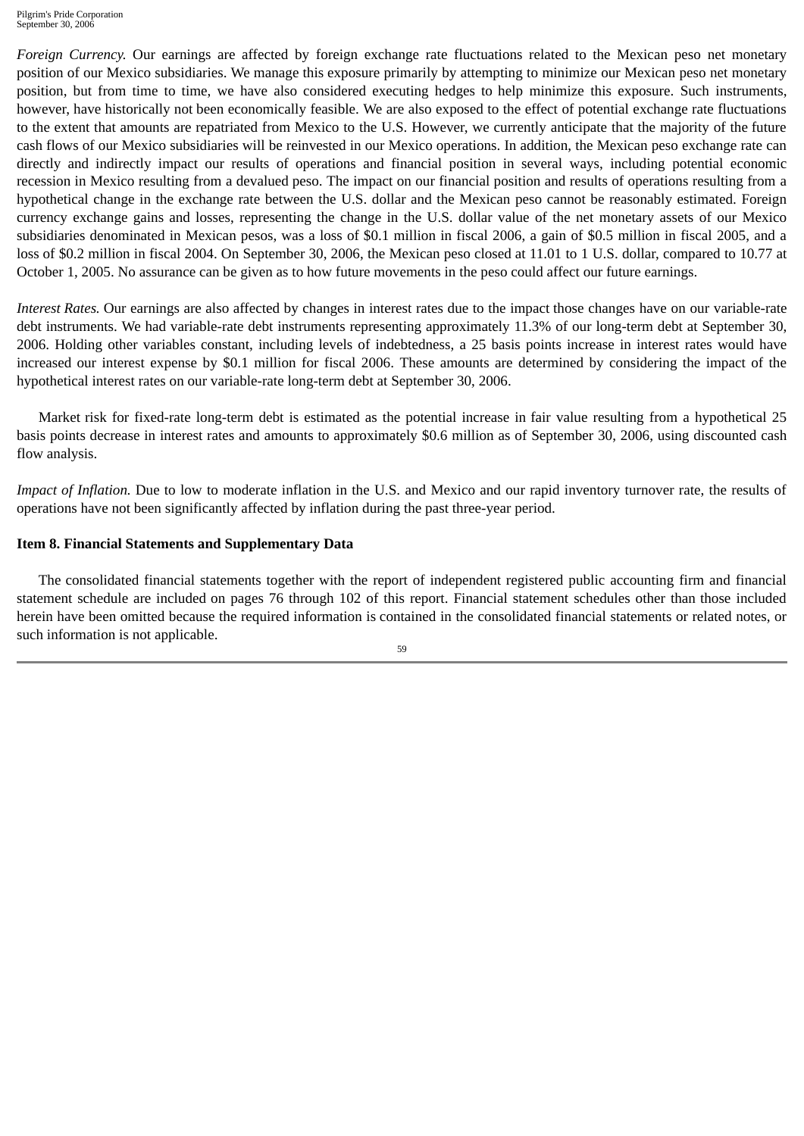*Foreign Currency.* Our earnings are affected by foreign exchange rate fluctuations related to the Mexican peso net monetary position of our Mexico subsidiaries. We manage this exposure primarily by attempting to minimize our Mexican peso net monetary position, but from time to time, we have also considered executing hedges to help minimize this exposure. Such instruments, however, have historically not been economically feasible. We are also exposed to the effect of potential exchange rate fluctuations to the extent that amounts are repatriated from Mexico to the U.S. However, we currently anticipate that the majority of the future cash flows of our Mexico subsidiaries will be reinvested in our Mexico operations. In addition, the Mexican peso exchange rate can directly and indirectly impact our results of operations and financial position in several ways, including potential economic recession in Mexico resulting from a devalued peso. The impact on our financial position and results of operations resulting from a hypothetical change in the exchange rate between the U.S. dollar and the Mexican peso cannot be reasonably estimated. Foreign currency exchange gains and losses, representing the change in the U.S. dollar value of the net monetary assets of our Mexico subsidiaries denominated in Mexican pesos, was a loss of \$0.1 million in fiscal 2006, a gain of \$0.5 million in fiscal 2005, and a loss of \$0.2 million in fiscal 2004. On September 30, 2006, the Mexican peso closed at 11.01 to 1 U.S. dollar, compared to 10.77 at October 1, 2005. No assurance can be given as to how future movements in the peso could affect our future earnings.

*Interest Rates.* Our earnings are also affected by changes in interest rates due to the impact those changes have on our variable-rate debt instruments. We had variable-rate debt instruments representing approximately 11.3% of our long-term debt at September 30, 2006. Holding other variables constant, including levels of indebtedness, a 25 basis points increase in interest rates would have increased our interest expense by \$0.1 million for fiscal 2006. These amounts are determined by considering the impact of the hypothetical interest rates on our variable-rate long-term debt at September 30, 2006.

Market risk for fixed-rate long-term debt is estimated as the potential increase in fair value resulting from a hypothetical 25 basis points decrease in interest rates and amounts to approximately \$0.6 million as of September 30, 2006, using discounted cash flow analysis.

*Impact of Inflation*. Due to low to moderate inflation in the U.S. and Mexico and our rapid inventory turnover rate, the results of operations have not been significantly affected by inflation during the past three-year period.

### **Item 8. Financial Statements and Supplementary Data**

The consolidated financial statements together with the report of independent registered public accounting firm and financial statement schedule are included on pages 76 through 102 of this report. Financial statement schedules other than those included herein have been omitted because the required information is contained in the consolidated financial statements or related notes, or such information is not applicable.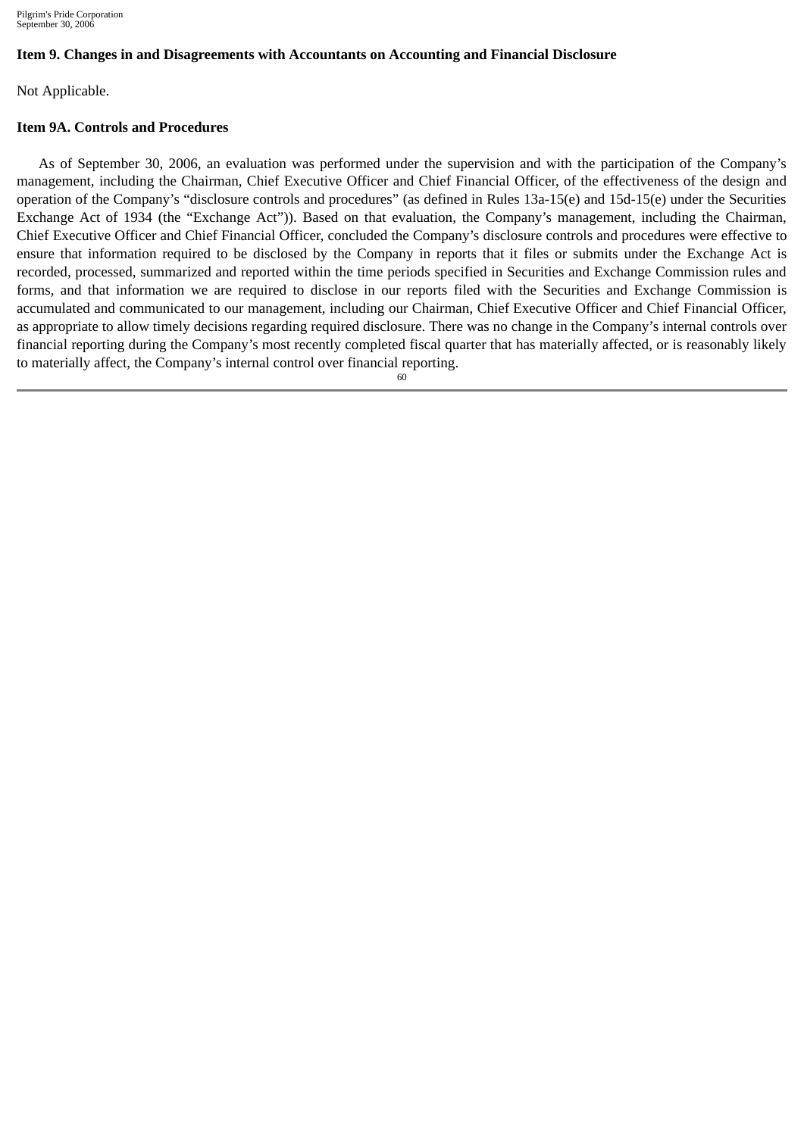### **Item 9. Changes in and Disagreements with Accountants on Accounting and Financial Disclosure**

Not Applicable.

#### **Item 9A. Controls and Procedures**

As of September 30, 2006, an evaluation was performed under the supervision and with the participation of the Company's management, including the Chairman, Chief Executive Officer and Chief Financial Officer, of the effectiveness of the design and operation of the Company's "disclosure controls and procedures" (as defined in Rules 13a-15(e) and 15d-15(e) under the Securities Exchange Act of 1934 (the "Exchange Act")). Based on that evaluation, the Company's management, including the Chairman, Chief Executive Officer and Chief Financial Officer, concluded the Company's disclosure controls and procedures were effective to ensure that information required to be disclosed by the Company in reports that it files or submits under the Exchange Act is recorded, processed, summarized and reported within the time periods specified in Securities and Exchange Commission rules and forms, and that information we are required to disclose in our reports filed with the Securities and Exchange Commission is accumulated and communicated to our management, including our Chairman, Chief Executive Officer and Chief Financial Officer, as appropriate to allow timely decisions regarding required disclosure. There was no change in the Company's internal controls over financial reporting during the Company's most recently completed fiscal quarter that has materially affected, or is reasonably likely to materially affect, the Company's internal control over financial reporting.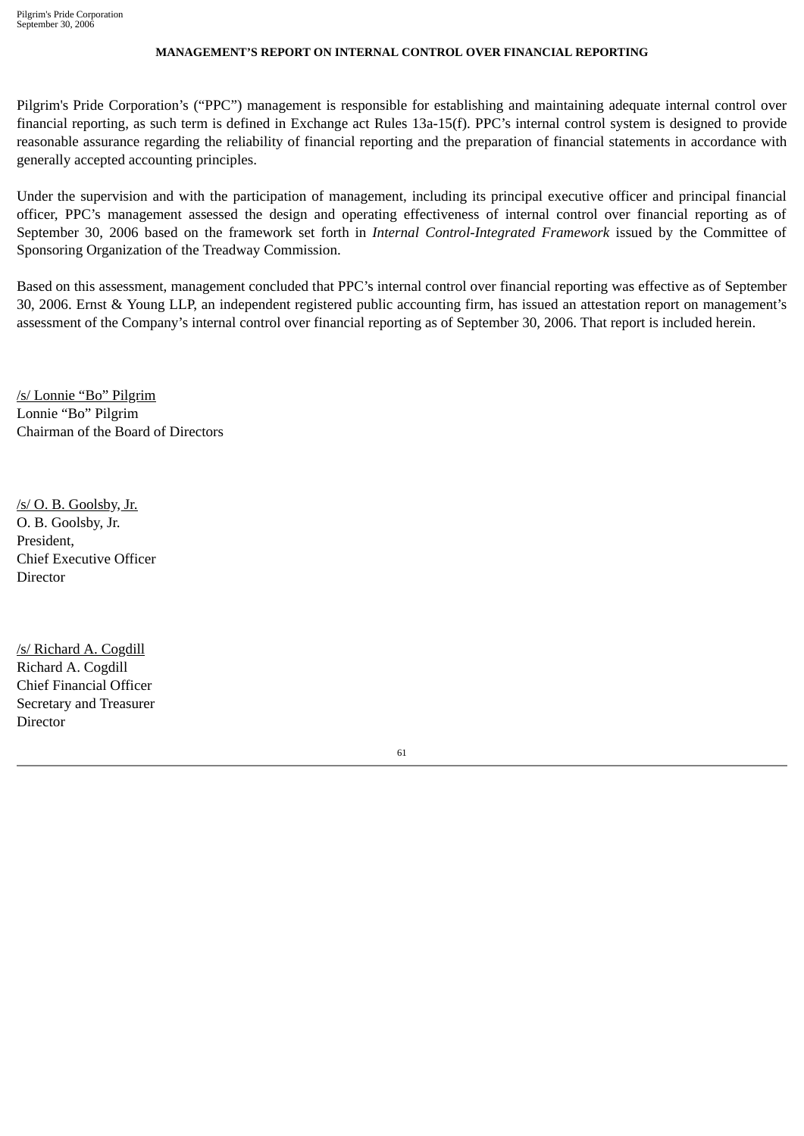#### **MANAGEMENT'S REPORT ON INTERNAL CONTROL OVER FINANCIAL REPORTING**

Pilgrim's Pride Corporation's ("PPC") management is responsible for establishing and maintaining adequate internal control over financial reporting, as such term is defined in Exchange act Rules 13a-15(f). PPC's internal control system is designed to provide reasonable assurance regarding the reliability of financial reporting and the preparation of financial statements in accordance with generally accepted accounting principles.

Under the supervision and with the participation of management, including its principal executive officer and principal financial officer, PPC's management assessed the design and operating effectiveness of internal control over financial reporting as of September 30, 2006 based on the framework set forth in *Internal Control-Integrated Framework* issued by the Committee of Sponsoring Organization of the Treadway Commission.

Based on this assessment, management concluded that PPC's internal control over financial reporting was effective as of September 30, 2006. Ernst & Young LLP, an independent registered public accounting firm, has issued an attestation report on management's assessment of the Company's internal control over financial reporting as of September 30, 2006. That report is included herein.

/s/ Lonnie "Bo" Pilgrim Lonnie "Bo" Pilgrim Chairman of the Board of Directors

/s/ O. B. Goolsby, Jr. O. B. Goolsby, Jr. President, Chief Executive Officer **Director** 

/s/ Richard A. Cogdill Richard A. Cogdill Chief Financial Officer Secretary and Treasurer **Director**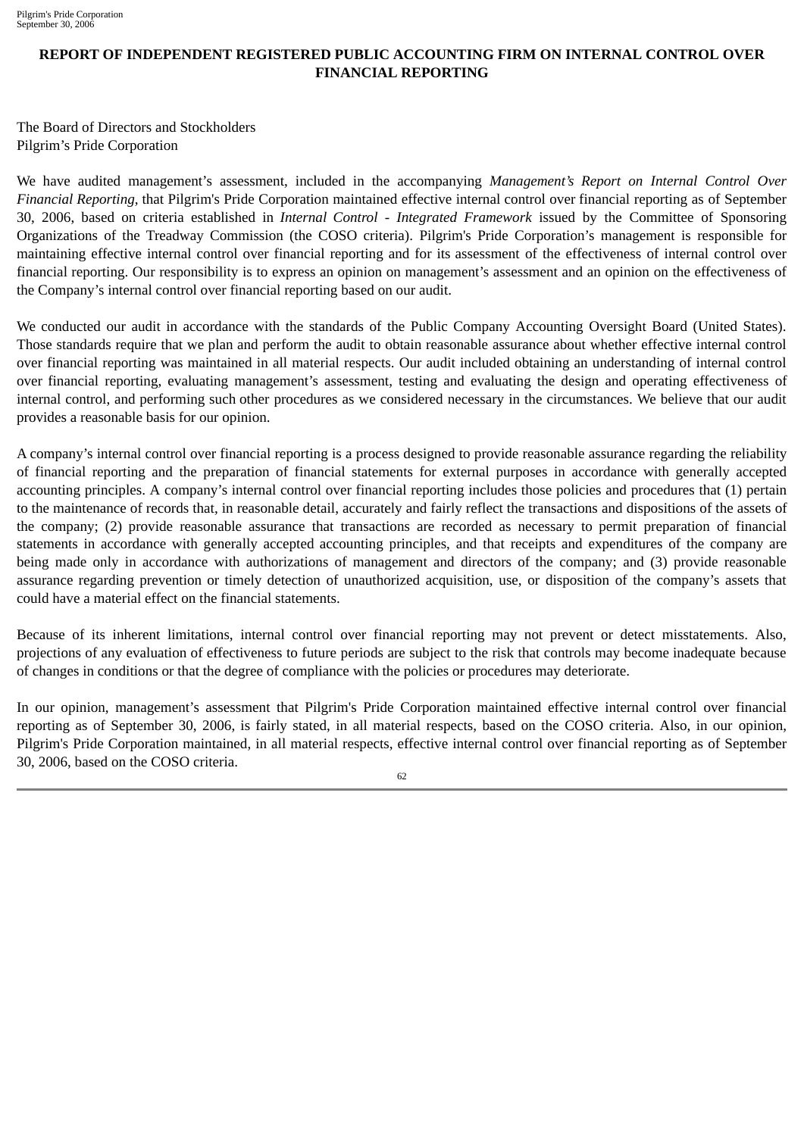## **REPORT OF INDEPENDENT REGISTERED PUBLIC ACCOUNTING FIRM ON INTERNAL CONTROL OVER FINANCIAL REPORTING**

The Board of Directors and Stockholders Pilgrim's Pride Corporation

We have audited management's assessment, included in the accompanying *Management's Report on Internal Control Over Financial Reporting*, that Pilgrim's Pride Corporation maintained effective internal control over financial reporting as of September 30, 2006, based on criteria established in *Internal Control - Integrated Framework* issued by the Committee of Sponsoring Organizations of the Treadway Commission (the COSO criteria). Pilgrim's Pride Corporation's management is responsible for maintaining effective internal control over financial reporting and for its assessment of the effectiveness of internal control over financial reporting. Our responsibility is to express an opinion on management's assessment and an opinion on the effectiveness of the Company's internal control over financial reporting based on our audit.

We conducted our audit in accordance with the standards of the Public Company Accounting Oversight Board (United States). Those standards require that we plan and perform the audit to obtain reasonable assurance about whether effective internal control over financial reporting was maintained in all material respects. Our audit included obtaining an understanding of internal control over financial reporting, evaluating management's assessment, testing and evaluating the design and operating effectiveness of internal control, and performing such other procedures as we considered necessary in the circumstances. We believe that our audit provides a reasonable basis for our opinion.

A company's internal control over financial reporting is a process designed to provide reasonable assurance regarding the reliability of financial reporting and the preparation of financial statements for external purposes in accordance with generally accepted accounting principles. A company's internal control over financial reporting includes those policies and procedures that (1) pertain to the maintenance of records that, in reasonable detail, accurately and fairly reflect the transactions and dispositions of the assets of the company; (2) provide reasonable assurance that transactions are recorded as necessary to permit preparation of financial statements in accordance with generally accepted accounting principles, and that receipts and expenditures of the company are being made only in accordance with authorizations of management and directors of the company; and (3) provide reasonable assurance regarding prevention or timely detection of unauthorized acquisition, use, or disposition of the company's assets that could have a material effect on the financial statements.

Because of its inherent limitations, internal control over financial reporting may not prevent or detect misstatements. Also, projections of any evaluation of effectiveness to future periods are subject to the risk that controls may become inadequate because of changes in conditions or that the degree of compliance with the policies or procedures may deteriorate.

In our opinion, management's assessment that Pilgrim's Pride Corporation maintained effective internal control over financial reporting as of September 30, 2006, is fairly stated, in all material respects, based on the COSO criteria. Also, in our opinion, Pilgrim's Pride Corporation maintained, in all material respects, effective internal control over financial reporting as of September 30, 2006, based on the COSO criteria.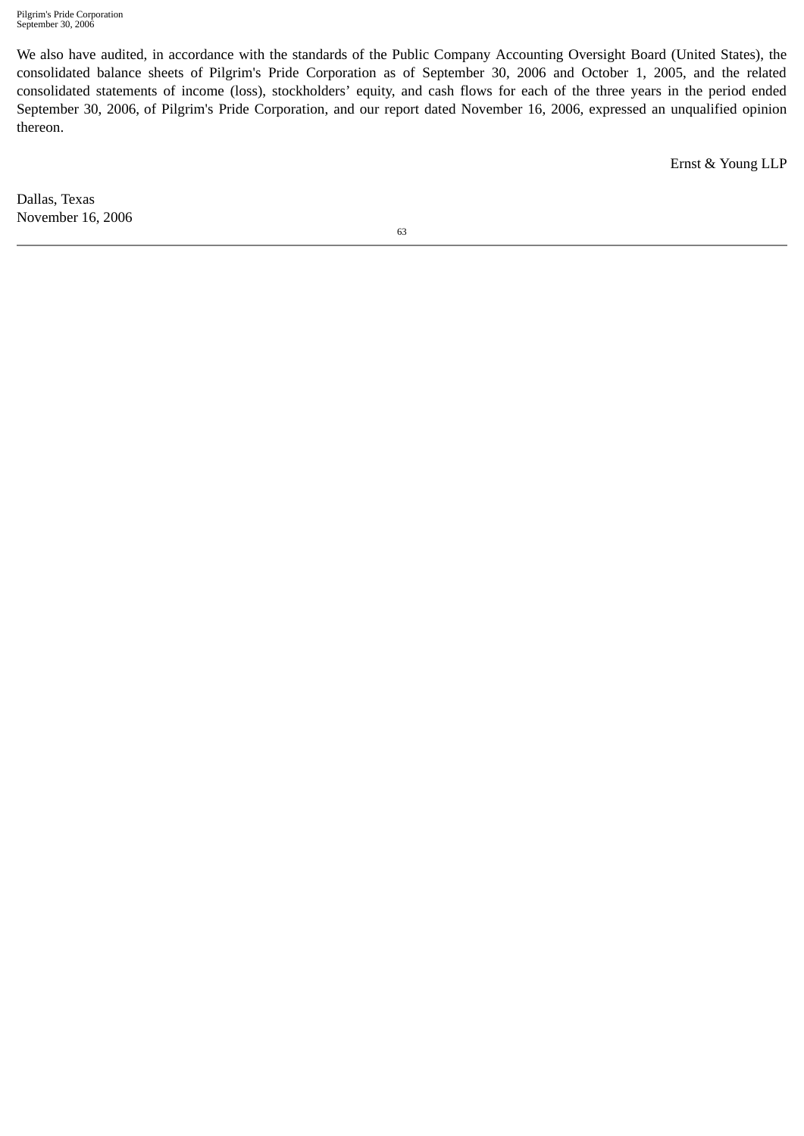We also have audited, in accordance with the standards of the Public Company Accounting Oversight Board (United States), the consolidated balance sheets of Pilgrim's Pride Corporation as of September 30, 2006 and October 1, 2005, and the related consolidated statements of income (loss), stockholders' equity, and cash flows for each of the three years in the period ended September 30, 2006, of Pilgrim's Pride Corporation, and our report dated November 16, 2006, expressed an unqualified opinion thereon.

Ernst & Young LLP

Dallas, Texas November 16, 2006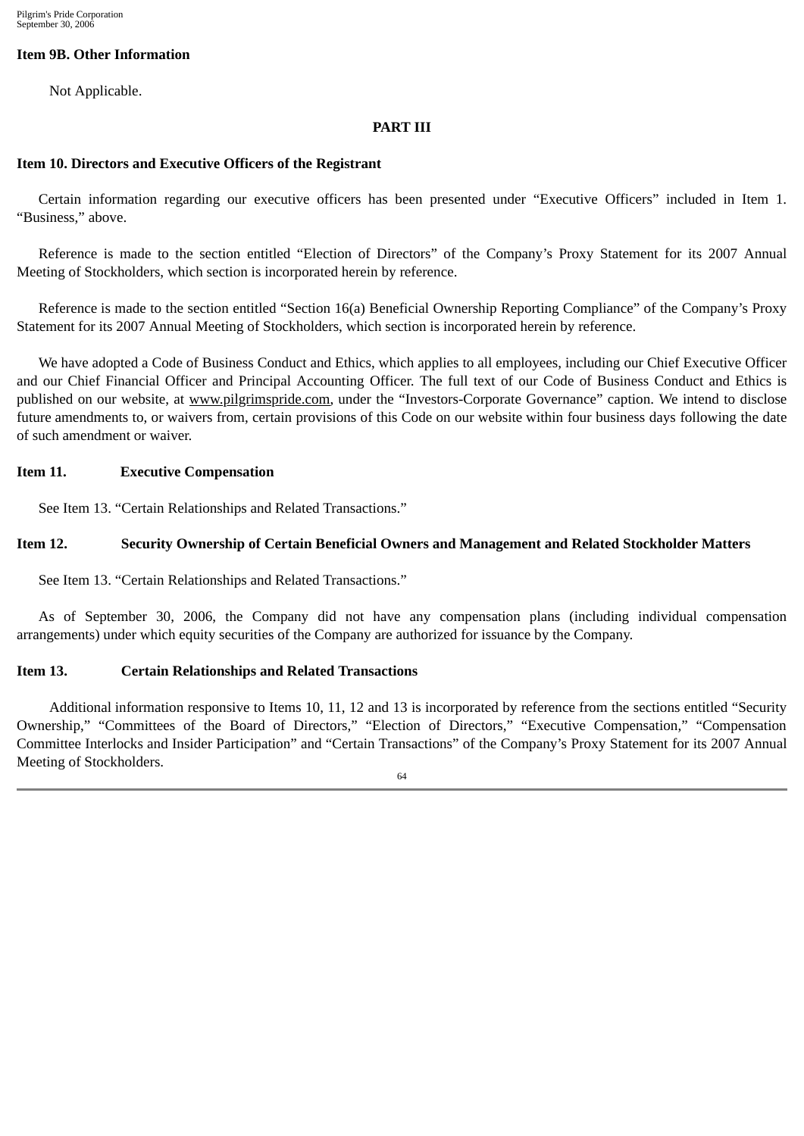### **Item 9B. Other Information**

Not Applicable.

#### **PART III**

#### **Item 10. Directors and Executive Officers of the Registrant**

Certain information regarding our executive officers has been presented under "Executive Officers" included in Item 1. "Business," above.

Reference is made to the section entitled "Election of Directors" of the Company's Proxy Statement for its 2007 Annual Meeting of Stockholders, which section is incorporated herein by reference.

Reference is made to the section entitled "Section 16(a) Beneficial Ownership Reporting Compliance" of the Company's Proxy Statement for its 2007 Annual Meeting of Stockholders, which section is incorporated herein by reference.

We have adopted a Code of Business Conduct and Ethics, which applies to all employees, including our Chief Executive Officer and our Chief Financial Officer and Principal Accounting Officer. The full text of our Code of Business Conduct and Ethics is published on our website, at www.pilgrimspride.com, under the "Investors-Corporate Governance" caption. We intend to disclose future amendments to, or waivers from, certain provisions of this Code on our website within four business days following the date of such amendment or waiver.

#### **Item 11. Executive Compensation**

See Item 13. "Certain Relationships and Related Transactions."

### **Item 12. Security Ownership of Certain Beneficial Owners and Management and Related Stockholder Matters**

See Item 13. "Certain Relationships and Related Transactions."

As of September 30, 2006, the Company did not have any compensation plans (including individual compensation arrangements) under which equity securities of the Company are authorized for issuance by the Company.

### **Item 13. Certain Relationships and Related Transactions**

Additional information responsive to Items 10, 11, 12 and 13 is incorporated by reference from the sections entitled "Security Ownership," "Committees of the Board of Directors," "Election of Directors," "Executive Compensation," "Compensation Committee Interlocks and Insider Participation" and "Certain Transactions" of the Company's Proxy Statement for its 2007 Annual Meeting of Stockholders.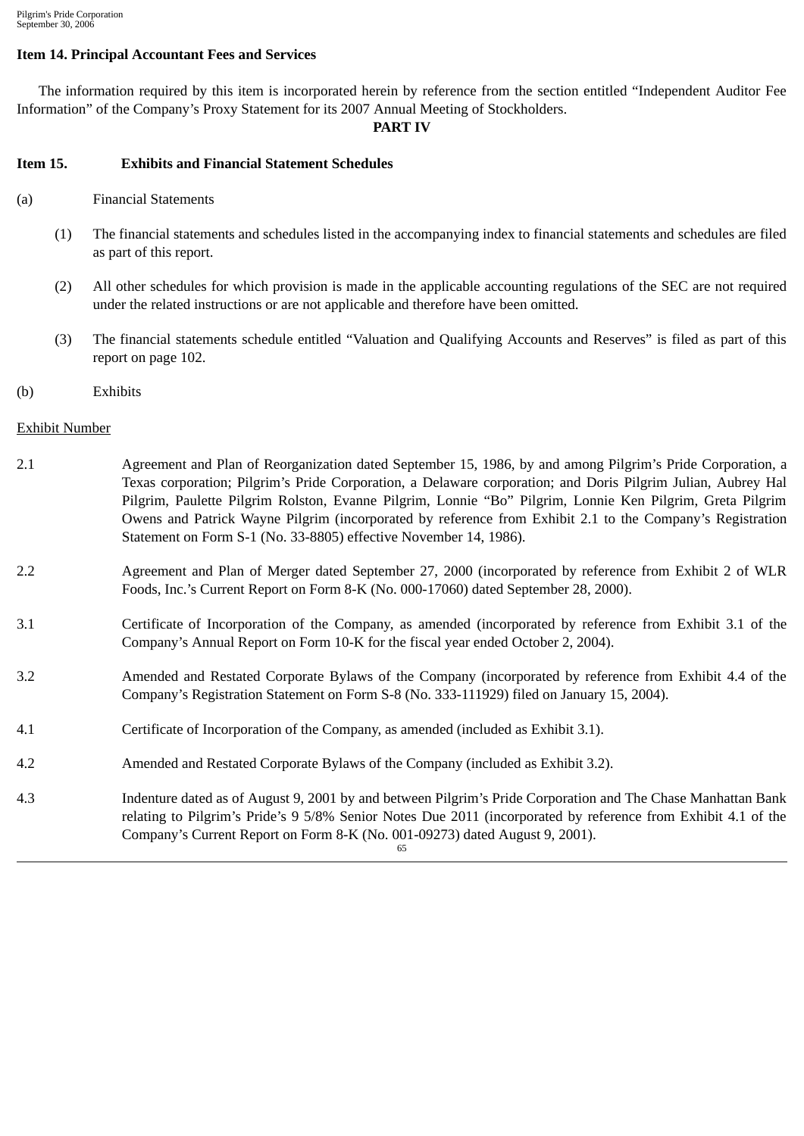## **Item 14. Principal Accountant Fees and Services**

The information required by this item is incorporated herein by reference from the section entitled "Independent Auditor Fee Information" of the Company's Proxy Statement for its 2007 Annual Meeting of Stockholders.

#### **PART IV**

## **Item 15. Exhibits and Financial Statement Schedules**

- (a) Financial Statements
	- (1) The financial statements and schedules listed in the accompanying index to financial statements and schedules are filed as part of this report.
	- (2) All other schedules for which provision is made in the applicable accounting regulations of the SEC are not required under the related instructions or are not applicable and therefore have been omitted.
	- (3) The financial statements schedule entitled "Valuation and Qualifying Accounts and Reserves" is filed as part of this report on page 102.
- (b) Exhibits

#### Exhibit Number

- 2.1 Agreement and Plan of Reorganization dated September 15, 1986, by and among Pilgrim's Pride Corporation, a Texas corporation; Pilgrim's Pride Corporation, a Delaware corporation; and Doris Pilgrim Julian, Aubrey Hal Pilgrim, Paulette Pilgrim Rolston, Evanne Pilgrim, Lonnie "Bo" Pilgrim, Lonnie Ken Pilgrim, Greta Pilgrim Owens and Patrick Wayne Pilgrim (incorporated by reference from Exhibit 2.1 to the Company's Registration Statement on Form S-1 (No. 33-8805) effective November 14, 1986).
- 2.2 Agreement and Plan of Merger dated September 27, 2000 (incorporated by reference from Exhibit 2 of WLR Foods, Inc.'s Current Report on Form 8-K (No. 000-17060) dated September 28, 2000).
- 3.1 Certificate of Incorporation of the Company, as amended (incorporated by reference from Exhibit 3.1 of the Company's Annual Report on Form 10-K for the fiscal year ended October 2, 2004).
- 3.2 Amended and Restated Corporate Bylaws of the Company (incorporated by reference from Exhibit 4.4 of the Company's Registration Statement on Form S-8 (No. 333-111929) filed on January 15, 2004).
- 4.1 Certificate of Incorporation of the Company, as amended (included as Exhibit 3.1).
- 4.2 Amended and Restated Corporate Bylaws of the Company (included as Exhibit 3.2).
- 4.3 Indenture dated as of August 9, 2001 by and between Pilgrim's Pride Corporation and The Chase Manhattan Bank relating to Pilgrim's Pride's 9 5/8% Senior Notes Due 2011 (incorporated by reference from Exhibit 4.1 of the Company's Current Report on Form 8-K (No. 001-09273) dated August 9, 2001).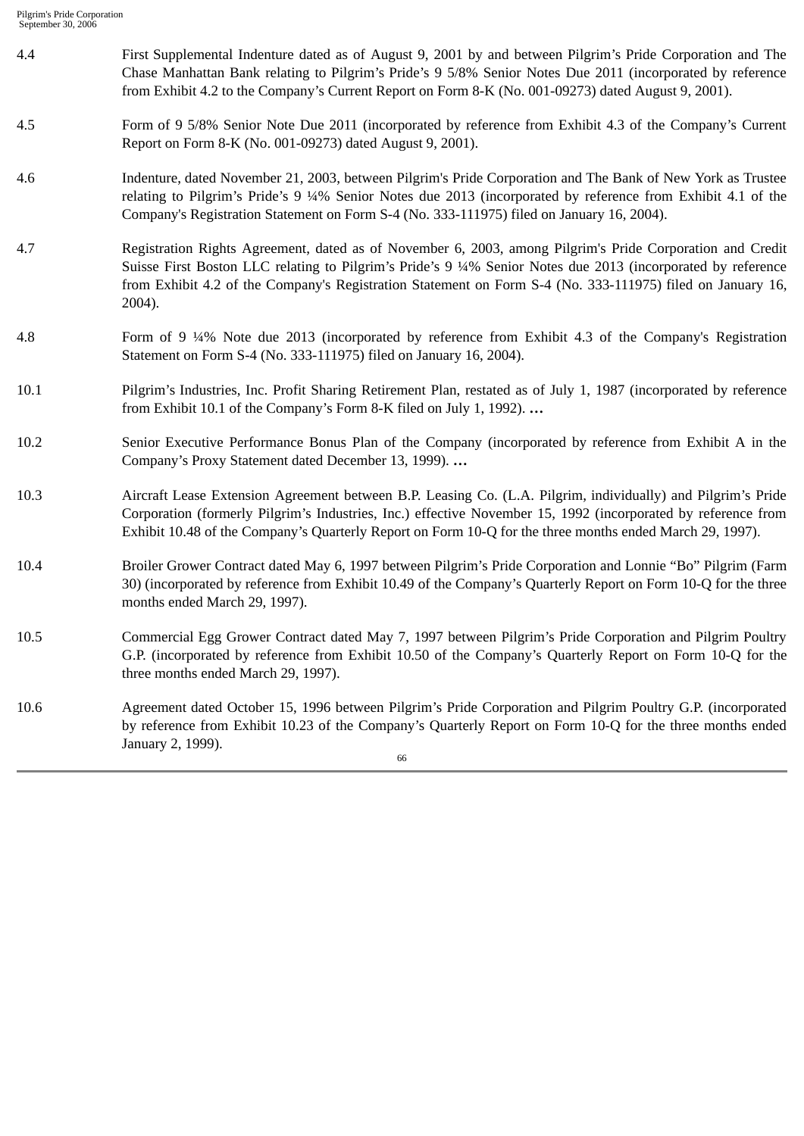- 4.4 First Supplemental Indenture dated as of August 9, 2001 by and between Pilgrim's Pride Corporation and The Chase Manhattan Bank relating to Pilgrim's Pride's 9 5/8% Senior Notes Due 2011 (incorporated by reference from Exhibit 4.2 to the Company's Current Report on Form 8-K (No. 001-09273) dated August 9, 2001).
- 4.5 Form of 9 5/8% Senior Note Due 2011 (incorporated by reference from Exhibit 4.3 of the Company's Current Report on Form 8-K (No. 001-09273) dated August 9, 2001).
- 4.6 Indenture, dated November 21, 2003, between Pilgrim's Pride Corporation and The Bank of New York as Trustee relating to Pilgrim's Pride's 9 ¼% Senior Notes due 2013 (incorporated by reference from Exhibit 4.1 of the Company's Registration Statement on Form S-4 (No. 333-111975) filed on January 16, 2004).
- 4.7 Registration Rights Agreement, dated as of November 6, 2003, among Pilgrim's Pride Corporation and Credit Suisse First Boston LLC relating to Pilgrim's Pride's 9 ¼% Senior Notes due 2013 (incorporated by reference from Exhibit 4.2 of the Company's Registration Statement on Form S-4 (No. 333-111975) filed on January 16, 2004).
- 4.8 Form of 9 ¼% Note due 2013 (incorporated by reference from Exhibit 4.3 of the Company's Registration Statement on Form S-4 (No. 333-111975) filed on January 16, 2004).
- 10.1 Pilgrim's Industries, Inc. Profit Sharing Retirement Plan, restated as of July 1, 1987 (incorporated by reference from Exhibit 10.1 of the Company's Form 8-K filed on July 1, 1992). **…**
- 10.2 Senior Executive Performance Bonus Plan of the Company (incorporated by reference from Exhibit A in the Company's Proxy Statement dated December 13, 1999). **…**
- 10.3 Aircraft Lease Extension Agreement between B.P. Leasing Co. (L.A. Pilgrim, individually) and Pilgrim's Pride Corporation (formerly Pilgrim's Industries, Inc.) effective November 15, 1992 (incorporated by reference from Exhibit 10.48 of the Company's Quarterly Report on Form 10-Q for the three months ended March 29, 1997).
- 10.4 Broiler Grower Contract dated May 6, 1997 between Pilgrim's Pride Corporation and Lonnie "Bo" Pilgrim (Farm 30) (incorporated by reference from Exhibit 10.49 of the Company's Quarterly Report on Form 10-Q for the three months ended March 29, 1997).
- 10.5 Commercial Egg Grower Contract dated May 7, 1997 between Pilgrim's Pride Corporation and Pilgrim Poultry G.P. (incorporated by reference from Exhibit 10.50 of the Company's Quarterly Report on Form 10-Q for the three months ended March 29, 1997).
- 10.6 Agreement dated October 15, 1996 between Pilgrim's Pride Corporation and Pilgrim Poultry G.P. (incorporated by reference from Exhibit 10.23 of the Company's Quarterly Report on Form 10-Q for the three months ended January 2, 1999).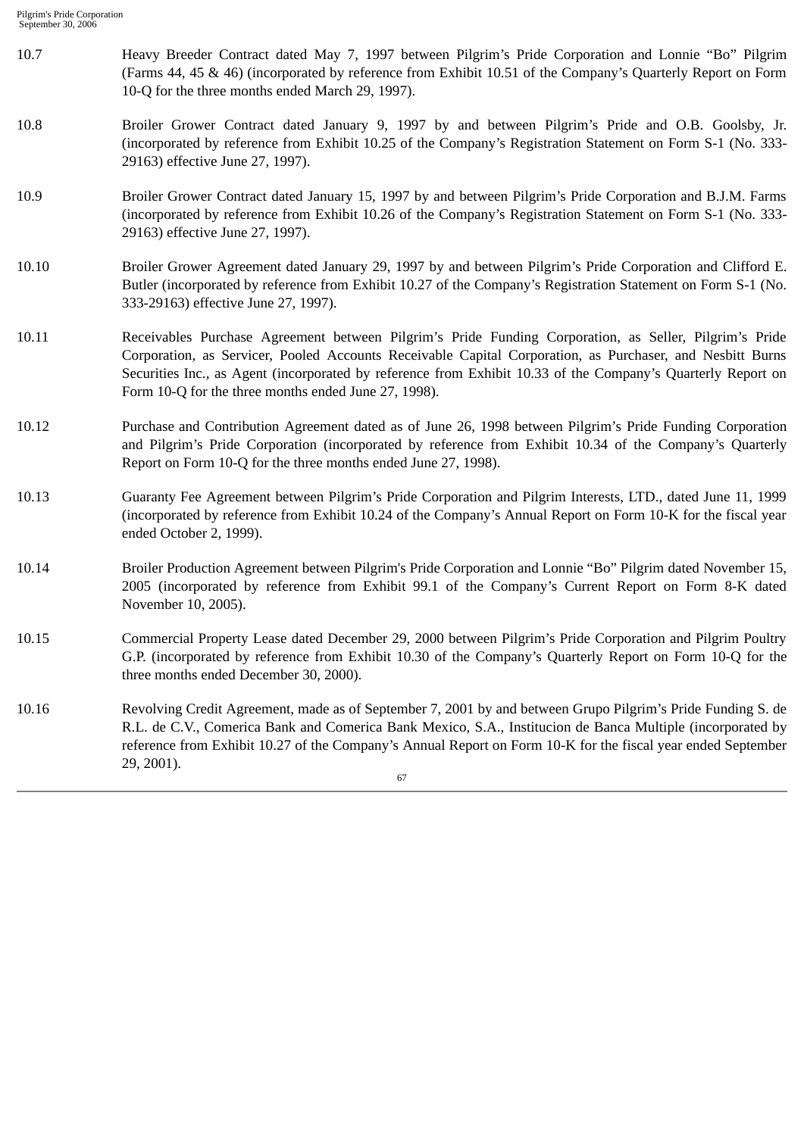- 10.7 Heavy Breeder Contract dated May 7, 1997 between Pilgrim's Pride Corporation and Lonnie "Bo" Pilgrim (Farms 44, 45 & 46) (incorporated by reference from Exhibit 10.51 of the Company's Quarterly Report on Form 10-Q for the three months ended March 29, 1997).
- 10.8 Broiler Grower Contract dated January 9, 1997 by and between Pilgrim's Pride and O.B. Goolsby, Jr. (incorporated by reference from Exhibit 10.25 of the Company's Registration Statement on Form S-1 (No. 333- 29163) effective June 27, 1997).
- 10.9 Broiler Grower Contract dated January 15, 1997 by and between Pilgrim's Pride Corporation and B.J.M. Farms (incorporated by reference from Exhibit 10.26 of the Company's Registration Statement on Form S-1 (No. 333- 29163) effective June 27, 1997).
- 10.10 Broiler Grower Agreement dated January 29, 1997 by and between Pilgrim's Pride Corporation and Clifford E. Butler (incorporated by reference from Exhibit 10.27 of the Company's Registration Statement on Form S-1 (No. 333-29163) effective June 27, 1997).
- 10.11 Receivables Purchase Agreement between Pilgrim's Pride Funding Corporation, as Seller, Pilgrim's Pride Corporation, as Servicer, Pooled Accounts Receivable Capital Corporation, as Purchaser, and Nesbitt Burns Securities Inc., as Agent (incorporated by reference from Exhibit 10.33 of the Company's Quarterly Report on Form 10-Q for the three months ended June 27, 1998).
- 10.12 Purchase and Contribution Agreement dated as of June 26, 1998 between Pilgrim's Pride Funding Corporation and Pilgrim's Pride Corporation (incorporated by reference from Exhibit 10.34 of the Company's Quarterly Report on Form 10-Q for the three months ended June 27, 1998).
- 10.13 Guaranty Fee Agreement between Pilgrim's Pride Corporation and Pilgrim Interests, LTD., dated June 11, 1999 (incorporated by reference from Exhibit 10.24 of the Company's Annual Report on Form 10-K for the fiscal year ended October 2, 1999).
- 10.14 Broiler Production Agreement between Pilgrim's Pride Corporation and Lonnie "Bo" Pilgrim dated November 15, 2005 (incorporated by reference from Exhibit 99.1 of the Company's Current Report on Form 8-K dated November 10, 2005).
- 10.15 Commercial Property Lease dated December 29, 2000 between Pilgrim's Pride Corporation and Pilgrim Poultry G.P. (incorporated by reference from Exhibit 10.30 of the Company's Quarterly Report on Form 10-Q for the three months ended December 30, 2000).
- 10.16 Revolving Credit Agreement, made as of September 7, 2001 by and between Grupo Pilgrim's Pride Funding S. de R.L. de C.V., Comerica Bank and Comerica Bank Mexico, S.A., Institucion de Banca Multiple (incorporated by reference from Exhibit 10.27 of the Company's Annual Report on Form 10-K for the fiscal year ended September 29, 2001).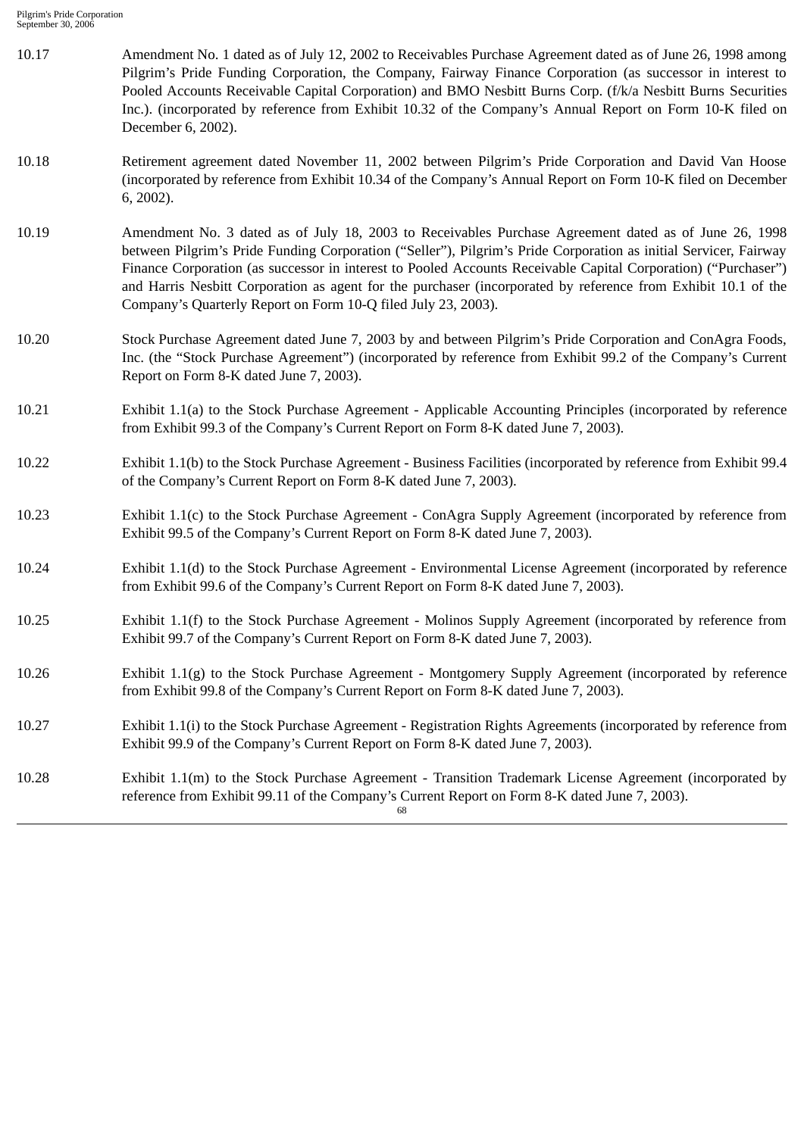| 10.17 | Amendment No. 1 dated as of July 12, 2002 to Receivables Purchase Agreement dated as of June 26, 1998 among |
|-------|-------------------------------------------------------------------------------------------------------------|
|       | Pilgrim's Pride Funding Corporation, the Company, Fairway Finance Corporation (as successor in interest to  |
|       | Pooled Accounts Receivable Capital Corporation) and BMO Nesbitt Burns Corp. (f/k/a Nesbitt Burns Securities |
|       | Inc.). (incorporated by reference from Exhibit 10.32 of the Company's Annual Report on Form 10-K filed on   |
|       | December 6, 2002).                                                                                          |

- 10.18 Retirement agreement dated November 11, 2002 between Pilgrim's Pride Corporation and David Van Hoose (incorporated by reference from Exhibit 10.34 of the Company's Annual Report on Form 10-K filed on December 6, 2002).
- 10.19 Amendment No. 3 dated as of July 18, 2003 to Receivables Purchase Agreement dated as of June 26, 1998 between Pilgrim's Pride Funding Corporation ("Seller"), Pilgrim's Pride Corporation as initial Servicer, Fairway Finance Corporation (as successor in interest to Pooled Accounts Receivable Capital Corporation) ("Purchaser") and Harris Nesbitt Corporation as agent for the purchaser (incorporated by reference from Exhibit 10.1 of the Company's Quarterly Report on Form 10-Q filed July 23, 2003).
- 10.20 Stock Purchase Agreement dated June 7, 2003 by and between Pilgrim's Pride Corporation and ConAgra Foods, Inc. (the "Stock Purchase Agreement") (incorporated by reference from Exhibit 99.2 of the Company's Current Report on Form 8-K dated June 7, 2003).
- 10.21 Exhibit 1.1(a) to the Stock Purchase Agreement Applicable Accounting Principles (incorporated by reference from Exhibit 99.3 of the Company's Current Report on Form 8-K dated June 7, 2003).
- 10.22 Exhibit 1.1(b) to the Stock Purchase Agreement Business Facilities (incorporated by reference from Exhibit 99.4 of the Company's Current Report on Form 8-K dated June 7, 2003).
- 10.23 Exhibit 1.1(c) to the Stock Purchase Agreement ConAgra Supply Agreement (incorporated by reference from Exhibit 99.5 of the Company's Current Report on Form 8-K dated June 7, 2003).
- 10.24 Exhibit 1.1(d) to the Stock Purchase Agreement Environmental License Agreement (incorporated by reference from Exhibit 99.6 of the Company's Current Report on Form 8-K dated June 7, 2003).
- 10.25 Exhibit 1.1(f) to the Stock Purchase Agreement Molinos Supply Agreement (incorporated by reference from Exhibit 99.7 of the Company's Current Report on Form 8-K dated June 7, 2003).
- 10.26 Exhibit 1.1(g) to the Stock Purchase Agreement Montgomery Supply Agreement (incorporated by reference from Exhibit 99.8 of the Company's Current Report on Form 8-K dated June 7, 2003).
- 10.27 Exhibit 1.1(i) to the Stock Purchase Agreement Registration Rights Agreements (incorporated by reference from Exhibit 99.9 of the Company's Current Report on Form 8-K dated June 7, 2003).
- 10.28 Exhibit 1.1(m) to the Stock Purchase Agreement Transition Trademark License Agreement (incorporated by reference from Exhibit 99.11 of the Company's Current Report on Form 8-K dated June 7, 2003).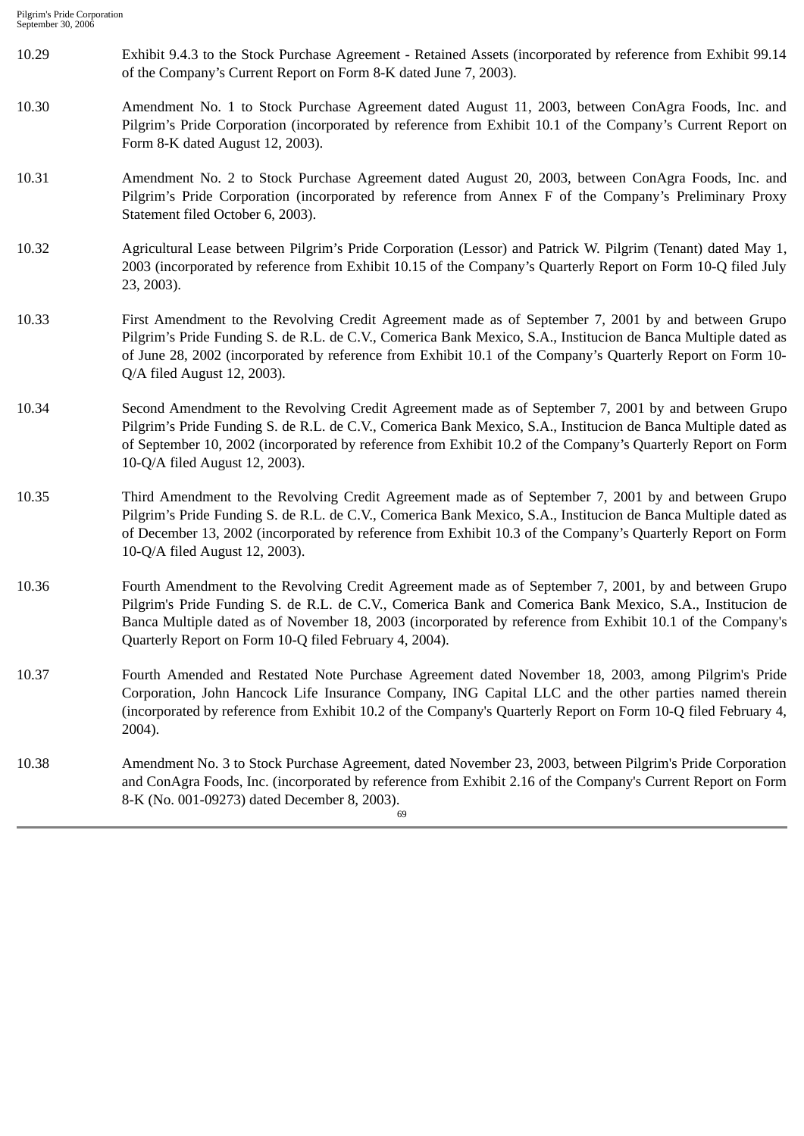- 10.29 Exhibit 9.4.3 to the Stock Purchase Agreement Retained Assets (incorporated by reference from Exhibit 99.14 of the Company's Current Report on Form 8-K dated June 7, 2003).
- 10.30 Amendment No. 1 to Stock Purchase Agreement dated August 11, 2003, between ConAgra Foods, Inc. and Pilgrim's Pride Corporation (incorporated by reference from Exhibit 10.1 of the Company's Current Report on Form 8-K dated August 12, 2003).
- 10.31 Amendment No. 2 to Stock Purchase Agreement dated August 20, 2003, between ConAgra Foods, Inc. and Pilgrim's Pride Corporation (incorporated by reference from Annex F of the Company's Preliminary Proxy Statement filed October 6, 2003).
- 10.32 Agricultural Lease between Pilgrim's Pride Corporation (Lessor) and Patrick W. Pilgrim (Tenant) dated May 1, 2003 (incorporated by reference from Exhibit 10.15 of the Company's Quarterly Report on Form 10-Q filed July 23, 2003).
- 10.33 First Amendment to the Revolving Credit Agreement made as of September 7, 2001 by and between Grupo Pilgrim's Pride Funding S. de R.L. de C.V., Comerica Bank Mexico, S.A., Institucion de Banca Multiple dated as of June 28, 2002 (incorporated by reference from Exhibit 10.1 of the Company's Quarterly Report on Form 10- Q/A filed August 12, 2003).
- 10.34 Second Amendment to the Revolving Credit Agreement made as of September 7, 2001 by and between Grupo Pilgrim's Pride Funding S. de R.L. de C.V., Comerica Bank Mexico, S.A., Institucion de Banca Multiple dated as of September 10, 2002 (incorporated by reference from Exhibit 10.2 of the Company's Quarterly Report on Form 10-Q/A filed August 12, 2003).
- 10.35 Third Amendment to the Revolving Credit Agreement made as of September 7, 2001 by and between Grupo Pilgrim's Pride Funding S. de R.L. de C.V., Comerica Bank Mexico, S.A., Institucion de Banca Multiple dated as of December 13, 2002 (incorporated by reference from Exhibit 10.3 of the Company's Quarterly Report on Form 10-Q/A filed August 12, 2003).
- 10.36 Fourth Amendment to the Revolving Credit Agreement made as of September 7, 2001, by and between Grupo Pilgrim's Pride Funding S. de R.L. de C.V., Comerica Bank and Comerica Bank Mexico, S.A., Institucion de Banca Multiple dated as of November 18, 2003 (incorporated by reference from Exhibit 10.1 of the Company's Quarterly Report on Form 10-Q filed February 4, 2004).
- 10.37 Fourth Amended and Restated Note Purchase Agreement dated November 18, 2003, among Pilgrim's Pride Corporation, John Hancock Life Insurance Company, ING Capital LLC and the other parties named therein (incorporated by reference from Exhibit 10.2 of the Company's Quarterly Report on Form 10-Q filed February 4, 2004).
- 10.38 Amendment No. 3 to Stock Purchase Agreement, dated November 23, 2003, between Pilgrim's Pride Corporation and ConAgra Foods, Inc. (incorporated by reference from Exhibit 2.16 of the Company's Current Report on Form 8-K (No. 001-09273) dated December 8, 2003). 69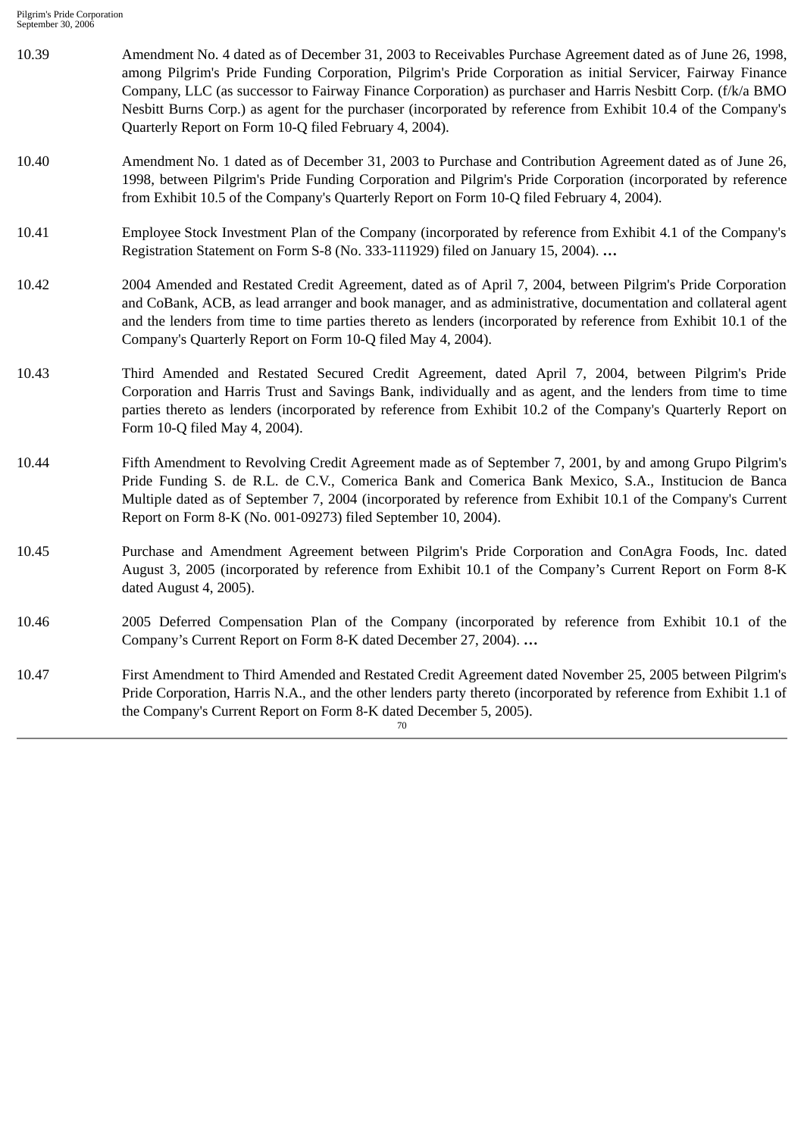| 10.39 | Amendment No. 4 dated as of December 31, 2003 to Receivables Purchase Agreement dated as of June 26, 1998,<br>among Pilgrim's Pride Funding Corporation, Pilgrim's Pride Corporation as initial Servicer, Fairway Finance<br>Company, LLC (as successor to Fairway Finance Corporation) as purchaser and Harris Nesbitt Corp. (f/k/a BMO<br>Nesbitt Burns Corp.) as agent for the purchaser (incorporated by reference from Exhibit 10.4 of the Company's<br>Quarterly Report on Form 10-Q filed February 4, 2004). |
|-------|---------------------------------------------------------------------------------------------------------------------------------------------------------------------------------------------------------------------------------------------------------------------------------------------------------------------------------------------------------------------------------------------------------------------------------------------------------------------------------------------------------------------|
| 10.40 | Amendment No. 1 dated as of December 31, 2003 to Purchase and Contribution Agreement dated as of June 26,<br>1998, between Pilgrim's Pride Funding Corporation and Pilgrim's Pride Corporation (incorporated by reference<br>from Exhibit 10.5 of the Company's Quarterly Report on Form 10-Q filed February 4, 2004).                                                                                                                                                                                              |
| 10.41 | Employee Stock Investment Plan of the Company (incorporated by reference from Exhibit 4.1 of the Company's<br>Registration Statement on Form S-8 (No. 333-111929) filed on January 15, 2004).                                                                                                                                                                                                                                                                                                                       |
| 10.42 | 2004 Amended and Restated Credit Agreement, dated as of April 7, 2004, between Pilgrim's Pride Corporation<br>and CoBank, ACB, as lead arranger and book manager, and as administrative, documentation and collateral agent<br>and the lenders from time to time parties thereto as lenders (incorporated by reference from Exhibit 10.1 of the<br>Company's Quarterly Report on Form 10-Q filed May 4, 2004).                                                                                                      |
| 10.43 | Third Amended and Restated Secured Credit Agreement, dated April 7, 2004, between Pilgrim's Pride<br>Corporation and Harris Trust and Savings Bank, individually and as agent, and the lenders from time to time<br>parties thereto as lenders (incorporated by reference from Exhibit 10.2 of the Company's Quarterly Report on<br>Form 10-Q filed May 4, 2004).                                                                                                                                                   |
| 10.44 | Fifth Amendment to Revolving Credit Agreement made as of September 7, 2001, by and among Grupo Pilgrim's<br>Pride Funding S. de R.L. de C.V., Comerica Bank and Comerica Bank Mexico, S.A., Institucion de Banca<br>Multiple dated as of September 7, 2004 (incorporated by reference from Exhibit 10.1 of the Company's Current<br>Report on Form 8-K (No. 001-09273) filed September 10, 2004).                                                                                                                   |
| 10.45 | Purchase and Amendment Agreement between Pilgrim's Pride Corporation and ConAgra Foods, Inc. dated<br>August 3, 2005 (incorporated by reference from Exhibit 10.1 of the Company's Current Report on Form 8-K<br>dated August 4, 2005).                                                                                                                                                                                                                                                                             |
| 10.46 | 2005 Deferred Compensation Plan of the Company (incorporated by reference from Exhibit 10.1 of the<br>Company's Current Report on Form 8-K dated December 27, 2004).                                                                                                                                                                                                                                                                                                                                                |
| 10.47 | First Amendment to Third Amended and Restated Credit Agreement dated November 25, 2005 between Pilgrim's<br>Pride Corporation, Harris N.A., and the other lenders party thereto (incorporated by reference from Exhibit 1.1 of<br>the Company's Current Report on Form 8-K dated December 5, 2005).<br>70                                                                                                                                                                                                           |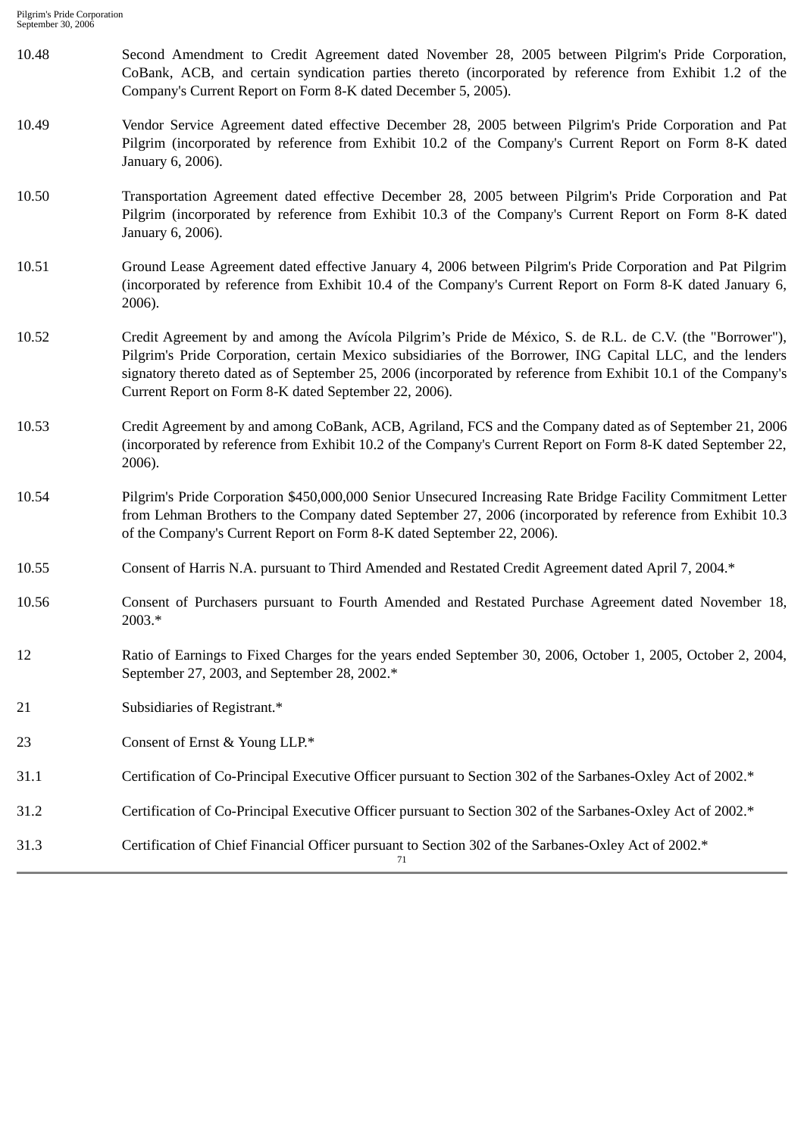- 10.48 Second Amendment to Credit Agreement dated November 28, 2005 between Pilgrim's Pride Corporation, CoBank, ACB, and certain syndication parties thereto (incorporated by reference from Exhibit 1.2 of the Company's Current Report on Form 8-K dated December 5, 2005).
- 10.49 Vendor Service Agreement dated effective December 28, 2005 between Pilgrim's Pride Corporation and Pat Pilgrim (incorporated by reference from Exhibit 10.2 of the Company's Current Report on Form 8-K dated January 6, 2006).
- 10.50 Transportation Agreement dated effective December 28, 2005 between Pilgrim's Pride Corporation and Pat Pilgrim (incorporated by reference from Exhibit 10.3 of the Company's Current Report on Form 8-K dated January 6, 2006).
- 10.51 Ground Lease Agreement dated effective January 4, 2006 between Pilgrim's Pride Corporation and Pat Pilgrim (incorporated by reference from Exhibit 10.4 of the Company's Current Report on Form 8-K dated January 6, 2006).
- 10.52 Credit Agreement by and among the Avícola Pilgrim's Pride de México, S. de R.L. de C.V. (the "Borrower"), Pilgrim's Pride Corporation, certain Mexico subsidiaries of the Borrower, ING Capital LLC, and the lenders signatory thereto dated as of September 25, 2006 (incorporated by reference from Exhibit 10.1 of the Company's Current Report on Form 8-K dated September 22, 2006).
- 10.53 Credit Agreement by and among CoBank, ACB, Agriland, FCS and the Company dated as of September 21, 2006 (incorporated by reference from Exhibit 10.2 of the Company's Current Report on Form 8-K dated September 22, 2006).
- 10.54 Pilgrim's Pride Corporation \$450,000,000 Senior Unsecured Increasing Rate Bridge Facility Commitment Letter from Lehman Brothers to the Company dated September 27, 2006 (incorporated by reference from Exhibit 10.3 of the Company's Current Report on Form 8-K dated September 22, 2006).
- 10.55 Consent of Harris N.A. pursuant to Third Amended and Restated Credit Agreement dated April 7, 2004.\*
- 10.56 Consent of Purchasers pursuant to Fourth Amended and Restated Purchase Agreement dated November 18, 2003.\*
- 12 Ratio of Earnings to Fixed Charges for the years ended September 30, 2006, October 1, 2005, October 2, 2004, September 27, 2003, and September 28, 2002.\*
- 21 Subsidiaries of Registrant.\*
- 23 Consent of Ernst & Young LLP.\*
- 31.1 Certification of Co-Principal Executive Officer pursuant to Section 302 of the Sarbanes-Oxley Act of 2002.\*
- 31.2 Certification of Co-Principal Executive Officer pursuant to Section 302 of the Sarbanes-Oxley Act of 2002.\*
- 31.3 Certification of Chief Financial Officer pursuant to Section 302 of the Sarbanes-Oxley Act of 2002.\*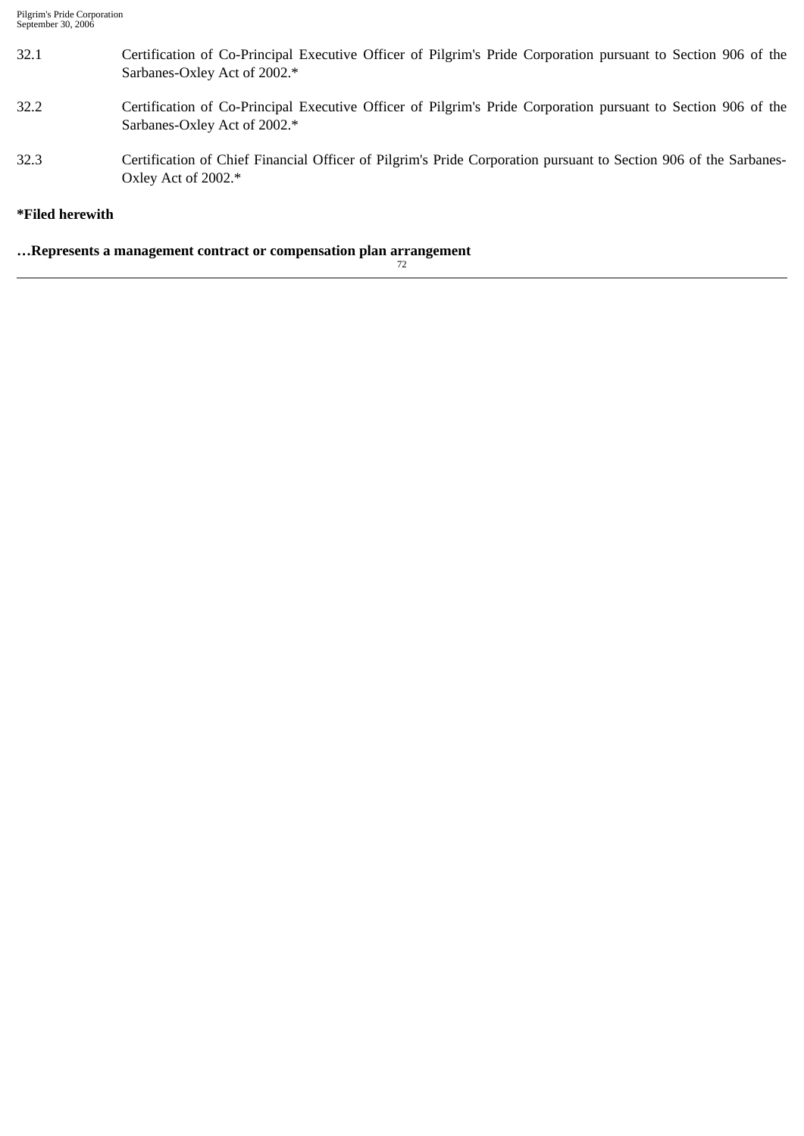| 32.1 | Certification of Co-Principal Executive Officer of Pilgrim's Pride Corporation pursuant to Section 906 of the<br>Sarbanes-Oxley Act of 2002.* |
|------|-----------------------------------------------------------------------------------------------------------------------------------------------|
| 32.2 | Certification of Co-Principal Executive Officer of Pilgrim's Pride Corporation pursuant to Section 906 of the<br>Sarbanes-Oxley Act of 2002.* |
| 32.3 | Certification of Chief Financial Officer of Pilgrim's Pride Corporation pursuant to Section 906 of the Sarbanes-<br>Oxley Act of 2002.*       |

# **\*Filed herewith**

## **…Represents a management contract or compensation plan arrangement**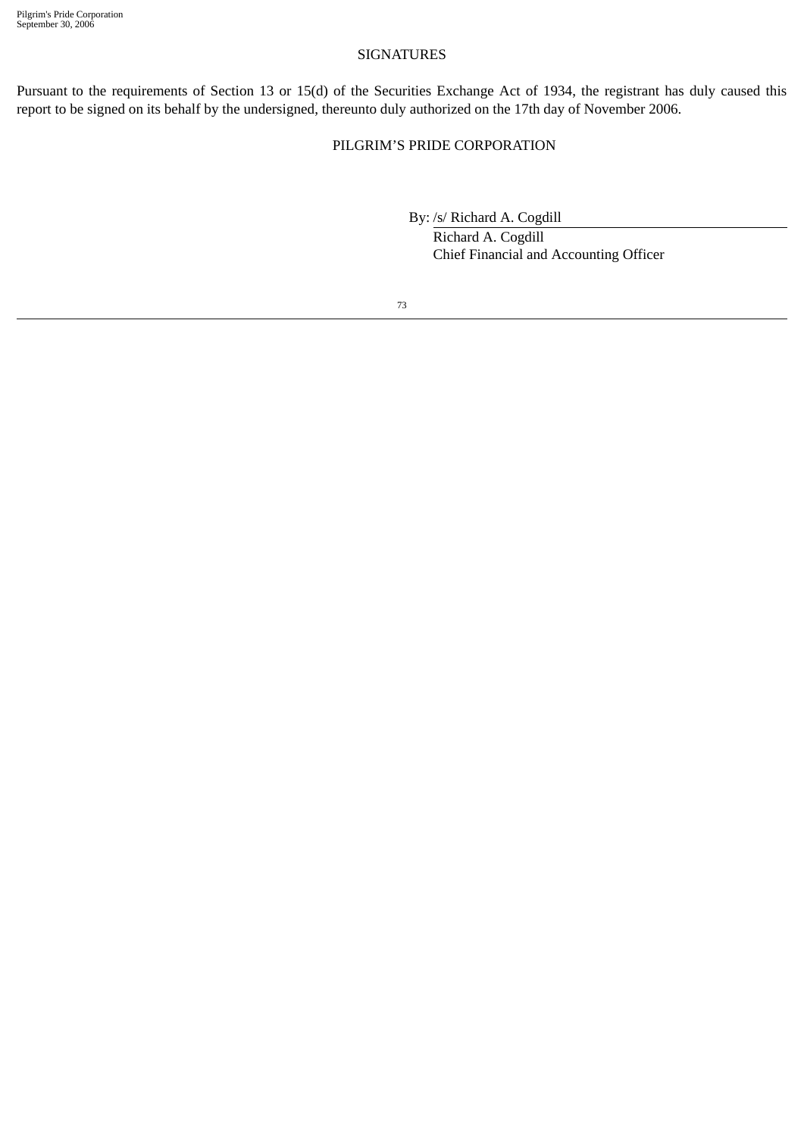### SIGNATURES

Pursuant to the requirements of Section 13 or 15(d) of the Securities Exchange Act of 1934, the registrant has duly caused this report to be signed on its behalf by the undersigned, thereunto duly authorized on the 17th day of November 2006.

PILGRIM'S PRIDE CORPORATION

By: /s/ Richard A. Cogdill

Richard A. Cogdill Chief Financial and Accounting Officer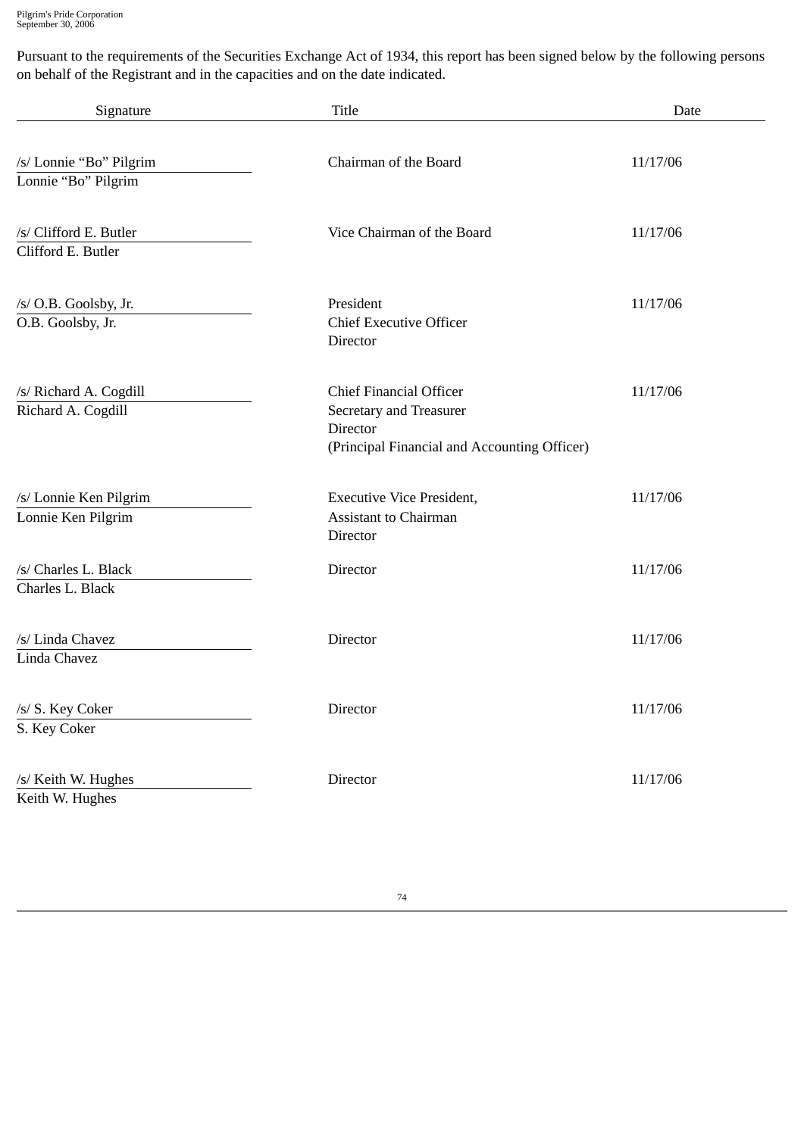Pilgrim's Pride Corporation September 30, 2006

Pursuant to the requirements of the Securities Exchange Act of 1934, this report has been signed below by the following persons on behalf of the Registrant and in the capacities and on the date indicated.

| Signature                                      | <b>Title</b>                                                                                                          | Date     |
|------------------------------------------------|-----------------------------------------------------------------------------------------------------------------------|----------|
| /s/ Lonnie "Bo" Pilgrim<br>Lonnie "Bo" Pilgrim | Chairman of the Board                                                                                                 | 11/17/06 |
| /s/ Clifford E. Butler<br>Clifford E. Butler   | Vice Chairman of the Board                                                                                            | 11/17/06 |
| /s/ O.B. Goolsby, Jr.<br>O.B. Goolsby, Jr.     | President<br><b>Chief Executive Officer</b><br>Director                                                               | 11/17/06 |
| /s/ Richard A. Cogdill<br>Richard A. Cogdill   | <b>Chief Financial Officer</b><br>Secretary and Treasurer<br>Director<br>(Principal Financial and Accounting Officer) | 11/17/06 |
| /s/ Lonnie Ken Pilgrim<br>Lonnie Ken Pilgrim   | <b>Executive Vice President,</b><br><b>Assistant to Chairman</b><br>Director                                          | 11/17/06 |
| /s/ Charles L. Black<br>Charles L. Black       | Director                                                                                                              | 11/17/06 |
| /s/ Linda Chavez<br>Linda Chavez               | Director                                                                                                              | 11/17/06 |
| /s/ S. Key Coker<br>S. Key Coker               | Director                                                                                                              | 11/17/06 |
| /s/ Keith W. Hughes<br>Keith W. Hughes         | Director                                                                                                              | 11/17/06 |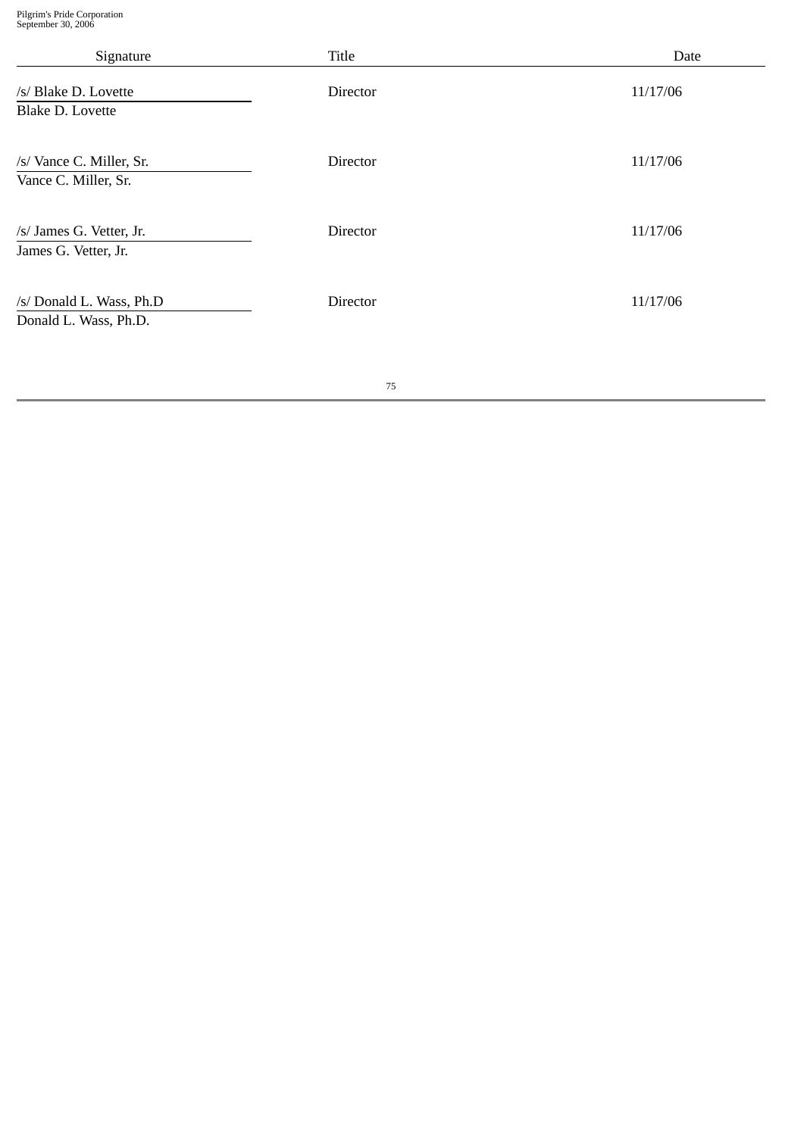| Signature                                         | Title    | Date     |
|---------------------------------------------------|----------|----------|
| /s/ Blake D. Lovette<br><b>Blake D. Lovette</b>   | Director | 11/17/06 |
| /s/ Vance C. Miller, Sr.<br>Vance C. Miller, Sr.  | Director | 11/17/06 |
| /s/ James G. Vetter, Jr.<br>James G. Vetter, Jr.  | Director | 11/17/06 |
| /s/ Donald L. Wass, Ph.D<br>Donald L. Wass, Ph.D. | Director | 11/17/06 |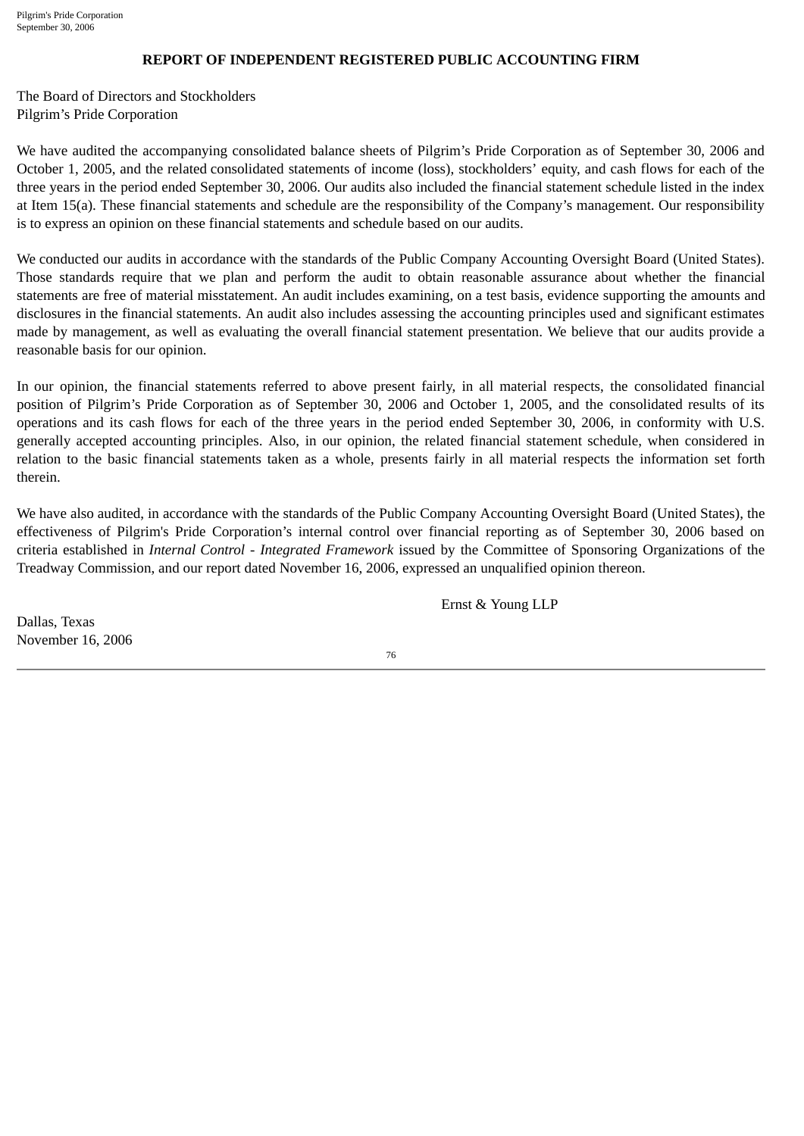#### **REPORT OF INDEPENDENT REGISTERED PUBLIC ACCOUNTING FIRM**

The Board of Directors and Stockholders Pilgrim's Pride Corporation

We have audited the accompanying consolidated balance sheets of Pilgrim's Pride Corporation as of September 30, 2006 and October 1, 2005, and the related consolidated statements of income (loss), stockholders' equity, and cash flows for each of the three years in the period ended September 30, 2006. Our audits also included the financial statement schedule listed in the index at Item 15(a). These financial statements and schedule are the responsibility of the Company's management. Our responsibility is to express an opinion on these financial statements and schedule based on our audits.

We conducted our audits in accordance with the standards of the Public Company Accounting Oversight Board (United States). Those standards require that we plan and perform the audit to obtain reasonable assurance about whether the financial statements are free of material misstatement. An audit includes examining, on a test basis, evidence supporting the amounts and disclosures in the financial statements. An audit also includes assessing the accounting principles used and significant estimates made by management, as well as evaluating the overall financial statement presentation. We believe that our audits provide a reasonable basis for our opinion.

In our opinion, the financial statements referred to above present fairly, in all material respects, the consolidated financial position of Pilgrim's Pride Corporation as of September 30, 2006 and October 1, 2005, and the consolidated results of its operations and its cash flows for each of the three years in the period ended September 30, 2006, in conformity with U.S. generally accepted accounting principles. Also, in our opinion, the related financial statement schedule, when considered in relation to the basic financial statements taken as a whole, presents fairly in all material respects the information set forth therein.

We have also audited, in accordance with the standards of the Public Company Accounting Oversight Board (United States), the effectiveness of Pilgrim's Pride Corporation's internal control over financial reporting as of September 30, 2006 based on criteria established in *Internal Control - Integrated Framework* issued by the Committee of Sponsoring Organizations of the Treadway Commission, and our report dated November 16, 2006, expressed an unqualified opinion thereon.

Ernst & Young LLP

Dallas, Texas November 16, 2006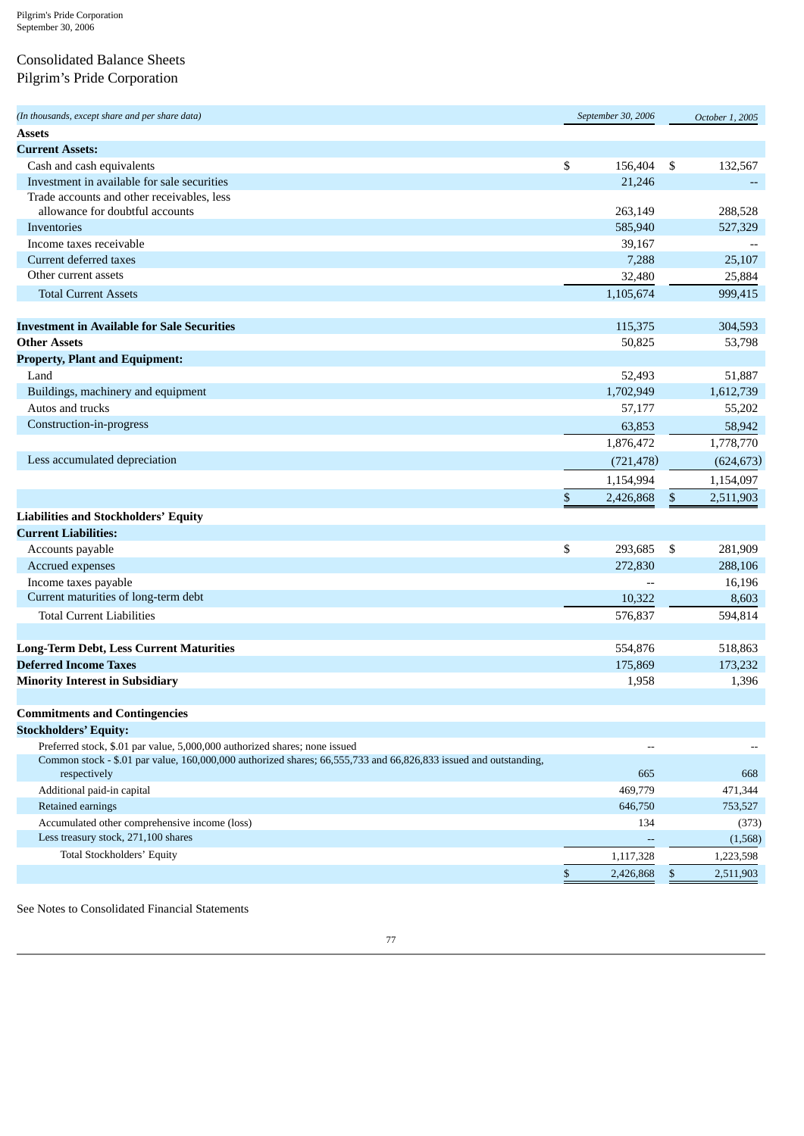## Consolidated Balance Sheets Pilgrim's Pride Corporation

| (In thousands, except share and per share data)                                                                                  | September 30, 2006 | October 1, 2005  |
|----------------------------------------------------------------------------------------------------------------------------------|--------------------|------------------|
| <b>Assets</b>                                                                                                                    |                    |                  |
| <b>Current Assets:</b>                                                                                                           |                    |                  |
| Cash and cash equivalents                                                                                                        | \$<br>156,404      | \$<br>132,567    |
| Investment in available for sale securities                                                                                      | 21,246             |                  |
| Trade accounts and other receivables, less                                                                                       |                    |                  |
| allowance for doubtful accounts                                                                                                  | 263,149            | 288,528          |
| Inventories                                                                                                                      | 585,940            | 527,329          |
| Income taxes receivable                                                                                                          | 39,167             |                  |
| Current deferred taxes                                                                                                           | 7,288              | 25,107           |
| Other current assets                                                                                                             | 32,480             | 25,884           |
| <b>Total Current Assets</b>                                                                                                      | 1,105,674          | 999,415          |
|                                                                                                                                  |                    |                  |
| <b>Investment in Available for Sale Securities</b><br><b>Other Assets</b>                                                        | 115,375            | 304,593          |
| <b>Property, Plant and Equipment:</b>                                                                                            | 50,825             | 53,798           |
| Land                                                                                                                             | 52,493             | 51,887           |
| Buildings, machinery and equipment                                                                                               | 1,702,949          | 1,612,739        |
| Autos and trucks                                                                                                                 | 57,177             | 55,202           |
| Construction-in-progress                                                                                                         | 63,853             | 58,942           |
|                                                                                                                                  | 1,876,472          | 1,778,770        |
| Less accumulated depreciation                                                                                                    |                    |                  |
|                                                                                                                                  | (721, 478)         | (624, 673)       |
|                                                                                                                                  | 1,154,994          | 1,154,097        |
|                                                                                                                                  | \$<br>2,426,868    | \$<br>2,511,903  |
| <b>Liabilities and Stockholders' Equity</b>                                                                                      |                    |                  |
| <b>Current Liabilities:</b>                                                                                                      |                    |                  |
| Accounts payable                                                                                                                 | \$<br>293,685      | \$<br>281,909    |
| Accrued expenses                                                                                                                 | 272,830            | 288,106          |
| Income taxes payable                                                                                                             |                    | 16,196           |
| Current maturities of long-term debt                                                                                             | 10,322             | 8,603            |
| <b>Total Current Liabilities</b>                                                                                                 | 576,837            | 594,814          |
|                                                                                                                                  |                    |                  |
| <b>Long-Term Debt, Less Current Maturities</b><br><b>Deferred Income Taxes</b>                                                   | 554,876            | 518,863          |
| <b>Minority Interest in Subsidiary</b>                                                                                           | 175,869<br>1,958   | 173,232<br>1,396 |
|                                                                                                                                  |                    |                  |
| <b>Commitments and Contingencies</b>                                                                                             |                    |                  |
| <b>Stockholders' Equity:</b>                                                                                                     |                    |                  |
| Preferred stock, \$.01 par value, 5,000,000 authorized shares; none issued                                                       |                    |                  |
| Common stock - \$.01 par value, 160,000,000 authorized shares; 66,555,733 and 66,826,833 issued and outstanding,<br>respectively | 665                | 668              |
| Additional paid-in capital                                                                                                       | 469,779            | 471,344          |
| Retained earnings                                                                                                                | 646,750            | 753,527          |
| Accumulated other comprehensive income (loss)                                                                                    | 134                | (373)            |
| Less treasury stock, 271,100 shares                                                                                              |                    | (1,568)          |
| Total Stockholders' Equity                                                                                                       | 1,117,328          | 1,223,598        |
|                                                                                                                                  | \$<br>2,426,868    | \$<br>2,511,903  |

See Notes to Consolidated Financial Statements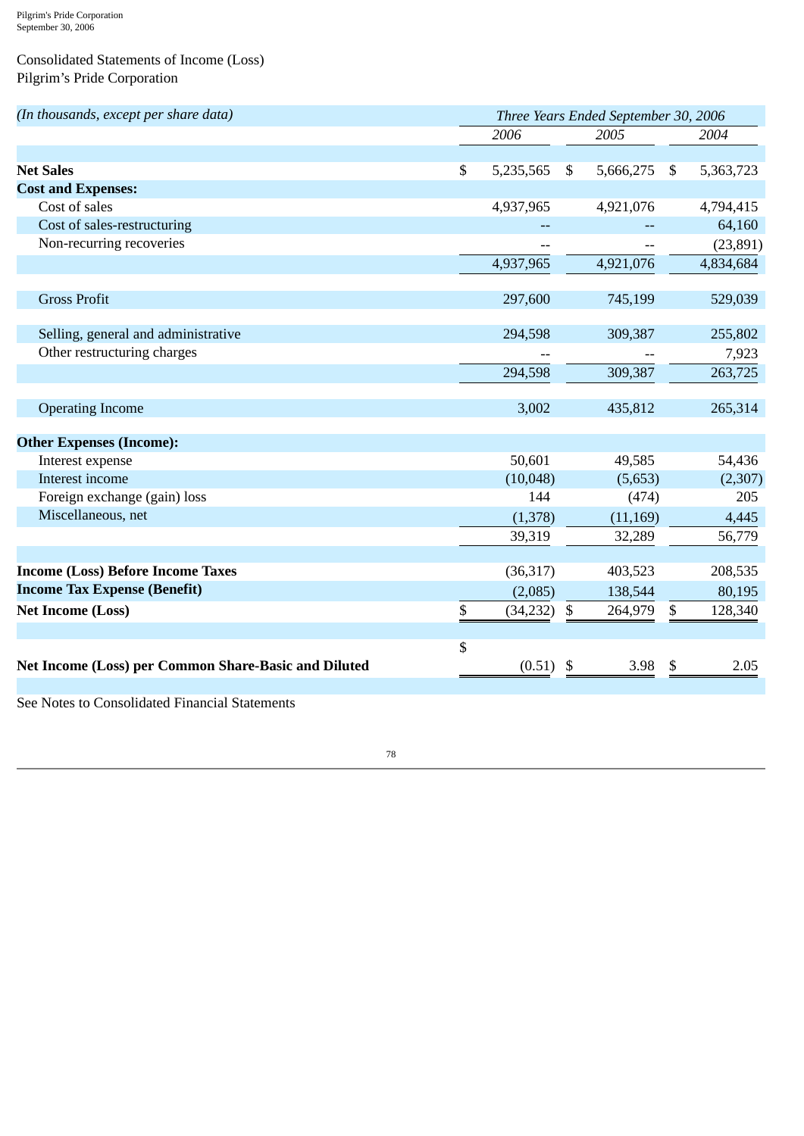## Consolidated Statements of Income (Loss) Pilgrim's Pride Corporation

| (In thousands, except per share data)                | Three Years Ended September 30, 2006 |    |           |    |           |
|------------------------------------------------------|--------------------------------------|----|-----------|----|-----------|
|                                                      | 2006                                 |    | 2005      |    | 2004      |
|                                                      |                                      |    |           |    |           |
| <b>Net Sales</b>                                     | \$<br>5,235,565                      | \$ | 5,666,275 | \$ | 5,363,723 |
| <b>Cost and Expenses:</b>                            |                                      |    |           |    |           |
| Cost of sales                                        | 4,937,965                            |    | 4,921,076 |    | 4,794,415 |
| Cost of sales-restructuring                          |                                      |    |           |    | 64,160    |
| Non-recurring recoveries                             |                                      |    |           |    | (23, 891) |
|                                                      | 4,937,965                            |    | 4,921,076 |    | 4,834,684 |
|                                                      |                                      |    |           |    |           |
| <b>Gross Profit</b>                                  | 297,600                              |    | 745,199   |    | 529,039   |
| Selling, general and administrative                  | 294,598                              |    | 309,387   |    | 255,802   |
| Other restructuring charges                          |                                      |    |           |    | 7,923     |
|                                                      | 294,598                              |    | 309,387   |    | 263,725   |
|                                                      |                                      |    |           |    |           |
| <b>Operating Income</b>                              | 3,002                                |    | 435,812   |    | 265,314   |
| <b>Other Expenses (Income):</b>                      |                                      |    |           |    |           |
| Interest expense                                     | 50,601                               |    | 49,585    |    | 54,436    |
| Interest income                                      | (10,048)                             |    | (5,653)   |    | (2,307)   |
| Foreign exchange (gain) loss                         | 144                                  |    | (474)     |    | 205       |
| Miscellaneous, net                                   | (1,378)                              |    | (11, 169) |    | 4,445     |
|                                                      | 39,319                               |    | 32,289    |    | 56,779    |
|                                                      |                                      |    |           |    |           |
| <b>Income (Loss) Before Income Taxes</b>             | (36, 317)                            |    | 403,523   |    | 208,535   |
| <b>Income Tax Expense (Benefit)</b>                  | (2,085)                              |    | 138,544   |    | 80,195    |
| <b>Net Income (Loss)</b>                             | \$<br>(34, 232)                      | \$ | 264,979   | \$ | 128,340   |
|                                                      | \$                                   |    |           |    |           |
| Net Income (Loss) per Common Share-Basic and Diluted | $(0.51)$ \$                          |    | 3.98      | \$ | 2.05      |
|                                                      |                                      |    |           |    |           |
| See Notes to Consolidated Financial Statements       |                                      |    |           |    |           |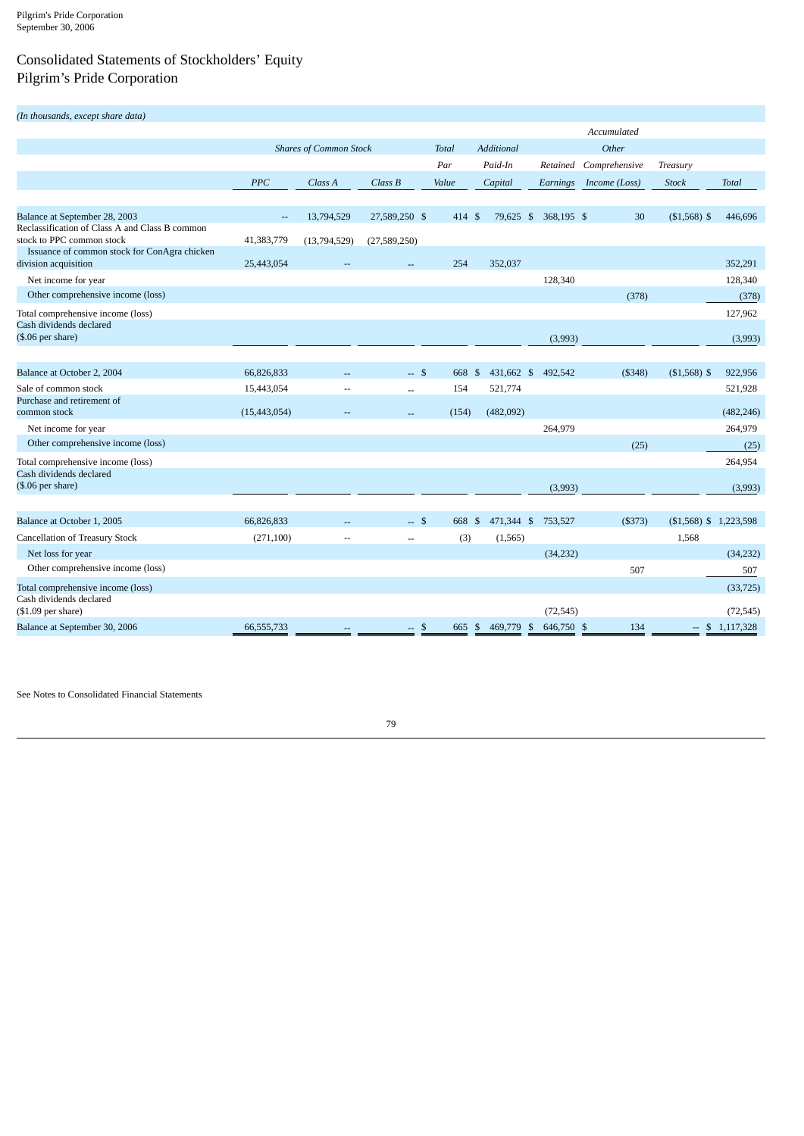## Consolidated Statements of Stockholders' Equity Pilgrim's Pride Corporation

| (In thousands, except share data)                                         |                          |                               |                          |              |            |            |               |                        |                 |
|---------------------------------------------------------------------------|--------------------------|-------------------------------|--------------------------|--------------|------------|------------|---------------|------------------------|-----------------|
|                                                                           |                          |                               |                          |              |            |            | Accumulated   |                        |                 |
|                                                                           |                          | <b>Shares of Common Stock</b> |                          | <b>Total</b> | Additional |            | Other         |                        |                 |
|                                                                           |                          |                               |                          | Par          | Paid-In    | Retained   | Comprehensive | Treasury               |                 |
|                                                                           | <b>PPC</b>               | Class A                       | Class B                  | Value        | Capital    | Earnings   | Income (Loss) | <b>Stock</b>           | <b>Total</b>    |
|                                                                           |                          |                               |                          |              |            |            |               |                        |                 |
| Balance at September 28, 2003                                             | $\overline{\phantom{a}}$ | 13,794,529                    | 27,589,250 \$            | 414 \$       | 79,625 \$  | 368,195 \$ | 30            | $($1,568)$ \$          | 446,696         |
| Reclassification of Class A and Class B common                            |                          |                               |                          |              |            |            |               |                        |                 |
| stock to PPC common stock<br>Issuance of common stock for ConAgra chicken | 41,383,779               | (13,794,529)                  | (27,589,250)             |              |            |            |               |                        |                 |
| division acquisition                                                      | 25,443,054               |                               |                          | 254          | 352,037    |            |               |                        | 352,291         |
| Net income for year                                                       |                          |                               |                          |              |            | 128,340    |               |                        | 128,340         |
| Other comprehensive income (loss)                                         |                          |                               |                          |              |            |            | (378)         |                        | (378)           |
| Total comprehensive income (loss)                                         |                          |                               |                          |              |            |            |               |                        | 127,962         |
| Cash dividends declared                                                   |                          |                               |                          |              |            |            |               |                        |                 |
| $($.06$ per share)                                                        |                          |                               |                          |              |            | (3,993)    |               |                        | (3,993)         |
| Balance at October 2, 2004                                                | 66,826,833               |                               | $-$ \$                   | 668 \$       | 431,662 \$ | 492,542    | (\$348)       | $($1,568)$ \$          | 922,956         |
| Sale of common stock                                                      | 15,443,054               | --                            | $\overline{a}$           | 154          | 521,774    |            |               |                        | 521,928         |
| Purchase and retirement of                                                |                          |                               |                          |              |            |            |               |                        |                 |
| common stock                                                              | (15, 443, 054)           |                               |                          | (154)        | (482,092)  |            |               |                        | (482, 246)      |
| Net income for year                                                       |                          |                               |                          |              |            | 264,979    |               |                        | 264,979         |
| Other comprehensive income (loss)                                         |                          |                               |                          |              |            |            | (25)          |                        | (25)            |
| Total comprehensive income (loss)                                         |                          |                               |                          |              |            |            |               |                        | 264,954         |
| Cash dividends declared                                                   |                          |                               |                          |              |            |            |               |                        |                 |
| $($.06$ per share)                                                        |                          |                               |                          |              |            | (3,993)    |               |                        | (3,993)         |
| Balance at October 1, 2005                                                | 66,826,833               |                               | \$                       | 668 \$       | 471,344 \$ | 753,527    | ( \$373)      | $(1,568)$ \$ 1,223,598 |                 |
| Cancellation of Treasury Stock                                            | (271, 100)               |                               | $\overline{\phantom{a}}$ | (3)          | (1, 565)   |            |               | 1,568                  |                 |
| Net loss for year                                                         |                          |                               |                          |              |            | (34, 232)  |               |                        | (34, 232)       |
| Other comprehensive income (loss)                                         |                          |                               |                          |              |            |            | 507           |                        | 507             |
| Total comprehensive income (loss)                                         |                          |                               |                          |              |            |            |               |                        | (33, 725)       |
| Cash dividends declared<br>$($1.09$ per share)                            |                          |                               |                          |              |            | (72, 545)  |               |                        | (72, 545)       |
| Balance at September 30, 2006                                             | 66,555,733               |                               | $-5$                     | 665 \$       | 469,779 \$ | 646,750 \$ | 134           |                        | $- $ 1,117,328$ |

See Notes to Consolidated Financial Statements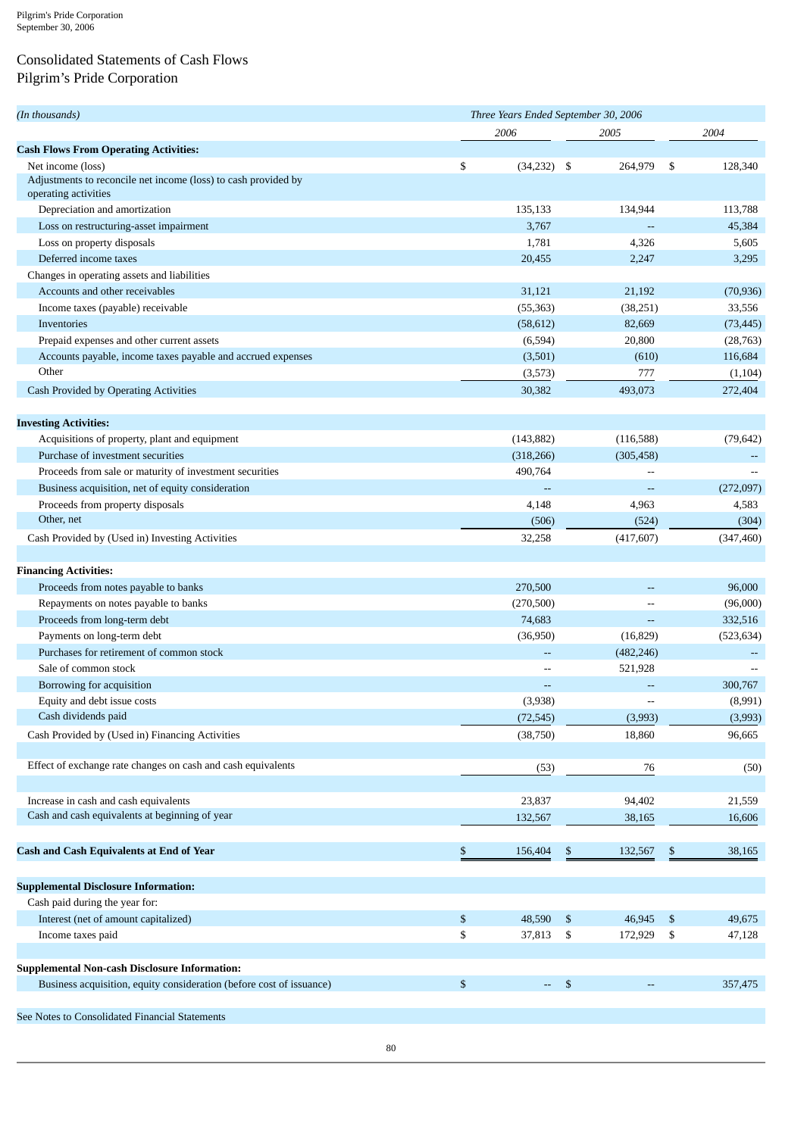# Consolidated Statements of Cash Flows

## Pilgrim's Pride Corporation

| (In thousands)                                                       | Three Years Ended September 30, 2006 |                |                |                |      |            |  |
|----------------------------------------------------------------------|--------------------------------------|----------------|----------------|----------------|------|------------|--|
|                                                                      | 2006<br>2005                         |                |                |                | 2004 |            |  |
| <b>Cash Flows From Operating Activities:</b>                         |                                      |                |                |                |      |            |  |
| Net income (loss)                                                    | \$                                   | (34, 232)      | -\$            | 264,979        | \$   | 128,340    |  |
| Adjustments to reconcile net income (loss) to cash provided by       |                                      |                |                |                |      |            |  |
| operating activities                                                 |                                      |                |                |                |      |            |  |
| Depreciation and amortization                                        |                                      | 135,133        |                | 134,944        |      | 113,788    |  |
| Loss on restructuring-asset impairment                               |                                      | 3,767          |                |                |      | 45,384     |  |
| Loss on property disposals                                           |                                      | 1,781          |                | 4,326          |      | 5,605      |  |
| Deferred income taxes                                                |                                      | 20,455         |                | 2,247          |      | 3,295      |  |
| Changes in operating assets and liabilities                          |                                      |                |                |                |      |            |  |
| Accounts and other receivables                                       |                                      | 31,121         |                | 21,192         |      | (70, 936)  |  |
| Income taxes (payable) receivable                                    |                                      | (55, 363)      |                | (38, 251)      |      | 33,556     |  |
| Inventories                                                          |                                      | (58, 612)      |                | 82,669         |      | (73, 445)  |  |
| Prepaid expenses and other current assets                            |                                      | (6,594)        |                | 20,800         |      | (28, 763)  |  |
| Accounts payable, income taxes payable and accrued expenses          |                                      | (3,501)        |                | (610)          |      | 116,684    |  |
| Other                                                                |                                      | (3,573)        |                | 777            |      | (1,104)    |  |
| <b>Cash Provided by Operating Activities</b>                         |                                      | 30,382         |                | 493,073        |      | 272,404    |  |
|                                                                      |                                      |                |                |                |      |            |  |
| <b>Investing Activities:</b>                                         |                                      |                |                |                |      |            |  |
| Acquisitions of property, plant and equipment                        |                                      | (143, 882)     |                | (116,588)      |      | (79, 642)  |  |
| Purchase of investment securities                                    |                                      | (318, 266)     |                | (305, 458)     |      |            |  |
| Proceeds from sale or maturity of investment securities              |                                      | 490,764        |                |                |      |            |  |
| Business acquisition, net of equity consideration                    |                                      |                |                |                |      | (272,097)  |  |
| Proceeds from property disposals                                     |                                      | 4,148          |                | 4,963          |      | 4,583      |  |
| Other, net                                                           |                                      | (506)          |                | (524)          |      | (304)      |  |
| Cash Provided by (Used in) Investing Activities                      |                                      | 32,258         |                | (417, 607)     |      | (347, 460) |  |
|                                                                      |                                      |                |                |                |      |            |  |
| <b>Financing Activities:</b>                                         |                                      |                |                |                |      |            |  |
| Proceeds from notes payable to banks                                 |                                      | 270,500        |                |                |      | 96,000     |  |
| Repayments on notes payable to banks                                 |                                      | (270,500)      |                |                |      | (96,000)   |  |
| Proceeds from long-term debt                                         |                                      | 74,683         |                | $\overline{a}$ |      | 332,516    |  |
| Payments on long-term debt                                           |                                      | (36,950)       |                | (16, 829)      |      | (523, 634) |  |
| Purchases for retirement of common stock                             |                                      | $\overline{a}$ |                | (482, 246)     |      |            |  |
| Sale of common stock                                                 |                                      |                |                | 521,928        |      |            |  |
| Borrowing for acquisition                                            |                                      | --             |                |                |      | 300,767    |  |
| Equity and debt issue costs                                          |                                      | (3,938)        |                | ۵.             |      | (8,991)    |  |
| Cash dividends paid                                                  |                                      | (72, 545)      |                | (3,993)        |      | (3,993)    |  |
| Cash Provided by (Used in) Financing Activities                      |                                      | (38,750)       |                | 18,860         |      | 96,665     |  |
|                                                                      |                                      |                |                |                |      |            |  |
| Effect of exchange rate changes on cash and cash equivalents         |                                      | (53)           |                | 76             |      | (50)       |  |
|                                                                      |                                      |                |                |                |      |            |  |
| Increase in cash and cash equivalents                                |                                      | 23,837         |                | 94,402         |      | 21,559     |  |
| Cash and cash equivalents at beginning of year                       |                                      | 132,567        |                | 38,165         |      | 16,606     |  |
|                                                                      |                                      |                |                |                |      |            |  |
| <b>Cash and Cash Equivalents at End of Year</b>                      | \$                                   | 156,404        | \$             | 132,567        | \$   | 38,165     |  |
|                                                                      |                                      |                |                |                |      |            |  |
| <b>Supplemental Disclosure Information:</b>                          |                                      |                |                |                |      |            |  |
| Cash paid during the year for:                                       |                                      |                |                |                |      |            |  |
| Interest (net of amount capitalized)                                 | \$                                   | 48,590         | \$             | 46,945         | \$   | 49,675     |  |
| Income taxes paid                                                    | \$                                   | 37,813         | \$             | 172,929        | \$   | 47,128     |  |
|                                                                      |                                      |                |                |                |      |            |  |
| <b>Supplemental Non-cash Disclosure Information:</b>                 |                                      |                |                |                |      |            |  |
| Business acquisition, equity consideration (before cost of issuance) | \$                                   | $\sim$         | $\mathfrak{s}$ |                |      | 357,475    |  |
|                                                                      |                                      |                |                |                |      |            |  |
| See Notes to Consolidated Financial Statements                       |                                      |                |                |                |      |            |  |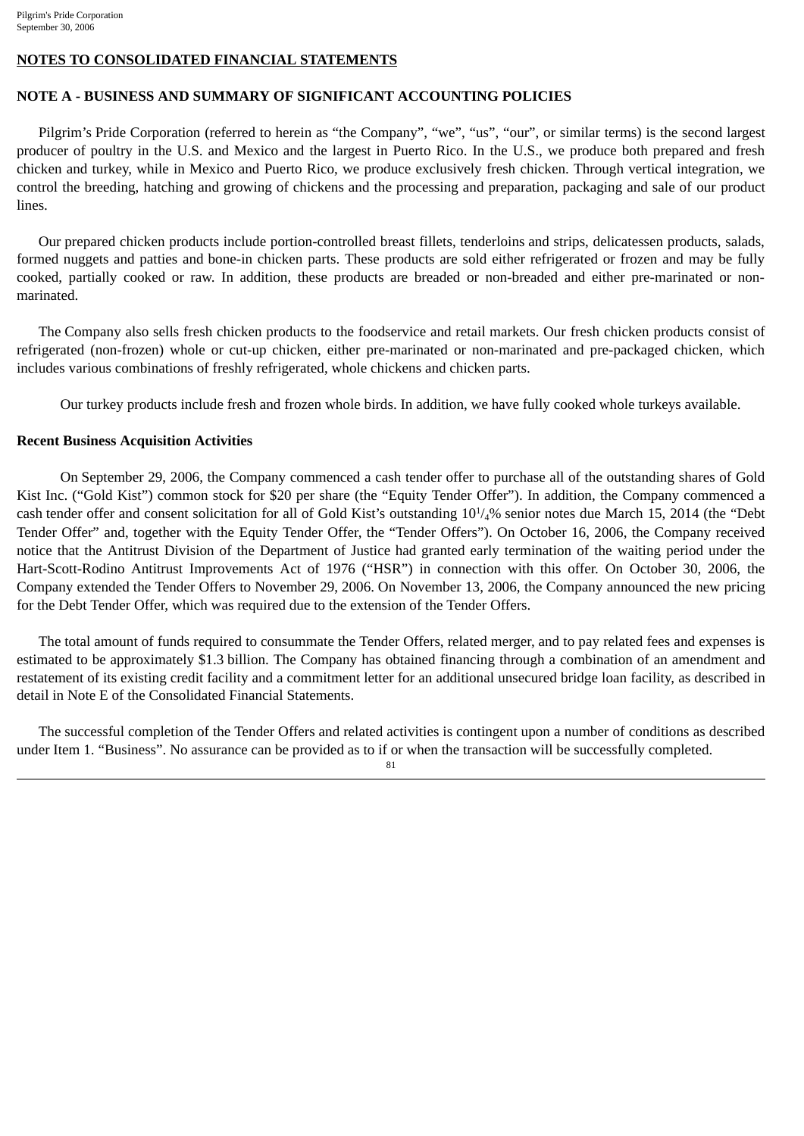#### **NOTES TO CONSOLIDATED FINANCIAL STATEMENTS**

## **NOTE A - BUSINESS AND SUMMARY OF SIGNIFICANT ACCOUNTING POLICIES**

Pilgrim's Pride Corporation (referred to herein as "the Company", "we", "us", "our", or similar terms) is the second largest producer of poultry in the U.S. and Mexico and the largest in Puerto Rico. In the U.S., we produce both prepared and fresh chicken and turkey, while in Mexico and Puerto Rico, we produce exclusively fresh chicken. Through vertical integration, we control the breeding, hatching and growing of chickens and the processing and preparation, packaging and sale of our product lines.

Our prepared chicken products include portion-controlled breast fillets, tenderloins and strips, delicatessen products, salads, formed nuggets and patties and bone-in chicken parts. These products are sold either refrigerated or frozen and may be fully cooked, partially cooked or raw. In addition, these products are breaded or non-breaded and either pre-marinated or nonmarinated.

The Company also sells fresh chicken products to the foodservice and retail markets. Our fresh chicken products consist of refrigerated (non-frozen) whole or cut-up chicken, either pre-marinated or non-marinated and pre-packaged chicken, which includes various combinations of freshly refrigerated, whole chickens and chicken parts.

Our turkey products include fresh and frozen whole birds. In addition, we have fully cooked whole turkeys available.

### **Recent Business Acquisition Activities**

On September 29, 2006, the Company commenced a cash tender offer to purchase all of the outstanding shares of Gold Kist Inc. ("Gold Kist") common stock for \$20 per share (the "Equity Tender Offer"). In addition, the Company commenced a cash tender offer and consent solicitation for all of Gold Kist's outstanding 10<sup>1</sup>/<sub>4</sub>% senior notes due March 15, 2014 (the "Debt Tender Offer" and, together with the Equity Tender Offer, the "Tender Offers"). On October 16, 2006, the Company received notice that the Antitrust Division of the Department of Justice had granted early termination of the waiting period under the Hart-Scott-Rodino Antitrust Improvements Act of 1976 ("HSR") in connection with this offer. On October 30, 2006, the Company extended the Tender Offers to November 29, 2006. On November 13, 2006, the Company announced the new pricing for the Debt Tender Offer, which was required due to the extension of the Tender Offers.

The total amount of funds required to consummate the Tender Offers, related merger, and to pay related fees and expenses is estimated to be approximately \$1.3 billion. The Company has obtained financing through a combination of an amendment and restatement of its existing credit facility and a commitment letter for an additional unsecured bridge loan facility, as described in detail in Note E of the Consolidated Financial Statements.

The successful completion of the Tender Offers and related activities is contingent upon a number of conditions as described under Item 1. "Business". No assurance can be provided as to if or when the transaction will be successfully completed.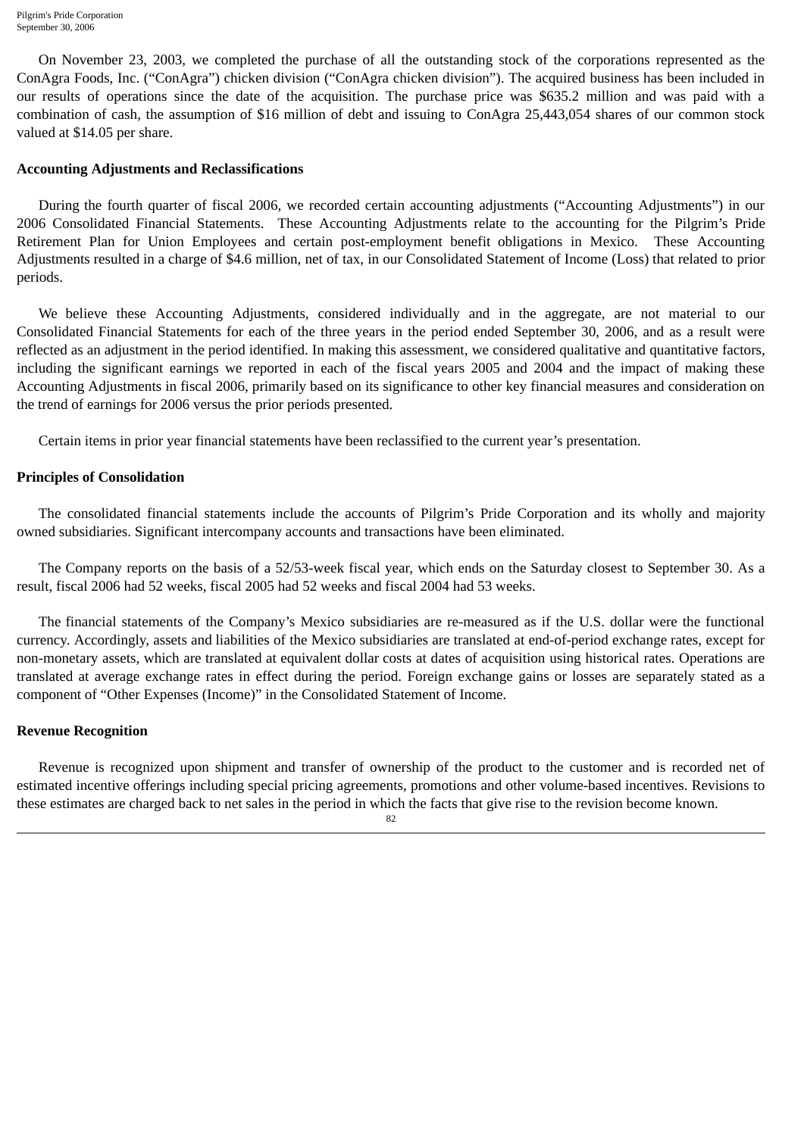On November 23, 2003, we completed the purchase of all the outstanding stock of the corporations represented as the ConAgra Foods, Inc. ("ConAgra") chicken division ("ConAgra chicken division"). The acquired business has been included in our results of operations since the date of the acquisition. The purchase price was \$635.2 million and was paid with a combination of cash, the assumption of \$16 million of debt and issuing to ConAgra 25,443,054 shares of our common stock valued at \$14.05 per share.

#### **Accounting Adjustments and Reclassifications**

During the fourth quarter of fiscal 2006, we recorded certain accounting adjustments ("Accounting Adjustments") in our 2006 Consolidated Financial Statements. These Accounting Adjustments relate to the accounting for the Pilgrim's Pride Retirement Plan for Union Employees and certain post-employment benefit obligations in Mexico. These Accounting Adjustments resulted in a charge of \$4.6 million, net of tax, in our Consolidated Statement of Income (Loss) that related to prior periods.

We believe these Accounting Adjustments, considered individually and in the aggregate, are not material to our Consolidated Financial Statements for each of the three years in the period ended September 30, 2006, and as a result were reflected as an adjustment in the period identified. In making this assessment, we considered qualitative and quantitative factors, including the significant earnings we reported in each of the fiscal years 2005 and 2004 and the impact of making these Accounting Adjustments in fiscal 2006, primarily based on its significance to other key financial measures and consideration on the trend of earnings for 2006 versus the prior periods presented.

Certain items in prior year financial statements have been reclassified to the current year's presentation.

### **Principles of Consolidation**

The consolidated financial statements include the accounts of Pilgrim's Pride Corporation and its wholly and majority owned subsidiaries. Significant intercompany accounts and transactions have been eliminated.

The Company reports on the basis of a 52/53-week fiscal year, which ends on the Saturday closest to September 30. As a result, fiscal 2006 had 52 weeks, fiscal 2005 had 52 weeks and fiscal 2004 had 53 weeks.

The financial statements of the Company's Mexico subsidiaries are re-measured as if the U.S. dollar were the functional currency. Accordingly, assets and liabilities of the Mexico subsidiaries are translated at end-of-period exchange rates, except for non-monetary assets, which are translated at equivalent dollar costs at dates of acquisition using historical rates. Operations are translated at average exchange rates in effect during the period. Foreign exchange gains or losses are separately stated as a component of "Other Expenses (Income)" in the Consolidated Statement of Income.

#### **Revenue Recognition**

Revenue is recognized upon shipment and transfer of ownership of the product to the customer and is recorded net of estimated incentive offerings including special pricing agreements, promotions and other volume-based incentives. Revisions to these estimates are charged back to net sales in the period in which the facts that give rise to the revision become known.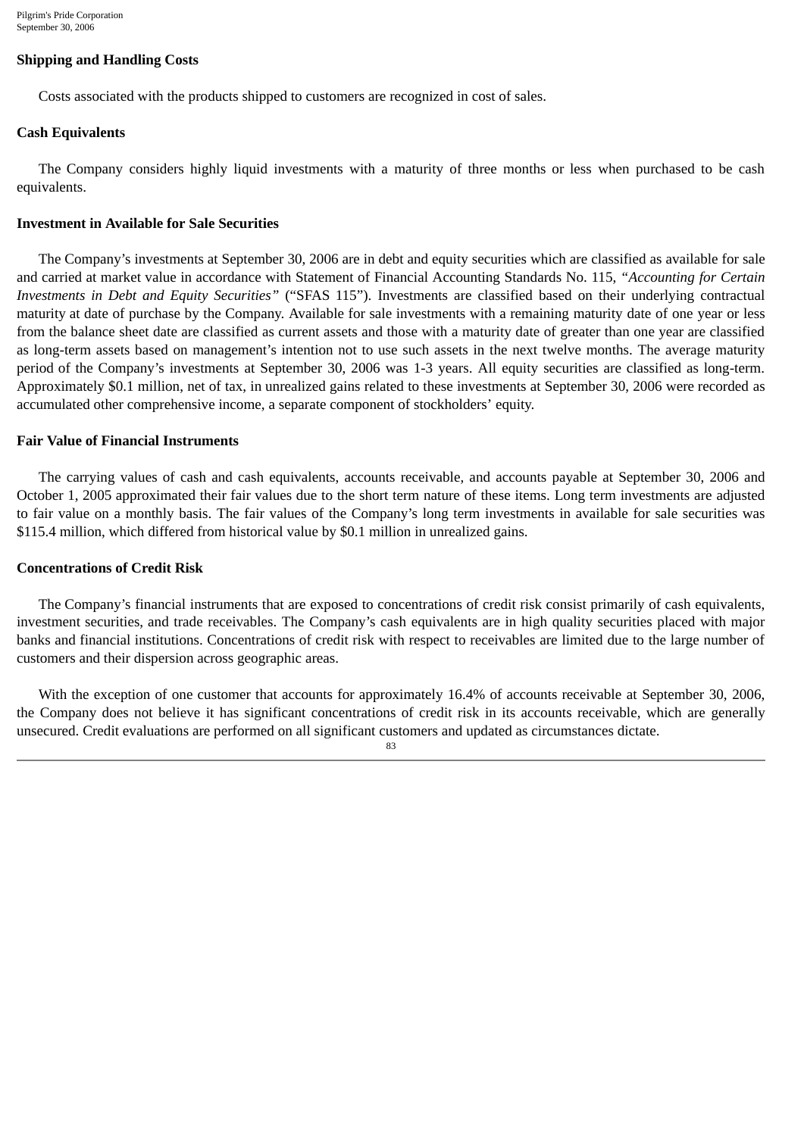### **Shipping and Handling Costs**

Costs associated with the products shipped to customers are recognized in cost of sales.

#### **Cash Equivalents**

The Company considers highly liquid investments with a maturity of three months or less when purchased to be cash equivalents.

#### **Investment in Available for Sale Securities**

The Company's investments at September 30, 2006 are in debt and equity securities which are classified as available for sale and carried at market value in accordance with Statement of Financial Accounting Standards No. 115, *"Accounting for Certain Investments in Debt and Equity Securities"* ("SFAS 115"). Investments are classified based on their underlying contractual maturity at date of purchase by the Company. Available for sale investments with a remaining maturity date of one year or less from the balance sheet date are classified as current assets and those with a maturity date of greater than one year are classified as long-term assets based on management's intention not to use such assets in the next twelve months. The average maturity period of the Company's investments at September 30, 2006 was 1-3 years. All equity securities are classified as long-term. Approximately \$0.1 million, net of tax, in unrealized gains related to these investments at September 30, 2006 were recorded as accumulated other comprehensive income, a separate component of stockholders' equity.

#### **Fair Value of Financial Instruments**

The carrying values of cash and cash equivalents, accounts receivable, and accounts payable at September 30, 2006 and October 1, 2005 approximated their fair values due to the short term nature of these items. Long term investments are adjusted to fair value on a monthly basis. The fair values of the Company's long term investments in available for sale securities was \$115.4 million, which differed from historical value by \$0.1 million in unrealized gains.

#### **Concentrations of Credit Risk**

The Company's financial instruments that are exposed to concentrations of credit risk consist primarily of cash equivalents, investment securities, and trade receivables. The Company's cash equivalents are in high quality securities placed with major banks and financial institutions. Concentrations of credit risk with respect to receivables are limited due to the large number of customers and their dispersion across geographic areas.

With the exception of one customer that accounts for approximately 16.4% of accounts receivable at September 30, 2006, the Company does not believe it has significant concentrations of credit risk in its accounts receivable, which are generally unsecured. Credit evaluations are performed on all significant customers and updated as circumstances dictate.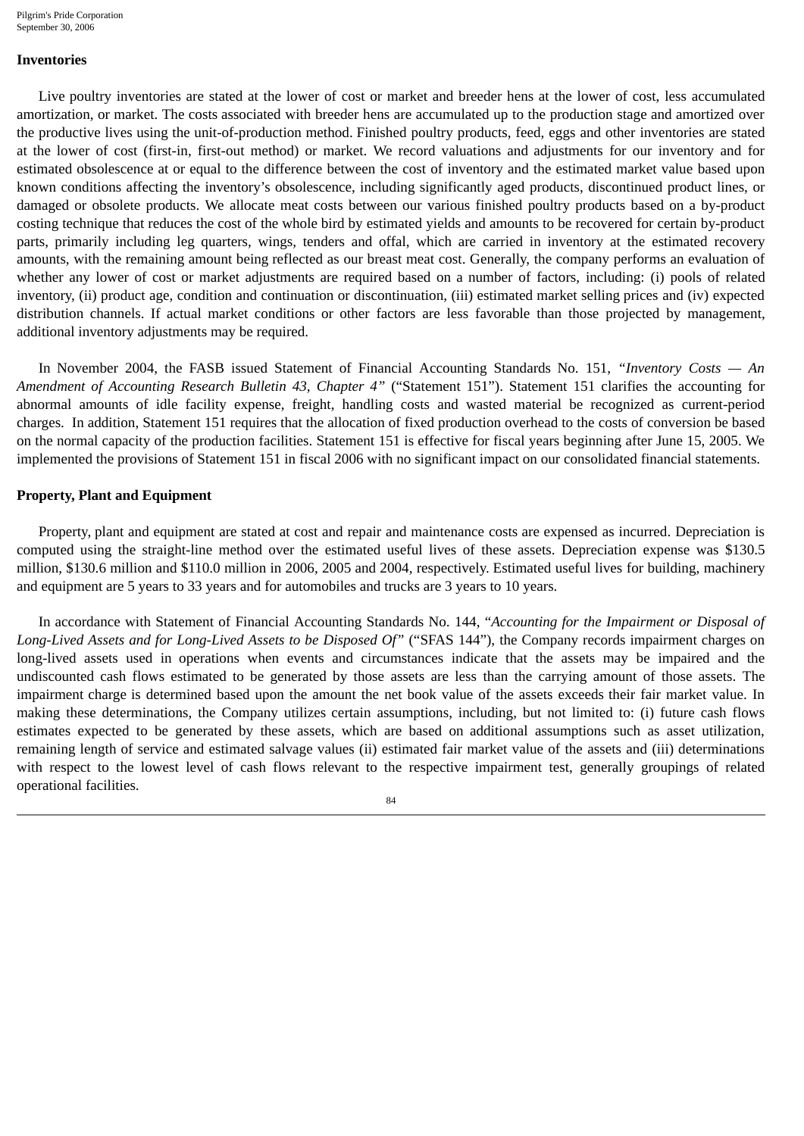#### **Inventories**

Live poultry inventories are stated at the lower of cost or market and breeder hens at the lower of cost, less accumulated amortization, or market. The costs associated with breeder hens are accumulated up to the production stage and amortized over the productive lives using the unit-of-production method. Finished poultry products, feed, eggs and other inventories are stated at the lower of cost (first-in, first-out method) or market. We record valuations and adjustments for our inventory and for estimated obsolescence at or equal to the difference between the cost of inventory and the estimated market value based upon known conditions affecting the inventory's obsolescence, including significantly aged products, discontinued product lines, or damaged or obsolete products. We allocate meat costs between our various finished poultry products based on a by-product costing technique that reduces the cost of the whole bird by estimated yields and amounts to be recovered for certain by-product parts, primarily including leg quarters, wings, tenders and offal, which are carried in inventory at the estimated recovery amounts, with the remaining amount being reflected as our breast meat cost. Generally, the company performs an evaluation of whether any lower of cost or market adjustments are required based on a number of factors, including: (i) pools of related inventory, (ii) product age, condition and continuation or discontinuation, (iii) estimated market selling prices and (iv) expected distribution channels. If actual market conditions or other factors are less favorable than those projected by management, additional inventory adjustments may be required.

In November 2004, the FASB issued Statement of Financial Accounting Standards No. 151, *"Inventory Costs — An Amendment of Accounting Research Bulletin 43, Chapter 4"* ("Statement 151"). Statement 151 clarifies the accounting for abnormal amounts of idle facility expense, freight, handling costs and wasted material be recognized as current-period charges. In addition, Statement 151 requires that the allocation of fixed production overhead to the costs of conversion be based on the normal capacity of the production facilities. Statement 151 is effective for fiscal years beginning after June 15, 2005. We implemented the provisions of Statement 151 in fiscal 2006 with no significant impact on our consolidated financial statements.

#### **Property, Plant and Equipment**

Property, plant and equipment are stated at cost and repair and maintenance costs are expensed as incurred. Depreciation is computed using the straight-line method over the estimated useful lives of these assets. Depreciation expense was \$130.5 million, \$130.6 million and \$110.0 million in 2006, 2005 and 2004, respectively. Estimated useful lives for building, machinery and equipment are 5 years to 33 years and for automobiles and trucks are 3 years to 10 years.

In accordance with Statement of Financial Accounting Standards No. 144, "*Accounting for the Impairment or Disposal of Long-Lived Assets and for Long-Lived Assets to be Disposed Of"* ("SFAS 144"), the Company records impairment charges on long-lived assets used in operations when events and circumstances indicate that the assets may be impaired and the undiscounted cash flows estimated to be generated by those assets are less than the carrying amount of those assets. The impairment charge is determined based upon the amount the net book value of the assets exceeds their fair market value. In making these determinations, the Company utilizes certain assumptions, including, but not limited to: (i) future cash flows estimates expected to be generated by these assets, which are based on additional assumptions such as asset utilization, remaining length of service and estimated salvage values (ii) estimated fair market value of the assets and (iii) determinations with respect to the lowest level of cash flows relevant to the respective impairment test, generally groupings of related operational facilities.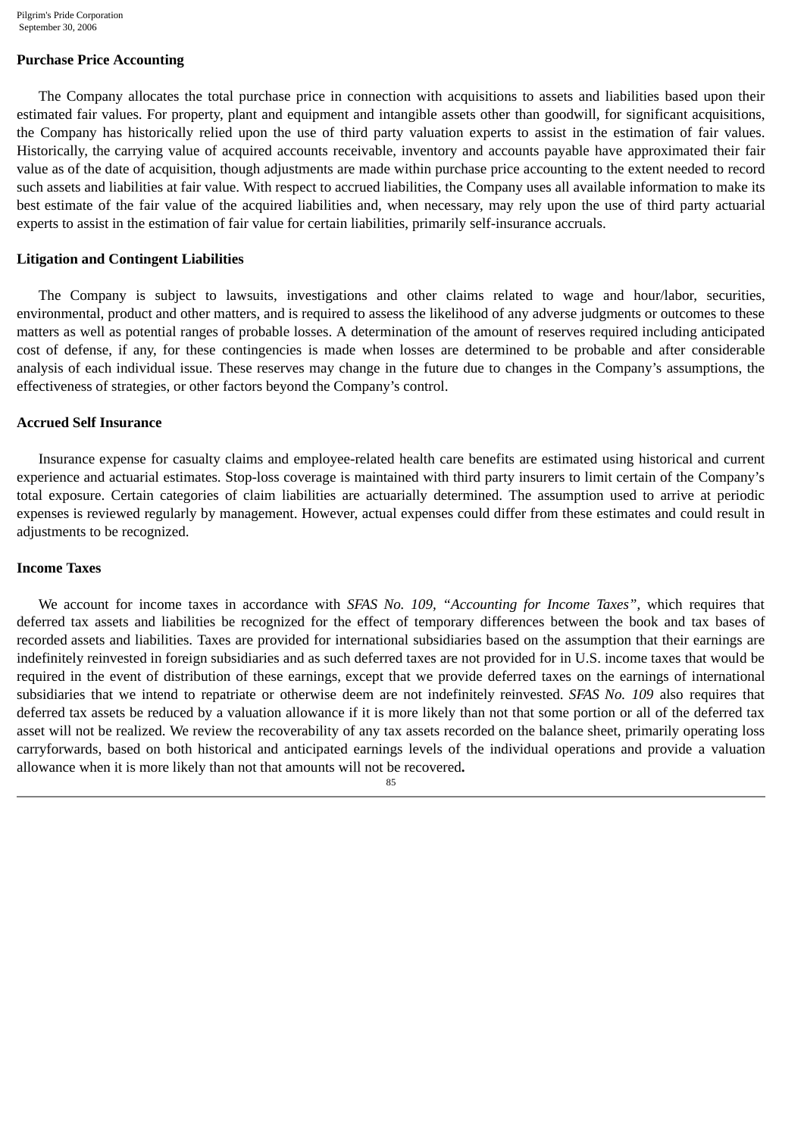#### **Purchase Price Accounting**

The Company allocates the total purchase price in connection with acquisitions to assets and liabilities based upon their estimated fair values. For property, plant and equipment and intangible assets other than goodwill, for significant acquisitions, the Company has historically relied upon the use of third party valuation experts to assist in the estimation of fair values. Historically, the carrying value of acquired accounts receivable, inventory and accounts payable have approximated their fair value as of the date of acquisition, though adjustments are made within purchase price accounting to the extent needed to record such assets and liabilities at fair value. With respect to accrued liabilities, the Company uses all available information to make its best estimate of the fair value of the acquired liabilities and, when necessary, may rely upon the use of third party actuarial experts to assist in the estimation of fair value for certain liabilities, primarily self-insurance accruals.

#### **Litigation and Contingent Liabilities**

The Company is subject to lawsuits, investigations and other claims related to wage and hour/labor, securities, environmental, product and other matters, and is required to assess the likelihood of any adverse judgments or outcomes to these matters as well as potential ranges of probable losses. A determination of the amount of reserves required including anticipated cost of defense, if any, for these contingencies is made when losses are determined to be probable and after considerable analysis of each individual issue. These reserves may change in the future due to changes in the Company's assumptions, the effectiveness of strategies, or other factors beyond the Company's control.

#### **Accrued Self Insurance**

Insurance expense for casualty claims and employee-related health care benefits are estimated using historical and current experience and actuarial estimates. Stop-loss coverage is maintained with third party insurers to limit certain of the Company's total exposure. Certain categories of claim liabilities are actuarially determined. The assumption used to arrive at periodic expenses is reviewed regularly by management. However, actual expenses could differ from these estimates and could result in adjustments to be recognized.

#### **Income Taxes**

We account for income taxes in accordance with *SFAS No. 109, "Accounting for Income Taxes"*, which requires that deferred tax assets and liabilities be recognized for the effect of temporary differences between the book and tax bases of recorded assets and liabilities. Taxes are provided for international subsidiaries based on the assumption that their earnings are indefinitely reinvested in foreign subsidiaries and as such deferred taxes are not provided for in U.S. income taxes that would be required in the event of distribution of these earnings, except that we provide deferred taxes on the earnings of international subsidiaries that we intend to repatriate or otherwise deem are not indefinitely reinvested. *SFAS No. 109* also requires that deferred tax assets be reduced by a valuation allowance if it is more likely than not that some portion or all of the deferred tax asset will not be realized. We review the recoverability of any tax assets recorded on the balance sheet, primarily operating loss carryforwards, based on both historical and anticipated earnings levels of the individual operations and provide a valuation allowance when it is more likely than not that amounts will not be recovered**.**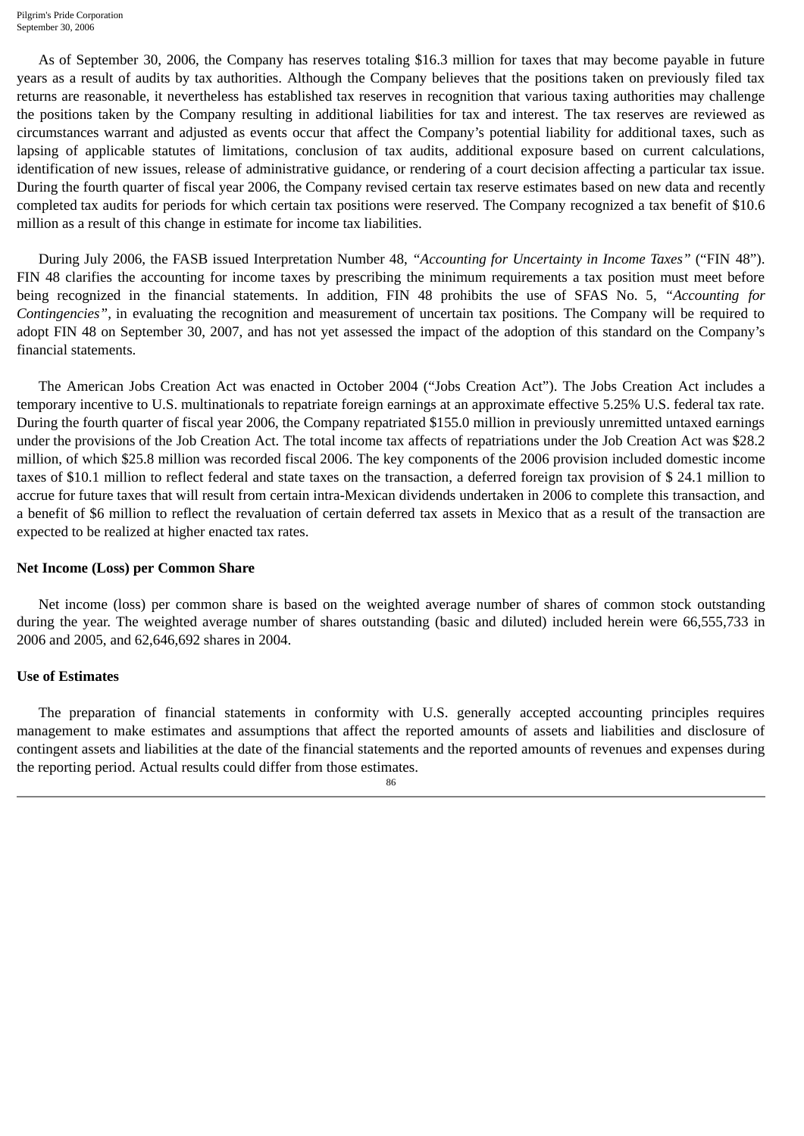As of September 30, 2006, the Company has reserves totaling \$16.3 million for taxes that may become payable in future years as a result of audits by tax authorities. Although the Company believes that the positions taken on previously filed tax returns are reasonable, it nevertheless has established tax reserves in recognition that various taxing authorities may challenge the positions taken by the Company resulting in additional liabilities for tax and interest. The tax reserves are reviewed as circumstances warrant and adjusted as events occur that affect the Company's potential liability for additional taxes, such as lapsing of applicable statutes of limitations, conclusion of tax audits, additional exposure based on current calculations, identification of new issues, release of administrative guidance, or rendering of a court decision affecting a particular tax issue. During the fourth quarter of fiscal year 2006, the Company revised certain tax reserve estimates based on new data and recently completed tax audits for periods for which certain tax positions were reserved. The Company recognized a tax benefit of \$10.6 million as a result of this change in estimate for income tax liabilities.

During July 2006, the FASB issued Interpretation Number 48, *"Accounting for Uncertainty in Income Taxes"* ("FIN 48"). FIN 48 clarifies the accounting for income taxes by prescribing the minimum requirements a tax position must meet before being recognized in the financial statements. In addition, FIN 48 prohibits the use of SFAS No. 5, *"Accounting for Contingencies"*, in evaluating the recognition and measurement of uncertain tax positions. The Company will be required to adopt FIN 48 on September 30, 2007, and has not yet assessed the impact of the adoption of this standard on the Company's financial statements.

The American Jobs Creation Act was enacted in October 2004 ("Jobs Creation Act"). The Jobs Creation Act includes a temporary incentive to U.S. multinationals to repatriate foreign earnings at an approximate effective 5.25% U.S. federal tax rate. During the fourth quarter of fiscal year 2006, the Company repatriated \$155.0 million in previously unremitted untaxed earnings under the provisions of the Job Creation Act. The total income tax affects of repatriations under the Job Creation Act was \$28.2 million, of which \$25.8 million was recorded fiscal 2006. The key components of the 2006 provision included domestic income taxes of \$10.1 million to reflect federal and state taxes on the transaction, a deferred foreign tax provision of \$ 24.1 million to accrue for future taxes that will result from certain intra-Mexican dividends undertaken in 2006 to complete this transaction, and a benefit of \$6 million to reflect the revaluation of certain deferred tax assets in Mexico that as a result of the transaction are expected to be realized at higher enacted tax rates.

#### **Net Income (Loss) per Common Share**

Net income (loss) per common share is based on the weighted average number of shares of common stock outstanding during the year. The weighted average number of shares outstanding (basic and diluted) included herein were 66,555,733 in 2006 and 2005, and 62,646,692 shares in 2004.

#### **Use of Estimates**

The preparation of financial statements in conformity with U.S. generally accepted accounting principles requires management to make estimates and assumptions that affect the reported amounts of assets and liabilities and disclosure of contingent assets and liabilities at the date of the financial statements and the reported amounts of revenues and expenses during the reporting period. Actual results could differ from those estimates.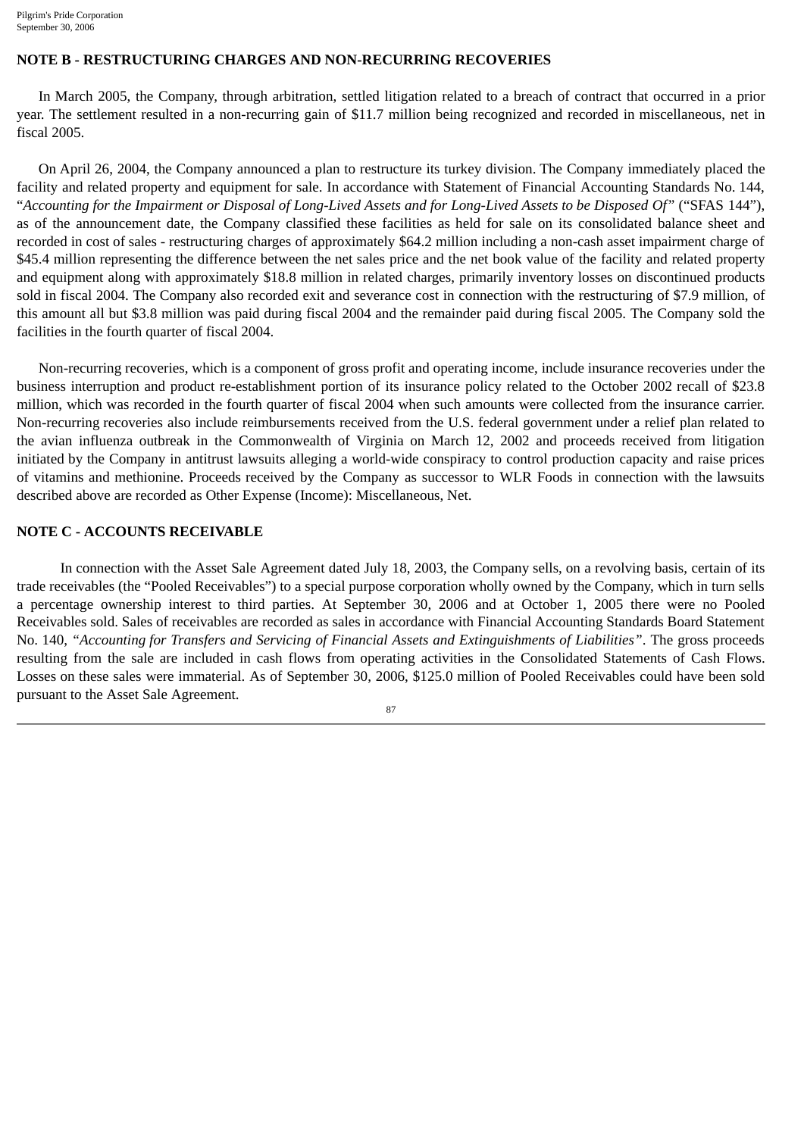#### **NOTE B - RESTRUCTURING CHARGES AND NON-RECURRING RECOVERIES**

In March 2005, the Company, through arbitration, settled litigation related to a breach of contract that occurred in a prior year. The settlement resulted in a non-recurring gain of \$11.7 million being recognized and recorded in miscellaneous, net in fiscal 2005.

On April 26, 2004, the Company announced a plan to restructure its turkey division. The Company immediately placed the facility and related property and equipment for sale. In accordance with Statement of Financial Accounting Standards No. 144, "*Accounting for the Impairment or Disposal of Long-Lived Assets and for Long-Lived Assets to be Disposed Of"* ("SFAS 144"), as of the announcement date, the Company classified these facilities as held for sale on its consolidated balance sheet and recorded in cost of sales - restructuring charges of approximately \$64.2 million including a non-cash asset impairment charge of \$45.4 million representing the difference between the net sales price and the net book value of the facility and related property and equipment along with approximately \$18.8 million in related charges, primarily inventory losses on discontinued products sold in fiscal 2004. The Company also recorded exit and severance cost in connection with the restructuring of \$7.9 million, of this amount all but \$3.8 million was paid during fiscal 2004 and the remainder paid during fiscal 2005. The Company sold the facilities in the fourth quarter of fiscal 2004.

Non-recurring recoveries, which is a component of gross profit and operating income, include insurance recoveries under the business interruption and product re-establishment portion of its insurance policy related to the October 2002 recall of \$23.8 million, which was recorded in the fourth quarter of fiscal 2004 when such amounts were collected from the insurance carrier. Non-recurring recoveries also include reimbursements received from the U.S. federal government under a relief plan related to the avian influenza outbreak in the Commonwealth of Virginia on March 12, 2002 and proceeds received from litigation initiated by the Company in antitrust lawsuits alleging a world-wide conspiracy to control production capacity and raise prices of vitamins and methionine. Proceeds received by the Company as successor to WLR Foods in connection with the lawsuits described above are recorded as Other Expense (Income): Miscellaneous, Net.

### **NOTE C - ACCOUNTS RECEIVABLE**

In connection with the Asset Sale Agreement dated July 18, 2003, the Company sells, on a revolving basis, certain of its trade receivables (the "Pooled Receivables") to a special purpose corporation wholly owned by the Company, which in turn sells a percentage ownership interest to third parties. At September 30, 2006 and at October 1, 2005 there were no Pooled Receivables sold. Sales of receivables are recorded as sales in accordance with Financial Accounting Standards Board Statement No. 140, *"Accounting for Transfers and Servicing of Financial Assets and Extinguishments of Liabilities"*. The gross proceeds resulting from the sale are included in cash flows from operating activities in the Consolidated Statements of Cash Flows. Losses on these sales were immaterial. As of September 30, 2006, \$125.0 million of Pooled Receivables could have been sold pursuant to the Asset Sale Agreement.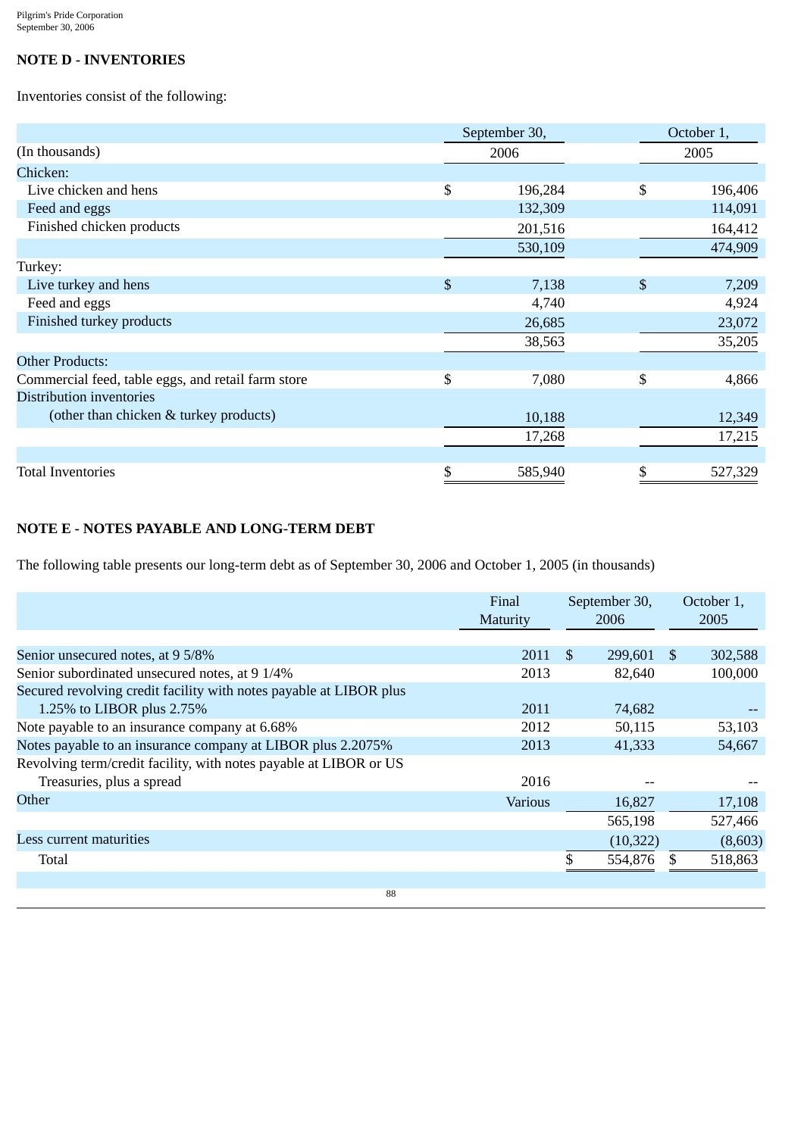## **NOTE D - INVENTORIES**

Inventories consist of the following:

|                                                    | September 30, |                           | October 1, |  |  |
|----------------------------------------------------|---------------|---------------------------|------------|--|--|
| (In thousands)                                     | 2006          |                           | 2005       |  |  |
| Chicken:                                           |               |                           |            |  |  |
| Live chicken and hens                              | \$<br>196,284 | \$                        | 196,406    |  |  |
| Feed and eggs                                      | 132,309       |                           | 114,091    |  |  |
| Finished chicken products                          | 201,516       |                           | 164,412    |  |  |
|                                                    | 530,109       |                           | 474,909    |  |  |
| Turkey:                                            |               |                           |            |  |  |
| Live turkey and hens                               | \$<br>7,138   | $\boldsymbol{\mathsf{S}}$ | 7,209      |  |  |
| Feed and eggs                                      | 4,740         |                           | 4,924      |  |  |
| Finished turkey products                           | 26,685        |                           | 23,072     |  |  |
|                                                    | 38,563        |                           | 35,205     |  |  |
| <b>Other Products:</b>                             |               |                           |            |  |  |
| Commercial feed, table eggs, and retail farm store | \$<br>7,080   | \$                        | 4,866      |  |  |
| Distribution inventories                           |               |                           |            |  |  |
| (other than chicken & turkey products)             | 10,188        |                           | 12,349     |  |  |
|                                                    | 17,268        |                           | 17,215     |  |  |
|                                                    |               |                           |            |  |  |
| <b>Total Inventories</b>                           | 585,940       |                           | 527,329    |  |  |

### **NOTE E - NOTES PAYABLE AND LONG-TERM DEBT**

The following table presents our long-term debt as of September 30, 2006 and October 1, 2005 (in thousands)

|                                                                    | Final<br>Maturity | September 30,<br>2006 |           |     | October 1,<br>2005 |
|--------------------------------------------------------------------|-------------------|-----------------------|-----------|-----|--------------------|
|                                                                    |                   |                       |           |     |                    |
| Senior unsecured notes, at 9 5/8%                                  | 2011              | <sup>\$</sup>         | 299,601   | - S | 302,588            |
| Senior subordinated unsecured notes, at 9 1/4%                     | 2013              |                       | 82,640    |     | 100,000            |
| Secured revolving credit facility with notes payable at LIBOR plus |                   |                       |           |     |                    |
| 1.25% to LIBOR plus 2.75%                                          | 2011              |                       | 74,682    |     |                    |
| Note payable to an insurance company at 6.68%                      | 2012              |                       | 50,115    |     | 53,103             |
| Notes payable to an insurance company at LIBOR plus 2.2075%        | 2013              |                       | 41,333    |     | 54,667             |
| Revolving term/credit facility, with notes payable at LIBOR or US  |                   |                       |           |     |                    |
| Treasuries, plus a spread                                          | 2016              |                       |           |     |                    |
| Other                                                              | <b>Various</b>    |                       | 16,827    |     | 17,108             |
|                                                                    |                   |                       | 565,198   |     | 527,466            |
| Less current maturities                                            |                   |                       | (10, 322) |     | (8,603)            |
| Total                                                              |                   |                       | 554,876   | \$  | 518,863            |
|                                                                    |                   |                       |           |     |                    |
| 88                                                                 |                   |                       |           |     |                    |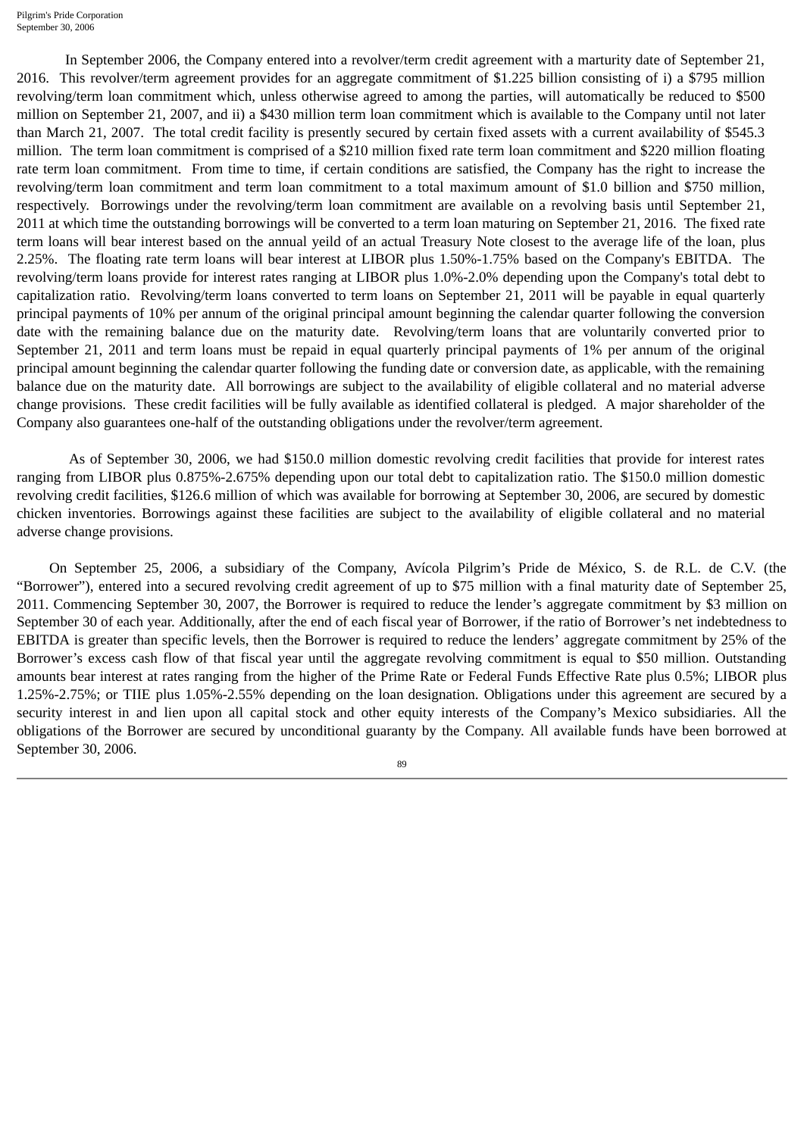In September 2006, the Company entered into a revolver/term credit agreement with a marturity date of September 21, 2016. This revolver/term agreement provides for an aggregate commitment of \$1.225 billion consisting of i) a \$795 million revolving/term loan commitment which, unless otherwise agreed to among the parties, will automatically be reduced to \$500 million on September 21, 2007, and ii) a \$430 million term loan commitment which is available to the Company until not later than March 21, 2007. The total credit facility is presently secured by certain fixed assets with a current availability of \$545.3 million. The term loan commitment is comprised of a \$210 million fixed rate term loan commitment and \$220 million floating rate term loan commitment. From time to time, if certain conditions are satisfied, the Company has the right to increase the revolving/term loan commitment and term loan commitment to a total maximum amount of \$1.0 billion and \$750 million, respectively. Borrowings under the revolving/term loan commitment are available on a revolving basis until September 21, 2011 at which time the outstanding borrowings will be converted to a term loan maturing on September 21, 2016. The fixed rate term loans will bear interest based on the annual yeild of an actual Treasury Note closest to the average life of the loan, plus 2.25%. The floating rate term loans will bear interest at LIBOR plus 1.50%-1.75% based on the Company's EBITDA. The revolving/term loans provide for interest rates ranging at LIBOR plus 1.0%-2.0% depending upon the Company's total debt to capitalization ratio. Revolving/term loans converted to term loans on September 21, 2011 will be payable in equal quarterly principal payments of 10% per annum of the original principal amount beginning the calendar quarter following the conversion date with the remaining balance due on the maturity date. Revolving/term loans that are voluntarily converted prior to September 21, 2011 and term loans must be repaid in equal quarterly principal payments of 1% per annum of the original principal amount beginning the calendar quarter following the funding date or conversion date, as applicable, with the remaining balance due on the maturity date. All borrowings are subject to the availability of eligible collateral and no material adverse change provisions. These credit facilities will be fully available as identified collateral is pledged. A major shareholder of the Company also guarantees one-half of the outstanding obligations under the revolver/term agreement.

As of September 30, 2006, we had \$150.0 million domestic revolving credit facilities that provide for interest rates ranging from LIBOR plus 0.875%-2.675% depending upon our total debt to capitalization ratio. The \$150.0 million domestic revolving credit facilities, \$126.6 million of which was available for borrowing at September 30, 2006, are secured by domestic chicken inventories. Borrowings against these facilities are subject to the availability of eligible collateral and no material adverse change provisions.

On September 25, 2006, a subsidiary of the Company, Avícola Pilgrim's Pride de México, S. de R.L. de C.V. (the "Borrower"), entered into a secured revolving credit agreement of up to \$75 million with a final maturity date of September 25, 2011. Commencing September 30, 2007, the Borrower is required to reduce the lender's aggregate commitment by \$3 million on September 30 of each year. Additionally, after the end of each fiscal year of Borrower, if the ratio of Borrower's net indebtedness to EBITDA is greater than specific levels, then the Borrower is required to reduce the lenders' aggregate commitment by 25% of the Borrower's excess cash flow of that fiscal year until the aggregate revolving commitment is equal to \$50 million. Outstanding amounts bear interest at rates ranging from the higher of the Prime Rate or Federal Funds Effective Rate plus 0.5%; LIBOR plus 1.25%-2.75%; or TIIE plus 1.05%-2.55% depending on the loan designation. Obligations under this agreement are secured by a security interest in and lien upon all capital stock and other equity interests of the Company's Mexico subsidiaries. All the obligations of the Borrower are secured by unconditional guaranty by the Company. All available funds have been borrowed at September 30, 2006.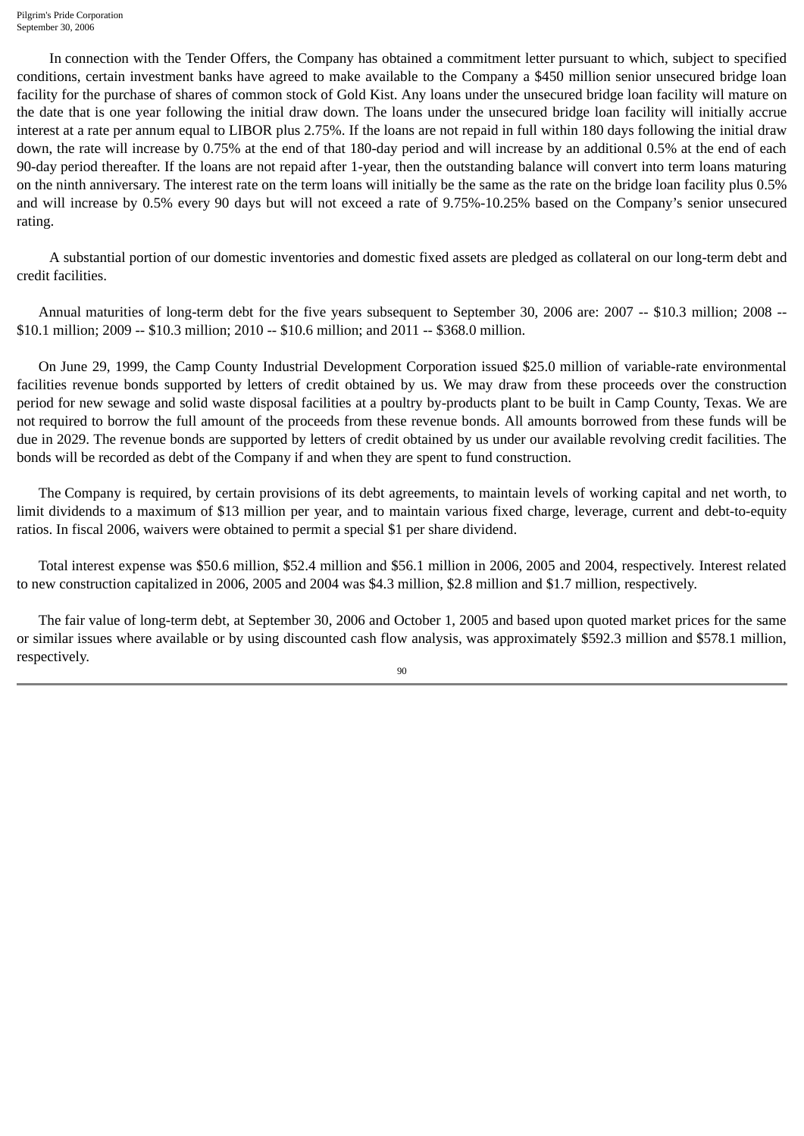In connection with the Tender Offers, the Company has obtained a commitment letter pursuant to which, subject to specified conditions, certain investment banks have agreed to make available to the Company a \$450 million senior unsecured bridge loan facility for the purchase of shares of common stock of Gold Kist. Any loans under the unsecured bridge loan facility will mature on the date that is one year following the initial draw down. The loans under the unsecured bridge loan facility will initially accrue interest at a rate per annum equal to LIBOR plus 2.75%. If the loans are not repaid in full within 180 days following the initial draw down, the rate will increase by 0.75% at the end of that 180-day period and will increase by an additional 0.5% at the end of each 90-day period thereafter. If the loans are not repaid after 1-year, then the outstanding balance will convert into term loans maturing on the ninth anniversary. The interest rate on the term loans will initially be the same as the rate on the bridge loan facility plus 0.5% and will increase by 0.5% every 90 days but will not exceed a rate of 9.75%-10.25% based on the Company's senior unsecured rating.

A substantial portion of our domestic inventories and domestic fixed assets are pledged as collateral on our long-term debt and credit facilities.

Annual maturities of long-term debt for the five years subsequent to September 30, 2006 are: 2007 -- \$10.3 million; 2008 -- \$10.1 million; 2009 -- \$10.3 million; 2010 -- \$10.6 million; and 2011 -- \$368.0 million.

On June 29, 1999, the Camp County Industrial Development Corporation issued \$25.0 million of variable-rate environmental facilities revenue bonds supported by letters of credit obtained by us. We may draw from these proceeds over the construction period for new sewage and solid waste disposal facilities at a poultry by-products plant to be built in Camp County, Texas. We are not required to borrow the full amount of the proceeds from these revenue bonds. All amounts borrowed from these funds will be due in 2029. The revenue bonds are supported by letters of credit obtained by us under our available revolving credit facilities. The bonds will be recorded as debt of the Company if and when they are spent to fund construction.

The Company is required, by certain provisions of its debt agreements, to maintain levels of working capital and net worth, to limit dividends to a maximum of \$13 million per year, and to maintain various fixed charge, leverage, current and debt-to-equity ratios. In fiscal 2006, waivers were obtained to permit a special \$1 per share dividend.

Total interest expense was \$50.6 million, \$52.4 million and \$56.1 million in 2006, 2005 and 2004, respectively. Interest related to new construction capitalized in 2006, 2005 and 2004 was \$4.3 million, \$2.8 million and \$1.7 million, respectively.

The fair value of long-term debt, at September 30, 2006 and October 1, 2005 and based upon quoted market prices for the same or similar issues where available or by using discounted cash flow analysis, was approximately \$592.3 million and \$578.1 million, respectively.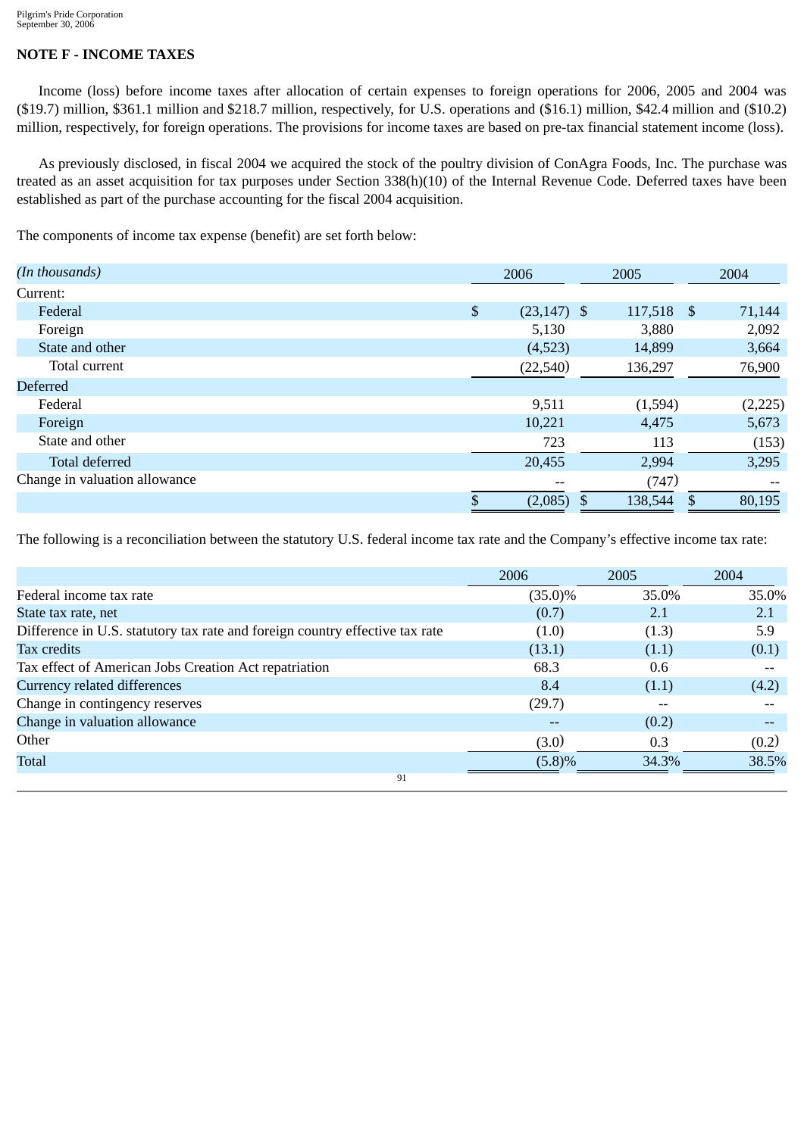### **NOTE F - INCOME TAXES**

Income (loss) before income taxes after allocation of certain expenses to foreign operations for 2006, 2005 and 2004 was (\$19.7) million, \$361.1 million and \$218.7 million, respectively, for U.S. operations and (\$16.1) million, \$42.4 million and (\$10.2) million, respectively, for foreign operations. The provisions for income taxes are based on pre-tax financial statement income (loss).

As previously disclosed, in fiscal 2004 we acquired the stock of the poultry division of ConAgra Foods, Inc. The purchase was treated as an asset acquisition for tax purposes under Section 338(h)(10) of the Internal Revenue Code. Deferred taxes have been established as part of the purchase accounting for the fiscal 2004 acquisition.

The components of income tax expense (benefit) are set forth below:

| (In thousands)                | 2006                 | 2005          | 2004           |
|-------------------------------|----------------------|---------------|----------------|
| Current:                      |                      |               |                |
| Federal                       | \$<br>$(23, 147)$ \$ | 117,518       | 71,144<br>- \$ |
| Foreign                       | 5,130                | 3,880         | 2,092          |
| State and other               | (4,523)              | 14,899        | 3,664          |
| Total current                 | (22,540)             | 136,297       | 76,900         |
| <b>Deferred</b>               |                      |               |                |
| Federal                       | 9,511                | (1,594)       | (2,225)        |
| Foreign                       | 10,221               | 4,475         | 5,673          |
| State and other               | 723                  | 113           | (153)          |
| Total deferred                | 20,455               | 2,994         | 3,295          |
| Change in valuation allowance |                      | (747)         | $-$            |
|                               | (2,085)<br>\$        | 138,544<br>\$ | 80,195         |

The following is a reconciliation between the statutory U.S. federal income tax rate and the Company's effective income tax rate:

|                                                                              | 2006       | 2005  | 2004  |
|------------------------------------------------------------------------------|------------|-------|-------|
| Federal income tax rate                                                      | $(35.0)\%$ | 35.0% | 35.0% |
| State tax rate, net                                                          | (0.7)      | 2.1   | 2.1   |
| Difference in U.S. statutory tax rate and foreign country effective tax rate | (1.0)      | (1.3) | 5.9   |
| Tax credits                                                                  | (13.1)     | (1.1) | (0.1) |
| Tax effect of American Jobs Creation Act repatriation                        | 68.3       | 0.6   |       |
| <b>Currency related differences</b>                                          | 8.4        | (1.1) | (4.2) |
| Change in contingency reserves                                               | (29.7)     |       |       |
| Change in valuation allowance                                                |            | (0.2) | $- -$ |
| Other                                                                        | (3.0)      | 0.3   | (0.2) |
| <b>Total</b>                                                                 | (5.8)%     | 34.3% | 38.5% |
| 91                                                                           |            |       |       |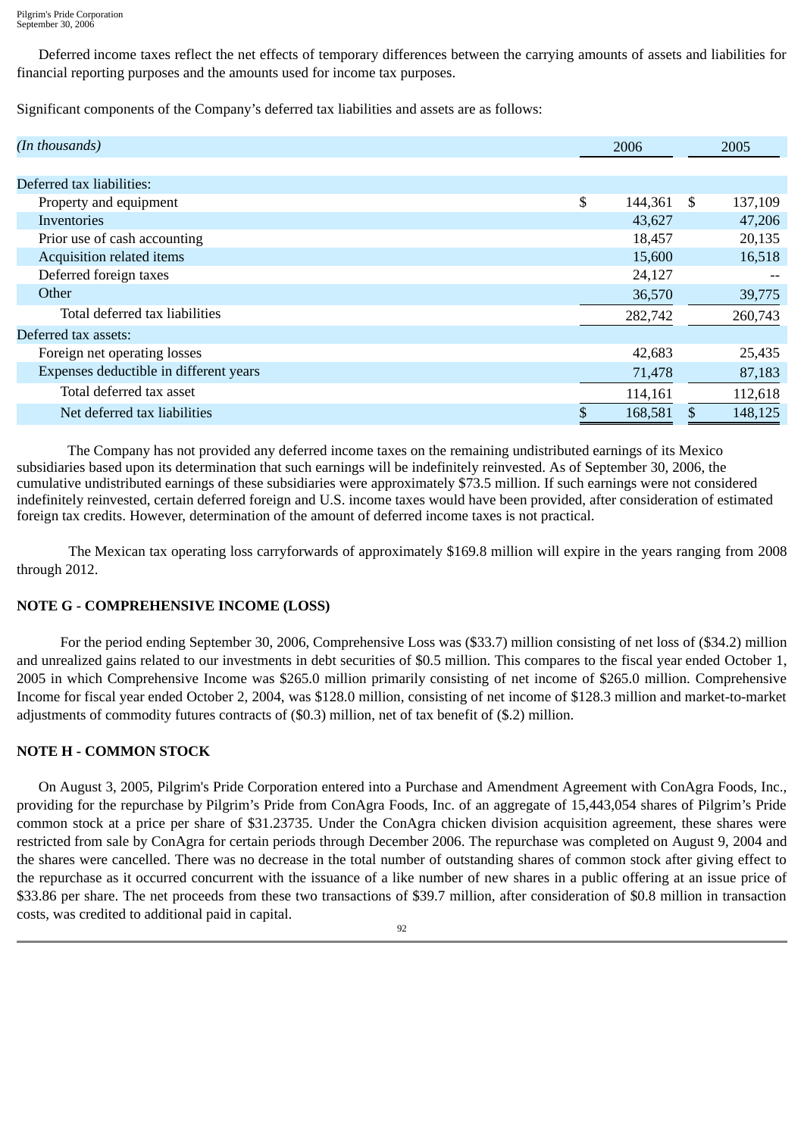Deferred income taxes reflect the net effects of temporary differences between the carrying amounts of assets and liabilities for financial reporting purposes and the amounts used for income tax purposes.

Significant components of the Company's deferred tax liabilities and assets are as follows:

| (In thousands)                         | 2006 |         |    | 2005    |
|----------------------------------------|------|---------|----|---------|
|                                        |      |         |    |         |
| Deferred tax liabilities:              |      |         |    |         |
| Property and equipment                 | \$   | 144,361 | S. | 137,109 |
| Inventories                            |      | 43,627  |    | 47,206  |
| Prior use of cash accounting           |      | 18,457  |    | 20,135  |
| Acquisition related items              |      | 15,600  |    | 16,518  |
| Deferred foreign taxes                 |      | 24,127  |    |         |
| Other                                  |      | 36,570  |    | 39,775  |
| Total deferred tax liabilities         |      | 282,742 |    | 260,743 |
| Deferred tax assets:                   |      |         |    |         |
| Foreign net operating losses           |      | 42,683  |    | 25,435  |
| Expenses deductible in different years |      | 71,478  |    | 87,183  |
| Total deferred tax asset               |      | 114,161 |    | 112,618 |
| Net deferred tax liabilities           |      | 168,581 |    | 148,125 |

The Company has not provided any deferred income taxes on the remaining undistributed earnings of its Mexico subsidiaries based upon its determination that such earnings will be indefinitely reinvested. As of September 30, 2006, the cumulative undistributed earnings of these subsidiaries were approximately \$73.5 million. If such earnings were not considered indefinitely reinvested, certain deferred foreign and U.S. income taxes would have been provided, after consideration of estimated foreign tax credits. However, determination of the amount of deferred income taxes is not practical.

The Mexican tax operating loss carryforwards of approximately \$169.8 million will expire in the years ranging from 2008 through 2012.

### **NOTE G - COMPREHENSIVE INCOME (LOSS)**

For the period ending September 30, 2006, Comprehensive Loss was (\$33.7) million consisting of net loss of (\$34.2) million and unrealized gains related to our investments in debt securities of \$0.5 million. This compares to the fiscal year ended October 1, 2005 in which Comprehensive Income was \$265.0 million primarily consisting of net income of \$265.0 million. Comprehensive Income for fiscal year ended October 2, 2004, was \$128.0 million, consisting of net income of \$128.3 million and market-to-market adjustments of commodity futures contracts of (\$0.3) million, net of tax benefit of (\$.2) million.

### **NOTE H - COMMON STOCK**

On August 3, 2005, Pilgrim's Pride Corporation entered into a Purchase and Amendment Agreement with ConAgra Foods, Inc., providing for the repurchase by Pilgrim's Pride from ConAgra Foods, Inc. of an aggregate of 15,443,054 shares of Pilgrim's Pride common stock at a price per share of \$31.23735. Under the ConAgra chicken division acquisition agreement, these shares were restricted from sale by ConAgra for certain periods through December 2006. The repurchase was completed on August 9, 2004 and the shares were cancelled. There was no decrease in the total number of outstanding shares of common stock after giving effect to the repurchase as it occurred concurrent with the issuance of a like number of new shares in a public offering at an issue price of \$33.86 per share. The net proceeds from these two transactions of \$39.7 million, after consideration of \$0.8 million in transaction costs, was credited to additional paid in capital.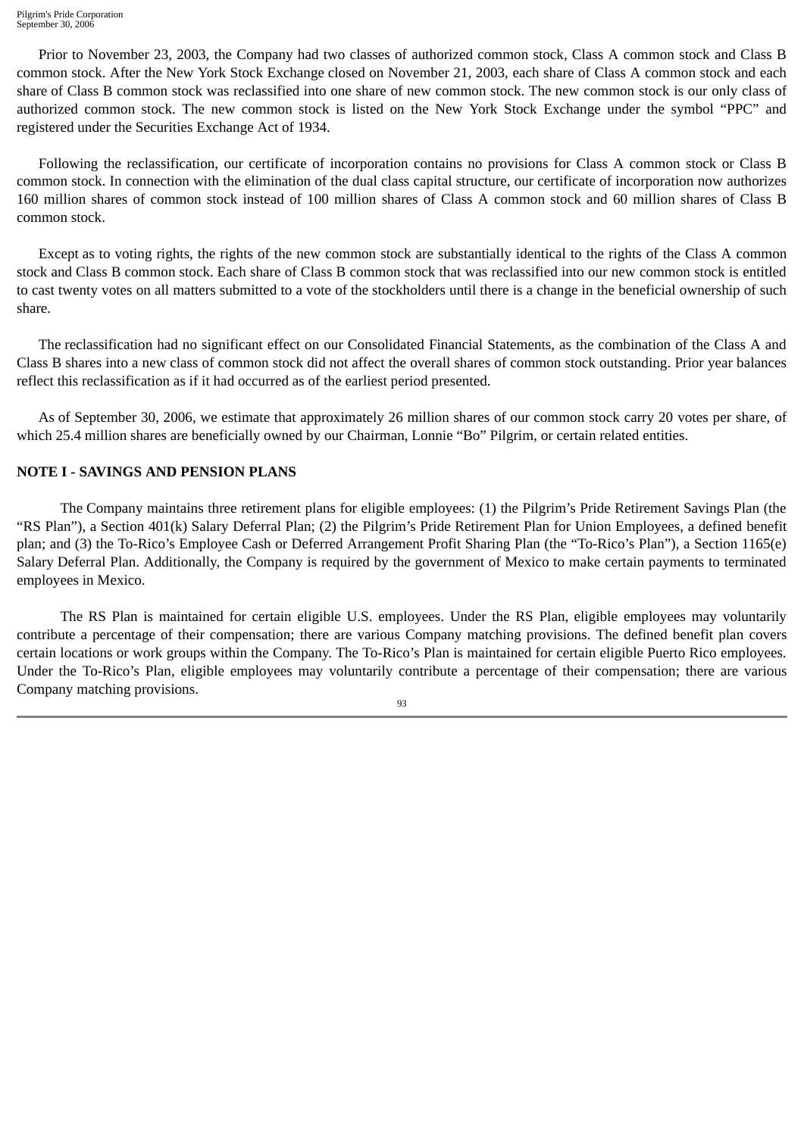Prior to November 23, 2003, the Company had two classes of authorized common stock, Class A common stock and Class B common stock. After the New York Stock Exchange closed on November 21, 2003, each share of Class A common stock and each share of Class B common stock was reclassified into one share of new common stock. The new common stock is our only class of authorized common stock. The new common stock is listed on the New York Stock Exchange under the symbol "PPC" and registered under the Securities Exchange Act of 1934.

Following the reclassification, our certificate of incorporation contains no provisions for Class A common stock or Class B common stock. In connection with the elimination of the dual class capital structure, our certificate of incorporation now authorizes 160 million shares of common stock instead of 100 million shares of Class A common stock and 60 million shares of Class B common stock.

Except as to voting rights, the rights of the new common stock are substantially identical to the rights of the Class A common stock and Class B common stock. Each share of Class B common stock that was reclassified into our new common stock is entitled to cast twenty votes on all matters submitted to a vote of the stockholders until there is a change in the beneficial ownership of such share.

The reclassification had no significant effect on our Consolidated Financial Statements, as the combination of the Class A and Class B shares into a new class of common stock did not affect the overall shares of common stock outstanding. Prior year balances reflect this reclassification as if it had occurred as of the earliest period presented.

As of September 30, 2006, we estimate that approximately 26 million shares of our common stock carry 20 votes per share, of which 25.4 million shares are beneficially owned by our Chairman, Lonnie "Bo" Pilgrim, or certain related entities.

### **NOTE I - SAVINGS AND PENSION PLANS**

The Company maintains three retirement plans for eligible employees: (1) the Pilgrim's Pride Retirement Savings Plan (the "RS Plan"), a Section 401(k) Salary Deferral Plan; (2) the Pilgrim's Pride Retirement Plan for Union Employees, a defined benefit plan; and (3) the To-Rico's Employee Cash or Deferred Arrangement Profit Sharing Plan (the "To-Rico's Plan"), a Section 1165(e) Salary Deferral Plan. Additionally, the Company is required by the government of Mexico to make certain payments to terminated employees in Mexico.

The RS Plan is maintained for certain eligible U.S. employees. Under the RS Plan, eligible employees may voluntarily contribute a percentage of their compensation; there are various Company matching provisions. The defined benefit plan covers certain locations or work groups within the Company. The To-Rico's Plan is maintained for certain eligible Puerto Rico employees. Under the To-Rico's Plan, eligible employees may voluntarily contribute a percentage of their compensation; there are various Company matching provisions.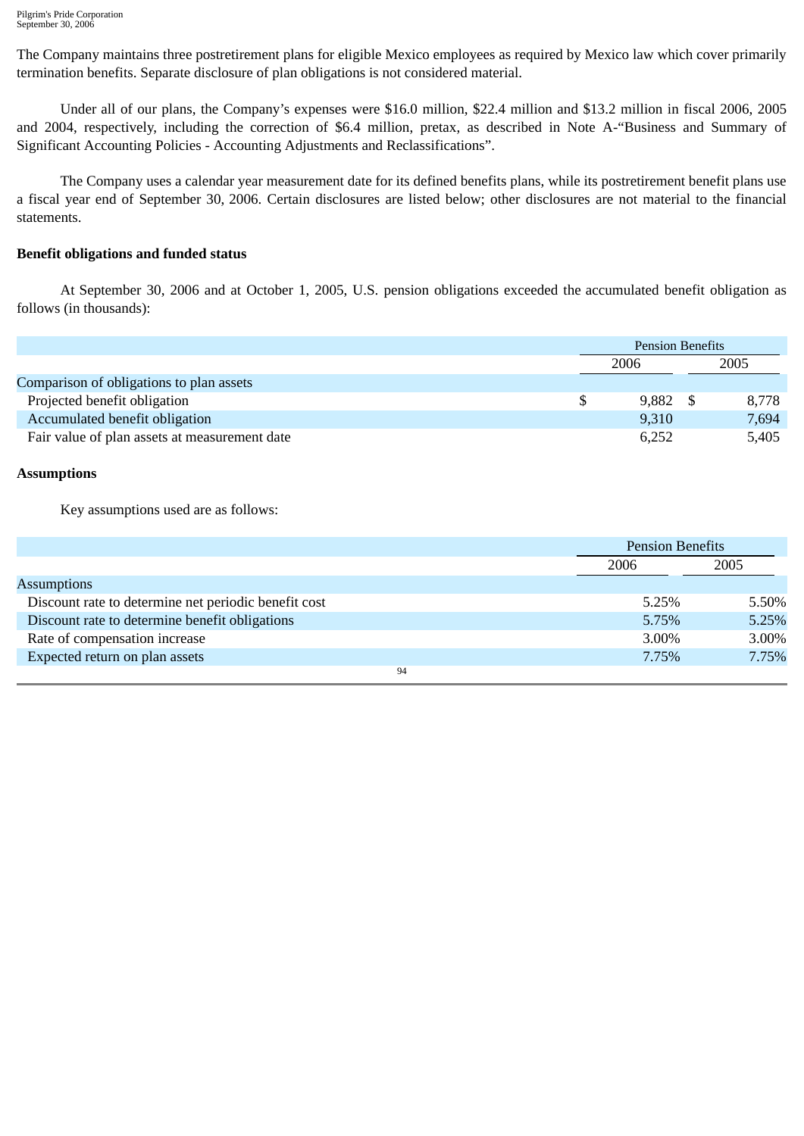The Company maintains three postretirement plans for eligible Mexico employees as required by Mexico law which cover primarily termination benefits. Separate disclosure of plan obligations is not considered material.

Under all of our plans, the Company's expenses were \$16.0 million, \$22.4 million and \$13.2 million in fiscal 2006, 2005 and 2004, respectively, including the correction of \$6.4 million, pretax, as described in Note A-"Business and Summary of Significant Accounting Policies - Accounting Adjustments and Reclassifications".

The Company uses a calendar year measurement date for its defined benefits plans, while its postretirement benefit plans use a fiscal year end of September 30, 2006. Certain disclosures are listed below; other disclosures are not material to the financial statements.

#### **Benefit obligations and funded status**

At September 30, 2006 and at October 1, 2005, U.S. pension obligations exceeded the accumulated benefit obligation as follows (in thousands):

|                                               | <b>Pension Benefits</b> |  |  |       |
|-----------------------------------------------|-------------------------|--|--|-------|
|                                               | 2006                    |  |  | 2005  |
| Comparison of obligations to plan assets      |                         |  |  |       |
| Projected benefit obligation                  | 9.882                   |  |  | 8.778 |
| Accumulated benefit obligation                | 9,310                   |  |  | 7,694 |
| Fair value of plan assets at measurement date | 6,252                   |  |  | 5,405 |

#### **Assumptions**

Key assumptions used are as follows:

|                                                      | <b>Pension Benefits</b> |       |
|------------------------------------------------------|-------------------------|-------|
|                                                      | 2006                    | 2005  |
| <b>Assumptions</b>                                   |                         |       |
| Discount rate to determine net periodic benefit cost | 5.25%                   | 5.50% |
| Discount rate to determine benefit obligations       | 5.75%                   | 5.25% |
| Rate of compensation increase                        | 3.00%                   | 3.00% |
| Expected return on plan assets                       | 7.75%                   | 7.75% |
| 94                                                   |                         |       |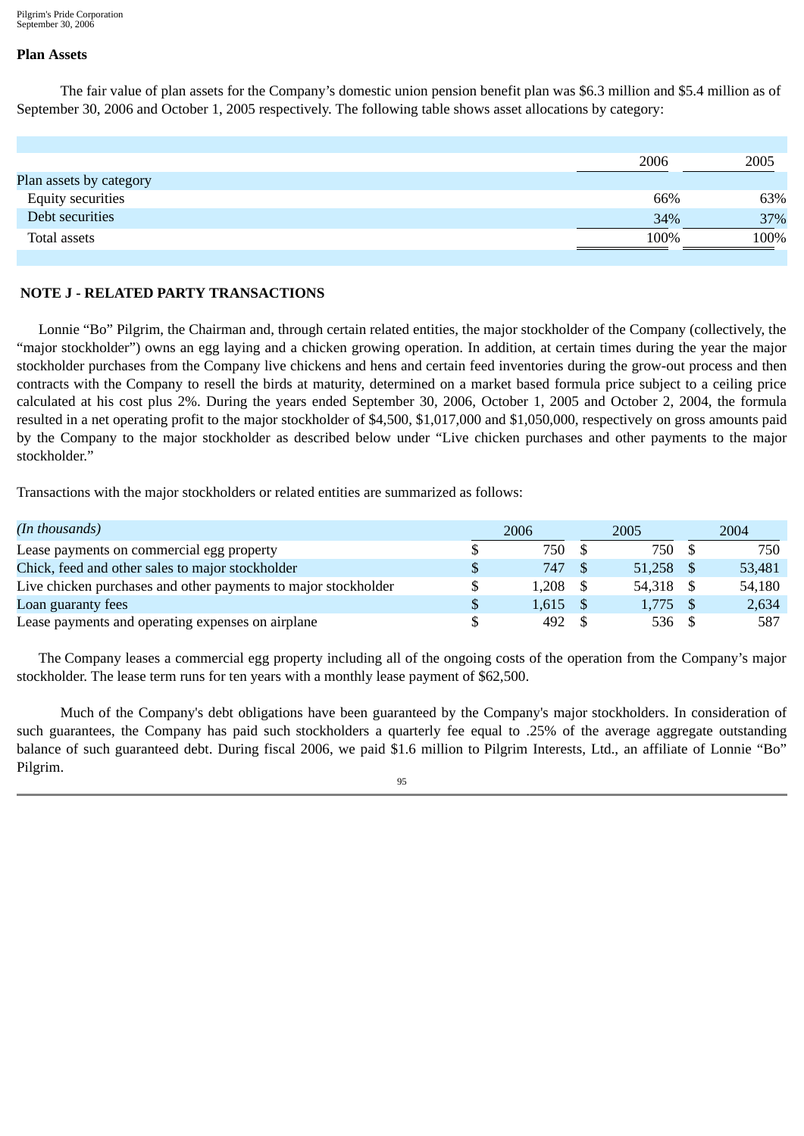#### **Plan Assets**

The fair value of plan assets for the Company's domestic union pension benefit plan was \$6.3 million and \$5.4 million as of September 30, 2006 and October 1, 2005 respectively. The following table shows asset allocations by category:

|                          | 2006 | 2005 |
|--------------------------|------|------|
| Plan assets by category  |      |      |
| <b>Equity securities</b> | 66%  | 63%  |
| Debt securities          | 34%  | 37%  |
| Total assets             | 100% | 100% |
|                          |      |      |

#### **NOTE J - RELATED PARTY TRANSACTIONS**

Lonnie "Bo" Pilgrim, the Chairman and, through certain related entities, the major stockholder of the Company (collectively, the "major stockholder") owns an egg laying and a chicken growing operation. In addition, at certain times during the year the major stockholder purchases from the Company live chickens and hens and certain feed inventories during the grow-out process and then contracts with the Company to resell the birds at maturity, determined on a market based formula price subject to a ceiling price calculated at his cost plus 2%. During the years ended September 30, 2006, October 1, 2005 and October 2, 2004, the formula resulted in a net operating profit to the major stockholder of \$4,500, \$1,017,000 and \$1,050,000, respectively on gross amounts paid by the Company to the major stockholder as described below under "Live chicken purchases and other payments to the major stockholder."

Transactions with the major stockholders or related entities are summarized as follows:

| (In thousands)                                                 | 2006  | 2005        | 2004   |
|----------------------------------------------------------------|-------|-------------|--------|
| Lease payments on commercial egg property                      | 750   | 750         | 750    |
| Chick, feed and other sales to major stockholder               | 747   | $51,258$ \$ | 53,481 |
| Live chicken purchases and other payments to major stockholder | 1,208 | 54,318 \$   | 54,180 |
| Loan guaranty fees                                             | 1,615 | 1.775       | 2.634  |
| Lease payments and operating expenses on airplane              | 492   | 536S        | 587    |

The Company leases a commercial egg property including all of the ongoing costs of the operation from the Company's major stockholder. The lease term runs for ten years with a monthly lease payment of \$62,500.

Much of the Company's debt obligations have been guaranteed by the Company's major stockholders. In consideration of such guarantees, the Company has paid such stockholders a quarterly fee equal to .25% of the average aggregate outstanding balance of such guaranteed debt. During fiscal 2006, we paid \$1.6 million to Pilgrim Interests, Ltd., an affiliate of Lonnie "Bo" Pilgrim.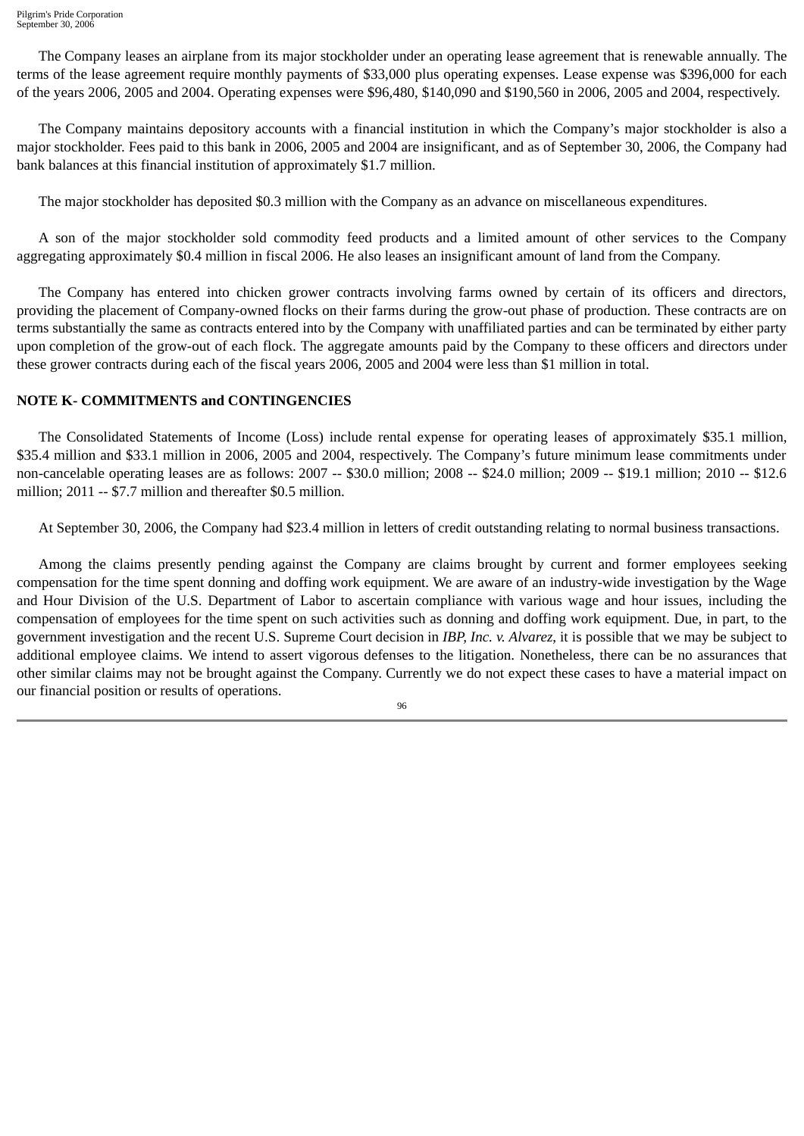The Company leases an airplane from its major stockholder under an operating lease agreement that is renewable annually. The terms of the lease agreement require monthly payments of \$33,000 plus operating expenses. Lease expense was \$396,000 for each of the years 2006, 2005 and 2004. Operating expenses were \$96,480, \$140,090 and \$190,560 in 2006, 2005 and 2004, respectively.

The Company maintains depository accounts with a financial institution in which the Company's major stockholder is also a major stockholder. Fees paid to this bank in 2006, 2005 and 2004 are insignificant, and as of September 30, 2006, the Company had bank balances at this financial institution of approximately \$1.7 million.

The major stockholder has deposited \$0.3 million with the Company as an advance on miscellaneous expenditures.

A son of the major stockholder sold commodity feed products and a limited amount of other services to the Company aggregating approximately \$0.4 million in fiscal 2006. He also leases an insignificant amount of land from the Company.

The Company has entered into chicken grower contracts involving farms owned by certain of its officers and directors, providing the placement of Company-owned flocks on their farms during the grow-out phase of production. These contracts are on terms substantially the same as contracts entered into by the Company with unaffiliated parties and can be terminated by either party upon completion of the grow-out of each flock. The aggregate amounts paid by the Company to these officers and directors under these grower contracts during each of the fiscal years 2006, 2005 and 2004 were less than \$1 million in total.

#### **NOTE K- COMMITMENTS and CONTINGENCIES**

The Consolidated Statements of Income (Loss) include rental expense for operating leases of approximately \$35.1 million, \$35.4 million and \$33.1 million in 2006, 2005 and 2004, respectively. The Company's future minimum lease commitments under non-cancelable operating leases are as follows: 2007 -- \$30.0 million; 2008 -- \$24.0 million; 2009 -- \$19.1 million; 2010 -- \$12.6 million; 2011 -- \$7.7 million and thereafter \$0.5 million.

At September 30, 2006, the Company had \$23.4 million in letters of credit outstanding relating to normal business transactions.

Among the claims presently pending against the Company are claims brought by current and former employees seeking compensation for the time spent donning and doffing work equipment. We are aware of an industry-wide investigation by the Wage and Hour Division of the U.S. Department of Labor to ascertain compliance with various wage and hour issues, including the compensation of employees for the time spent on such activities such as donning and doffing work equipment. Due, in part, to the government investigation and the recent U.S. Supreme Court decision in *IBP, Inc. v. Alvarez*, it is possible that we may be subject to additional employee claims. We intend to assert vigorous defenses to the litigation. Nonetheless, there can be no assurances that other similar claims may not be brought against the Company. Currently we do not expect these cases to have a material impact on our financial position or results of operations.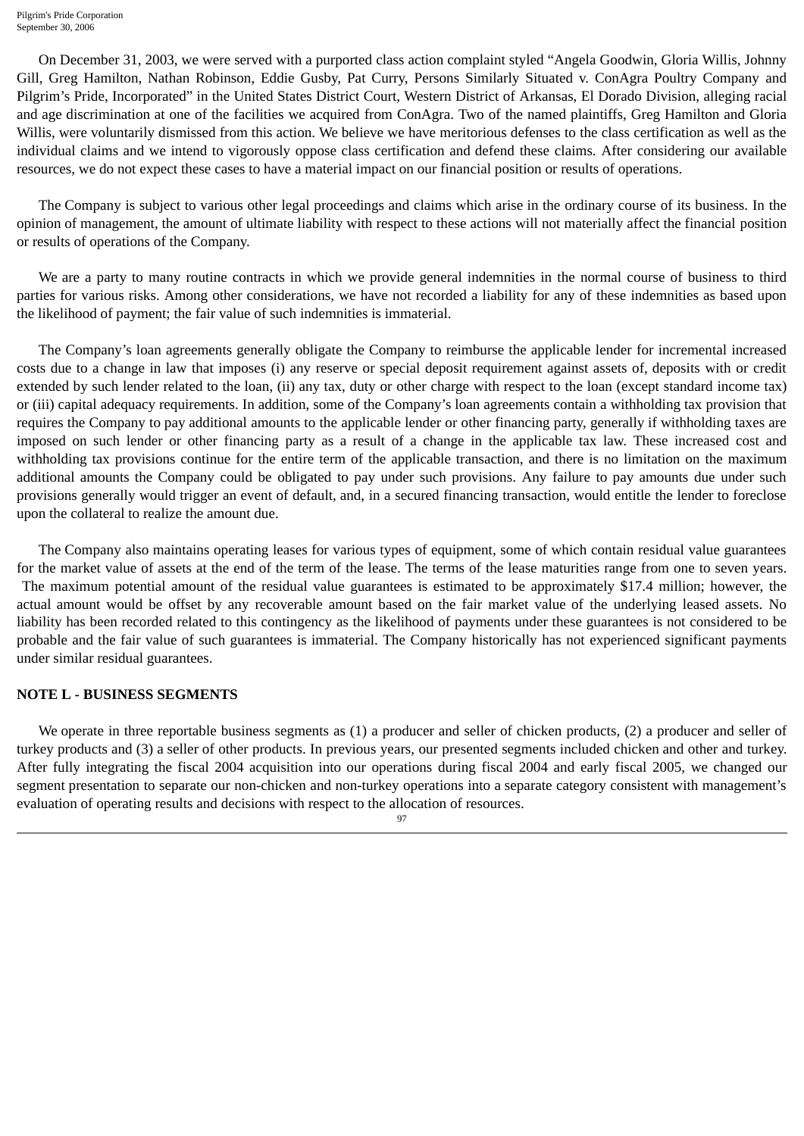On December 31, 2003, we were served with a purported class action complaint styled "Angela Goodwin, Gloria Willis, Johnny Gill, Greg Hamilton, Nathan Robinson, Eddie Gusby, Pat Curry, Persons Similarly Situated v. ConAgra Poultry Company and Pilgrim's Pride, Incorporated" in the United States District Court, Western District of Arkansas, El Dorado Division, alleging racial and age discrimination at one of the facilities we acquired from ConAgra. Two of the named plaintiffs, Greg Hamilton and Gloria Willis, were voluntarily dismissed from this action. We believe we have meritorious defenses to the class certification as well as the individual claims and we intend to vigorously oppose class certification and defend these claims. After considering our available resources, we do not expect these cases to have a material impact on our financial position or results of operations.

The Company is subject to various other legal proceedings and claims which arise in the ordinary course of its business. In the opinion of management, the amount of ultimate liability with respect to these actions will not materially affect the financial position or results of operations of the Company.

We are a party to many routine contracts in which we provide general indemnities in the normal course of business to third parties for various risks. Among other considerations, we have not recorded a liability for any of these indemnities as based upon the likelihood of payment; the fair value of such indemnities is immaterial.

The Company's loan agreements generally obligate the Company to reimburse the applicable lender for incremental increased costs due to a change in law that imposes (i) any reserve or special deposit requirement against assets of, deposits with or credit extended by such lender related to the loan, (ii) any tax, duty or other charge with respect to the loan (except standard income tax) or (iii) capital adequacy requirements. In addition, some of the Company's loan agreements contain a withholding tax provision that requires the Company to pay additional amounts to the applicable lender or other financing party, generally if withholding taxes are imposed on such lender or other financing party as a result of a change in the applicable tax law. These increased cost and withholding tax provisions continue for the entire term of the applicable transaction, and there is no limitation on the maximum additional amounts the Company could be obligated to pay under such provisions. Any failure to pay amounts due under such provisions generally would trigger an event of default, and, in a secured financing transaction, would entitle the lender to foreclose upon the collateral to realize the amount due.

The Company also maintains operating leases for various types of equipment, some of which contain residual value guarantees for the market value of assets at the end of the term of the lease. The terms of the lease maturities range from one to seven years. The maximum potential amount of the residual value guarantees is estimated to be approximately \$17.4 million; however, the actual amount would be offset by any recoverable amount based on the fair market value of the underlying leased assets. No liability has been recorded related to this contingency as the likelihood of payments under these guarantees is not considered to be probable and the fair value of such guarantees is immaterial. The Company historically has not experienced significant payments under similar residual guarantees.

#### **NOTE L - BUSINESS SEGMENTS**

We operate in three reportable business segments as (1) a producer and seller of chicken products, (2) a producer and seller of turkey products and (3) a seller of other products. In previous years, our presented segments included chicken and other and turkey. After fully integrating the fiscal 2004 acquisition into our operations during fiscal 2004 and early fiscal 2005, we changed our segment presentation to separate our non-chicken and non-turkey operations into a separate category consistent with management's evaluation of operating results and decisions with respect to the allocation of resources.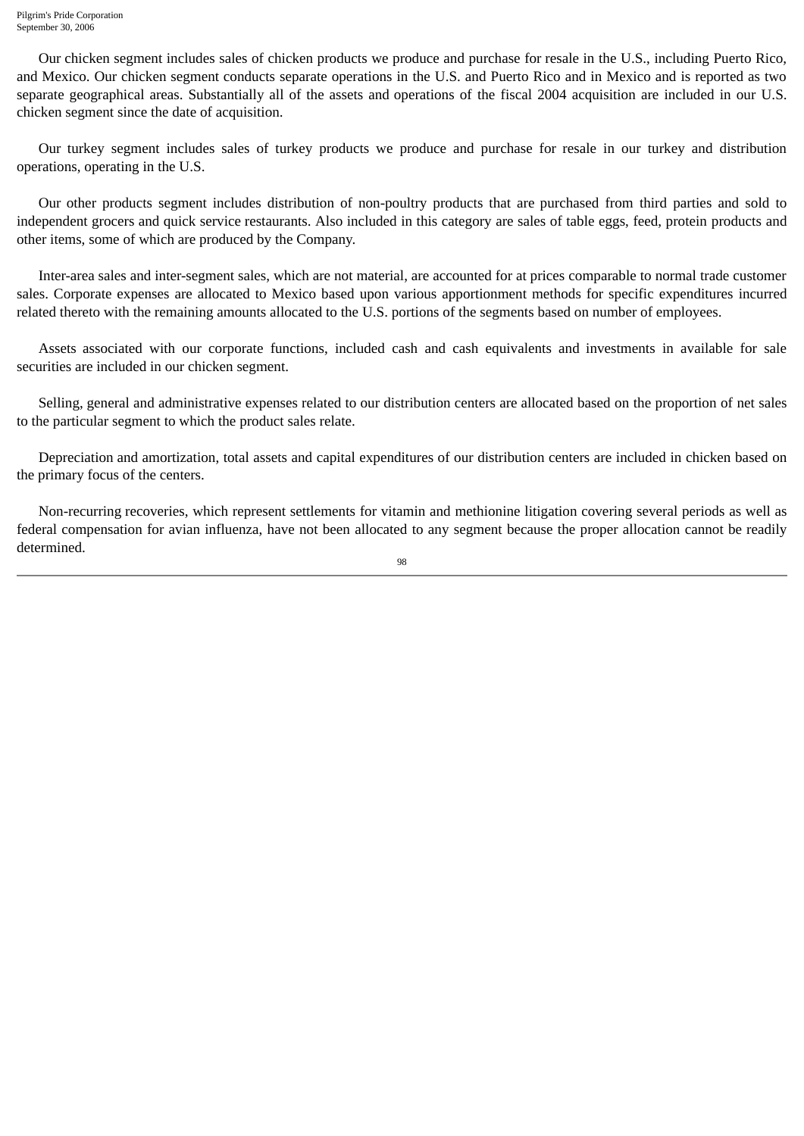Our chicken segment includes sales of chicken products we produce and purchase for resale in the U.S., including Puerto Rico, and Mexico. Our chicken segment conducts separate operations in the U.S. and Puerto Rico and in Mexico and is reported as two separate geographical areas. Substantially all of the assets and operations of the fiscal 2004 acquisition are included in our U.S. chicken segment since the date of acquisition.

Our turkey segment includes sales of turkey products we produce and purchase for resale in our turkey and distribution operations, operating in the U.S.

Our other products segment includes distribution of non-poultry products that are purchased from third parties and sold to independent grocers and quick service restaurants. Also included in this category are sales of table eggs, feed, protein products and other items, some of which are produced by the Company.

Inter-area sales and inter-segment sales, which are not material, are accounted for at prices comparable to normal trade customer sales. Corporate expenses are allocated to Mexico based upon various apportionment methods for specific expenditures incurred related thereto with the remaining amounts allocated to the U.S. portions of the segments based on number of employees.

Assets associated with our corporate functions, included cash and cash equivalents and investments in available for sale securities are included in our chicken segment.

Selling, general and administrative expenses related to our distribution centers are allocated based on the proportion of net sales to the particular segment to which the product sales relate.

Depreciation and amortization, total assets and capital expenditures of our distribution centers are included in chicken based on the primary focus of the centers.

Non-recurring recoveries, which represent settlements for vitamin and methionine litigation covering several periods as well as federal compensation for avian influenza, have not been allocated to any segment because the proper allocation cannot be readily determined.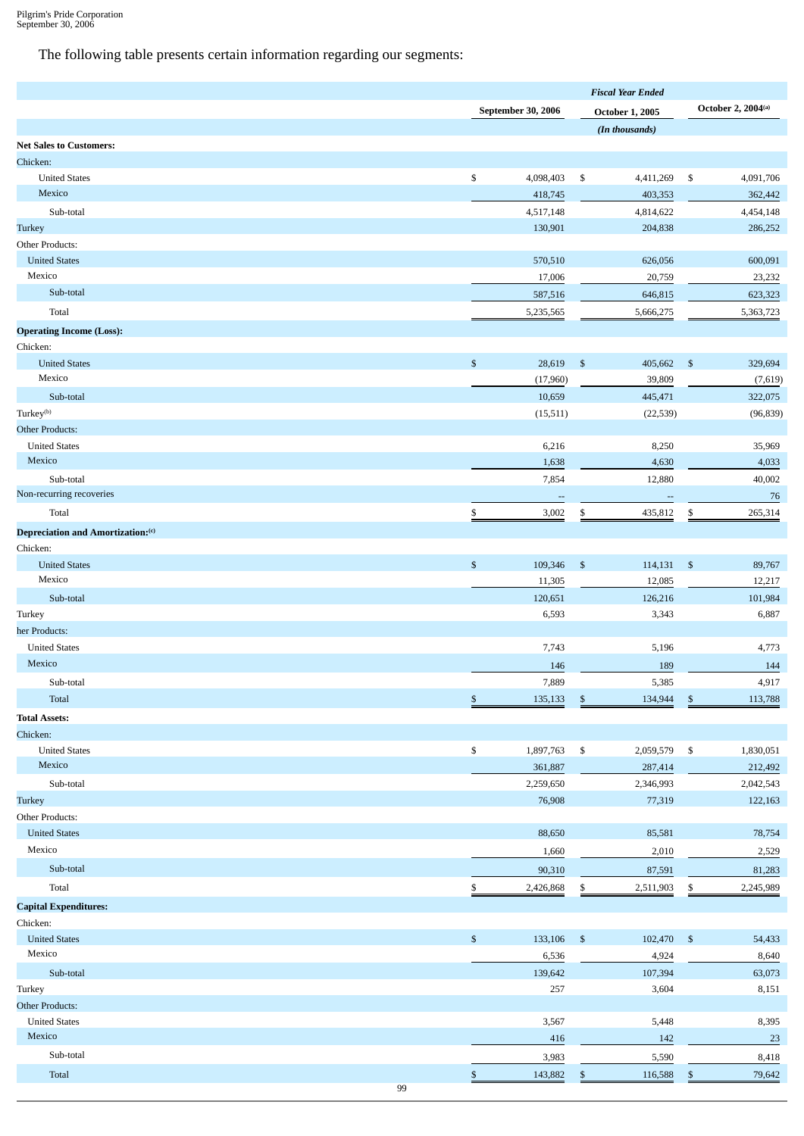The following table presents certain information regarding our segments:

|                                   |                          | <b>Fiscal Year Ended</b>  |                           |  |
|-----------------------------------|--------------------------|---------------------------|---------------------------|--|
|                                   | September 30, 2006       | <b>October 1, 2005</b>    | October 2, 2004(a)        |  |
|                                   |                          | (In thousands)            |                           |  |
| <b>Net Sales to Customers:</b>    |                          |                           |                           |  |
| Chicken:                          |                          |                           |                           |  |
| <b>United States</b>              | \$<br>4,098,403          | \$<br>4,411,269           | \$<br>4,091,706           |  |
| Mexico                            | 418,745                  | 403,353                   | 362,442                   |  |
| Sub-total                         | 4,517,148                | 4,814,622                 | 4,454,148                 |  |
| <b>Turkey</b>                     | 130,901                  | 204,838                   | 286,252                   |  |
| Other Products:                   |                          |                           |                           |  |
| <b>United States</b>              | 570,510                  | 626,056                   | 600,091                   |  |
| Mexico                            | 17,006                   | 20,759                    | 23,232                    |  |
| Sub-total                         | 587,516                  | 646,815                   | 623,323                   |  |
| Total                             | 5,235,565                | 5,666,275                 | 5,363,723                 |  |
| <b>Operating Income (Loss):</b>   |                          |                           |                           |  |
| Chicken:                          |                          |                           |                           |  |
| <b>United States</b>              | $\$$<br>28,619           | $\mathfrak{S}$<br>405,662 | $\mathbb{S}$<br>329,694   |  |
| Mexico                            | (17,960)                 | 39,809                    | (7,619)                   |  |
| Sub-total                         | 10,659                   | 445,471                   | 322,075                   |  |
| Turkey <sup>(b)</sup>             | (15, 511)                | (22, 539)                 | (96, 839)                 |  |
| <b>Other Products:</b>            |                          |                           |                           |  |
| <b>United States</b>              | 6,216                    | 8,250                     | 35,969                    |  |
| Mexico                            | 1,638                    | 4,630                     | 4,033                     |  |
| Sub-total                         | 7,854                    | 12,880                    | 40,002                    |  |
| Non-recurring recoveries          |                          |                           | 76                        |  |
| Total                             | $\overline{\phantom{a}}$ |                           |                           |  |
|                                   | 3,002<br>\$              | 435,812<br>\$             | 265,314<br>\$             |  |
| Depreciation and Amortization:(c) |                          |                           |                           |  |
| Chicken:                          |                          |                           |                           |  |
| <b>United States</b>              | \$<br>109,346            | $\mathbb{S}$<br>114,131   | $\mathfrak{S}$<br>89,767  |  |
| Mexico                            | 11,305                   | 12,085                    | 12,217                    |  |
| Sub-total                         | 120,651                  | 126,216                   | 101,984                   |  |
| Turkey                            | 6,593                    | 3,343                     | 6,887                     |  |
| her Products:                     |                          |                           |                           |  |
| <b>United States</b>              | 7,743                    | 5,196                     | 4,773                     |  |
| Mexico                            | 146                      | 189                       | 144                       |  |
| Sub-total                         | 7,889                    | 5,385                     | 4,917                     |  |
| Total                             | 135,133<br>\$            | \$<br>134,944             | 113,788<br>\$             |  |
| <b>Total Assets:</b>              |                          |                           |                           |  |
| Chicken:                          |                          |                           |                           |  |
| <b>United States</b>              | \$<br>1,897,763          | \$<br>2,059,579           | \$<br>1,830,051           |  |
| Mexico                            | 361,887                  | 287,414                   | 212,492                   |  |
| Sub-total                         | 2,259,650                | 2,346,993                 | 2,042,543                 |  |
| Turkey                            | 76,908                   | 77,319                    | 122,163                   |  |
| Other Products:                   |                          |                           |                           |  |
| <b>United States</b>              | 88,650                   | 85,581                    | 78,754                    |  |
| Mexico                            | 1,660                    | 2,010                     | 2,529                     |  |
| Sub-total                         | 90,310                   | 87,591                    | 81,283                    |  |
| Total                             | \$<br>2,426,868          | \$<br>2,511,903           | $\mathbb{S}$<br>2,245,989 |  |
|                                   |                          |                           |                           |  |
| <b>Capital Expenditures:</b>      |                          |                           |                           |  |
| Chicken:                          |                          |                           |                           |  |
| <b>United States</b><br>Mexico    | $\mathbb{S}$<br>133,106  | $\mathbb{S}$<br>102,470   | $\mathfrak{s}$<br>54,433  |  |
|                                   | 6,536                    | 4,924                     | 8,640                     |  |
| Sub-total                         | 139,642                  | 107,394                   | 63,073                    |  |
| Turkey                            | 257                      | 3,604                     | 8,151                     |  |
| <b>Other Products:</b>            |                          |                           |                           |  |
| <b>United States</b>              | 3,567                    | 5,448                     | 8,395                     |  |
| Mexico                            | 416                      | 142                       | 23                        |  |
| Sub-total                         | 3,983                    | 5,590                     | 8,418                     |  |
| Total                             | 143,882<br>\$            | $\mathbb{S}$<br>116,588   | $\mathbb{S}$<br>79,642    |  |
|                                   | 99                       |                           |                           |  |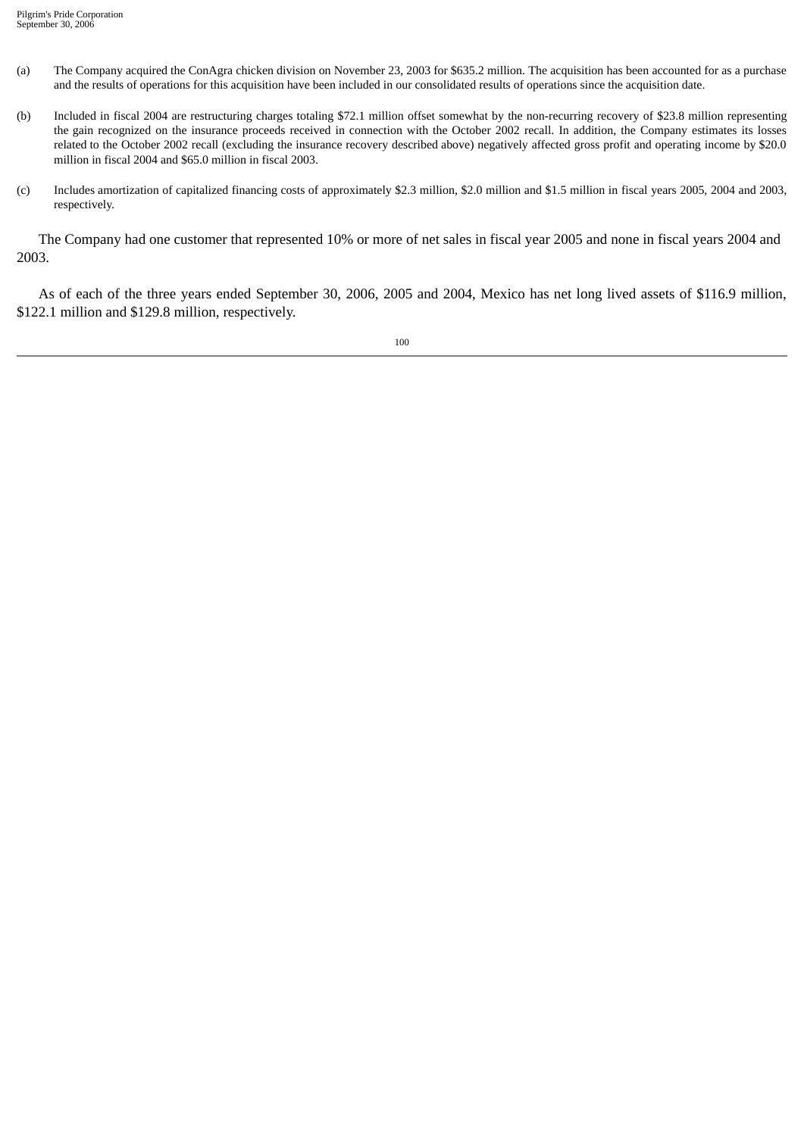- (a) The Company acquired the ConAgra chicken division on November 23, 2003 for \$635.2 million. The acquisition has been accounted for as a purchase and the results of operations for this acquisition have been included in our consolidated results of operations since the acquisition date.
- (b) Included in fiscal 2004 are restructuring charges totaling \$72.1 million offset somewhat by the non-recurring recovery of \$23.8 million representing the gain recognized on the insurance proceeds received in connection with the October 2002 recall. In addition, the Company estimates its losses related to the October 2002 recall (excluding the insurance recovery described above) negatively affected gross profit and operating income by \$20.0 million in fiscal 2004 and \$65.0 million in fiscal 2003.
- (c) Includes amortization of capitalized financing costs of approximately \$2.3 million, \$2.0 million and \$1.5 million in fiscal years 2005, 2004 and 2003, respectively.

The Company had one customer that represented 10% or more of net sales in fiscal year 2005 and none in fiscal years 2004 and 2003.

As of each of the three years ended September 30, 2006, 2005 and 2004, Mexico has net long lived assets of \$116.9 million, \$122.1 million and \$129.8 million, respectively.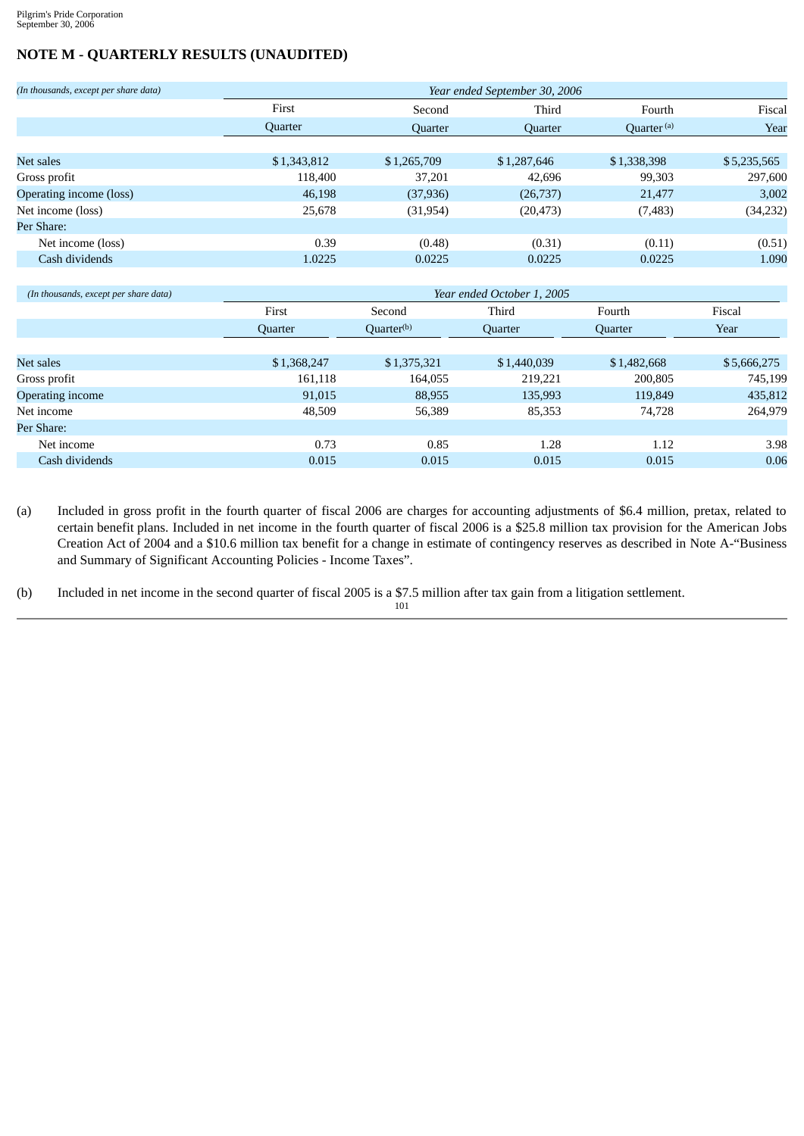### **NOTE M - QUARTERLY RESULTS (UNAUDITED)**

| (In thousands, except per share data) | Year ended September 30, 2006 |                        |             |                        |             |  |
|---------------------------------------|-------------------------------|------------------------|-------------|------------------------|-------------|--|
|                                       | First                         | Second                 | Third       | Fourth                 | Fiscal      |  |
|                                       | Quarter                       | Quarter                | Quarter     | Quarter <sup>(a)</sup> | Year        |  |
|                                       |                               |                        |             |                        |             |  |
| Net sales                             | \$1,343,812                   | \$1,265,709            | \$1,287,646 | \$1,338,398            | \$5,235,565 |  |
| Gross profit                          | 118,400                       | 37,201                 | 42,696      | 99,303                 | 297,600     |  |
| Operating income (loss)               | 46,198                        | (37, 936)              | (26,737)    | 21,477                 | 3,002       |  |
| Net income (loss)                     | 25,678                        | (31, 954)              | (20, 473)   | (7, 483)               | (34, 232)   |  |
| Per Share:                            |                               |                        |             |                        |             |  |
| Net income (loss)                     | 0.39                          | (0.48)                 | (0.31)      | (0.11)                 | (0.51)      |  |
| Cash dividends                        | 1.0225                        | 0.0225                 | 0.0225      | 0.0225                 | 1.090       |  |
|                                       |                               |                        |             |                        |             |  |
| (In thousands, except per share data) | Year ended October 1, 2005    |                        |             |                        |             |  |
|                                       | First                         | Second                 | Third       | Fourth                 | Fiscal      |  |
|                                       | Quarter                       | Quarter <sup>(b)</sup> | Quarter     | Quarter                | Year        |  |
|                                       |                               |                        |             |                        |             |  |
| Net sales                             | \$1,368,247                   | \$1,375,321            | \$1,440,039 | \$1,482,668            | \$5,666,275 |  |
| Gross profit                          | 161,118                       | 164,055                | 219,221     | 200,805                | 745,199     |  |
| Operating income                      | 91,015                        | 88,955                 | 135,993     | 119.849                | 435,812     |  |
| Net income                            | 48,509                        | 56,389                 | 85,353      | 74,728                 | 264,979     |  |
| Per Share:                            |                               |                        |             |                        |             |  |
| Net income                            | 0.73                          | 0.85                   | 1.28        | 1.12                   | 3.98        |  |
| Cash dividends                        | 0.015                         | 0.015                  | 0.015       | 0.015                  | 0.06        |  |

(a) Included in gross profit in the fourth quarter of fiscal 2006 are charges for accounting adjustments of \$6.4 million, pretax, related to certain benefit plans. Included in net income in the fourth quarter of fiscal 2006 is a \$25.8 million tax provision for the American Jobs Creation Act of 2004 and a \$10.6 million tax benefit for a change in estimate of contingency reserves as described in Note A-"Business and Summary of Significant Accounting Policies - Income Taxes".

(b) Included in net income in the second quarter of fiscal 2005 is a \$7.5 million after tax gain from a litigation settlement.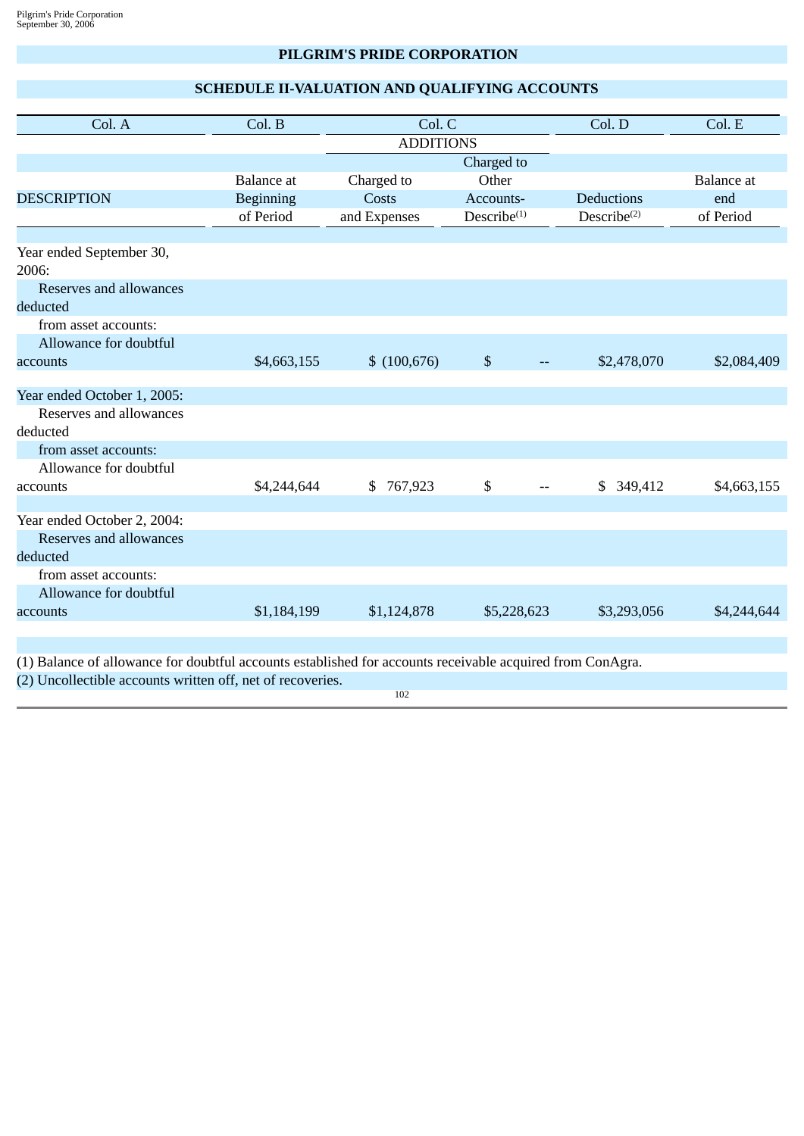## **PILGRIM'S PRIDE CORPORATION**

# **SCHEDULE II-VALUATION AND QUALIFYING ACCOUNTS**

| Col. A                                                                                                    | Col. B            | Col. C           |                         | Col. D                  | Col. E            |
|-----------------------------------------------------------------------------------------------------------|-------------------|------------------|-------------------------|-------------------------|-------------------|
|                                                                                                           |                   | <b>ADDITIONS</b> |                         |                         |                   |
|                                                                                                           |                   |                  | Charged to              |                         |                   |
|                                                                                                           | <b>Balance</b> at | Charged to       | Other                   |                         | <b>Balance</b> at |
| <b>DESCRIPTION</b>                                                                                        | <b>Beginning</b>  | Costs            | Accounts-               | <b>Deductions</b>       | end               |
|                                                                                                           | of Period         | and Expenses     | Describe <sup>(1)</sup> | Describe <sup>(2)</sup> | of Period         |
| Year ended September 30,                                                                                  |                   |                  |                         |                         |                   |
| 2006:                                                                                                     |                   |                  |                         |                         |                   |
| Reserves and allowances                                                                                   |                   |                  |                         |                         |                   |
| deducted                                                                                                  |                   |                  |                         |                         |                   |
| from asset accounts:                                                                                      |                   |                  |                         |                         |                   |
| Allowance for doubtful                                                                                    |                   |                  |                         |                         |                   |
| accounts                                                                                                  | \$4,663,155       | \$(100, 676)     | $\sqrt{3}$              | \$2,478,070             | \$2,084,409       |
| Year ended October 1, 2005:                                                                               |                   |                  |                         |                         |                   |
| Reserves and allowances                                                                                   |                   |                  |                         |                         |                   |
| deducted                                                                                                  |                   |                  |                         |                         |                   |
| from asset accounts:                                                                                      |                   |                  |                         |                         |                   |
| Allowance for doubtful                                                                                    |                   |                  |                         |                         |                   |
| accounts                                                                                                  | \$4,244,644       | \$767,923        | \$                      | \$ 349,412              | \$4,663,155       |
| Year ended October 2, 2004:                                                                               |                   |                  |                         |                         |                   |
| Reserves and allowances                                                                                   |                   |                  |                         |                         |                   |
| deducted                                                                                                  |                   |                  |                         |                         |                   |
| from asset accounts:                                                                                      |                   |                  |                         |                         |                   |
| Allowance for doubtful                                                                                    |                   |                  |                         |                         |                   |
| accounts                                                                                                  | \$1,184,199       | \$1,124,878      | \$5,228,623             | \$3,293,056             | \$4,244,644       |
|                                                                                                           |                   |                  |                         |                         |                   |
| (1) Balance of allowance for doubtful accounts established for accounts receivable acquired from ConAgra. |                   |                  |                         |                         |                   |
| (2) Uncollectible accounts written off, net of recoveries.                                                |                   |                  |                         |                         |                   |
|                                                                                                           |                   |                  |                         |                         |                   |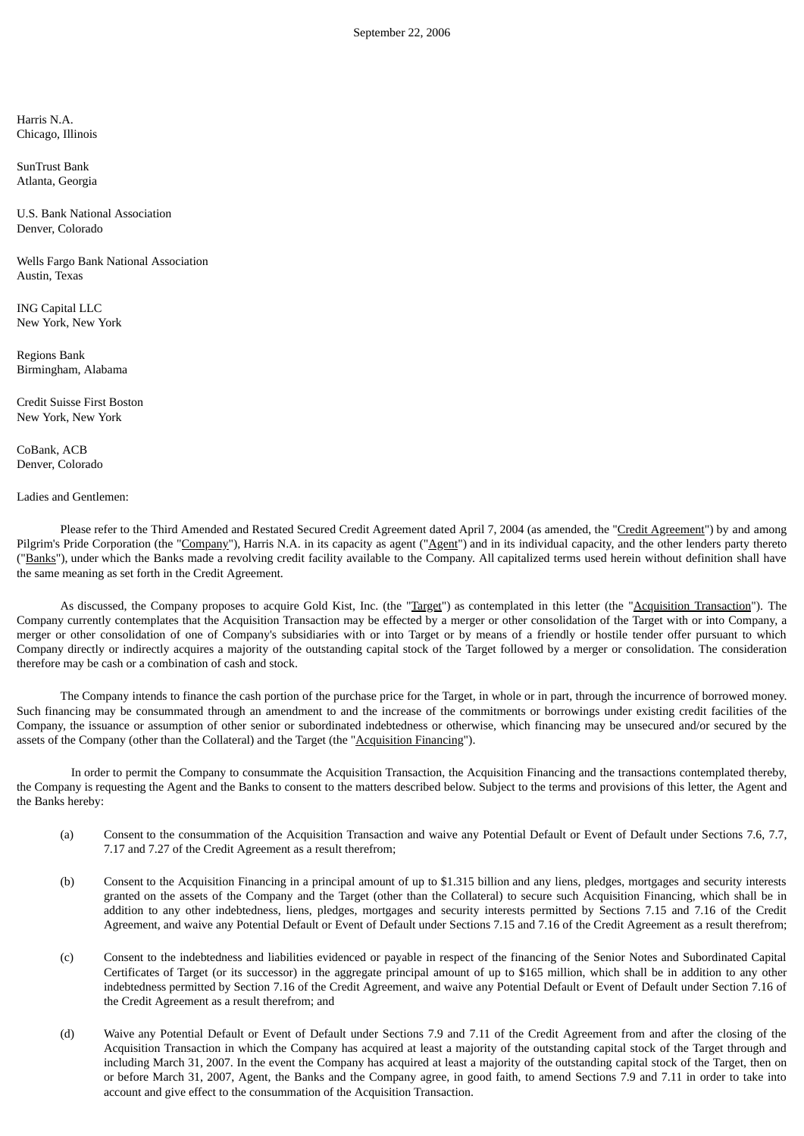Harris N.A. Chicago, Illinois

SunTrust Bank Atlanta, Georgia

U.S. Bank National Association Denver, Colorado

Wells Fargo Bank National Association Austin, Texas

ING Capital LLC New York, New York

Regions Bank Birmingham, Alabama

Credit Suisse First Boston New York, New York

CoBank, ACB Denver, Colorado

Ladies and Gentlemen:

Please refer to the Third Amended and Restated Secured Credit Agreement dated April 7, 2004 (as amended, the "Credit Agreement") by and among Pilgrim's Pride Corporation (the "Company"), Harris N.A. in its capacity as agent ("Agent") and in its individual capacity, and the other lenders party thereto ("Banks"), under which the Banks made a revolving credit facility available to the Company. All capitalized terms used herein without definition shall have the same meaning as set forth in the Credit Agreement.

As discussed, the Company proposes to acquire Gold Kist, Inc. (the "Target") as contemplated in this letter (the "Acquisition Transaction"). The Company currently contemplates that the Acquisition Transaction may be effected by a merger or other consolidation of the Target with or into Company, a merger or other consolidation of one of Company's subsidiaries with or into Target or by means of a friendly or hostile tender offer pursuant to which Company directly or indirectly acquires a majority of the outstanding capital stock of the Target followed by a merger or consolidation. The consideration therefore may be cash or a combination of cash and stock.

The Company intends to finance the cash portion of the purchase price for the Target, in whole or in part, through the incurrence of borrowed money. Such financing may be consummated through an amendment to and the increase of the commitments or borrowings under existing credit facilities of the Company, the issuance or assumption of other senior or subordinated indebtedness or otherwise, which financing may be unsecured and/or secured by the assets of the Company (other than the Collateral) and the Target (the "Acquisition Financing").

In order to permit the Company to consummate the Acquisition Transaction, the Acquisition Financing and the transactions contemplated thereby, the Company is requesting the Agent and the Banks to consent to the matters described below. Subject to the terms and provisions of this letter, the Agent and the Banks hereby:

- (a) Consent to the consummation of the Acquisition Transaction and waive any Potential Default or Event of Default under Sections 7.6, 7.7, 7.17 and 7.27 of the Credit Agreement as a result therefrom;
- (b) Consent to the Acquisition Financing in a principal amount of up to \$1.315 billion and any liens, pledges, mortgages and security interests granted on the assets of the Company and the Target (other than the Collateral) to secure such Acquisition Financing, which shall be in addition to any other indebtedness, liens, pledges, mortgages and security interests permitted by Sections 7.15 and 7.16 of the Credit Agreement, and waive any Potential Default or Event of Default under Sections 7.15 and 7.16 of the Credit Agreement as a result therefrom;
- (c) Consent to the indebtedness and liabilities evidenced or payable in respect of the financing of the Senior Notes and Subordinated Capital Certificates of Target (or its successor) in the aggregate principal amount of up to \$165 million, which shall be in addition to any other indebtedness permitted by Section 7.16 of the Credit Agreement, and waive any Potential Default or Event of Default under Section 7.16 of the Credit Agreement as a result therefrom; and
- (d) Waive any Potential Default or Event of Default under Sections 7.9 and 7.11 of the Credit Agreement from and after the closing of the Acquisition Transaction in which the Company has acquired at least a majority of the outstanding capital stock of the Target through and including March 31, 2007. In the event the Company has acquired at least a majority of the outstanding capital stock of the Target, then on or before March 31, 2007, Agent, the Banks and the Company agree, in good faith, to amend Sections 7.9 and 7.11 in order to take into account and give effect to the consummation of the Acquisition Transaction.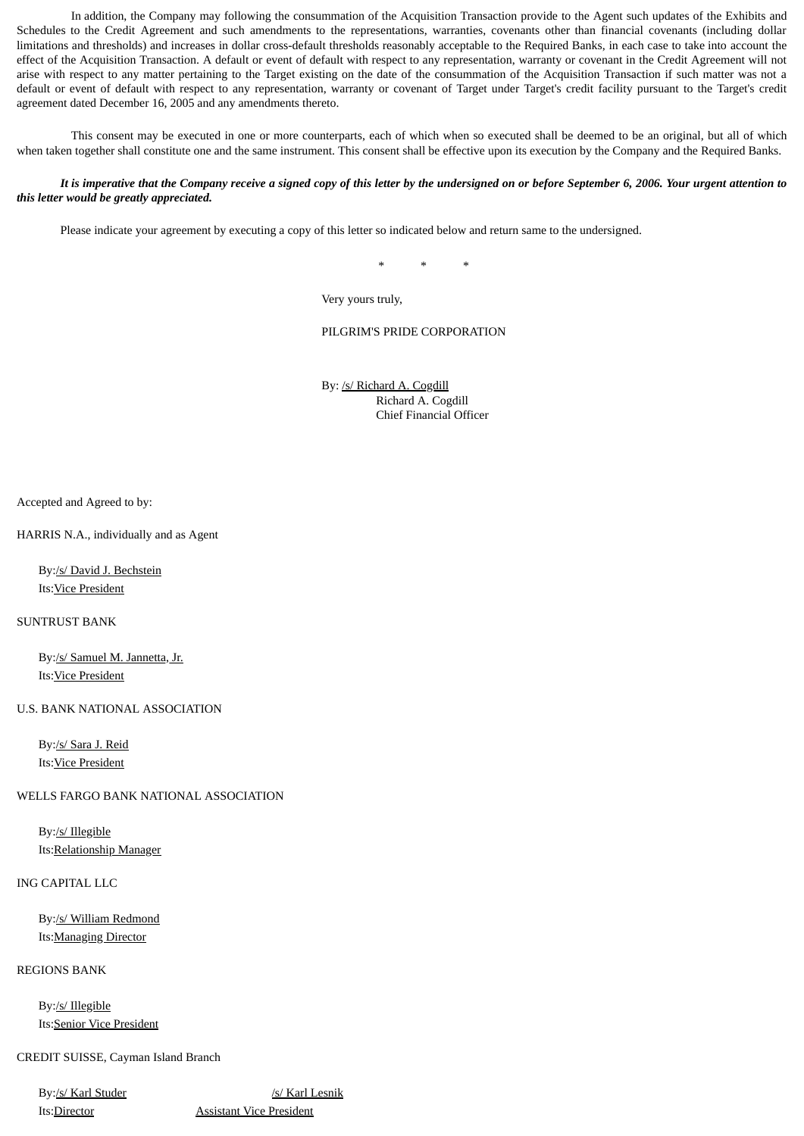In addition, the Company may following the consummation of the Acquisition Transaction provide to the Agent such updates of the Exhibits and Schedules to the Credit Agreement and such amendments to the representations, warranties, covenants other than financial covenants (including dollar limitations and thresholds) and increases in dollar cross-default thresholds reasonably acceptable to the Required Banks, in each case to take into account the effect of the Acquisition Transaction. A default or event of default with respect to any representation, warranty or covenant in the Credit Agreement will not arise with respect to any matter pertaining to the Target existing on the date of the consummation of the Acquisition Transaction if such matter was not a default or event of default with respect to any representation, warranty or covenant of Target under Target's credit facility pursuant to the Target's credit agreement dated December 16, 2005 and any amendments thereto.

This consent may be executed in one or more counterparts, each of which when so executed shall be deemed to be an original, but all of which when taken together shall constitute one and the same instrument. This consent shall be effective upon its execution by the Company and the Required Banks.

#### It is imperative that the Company receive a signed copy of this letter by the undersigned on or before September 6, 2006. Your urgent attention to *this letter would be greatly appreciated.*

Please indicate your agreement by executing a copy of this letter so indicated below and return same to the undersigned.

\* \* \*

Very yours truly,

PILGRIM'S PRIDE CORPORATION

By: /s/ Richard A. Cogdill Richard A. Cogdill Chief Financial Officer

Accepted and Agreed to by:

HARRIS N.A., individually and as Agent

By:/s/ David J. Bechstein Its: Vice President

#### SUNTRUST BANK

By:/s/ Samuel M. Jannetta, Jr. Its:Vice President

U.S. BANK NATIONAL ASSOCIATION

By:/s/ Sara J. Reid Its:Vice President

WELLS FARGO BANK NATIONAL ASSOCIATION

By:/s/ Illegible Its:Relationship Manager

#### ING CAPITAL LLC

By:/s/ William Redmond Its: Managing Director

REGIONS BANK

By:/s/ Illegible Its:Senior Vice President

CREDIT SUISSE, Cayman Island Branch

Its:Director Assistant Vice President

By:/s/ Karl Studer /s/ Karl Lesnik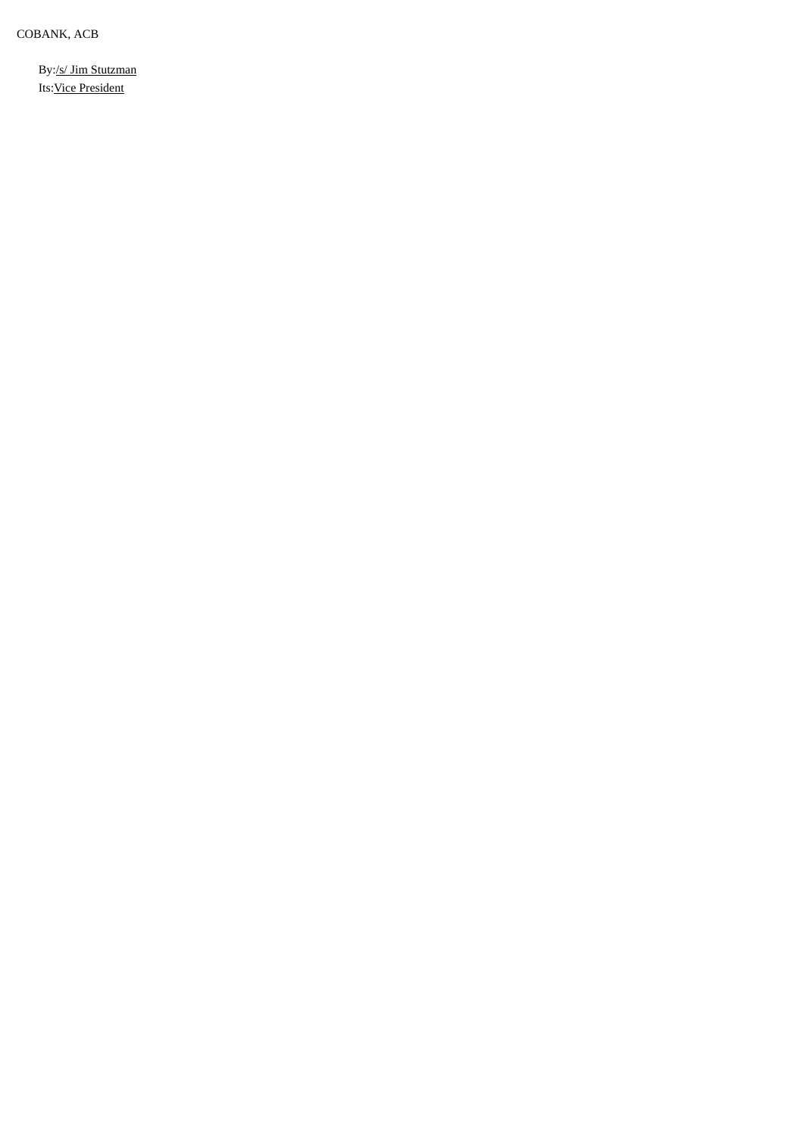COBANK, ACB

By:/s/ Jim Stutzman Its:Vice President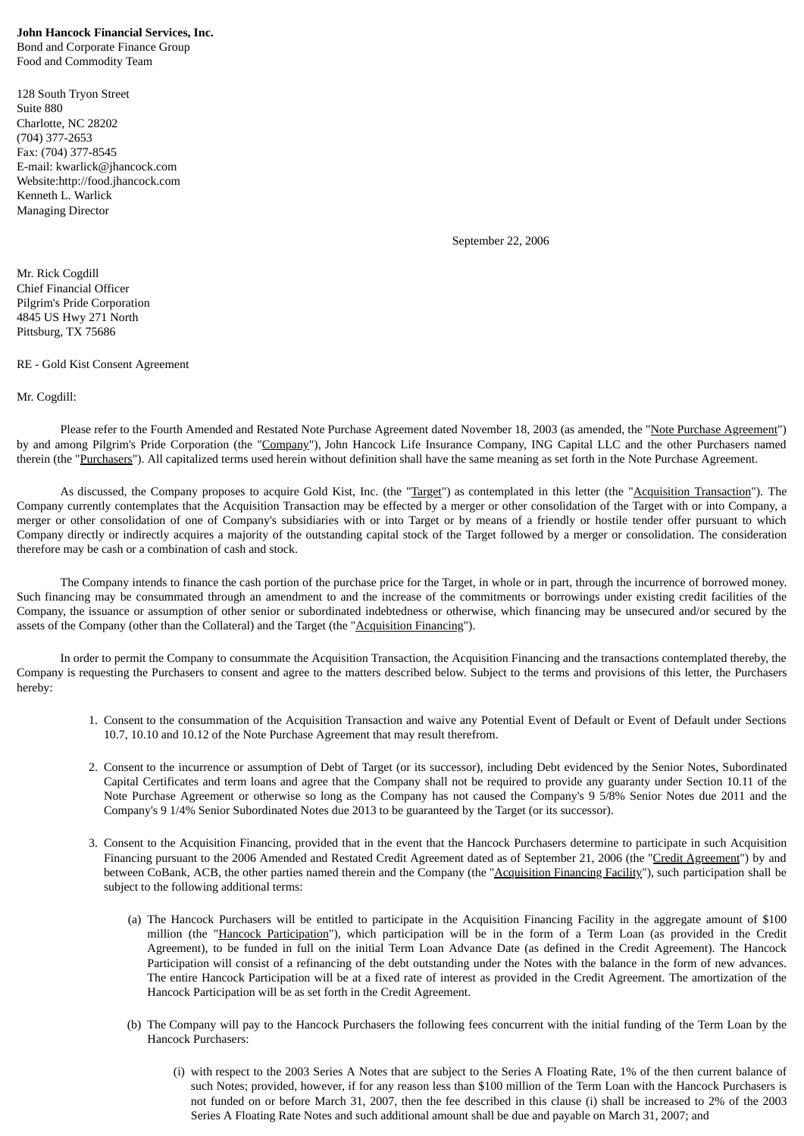#### **John Hancock Financial Services, Inc.**

Bond and Corporate Finance Group Food and Commodity Team

128 South Tryon Street Suite 880 Charlotte, NC 28202 (704) 377-2653 Fax: (704) 377-8545 E-mail: kwarlick@jhancock.com Website:http://food.jhancock.com Kenneth L. Warlick Managing Director

September 22, 2006

Mr. Rick Cogdill Chief Financial Officer Pilgrim's Pride Corporation 4845 US Hwy 271 North Pittsburg, TX 75686

#### RE - Gold Kist Consent Agreement

Mr. Cogdill:

Please refer to the Fourth Amended and Restated Note Purchase Agreement dated November 18, 2003 (as amended, the "Note Purchase Agreement") by and among Pilgrim's Pride Corporation (the "Company"), John Hancock Life Insurance Company, ING Capital LLC and the other Purchasers named therein (the "Purchasers"). All capitalized terms used herein without definition shall have the same meaning as set forth in the Note Purchase Agreement.

As discussed, the Company proposes to acquire Gold Kist, Inc. (the "Target") as contemplated in this letter (the "Acquisition Transaction"). The Company currently contemplates that the Acquisition Transaction may be effected by a merger or other consolidation of the Target with or into Company, a merger or other consolidation of one of Company's subsidiaries with or into Target or by means of a friendly or hostile tender offer pursuant to which Company directly or indirectly acquires a majority of the outstanding capital stock of the Target followed by a merger or consolidation. The consideration therefore may be cash or a combination of cash and stock.

The Company intends to finance the cash portion of the purchase price for the Target, in whole or in part, through the incurrence of borrowed money. Such financing may be consummated through an amendment to and the increase of the commitments or borrowings under existing credit facilities of the Company, the issuance or assumption of other senior or subordinated indebtedness or otherwise, which financing may be unsecured and/or secured by the assets of the Company (other than the Collateral) and the Target (the "Acquisition Financing").

In order to permit the Company to consummate the Acquisition Transaction, the Acquisition Financing and the transactions contemplated thereby, the Company is requesting the Purchasers to consent and agree to the matters described below. Subject to the terms and provisions of this letter, the Purchasers hereby:

- 1. Consent to the consummation of the Acquisition Transaction and waive any Potential Event of Default or Event of Default under Sections 10.7, 10.10 and 10.12 of the Note Purchase Agreement that may result therefrom.
- 2. Consent to the incurrence or assumption of Debt of Target (or its successor), including Debt evidenced by the Senior Notes, Subordinated Capital Certificates and term loans and agree that the Company shall not be required to provide any guaranty under Section 10.11 of the Note Purchase Agreement or otherwise so long as the Company has not caused the Company's 9 5/8% Senior Notes due 2011 and the Company's 9 1/4% Senior Subordinated Notes due 2013 to be guaranteed by the Target (or its successor).
- 3. Consent to the Acquisition Financing, provided that in the event that the Hancock Purchasers determine to participate in such Acquisition Financing pursuant to the 2006 Amended and Restated Credit Agreement dated as of September 21, 2006 (the "Credit Agreement") by and between CoBank, ACB, the other parties named therein and the Company (the "Acquisition Financing Facility"), such participation shall be subject to the following additional terms:
	- (a) The Hancock Purchasers will be entitled to participate in the Acquisition Financing Facility in the aggregate amount of \$100 million (the "Hancock Participation"), which participation will be in the form of a Term Loan (as provided in the Credit Agreement), to be funded in full on the initial Term Loan Advance Date (as defined in the Credit Agreement). The Hancock Participation will consist of a refinancing of the debt outstanding under the Notes with the balance in the form of new advances. The entire Hancock Participation will be at a fixed rate of interest as provided in the Credit Agreement. The amortization of the Hancock Participation will be as set forth in the Credit Agreement.
	- (b) The Company will pay to the Hancock Purchasers the following fees concurrent with the initial funding of the Term Loan by the Hancock Purchasers:
		- (i) with respect to the 2003 Series A Notes that are subject to the Series A Floating Rate, 1% of the then current balance of such Notes; provided, however, if for any reason less than \$100 million of the Term Loan with the Hancock Purchasers is not funded on or before March 31, 2007, then the fee described in this clause (i) shall be increased to 2% of the 2003 Series A Floating Rate Notes and such additional amount shall be due and payable on March 31, 2007; and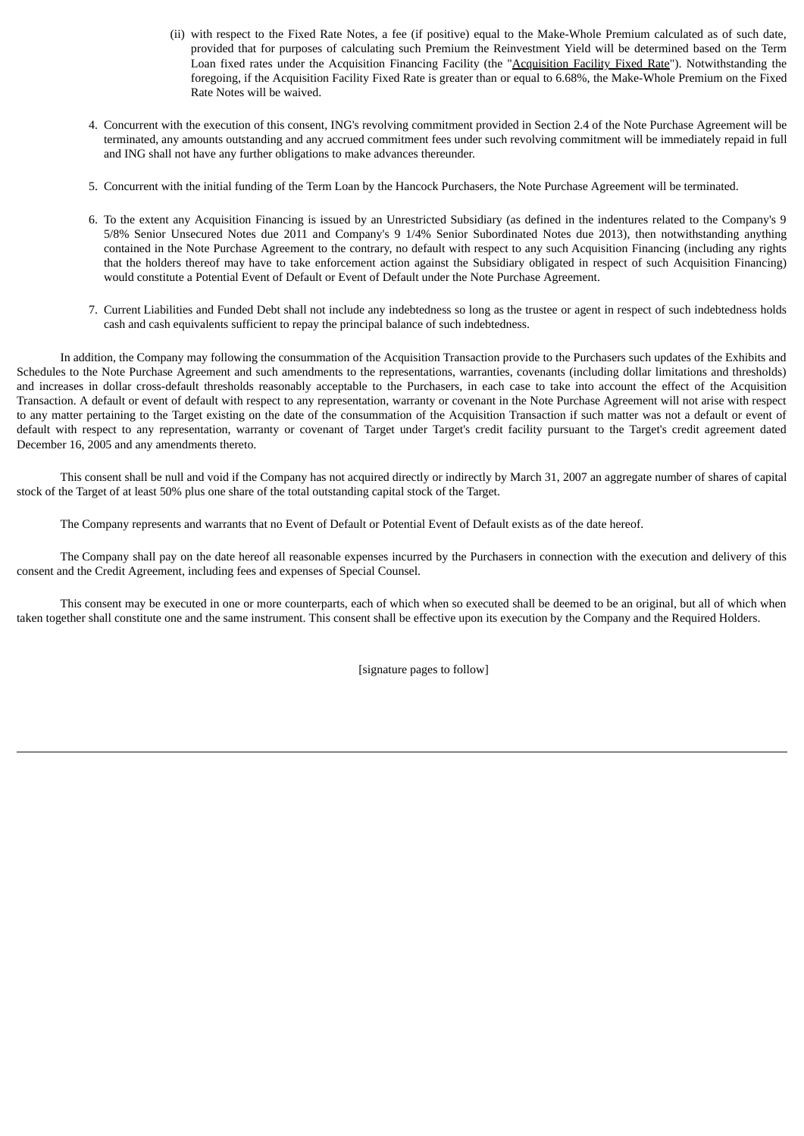- (ii) with respect to the Fixed Rate Notes, a fee (if positive) equal to the Make-Whole Premium calculated as of such date, provided that for purposes of calculating such Premium the Reinvestment Yield will be determined based on the Term Loan fixed rates under the Acquisition Financing Facility (the "Acquisition Facility Fixed Rate"). Notwithstanding the foregoing, if the Acquisition Facility Fixed Rate is greater than or equal to 6.68%, the Make-Whole Premium on the Fixed Rate Notes will be waived.
- 4. Concurrent with the execution of this consent, ING's revolving commitment provided in Section 2.4 of the Note Purchase Agreement will be terminated, any amounts outstanding and any accrued commitment fees under such revolving commitment will be immediately repaid in full and ING shall not have any further obligations to make advances thereunder.
- 5. Concurrent with the initial funding of the Term Loan by the Hancock Purchasers, the Note Purchase Agreement will be terminated.
- 6. To the extent any Acquisition Financing is issued by an Unrestricted Subsidiary (as defined in the indentures related to the Company's 9 5/8% Senior Unsecured Notes due 2011 and Company's 9 1/4% Senior Subordinated Notes due 2013), then notwithstanding anything contained in the Note Purchase Agreement to the contrary, no default with respect to any such Acquisition Financing (including any rights that the holders thereof may have to take enforcement action against the Subsidiary obligated in respect of such Acquisition Financing) would constitute a Potential Event of Default or Event of Default under the Note Purchase Agreement.
- 7. Current Liabilities and Funded Debt shall not include any indebtedness so long as the trustee or agent in respect of such indebtedness holds cash and cash equivalents sufficient to repay the principal balance of such indebtedness.

In addition, the Company may following the consummation of the Acquisition Transaction provide to the Purchasers such updates of the Exhibits and Schedules to the Note Purchase Agreement and such amendments to the representations, warranties, covenants (including dollar limitations and thresholds) and increases in dollar cross-default thresholds reasonably acceptable to the Purchasers, in each case to take into account the effect of the Acquisition Transaction. A default or event of default with respect to any representation, warranty or covenant in the Note Purchase Agreement will not arise with respect to any matter pertaining to the Target existing on the date of the consummation of the Acquisition Transaction if such matter was not a default or event of default with respect to any representation, warranty or covenant of Target under Target's credit facility pursuant to the Target's credit agreement dated December 16, 2005 and any amendments thereto.

This consent shall be null and void if the Company has not acquired directly or indirectly by March 31, 2007 an aggregate number of shares of capital stock of the Target of at least 50% plus one share of the total outstanding capital stock of the Target.

The Company represents and warrants that no Event of Default or Potential Event of Default exists as of the date hereof.

The Company shall pay on the date hereof all reasonable expenses incurred by the Purchasers in connection with the execution and delivery of this consent and the Credit Agreement, including fees and expenses of Special Counsel.

This consent may be executed in one or more counterparts, each of which when so executed shall be deemed to be an original, but all of which when taken together shall constitute one and the same instrument. This consent shall be effective upon its execution by the Company and the Required Holders.

[signature pages to follow]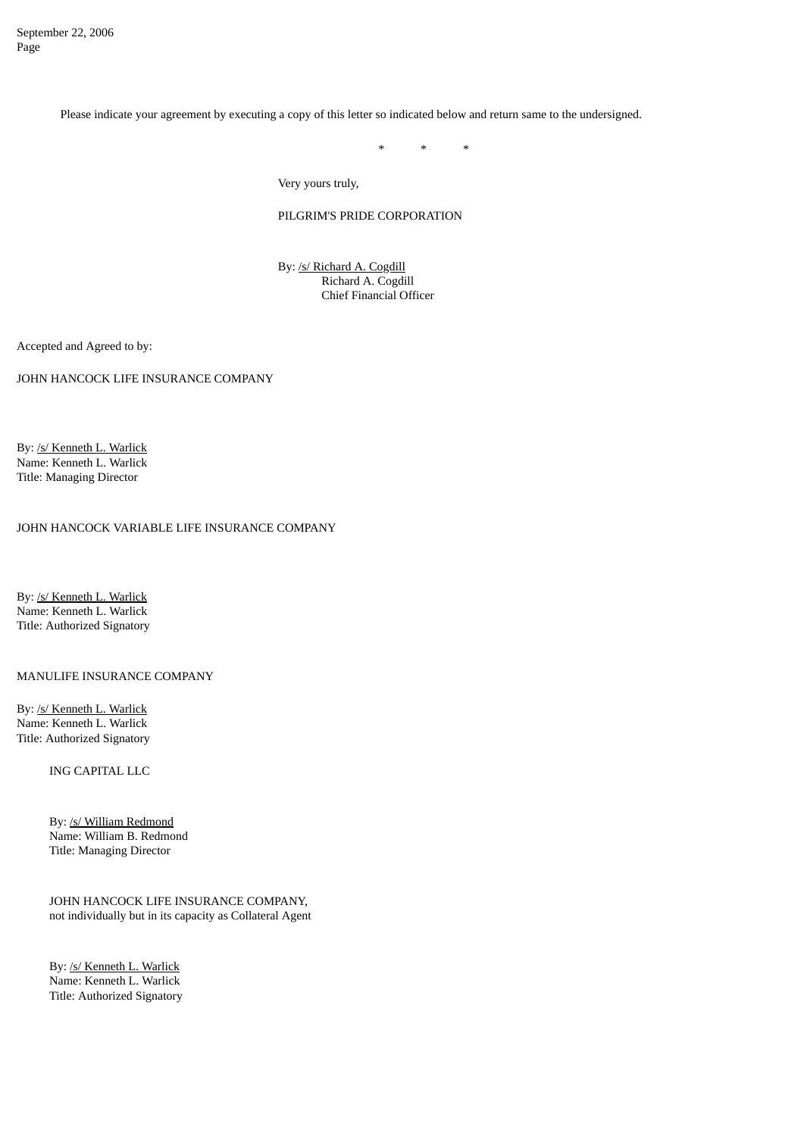September 22, 2006 Page

Please indicate your agreement by executing a copy of this letter so indicated below and return same to the undersigned.

\* \* \*

Very yours truly,

#### PILGRIM'S PRIDE CORPORATION

By: /s/ Richard A. Cogdill Richard A. Cogdill Chief Financial Officer

Accepted and Agreed to by:

JOHN HANCOCK LIFE INSURANCE COMPANY

By: /s/ Kenneth L. Warlick Name: Kenneth L. Warlick Title: Managing Director

# JOHN HANCOCK VARIABLE LIFE INSURANCE COMPANY

By: /s/ Kenneth L. Warlick Name: Kenneth L. Warlick Title: Authorized Signatory

MANULIFE INSURANCE COMPANY

By: /s/ Kenneth L. Warlick Name: Kenneth L. Warlick Title: Authorized Signatory

ING CAPITAL LLC

By: /s/ William Redmond Name: William B. Redmond Title: Managing Director

JOHN HANCOCK LIFE INSURANCE COMPANY, not individually but in its capacity as Collateral Agent

By: /s/ Kenneth L. Warlick Name: Kenneth L. Warlick Title: Authorized Signatory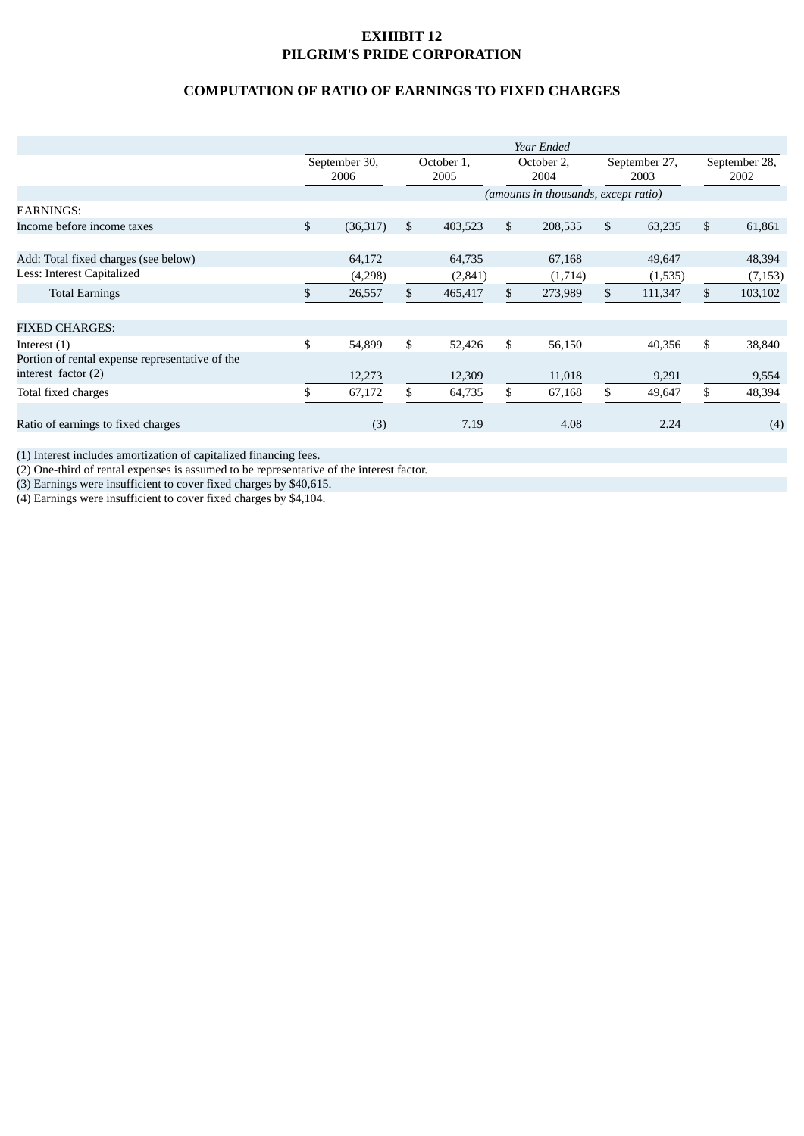# **EXHIBIT 12 PILGRIM'S PRIDE CORPORATION**

# **COMPUTATION OF RATIO OF EARNINGS TO FIXED CHARGES**

|                                                 |               | Year Ended |            |                                      |            |         |               |         |               |          |  |
|-------------------------------------------------|---------------|------------|------------|--------------------------------------|------------|---------|---------------|---------|---------------|----------|--|
|                                                 | September 30, |            | October 1, |                                      | October 2, |         | September 27, |         | September 28, |          |  |
|                                                 |               | 2006       |            | 2005                                 |            | 2004    |               | 2003    |               | 2002     |  |
|                                                 |               |            |            | (amounts in thousands, except ratio) |            |         |               |         |               |          |  |
| <b>EARNINGS:</b>                                |               |            |            |                                      |            |         |               |         |               |          |  |
| Income before income taxes                      | \$            | (36,317)   | \$         | 403,523                              | \$         | 208,535 | \$            | 63,235  | \$            | 61,861   |  |
|                                                 |               |            |            |                                      |            |         |               |         |               |          |  |
| Add: Total fixed charges (see below)            |               | 64,172     |            | 64,735                               |            | 67,168  |               | 49,647  |               | 48,394   |  |
| Less: Interest Capitalized                      |               | (4,298)    |            | (2,841)                              |            | (1,714) |               | (1,535) |               | (7, 153) |  |
| <b>Total Earnings</b>                           |               | 26,557     | \$         | 465,417                              | \$         | 273,989 | \$            | 111,347 |               | 103,102  |  |
|                                                 |               |            |            |                                      |            |         |               |         |               |          |  |
| <b>FIXED CHARGES:</b>                           |               |            |            |                                      |            |         |               |         |               |          |  |
| Interest $(1)$                                  | \$            | 54,899     | \$         | 52,426                               | \$         | 56,150  |               | 40,356  | \$            | 38,840   |  |
| Portion of rental expense representative of the |               |            |            |                                      |            |         |               |         |               |          |  |
| interest factor $(2)$                           |               | 12,273     |            | 12,309                               |            | 11,018  |               | 9,291   |               | 9,554    |  |
| Total fixed charges                             |               | 67,172     | \$         | 64,735                               | \$         | 67,168  | \$            | 49,647  |               | 48,394   |  |
|                                                 |               |            |            |                                      |            |         |               |         |               |          |  |
| Ratio of earnings to fixed charges              |               | (3)        |            | 7.19                                 |            | 4.08    |               | 2.24    |               | (4)      |  |
|                                                 |               |            |            |                                      |            |         |               |         |               |          |  |

(1) Interest includes amortization of capitalized financing fees.

(2) One-third of rental expenses is assumed to be representative of the interest factor.

(3) Earnings were insufficient to cover fixed charges by \$40,615.

(4) Earnings were insufficient to cover fixed charges by \$4,104.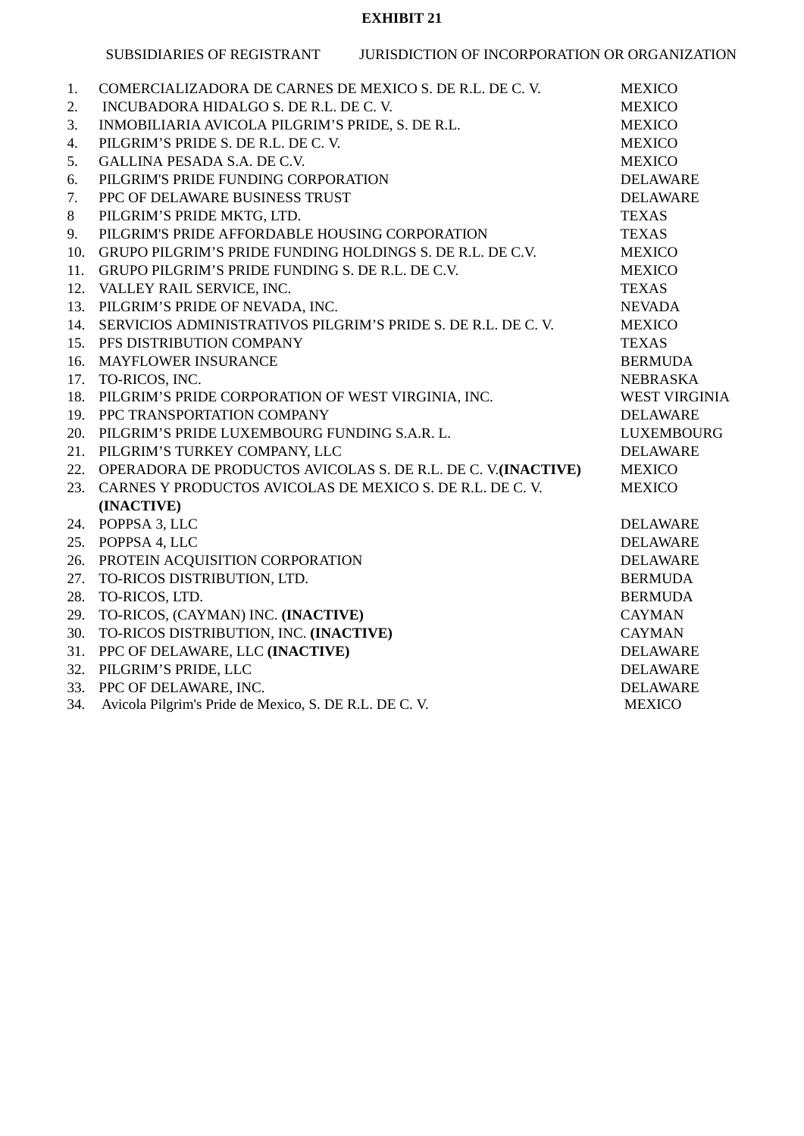# **EXHIBIT 21**

# SUBSIDIARIES OF REGISTRANT JURISDICTION OF INCORPORATION OR ORGANIZATION 1. COMERCIALIZADORA DE CARNES DE MEXICO S. DE R.L. DE C. V. MEXICO

| T.  | COMERCIALIZADORA DE CARNES DE MEAICO S. DE R.L. DE C. V.      | MEAICO            |
|-----|---------------------------------------------------------------|-------------------|
| 2.  | INCUBADORA HIDALGO S. DE R.L. DE C.V.                         | <b>MEXICO</b>     |
| 3.  | INMOBILIARIA AVICOLA PILGRIM'S PRIDE, S. DE R.L.              | <b>MEXICO</b>     |
| 4.  | PILGRIM'S PRIDE S. DE R.L. DE C.V.                            | <b>MEXICO</b>     |
| 5.  | GALLINA PESADA S.A. DE C.V.                                   | <b>MEXICO</b>     |
| 6.  | PILGRIM'S PRIDE FUNDING CORPORATION                           | <b>DELAWARE</b>   |
| 7.  | PPC OF DELAWARE BUSINESS TRUST                                | <b>DELAWARE</b>   |
| 8   | PILGRIM'S PRIDE MKTG, LTD.                                    | <b>TEXAS</b>      |
| 9.  | PILGRIM'S PRIDE AFFORDABLE HOUSING CORPORATION                | <b>TEXAS</b>      |
| 10. | GRUPO PILGRIM'S PRIDE FUNDING HOLDINGS S. DE R.L. DE C.V.     | <b>MEXICO</b>     |
| 11. | GRUPO PILGRIM'S PRIDE FUNDING S. DE R.L. DE C.V.              | <b>MEXICO</b>     |
| 12. | VALLEY RAIL SERVICE, INC.                                     | <b>TEXAS</b>      |
| 13. | PILGRIM'S PRIDE OF NEVADA, INC.                               | <b>NEVADA</b>     |
| 14. | SERVICIOS ADMINISTRATIVOS PILGRIM'S PRIDE S. DE R.L. DE C.V.  | <b>MEXICO</b>     |
| 15. | PFS DISTRIBUTION COMPANY                                      | <b>TEXAS</b>      |
| 16. | MAYFLOWER INSURANCE                                           | <b>BERMUDA</b>    |
| 17. | TO-RICOS, INC.                                                | <b>NEBRASKA</b>   |
| 18. | PILGRIM'S PRIDE CORPORATION OF WEST VIRGINIA, INC.            | WEST VIRGINIA     |
| 19. | PPC TRANSPORTATION COMPANY                                    | <b>DELAWARE</b>   |
| 20. | PILGRIM'S PRIDE LUXEMBOURG FUNDING S.A.R. L.                  | <b>LUXEMBOURG</b> |
| 21. | PILGRIM'S TURKEY COMPANY, LLC                                 | <b>DELAWARE</b>   |
| 22. | OPERADORA DE PRODUCTOS AVICOLAS S. DE R.L. DE C. V.(INACTIVE) | <b>MEXICO</b>     |
| 23. | CARNES Y PRODUCTOS AVICOLAS DE MEXICO S. DE R.L. DE C.V.      | <b>MEXICO</b>     |
|     | (INACTIVE)                                                    |                   |
|     | 24. POPPSA 3, LLC                                             | <b>DELAWARE</b>   |
| 25. | POPPSA 4, LLC                                                 | <b>DELAWARE</b>   |
| 26. | PROTEIN ACQUISITION CORPORATION                               | <b>DELAWARE</b>   |
| 27. | TO-RICOS DISTRIBUTION, LTD.                                   | <b>BERMUDA</b>    |
| 28. | TO-RICOS, LTD.                                                | <b>BERMUDA</b>    |
| 29. | TO-RICOS, (CAYMAN) INC. (INACTIVE)                            | <b>CAYMAN</b>     |
| 30. | TO-RICOS DISTRIBUTION, INC. (INACTIVE)                        | <b>CAYMAN</b>     |
| 31. | PPC OF DELAWARE, LLC (INACTIVE)                               | <b>DELAWARE</b>   |
| 32. | PILGRIM'S PRIDE, LLC                                          | <b>DELAWARE</b>   |
| 33. | PPC OF DELAWARE, INC.                                         | <b>DELAWARE</b>   |
| 34. | Avicola Pilgrim's Pride de Mexico, S. DE R.L. DE C. V.        | <b>MEXICO</b>     |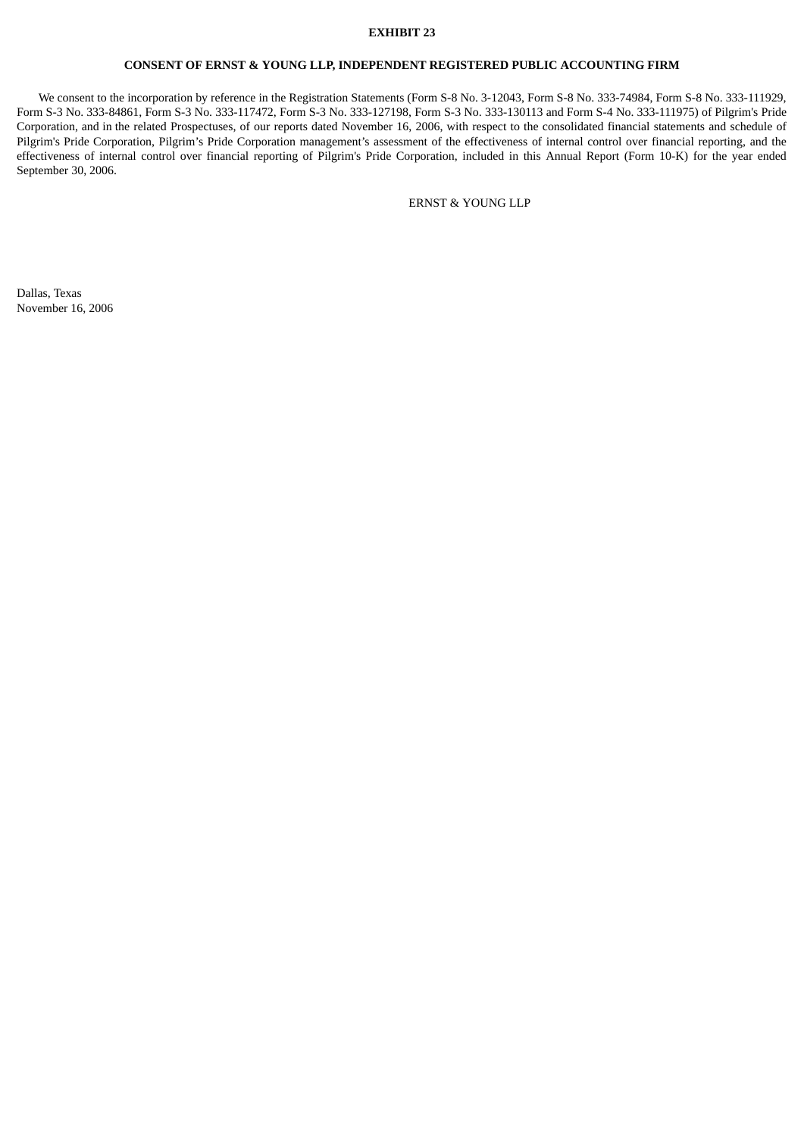# **EXHIBIT 23**

# **CONSENT OF ERNST & YOUNG LLP, INDEPENDENT REGISTERED PUBLIC ACCOUNTING FIRM**

We consent to the incorporation by reference in the Registration Statements (Form S-8 No. 3-12043, Form S-8 No. 333-74984, Form S-8 No. 333-111929, Form S-3 No. 333-84861, Form S-3 No. 333-117472, Form S-3 No. 333-127198, Form S-3 No. 333-130113 and Form S-4 No. 333-111975) of Pilgrim's Pride Corporation, and in the related Prospectuses, of our reports dated November 16, 2006, with respect to the consolidated financial statements and schedule of Pilgrim's Pride Corporation, Pilgrim's Pride Corporation management's assessment of the effectiveness of internal control over financial reporting, and the effectiveness of internal control over financial reporting of Pilgrim's Pride Corporation, included in this Annual Report (Form 10-K) for the year ended September 30, 2006.

ERNST & YOUNG LLP

Dallas, Texas November 16, 2006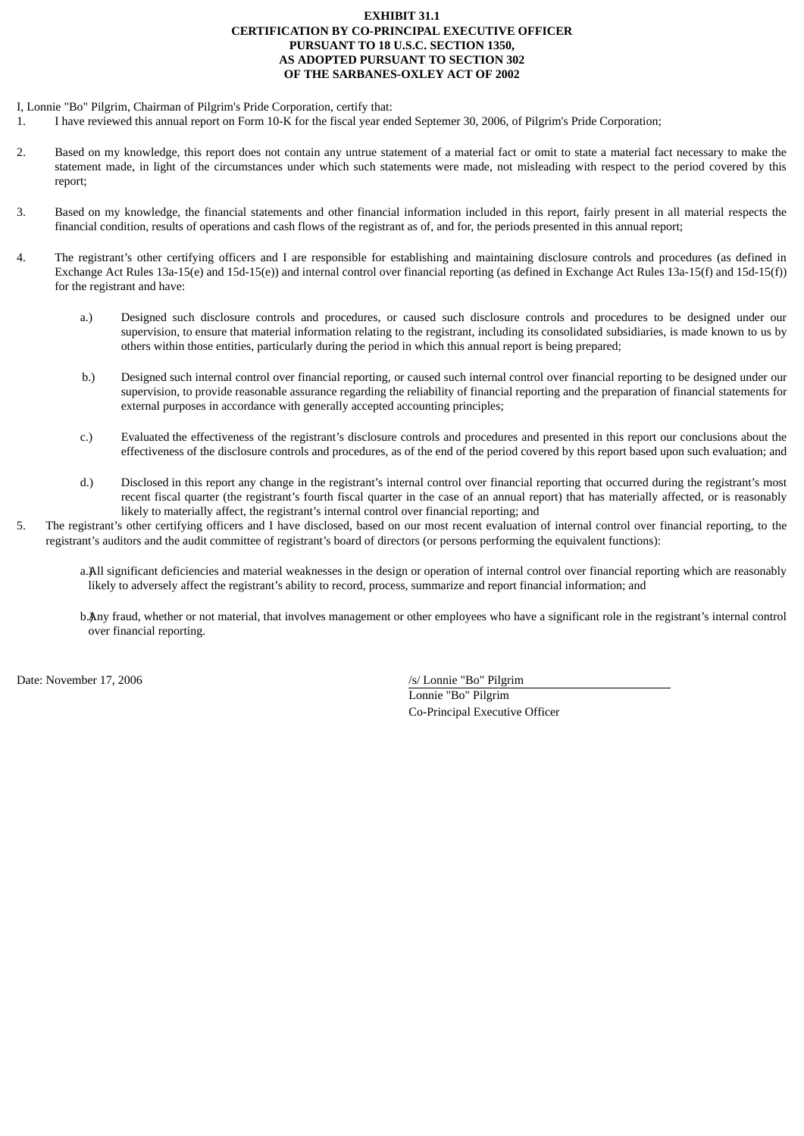## **EXHIBIT 31.1 CERTIFICATION BY CO-PRINCIPAL EXECUTIVE OFFICER PURSUANT TO 18 U.S.C. SECTION 1350, AS ADOPTED PURSUANT TO SECTION 302 OF THE SARBANES-OXLEY ACT OF 2002**

I, Lonnie "Bo" Pilgrim, Chairman of Pilgrim's Pride Corporation, certify that:

- 1. I have reviewed this annual report on Form 10-K for the fiscal year ended Septemer 30, 2006, of Pilgrim's Pride Corporation;
- 2. Based on my knowledge, this report does not contain any untrue statement of a material fact or omit to state a material fact necessary to make the statement made, in light of the circumstances under which such statements were made, not misleading with respect to the period covered by this report;
- 3. Based on my knowledge, the financial statements and other financial information included in this report, fairly present in all material respects the financial condition, results of operations and cash flows of the registrant as of, and for, the periods presented in this annual report;
- 4. The registrant's other certifying officers and I are responsible for establishing and maintaining disclosure controls and procedures (as defined in Exchange Act Rules 13a-15(e) and 15d-15(e)) and internal control over financial reporting (as defined in Exchange Act Rules 13a-15(f) and 15d-15(f)) for the registrant and have:
	- a.) Designed such disclosure controls and procedures, or caused such disclosure controls and procedures to be designed under our supervision, to ensure that material information relating to the registrant, including its consolidated subsidiaries, is made known to us by others within those entities, particularly during the period in which this annual report is being prepared;
	- b.) Designed such internal control over financial reporting, or caused such internal control over financial reporting to be designed under our supervision, to provide reasonable assurance regarding the reliability of financial reporting and the preparation of financial statements for external purposes in accordance with generally accepted accounting principles;
	- c.) Evaluated the effectiveness of the registrant's disclosure controls and procedures and presented in this report our conclusions about the effectiveness of the disclosure controls and procedures, as of the end of the period covered by this report based upon such evaluation; and
	- d.) Disclosed in this report any change in the registrant's internal control over financial reporting that occurred during the registrant's most recent fiscal quarter (the registrant's fourth fiscal quarter in the case of an annual report) that has materially affected, or is reasonably likely to materially affect, the registrant's internal control over financial reporting; and
- 5. The registrant's other certifying officers and I have disclosed, based on our most recent evaluation of internal control over financial reporting, to the registrant's auditors and the audit committee of registrant's board of directors (or persons performing the equivalent functions):
	- a.A) ll significant deficiencies and material weaknesses in the design or operation of internal control over financial reporting which are reasonably likely to adversely affect the registrant's ability to record, process, summarize and report financial information; and
	- b.A) ny fraud, whether or not material, that involves management or other employees who have a significant role in the registrant's internal control over financial reporting.

Date: November 17, 2006 /s/ Lonnie "Bo" Pilgrim

Lonnie "Bo" Pilgrim Co-Principal Executive Officer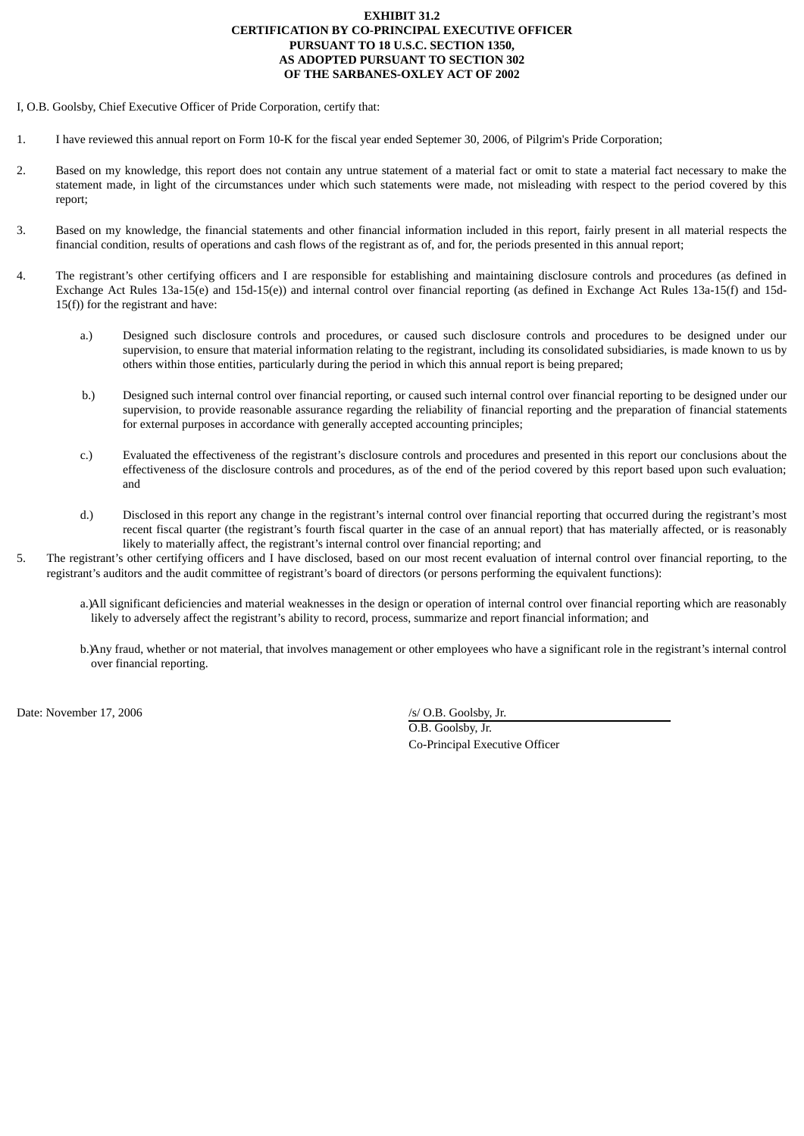## **EXHIBIT 31.2 CERTIFICATION BY CO-PRINCIPAL EXECUTIVE OFFICER PURSUANT TO 18 U.S.C. SECTION 1350, AS ADOPTED PURSUANT TO SECTION 302 OF THE SARBANES-OXLEY ACT OF 2002**

I, O.B. Goolsby, Chief Executive Officer of Pride Corporation, certify that:

- 1. I have reviewed this annual report on Form 10-K for the fiscal year ended Septemer 30, 2006, of Pilgrim's Pride Corporation;
- 2. Based on my knowledge, this report does not contain any untrue statement of a material fact or omit to state a material fact necessary to make the statement made, in light of the circumstances under which such statements were made, not misleading with respect to the period covered by this report;
- 3. Based on my knowledge, the financial statements and other financial information included in this report, fairly present in all material respects the financial condition, results of operations and cash flows of the registrant as of, and for, the periods presented in this annual report;
- 4. The registrant's other certifying officers and I are responsible for establishing and maintaining disclosure controls and procedures (as defined in Exchange Act Rules 13a-15(e) and 15d-15(e)) and internal control over financial reporting (as defined in Exchange Act Rules 13a-15(f) and 15d-15(f)) for the registrant and have:
	- a.) Designed such disclosure controls and procedures, or caused such disclosure controls and procedures to be designed under our supervision, to ensure that material information relating to the registrant, including its consolidated subsidiaries, is made known to us by others within those entities, particularly during the period in which this annual report is being prepared;
	- b.) Designed such internal control over financial reporting, or caused such internal control over financial reporting to be designed under our supervision, to provide reasonable assurance regarding the reliability of financial reporting and the preparation of financial statements for external purposes in accordance with generally accepted accounting principles;
	- c.) Evaluated the effectiveness of the registrant's disclosure controls and procedures and presented in this report our conclusions about the effectiveness of the disclosure controls and procedures, as of the end of the period covered by this report based upon such evaluation; and
	- d.) Disclosed in this report any change in the registrant's internal control over financial reporting that occurred during the registrant's most recent fiscal quarter (the registrant's fourth fiscal quarter in the case of an annual report) that has materially affected, or is reasonably likely to materially affect, the registrant's internal control over financial reporting; and
- 5. The registrant's other certifying officers and I have disclosed, based on our most recent evaluation of internal control over financial reporting, to the registrant's auditors and the audit committee of registrant's board of directors (or persons performing the equivalent functions):
	- a.)All significant deficiencies and material weaknesses in the design or operation of internal control over financial reporting which are reasonably likely to adversely affect the registrant's ability to record, process, summarize and report financial information; and
	- b.)Any fraud, whether or not material, that involves management or other employees who have a significant role in the registrant's internal control over financial reporting.

Date: November 17, 2006 /s/ O.B. Goolsby, Jr.

O.B. Goolsby, Jr. Co-Principal Executive Officer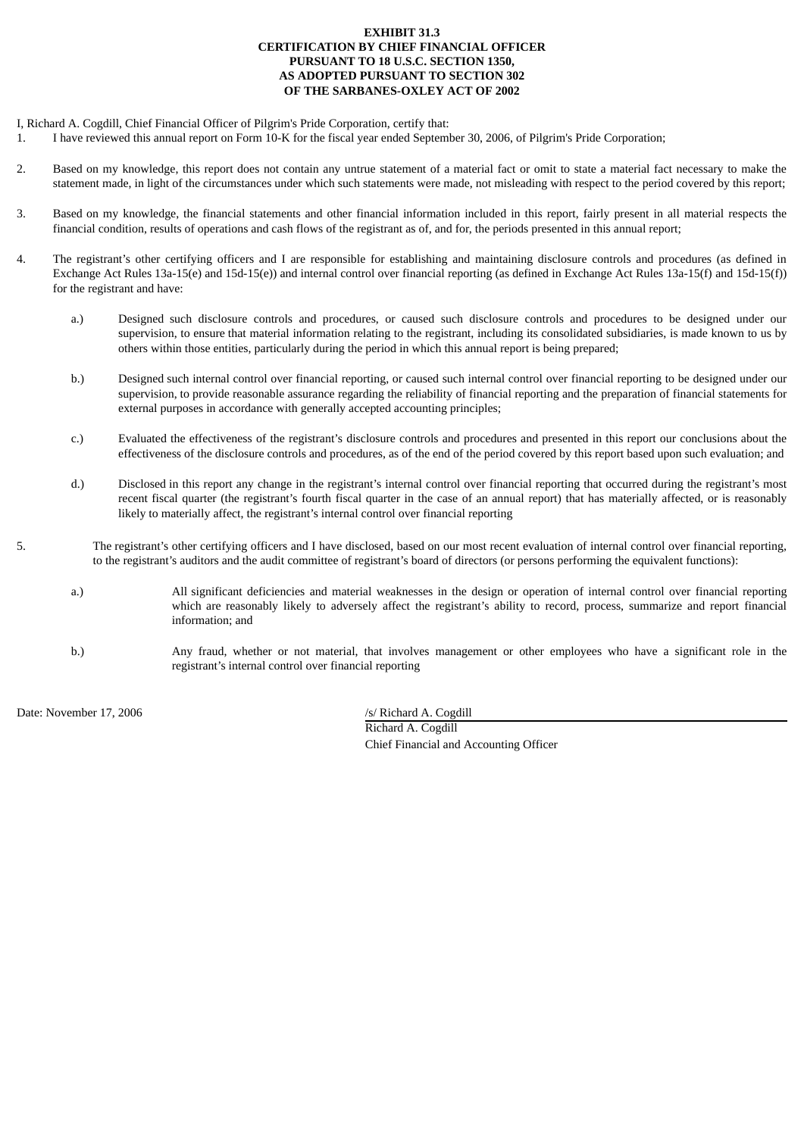## **EXHIBIT 31.3 CERTIFICATION BY CHIEF FINANCIAL OFFICER PURSUANT TO 18 U.S.C. SECTION 1350, AS ADOPTED PURSUANT TO SECTION 302 OF THE SARBANES-OXLEY ACT OF 2002**

I, Richard A. Cogdill, Chief Financial Officer of Pilgrim's Pride Corporation, certify that:

- 1. I have reviewed this annual report on Form 10-K for the fiscal year ended September 30, 2006, of Pilgrim's Pride Corporation;
- 2. Based on my knowledge, this report does not contain any untrue statement of a material fact or omit to state a material fact necessary to make the statement made, in light of the circumstances under which such statements were made, not misleading with respect to the period covered by this report;
- 3. Based on my knowledge, the financial statements and other financial information included in this report, fairly present in all material respects the financial condition, results of operations and cash flows of the registrant as of, and for, the periods presented in this annual report;
- 4. The registrant's other certifying officers and I are responsible for establishing and maintaining disclosure controls and procedures (as defined in Exchange Act Rules 13a-15(e) and 15d-15(e)) and internal control over financial reporting (as defined in Exchange Act Rules 13a-15(f) and 15d-15(f)) for the registrant and have:
	- a.) Designed such disclosure controls and procedures, or caused such disclosure controls and procedures to be designed under our supervision, to ensure that material information relating to the registrant, including its consolidated subsidiaries, is made known to us by others within those entities, particularly during the period in which this annual report is being prepared;
	- b.) Designed such internal control over financial reporting, or caused such internal control over financial reporting to be designed under our supervision, to provide reasonable assurance regarding the reliability of financial reporting and the preparation of financial statements for external purposes in accordance with generally accepted accounting principles;
	- c.) Evaluated the effectiveness of the registrant's disclosure controls and procedures and presented in this report our conclusions about the effectiveness of the disclosure controls and procedures, as of the end of the period covered by this report based upon such evaluation; and
	- d.) Disclosed in this report any change in the registrant's internal control over financial reporting that occurred during the registrant's most recent fiscal quarter (the registrant's fourth fiscal quarter in the case of an annual report) that has materially affected, or is reasonably likely to materially affect, the registrant's internal control over financial reporting
- 5. The registrant's other certifying officers and I have disclosed, based on our most recent evaluation of internal control over financial reporting, to the registrant's auditors and the audit committee of registrant's board of directors (or persons performing the equivalent functions):
	- a.) All significant deficiencies and material weaknesses in the design or operation of internal control over financial reporting which are reasonably likely to adversely affect the registrant's ability to record, process, summarize and report financial information; and
	- b.) Any fraud, whether or not material, that involves management or other employees who have a significant role in the registrant's internal control over financial reporting

Date: November 17, 2006 */s/ Richard A. Cogdill* 

Richard A. Cogdill Chief Financial and Accounting Officer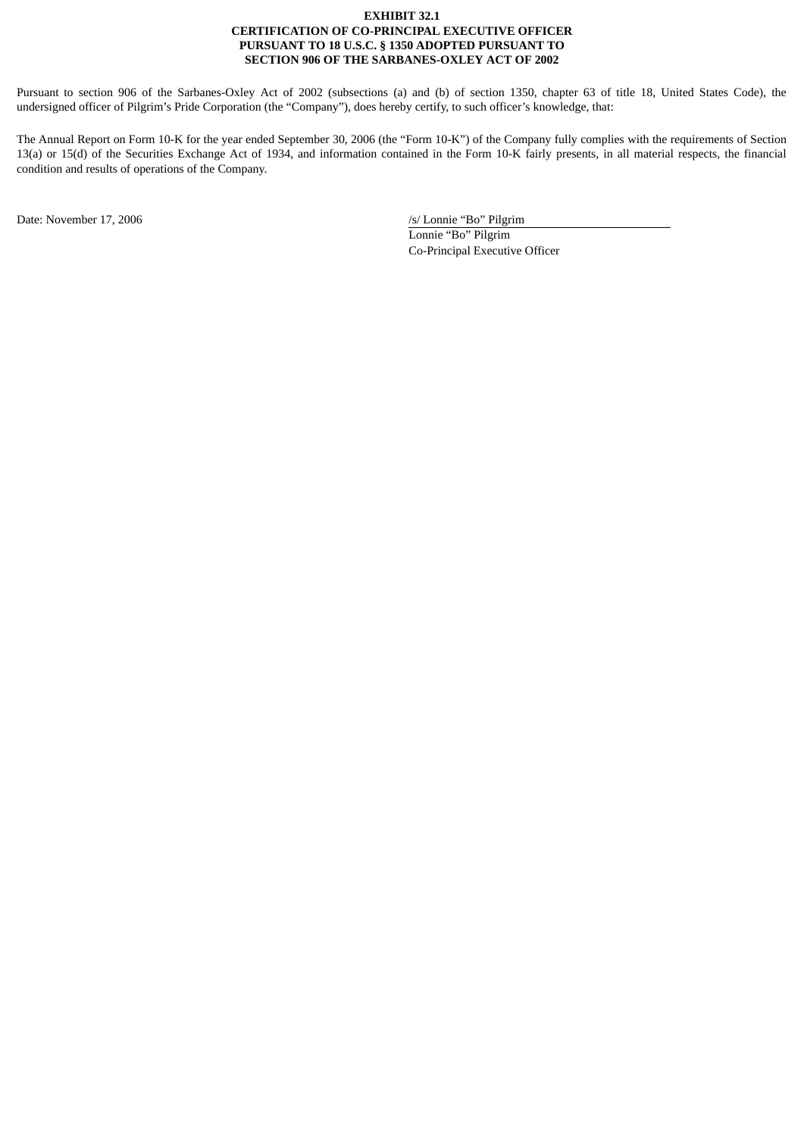## **EXHIBIT 32.1 CERTIFICATION OF CO-PRINCIPAL EXECUTIVE OFFICER PURSUANT TO 18 U.S.C. § 1350 ADOPTED PURSUANT TO SECTION 906 OF THE SARBANES-OXLEY ACT OF 2002**

Pursuant to section 906 of the Sarbanes-Oxley Act of 2002 (subsections (a) and (b) of section 1350, chapter 63 of title 18, United States Code), the undersigned officer of Pilgrim's Pride Corporation (the "Company"), does hereby certify, to such officer's knowledge, that:

The Annual Report on Form 10-K for the year ended September 30, 2006 (the "Form 10-K") of the Company fully complies with the requirements of Section 13(a) or 15(d) of the Securities Exchange Act of 1934, and information contained in the Form 10-K fairly presents, in all material respects, the financial condition and results of operations of the Company.

Date: November 17, 2006 /s/ Lonnie "Bo" Pilgrim

Lonnie "Bo" Pilgrim Co-Principal Executive Officer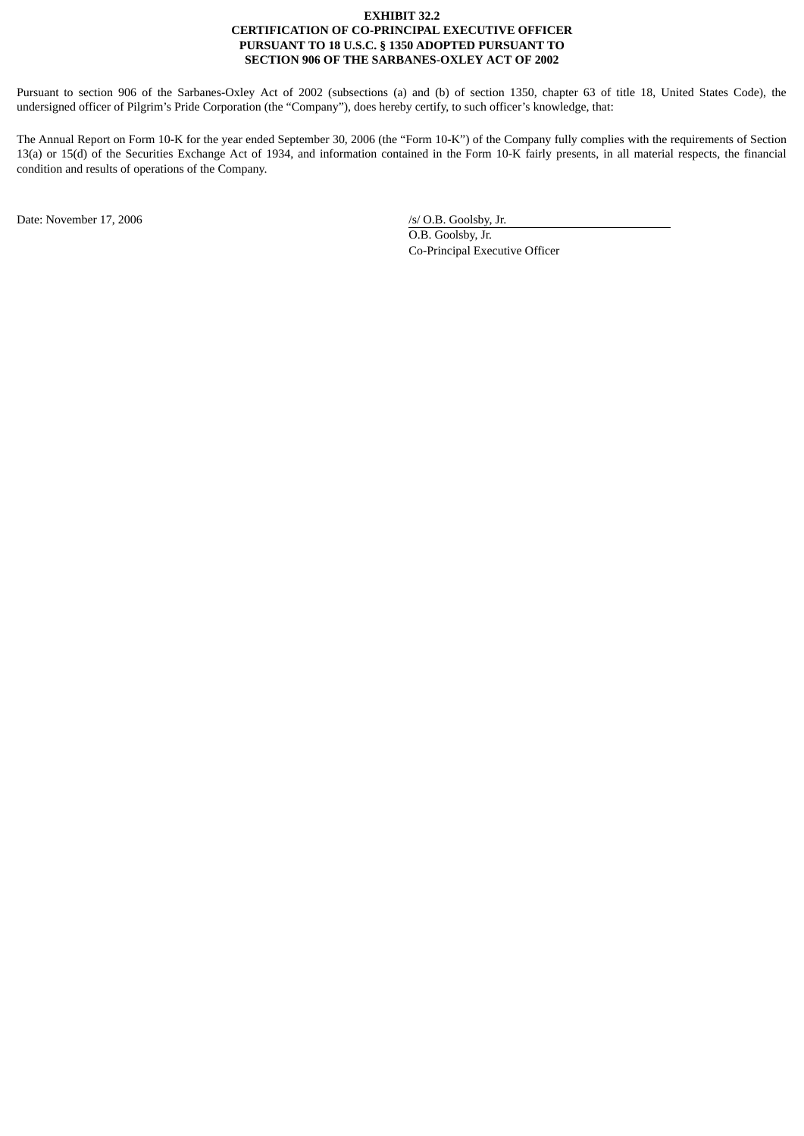## **EXHIBIT 32.2 CERTIFICATION OF CO-PRINCIPAL EXECUTIVE OFFICER PURSUANT TO 18 U.S.C. § 1350 ADOPTED PURSUANT TO SECTION 906 OF THE SARBANES-OXLEY ACT OF 2002**

Pursuant to section 906 of the Sarbanes-Oxley Act of 2002 (subsections (a) and (b) of section 1350, chapter 63 of title 18, United States Code), the undersigned officer of Pilgrim's Pride Corporation (the "Company"), does hereby certify, to such officer's knowledge, that:

The Annual Report on Form 10-K for the year ended September 30, 2006 (the "Form 10-K") of the Company fully complies with the requirements of Section 13(a) or 15(d) of the Securities Exchange Act of 1934, and information contained in the Form 10-K fairly presents, in all material respects, the financial condition and results of operations of the Company.

Date: November 17, 2006 /s/ O.B. Goolsby, Jr.

O.B. Goolsby, Jr. Co-Principal Executive Officer